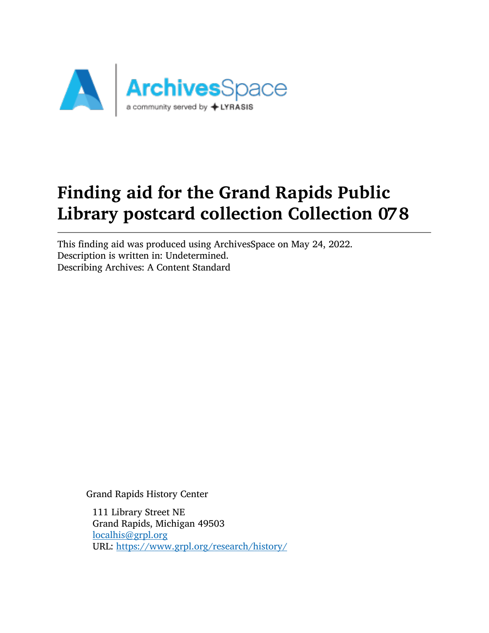

# Finding aid for the Grand Rapids Public Library postcard collection Collection 078

This finding aid was produced using ArchivesSpace on May 24, 2022. Description is written in: Undetermined. Describing Archives: A Content Standard

Grand Rapids History Center

111 Library Street NE Grand Rapids, Michigan 49503 [localhis@grpl.org](mailto:localhis@grpl.org) URL: <https://www.grpl.org/research/history/>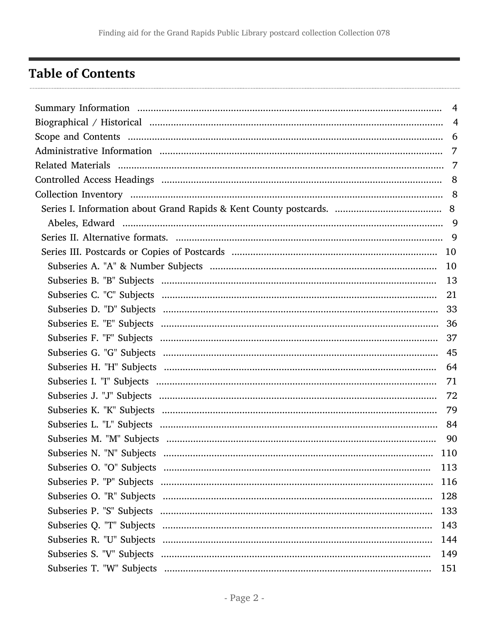# <span id="page-1-0"></span>**Table of Contents**

| $\overline{4}$ |
|----------------|
|                |
|                |
|                |
|                |
|                |
|                |
|                |
|                |
|                |
|                |
|                |
|                |
|                |
|                |
|                |
|                |
|                |
|                |
| 71             |
|                |
|                |
|                |
|                |
| 110            |
| 113            |
| 116            |
| 128            |
| 133            |
| 143            |
| 144            |
| 149            |
| 151            |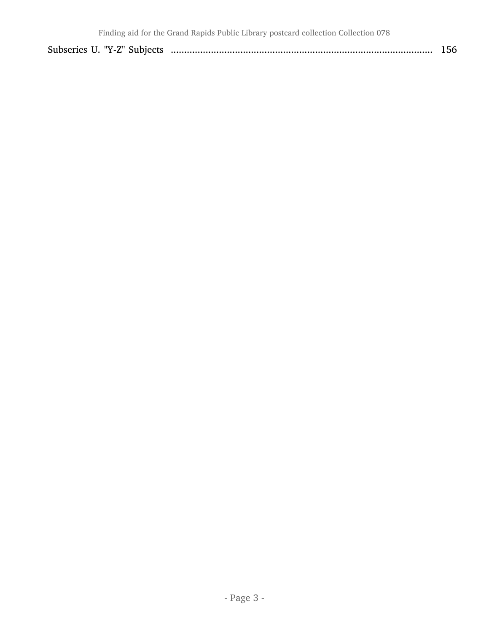|  |  | 1.JU |
|--|--|------|
|--|--|------|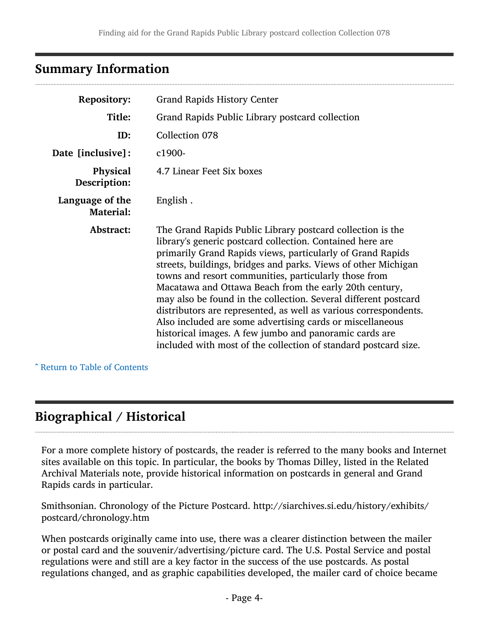# <span id="page-3-0"></span>Summary Information

| <b>Repository:</b>                  | <b>Grand Rapids History Center</b>                                                                                                                                                                                                                                                                                                                                                                                                                                                                                                                                                                                                                                                                          |
|-------------------------------------|-------------------------------------------------------------------------------------------------------------------------------------------------------------------------------------------------------------------------------------------------------------------------------------------------------------------------------------------------------------------------------------------------------------------------------------------------------------------------------------------------------------------------------------------------------------------------------------------------------------------------------------------------------------------------------------------------------------|
| Title:                              | Grand Rapids Public Library postcard collection                                                                                                                                                                                                                                                                                                                                                                                                                                                                                                                                                                                                                                                             |
| ID:                                 | Collection 078                                                                                                                                                                                                                                                                                                                                                                                                                                                                                                                                                                                                                                                                                              |
| Date [inclusive]:                   | c1900-                                                                                                                                                                                                                                                                                                                                                                                                                                                                                                                                                                                                                                                                                                      |
| <b>Physical</b><br>Description:     | 4.7 Linear Feet Six boxes                                                                                                                                                                                                                                                                                                                                                                                                                                                                                                                                                                                                                                                                                   |
| Language of the<br><b>Material:</b> | English.                                                                                                                                                                                                                                                                                                                                                                                                                                                                                                                                                                                                                                                                                                    |
| Abstract:                           | The Grand Rapids Public Library postcard collection is the<br>library's generic postcard collection. Contained here are<br>primarily Grand Rapids views, particularly of Grand Rapids<br>streets, buildings, bridges and parks. Views of other Michigan<br>towns and resort communities, particularly those from<br>Macatawa and Ottawa Beach from the early 20th century,<br>may also be found in the collection. Several different postcard<br>distributors are represented, as well as various correspondents.<br>Also included are some advertising cards or miscellaneous<br>historical images. A few jumbo and panoramic cards are<br>included with most of the collection of standard postcard size. |

^ [Return to Table of Contents](#page-1-0)

# <span id="page-3-1"></span>Biographical / Historical

For a more complete history of postcards, the reader is referred to the many books and Internet sites available on this topic. In particular, the books by Thomas Dilley, listed in the Related Archival Materials note, provide historical information on postcards in general and Grand Rapids cards in particular.

Smithsonian. Chronology of the Picture Postcard. http://siarchives.si.edu/history/exhibits/ postcard/chronology.htm

When postcards originally came into use, there was a clearer distinction between the mailer or postal card and the souvenir/advertising/picture card. The U.S. Postal Service and postal regulations were and still are a key factor in the success of the use postcards. As postal regulations changed, and as graphic capabilities developed, the mailer card of choice became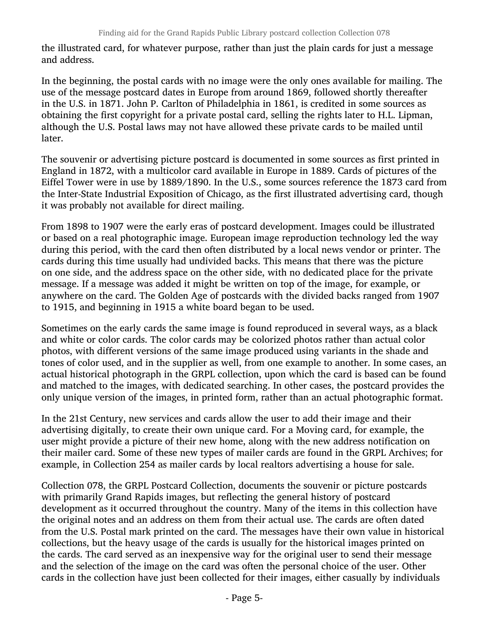the illustrated card, for whatever purpose, rather than just the plain cards for just a message and address.

In the beginning, the postal cards with no image were the only ones available for mailing. The use of the message postcard dates in Europe from around 1869, followed shortly thereafter in the U.S. in 1871. John P. Carlton of Philadelphia in 1861, is credited in some sources as obtaining the first copyright for a private postal card, selling the rights later to H.L. Lipman, although the U.S. Postal laws may not have allowed these private cards to be mailed until later.

The souvenir or advertising picture postcard is documented in some sources as first printed in England in 1872, with a multicolor card available in Europe in 1889. Cards of pictures of the Eiffel Tower were in use by 1889/1890. In the U.S., some sources reference the 1873 card from the Inter-State Industrial Exposition of Chicago, as the first illustrated advertising card, though it was probably not available for direct mailing.

From 1898 to 1907 were the early eras of postcard development. Images could be illustrated or based on a real photographic image. European image reproduction technology led the way during this period, with the card then often distributed by a local news vendor or printer. The cards during this time usually had undivided backs. This means that there was the picture on one side, and the address space on the other side, with no dedicated place for the private message. If a message was added it might be written on top of the image, for example, or anywhere on the card. The Golden Age of postcards with the divided backs ranged from 1907 to 1915, and beginning in 1915 a white board began to be used.

Sometimes on the early cards the same image is found reproduced in several ways, as a black and white or color cards. The color cards may be colorized photos rather than actual color photos, with different versions of the same image produced using variants in the shade and tones of color used, and in the supplier as well, from one example to another. In some cases, an actual historical photograph in the GRPL collection, upon which the card is based can be found and matched to the images, with dedicated searching. In other cases, the postcard provides the only unique version of the images, in printed form, rather than an actual photographic format.

In the 21st Century, new services and cards allow the user to add their image and their advertising digitally, to create their own unique card. For a Moving card, for example, the user might provide a picture of their new home, along with the new address notification on their mailer card. Some of these new types of mailer cards are found in the GRPL Archives; for example, in Collection 254 as mailer cards by local realtors advertising a house for sale.

Collection 078, the GRPL Postcard Collection, documents the souvenir or picture postcards with primarily Grand Rapids images, but reflecting the general history of postcard development as it occurred throughout the country. Many of the items in this collection have the original notes and an address on them from their actual use. The cards are often dated from the U.S. Postal mark printed on the card. The messages have their own value in historical collections, but the heavy usage of the cards is usually for the historical images printed on the cards. The card served as an inexpensive way for the original user to send their message and the selection of the image on the card was often the personal choice of the user. Other cards in the collection have just been collected for their images, either casually by individuals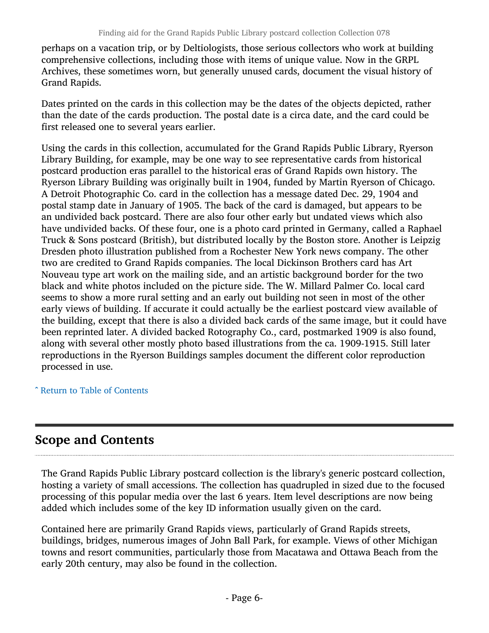perhaps on a vacation trip, or by Deltiologists, those serious collectors who work at building comprehensive collections, including those with items of unique value. Now in the GRPL Archives, these sometimes worn, but generally unused cards, document the visual history of Grand Rapids.

Dates printed on the cards in this collection may be the dates of the objects depicted, rather than the date of the cards production. The postal date is a circa date, and the card could be first released one to several years earlier.

Using the cards in this collection, accumulated for the Grand Rapids Public Library, Ryerson Library Building, for example, may be one way to see representative cards from historical postcard production eras parallel to the historical eras of Grand Rapids own history. The Ryerson Library Building was originally built in 1904, funded by Martin Ryerson of Chicago. A Detroit Photographic Co. card in the collection has a message dated Dec. 29, 1904 and postal stamp date in January of 1905. The back of the card is damaged, but appears to be an undivided back postcard. There are also four other early but undated views which also have undivided backs. Of these four, one is a photo card printed in Germany, called a Raphael Truck & Sons postcard (British), but distributed locally by the Boston store. Another is Leipzig Dresden photo illustration published from a Rochester New York news company. The other two are credited to Grand Rapids companies. The local Dickinson Brothers card has Art Nouveau type art work on the mailing side, and an artistic background border for the two black and white photos included on the picture side. The W. Millard Palmer Co. local card seems to show a more rural setting and an early out building not seen in most of the other early views of building. If accurate it could actually be the earliest postcard view available of the building, except that there is also a divided back cards of the same image, but it could have been reprinted later. A divided backed Rotography Co., card, postmarked 1909 is also found, along with several other mostly photo based illustrations from the ca. 1909-1915. Still later reproductions in the Ryerson Buildings samples document the different color reproduction processed in use.

^ [Return to Table of Contents](#page-1-0)

# <span id="page-5-0"></span>Scope and Contents

The Grand Rapids Public Library postcard collection is the library's generic postcard collection, hosting a variety of small accessions. The collection has quadrupled in sized due to the focused processing of this popular media over the last 6 years. Item level descriptions are now being added which includes some of the key ID information usually given on the card.

Contained here are primarily Grand Rapids views, particularly of Grand Rapids streets, buildings, bridges, numerous images of John Ball Park, for example. Views of other Michigan towns and resort communities, particularly those from Macatawa and Ottawa Beach from the early 20th century, may also be found in the collection.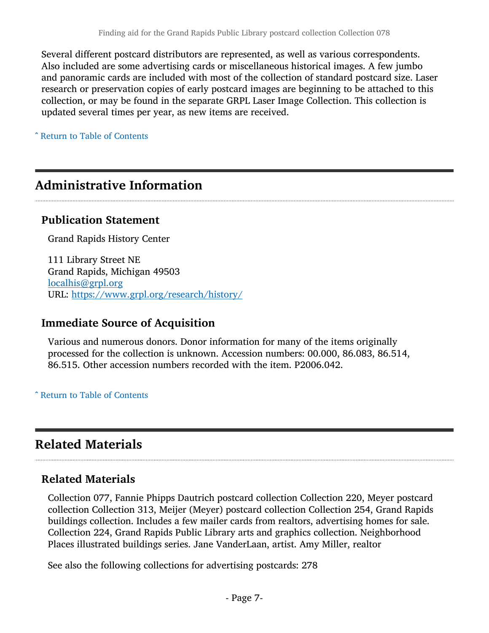Several different postcard distributors are represented, as well as various correspondents. Also included are some advertising cards or miscellaneous historical images. A few jumbo and panoramic cards are included with most of the collection of standard postcard size. Laser research or preservation copies of early postcard images are beginning to be attached to this collection, or may be found in the separate GRPL Laser Image Collection. This collection is updated several times per year, as new items are received.

^ [Return to Table of Contents](#page-1-0)

# <span id="page-6-0"></span>Administrative Information

### Publication Statement

Grand Rapids History Center

111 Library Street NE Grand Rapids, Michigan 49503 [localhis@grpl.org](mailto:localhis@grpl.org) URL: <https://www.grpl.org/research/history/>

## Immediate Source of Acquisition

Various and numerous donors. Donor information for many of the items originally processed for the collection is unknown. Accession numbers: 00.000, 86.083, 86.514, 86.515. Other accession numbers recorded with the item. P2006.042.

^ [Return to Table of Contents](#page-1-0)

# <span id="page-6-1"></span>Related Materials

## Related Materials

Collection 077, Fannie Phipps Dautrich postcard collection Collection 220, Meyer postcard collection Collection 313, Meijer (Meyer) postcard collection Collection 254, Grand Rapids buildings collection. Includes a few mailer cards from realtors, advertising homes for sale. Collection 224, Grand Rapids Public Library arts and graphics collection. Neighborhood Places illustrated buildings series. Jane VanderLaan, artist. Amy Miller, realtor

See also the following collections for advertising postcards: 278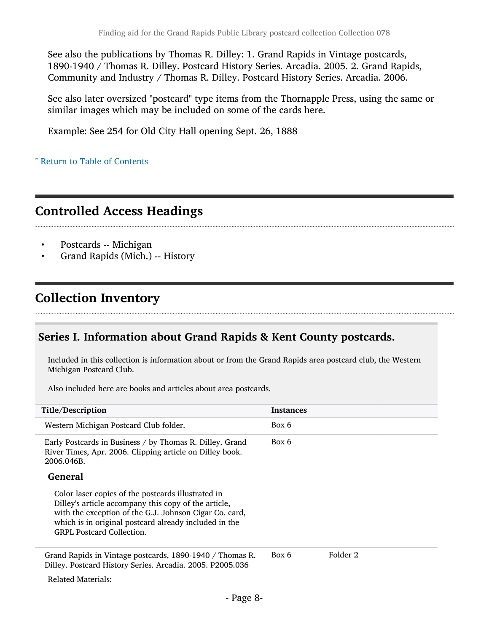See also the publications by Thomas R. Dilley: 1. Grand Rapids in Vintage postcards, 1890-1940 / Thomas R. Dilley. Postcard History Series. Arcadia. 2005. 2. Grand Rapids, Community and Industry / Thomas R. Dilley. Postcard History Series. Arcadia. 2006.

See also later oversized "postcard" type items from the Thornapple Press, using the same or similar images which may be included on some of the cards here.

Example: See 254 for Old City Hall opening Sept. 26, 1888

^ [Return to Table of Contents](#page-1-0)

# <span id="page-7-0"></span>Controlled Access Headings

- Postcards -- Michigan
- Grand Rapids (Mich.) -- History

# <span id="page-7-1"></span>Collection Inventory

## <span id="page-7-2"></span>Series I. Information about Grand Rapids & Kent County postcards.

Included in this collection is information about or from the Grand Rapids area postcard club, the Western Michigan Postcard Club.

Also included here are books and articles about area postcards.

| Title/Description                                                                                                                                                                                                                                                 | <b>Instances</b> |          |
|-------------------------------------------------------------------------------------------------------------------------------------------------------------------------------------------------------------------------------------------------------------------|------------------|----------|
| Western Michigan Postcard Club folder.                                                                                                                                                                                                                            | Box 6            |          |
| Early Postcards in Business / by Thomas R. Dilley. Grand<br>River Times, Apr. 2006. Clipping article on Dilley book.<br>2006.046B.                                                                                                                                | Box 6            |          |
| <b>General</b>                                                                                                                                                                                                                                                    |                  |          |
| Color laser copies of the postcards illustrated in<br>Dilley's article accompany this copy of the article,<br>with the exception of the G.J. Johnson Cigar Co. card,<br>which is in original postcard already included in the<br><b>GRPL Postcard Collection.</b> |                  |          |
| Grand Rapids in Vintage postcards, 1890-1940 / Thomas R.<br>Dilley. Postcard History Series. Arcadia. 2005. P2005.036                                                                                                                                             | Box 6            | Folder 2 |
| <b>Related Materials:</b>                                                                                                                                                                                                                                         |                  |          |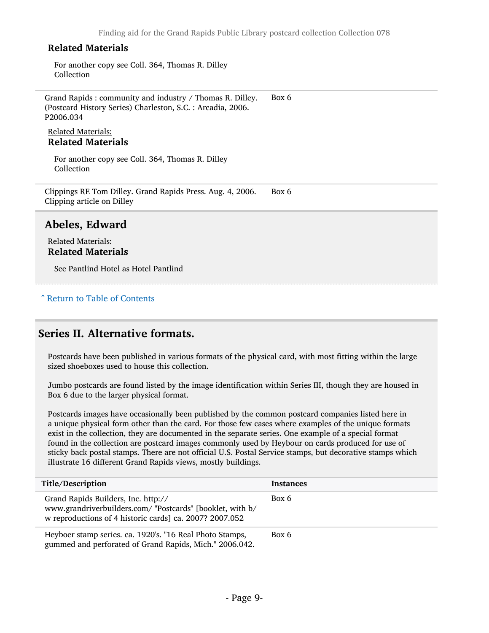For another copy see Coll. 364, Thomas R. Dilley Collection

Grand Rapids : community and industry / Thomas R. Dilley. (Postcard History Series) Charleston, S.C. : Arcadia, 2006. P2006.034 Box 6

#### Related Materials: Related Materials

For another copy see Coll. 364, Thomas R. Dilley **Collection** 

Clippings RE Tom Dilley. Grand Rapids Press. Aug. 4, 2006. Clipping article on Dilley Box 6

#### <span id="page-8-0"></span>Abeles, Edward

Related Materials: Related Materials

See Pantlind Hotel as Hotel Pantlind

#### ^ [Return to Table of Contents](#page-1-0)

### <span id="page-8-1"></span>Series II. Alternative formats.

Postcards have been published in various formats of the physical card, with most fitting within the large sized shoeboxes used to house this collection.

Jumbo postcards are found listed by the image identification within Series III, though they are housed in Box 6 due to the larger physical format.

Postcards images have occasionally been published by the common postcard companies listed here in a unique physical form other than the card. For those few cases where examples of the unique formats exist in the collection, they are documented in the separate series. One example of a special format found in the collection are postcard images commonly used by Heybour on cards produced for use of sticky back postal stamps. There are not official U.S. Postal Service stamps, but decorative stamps which illustrate 16 different Grand Rapids views, mostly buildings.

| Title/Description                                                                                                                                           | Instances |
|-------------------------------------------------------------------------------------------------------------------------------------------------------------|-----------|
| Grand Rapids Builders, Inc. http://<br>www.grandriverbuilders.com/ "Postcards" [booklet, with b/<br>w reproductions of 4 historic cards] ca. 2007? 2007.052 | Box 6     |
| Heyboer stamp series. ca. 1920's. "16 Real Photo Stamps,<br>gummed and perforated of Grand Rapids, Mich." 2006.042.                                         | Box 6     |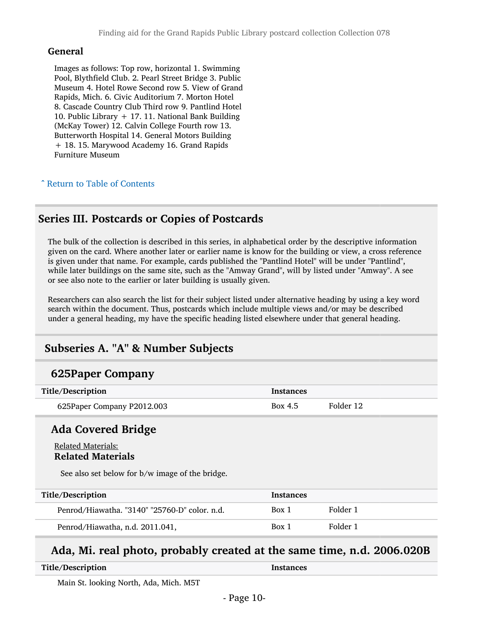#### General

Images as follows: Top row, horizontal 1. Swimming Pool, Blythfield Club. 2. Pearl Street Bridge 3. Public Museum 4. Hotel Rowe Second row 5. View of Grand Rapids, Mich. 6. Civic Auditorium 7. Morton Hotel 8. Cascade Country Club Third row 9. Pantlind Hotel 10. Public Library + 17. 11. National Bank Building (McKay Tower) 12. Calvin College Fourth row 13. Butterworth Hospital 14. General Motors Building + 18. 15. Marywood Academy 16. Grand Rapids Furniture Museum

#### ^ [Return to Table of Contents](#page-1-0)

### <span id="page-9-0"></span>Series III. Postcards or Copies of Postcards

The bulk of the collection is described in this series, in alphabetical order by the descriptive information given on the card. Where another later or earlier name is know for the building or view, a cross reference is given under that name. For example, cards published the "Pantlind Hotel" will be under "Pantlind", while later buildings on the same site, such as the "Amway Grand", will by listed under "Amway". A see or see also note to the earlier or later building is usually given.

Researchers can also search the list for their subject listed under alternative heading by using a key word search within the document. Thus, postcards which include multiple views and/or may be described under a general heading, my have the specific heading listed elsewhere under that general heading.

### <span id="page-9-1"></span>Subseries A. "A" & Number Subjects

### 625Paper Company

| Title/Description          | <b>Instances</b> |           |
|----------------------------|------------------|-----------|
| 625Paper Company P2012.003 | Box 4.5          | Folder 12 |
| <b>Ada Covered Bridge</b>  |                  |           |

#### Related Materials: Related Materials

See also set below for b/w image of the bridge.

| Title/Description                             | Instances |          |
|-----------------------------------------------|-----------|----------|
| Penrod/Hiawatha. "3140" "25760-D" color. n.d. | Box 1     | Folder 1 |
| Penrod/Hiawatha, n.d. 2011.041,               | Box 1     | Folder 1 |

# Ada, Mi. real photo, probably created at the same time, n.d. 2006.020B

| Title/Description | Instances |
|-------------------|-----------|
|                   |           |

Main St. looking North, Ada, Mich. M5T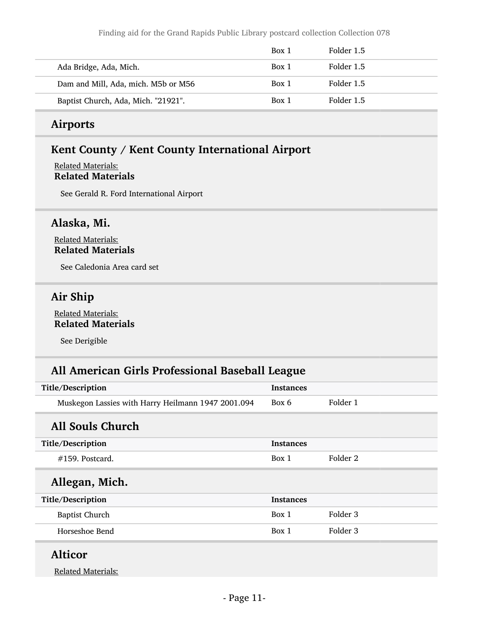Finding aid for the Grand Rapids Public Library postcard collection Collection 078

|                                     | Box 1 | Folder 1.5 |
|-------------------------------------|-------|------------|
| Ada Bridge, Ada, Mich.              | Box 1 | Folder 1.5 |
| Dam and Mill, Ada, mich. M5b or M56 | Box 1 | Folder 1.5 |
| Baptist Church, Ada, Mich. "21921". | Box 1 | Folder 1.5 |

### Airports

### Kent County / Kent County International Airport

#### Related Materials: Related Materials

See Gerald R. Ford International Airport

### Alaska, Mi.

Related Materials: Related Materials

See Caledonia Area card set

## Air Ship

Related Materials: Related Materials

See Derigible

## All American Girls Professional Baseball League

| Title/Description                                  | <b>Instances</b> |          |
|----------------------------------------------------|------------------|----------|
| Muskegon Lassies with Harry Heilmann 1947 2001.094 | Box 6            | Folder 1 |
| All Souls Church                                   |                  |          |
| Title/Description                                  | <b>Instances</b> |          |
| $\#159$ . Postcard.                                | Box 1            | Folder 2 |
| Allegan, Mich.                                     |                  |          |
| Title/Description                                  | <b>Instances</b> |          |
| <b>Baptist Church</b>                              | Box 1            | Folder 3 |
| Horseshoe Bend                                     | Box 1            | Folder 3 |
| $11.3 - 11$                                        |                  |          |

### Alticor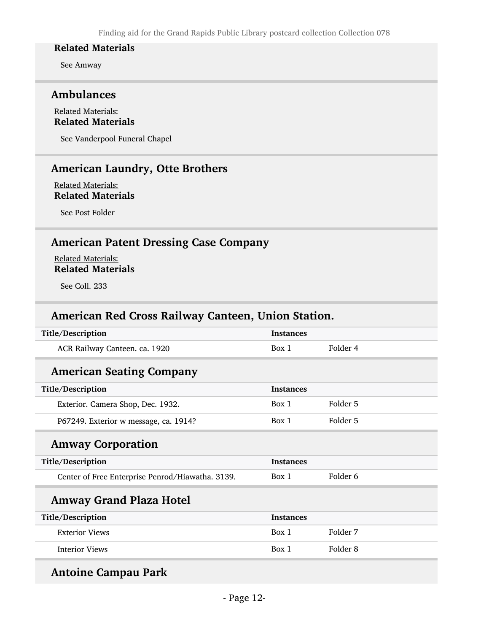See Amway

#### Ambulances

#### Related Materials: Related Materials

See Vanderpool Funeral Chapel

## American Laundry, Otte Brothers

Related Materials: Related Materials

See Post Folder

# American Patent Dressing Case Company

Related Materials: Related Materials

See Coll. 233

### American Red Cross Railway Canteen, Union Station.

| Title/Description                                | <b>Instances</b> |          |
|--------------------------------------------------|------------------|----------|
| ACR Railway Canteen. ca. 1920                    | Box 1            | Folder 4 |
| <b>American Seating Company</b>                  |                  |          |
| Title/Description                                | <b>Instances</b> |          |
| Exterior. Camera Shop, Dec. 1932.                | Box 1            | Folder 5 |
| P67249. Exterior w message, ca. 1914?            | Box 1            | Folder 5 |
| <b>Amway Corporation</b>                         |                  |          |
| Title/Description                                | <b>Instances</b> |          |
| Center of Free Enterprise Penrod/Hiawatha. 3139. | Box 1            | Folder 6 |
| <b>Amway Grand Plaza Hotel</b>                   |                  |          |
| Title/Description                                | <b>Instances</b> |          |
| <b>Exterior Views</b>                            | Box 1            | Folder 7 |
| <b>Interior Views</b>                            | Box 1            | Folder 8 |
|                                                  |                  |          |

### Antoine Campau Park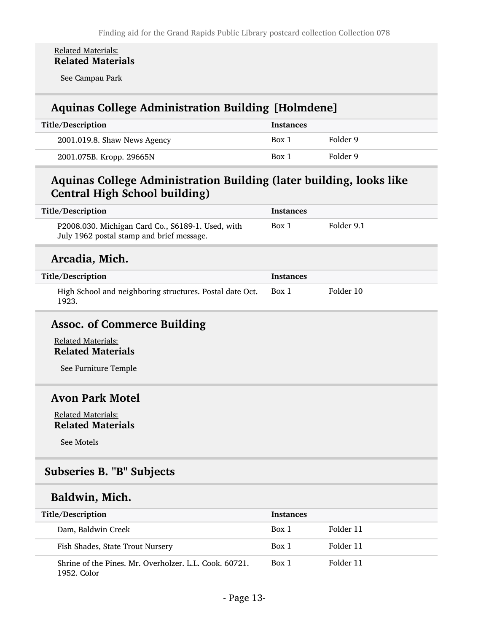#### Related Materials: Related Materials

See Campau Park

## Aquinas College Administration Building [Holmdene]

| Title/Description            | Instances |          |
|------------------------------|-----------|----------|
| 2001.019.8. Shaw News Agency | Box 1     | Folder 9 |
| 2001.075B. Kropp. 29665N     | Box 1     | Folder 9 |

## Aquinas College Administration Building (later building, looks like Central High School building)

| Title/Description                                                                              | <b>Instances</b> |            |
|------------------------------------------------------------------------------------------------|------------------|------------|
| P2008.030. Michigan Card Co., S6189-1. Used, with<br>July 1962 postal stamp and brief message. | Box 1            | Folder 9.1 |
| Arcadia, Mich.                                                                                 |                  |            |
| Title/Description                                                                              | <b>Instances</b> |            |
| High School and neighboring structures. Postal date Oct.<br>1923.                              | Box 1            | Folder 10  |

### Assoc. of Commerce Building

Related Materials: Related Materials

See Furniture Temple

### Avon Park Motel

Related Materials: Related Materials

See Motels

### <span id="page-12-0"></span>Subseries B. "B" Subjects

### Baldwin, Mich.

| Title/Description                                                     | <b>Instances</b> |           |
|-----------------------------------------------------------------------|------------------|-----------|
| Dam, Baldwin Creek                                                    | Box 1            | Folder 11 |
| Fish Shades, State Trout Nursery                                      | Box 1            | Folder 11 |
| Shrine of the Pines, Mr. Overholzer, L.L. Cook, 60721.<br>1952. Color | Box 1            | Folder 11 |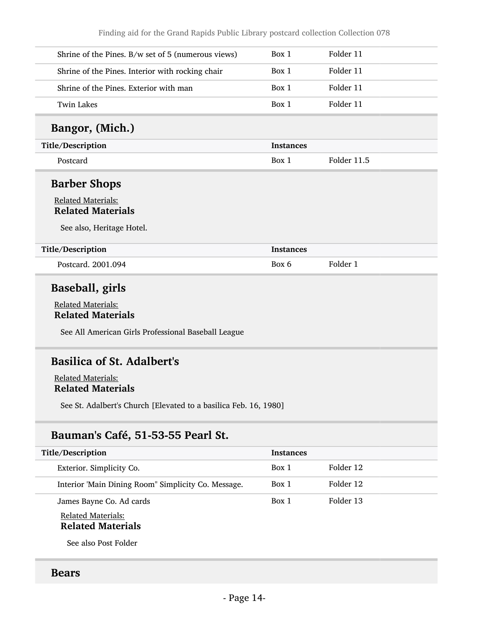Finding aid for the Grand Rapids Public Library postcard collection Collection 078

| Shrine of the Pines. B/w set of 5 (numerous views) | Box 1            | Folder 11   |
|----------------------------------------------------|------------------|-------------|
| Shrine of the Pines. Interior with rocking chair   | Box 1            | Folder 11   |
| Shrine of the Pines. Exterior with man             | Box 1            | Folder 11   |
| <b>Twin Lakes</b>                                  | Box 1            | Folder 11   |
| Bangor, (Mich.)                                    |                  |             |
| Title/Description                                  | <b>Instances</b> |             |
| Postcard                                           | Box 1            | Folder 11.5 |
| <b>Barber Shops</b>                                |                  |             |
|                                                    |                  |             |
| <b>Related Materials:</b>                          |                  |             |
|                                                    |                  |             |
| <b>Related Materials</b>                           |                  |             |
|                                                    |                  |             |
| See also, Heritage Hotel.                          |                  |             |
|                                                    | <b>Instances</b> |             |
| Title/Description<br>Postcard. 2001.094            | Box 6            | Folder 1    |
| <b>Baseball, girls</b>                             |                  |             |
|                                                    |                  |             |
| <b>Related Materials:</b>                          |                  |             |
| <b>Related Materials</b>                           |                  |             |

Related Materials: Related Materials

See St. Adalbert's Church [Elevated to a basilica Feb. 16, 1980]

# Bauman's Café, 51-53-55 Pearl St.

| Title/Description                                     | <b>Instances</b> |           |
|-------------------------------------------------------|------------------|-----------|
| Exterior. Simplicity Co.                              | Box 1            | Folder 12 |
| Interior 'Main Dining Room" Simplicity Co. Message.   | Box 1            | Folder 12 |
| James Bayne Co. Ad cards                              | Box 1            | Folder 13 |
| <b>Related Materials:</b><br><b>Related Materials</b> |                  |           |

See also Post Folder

### Bears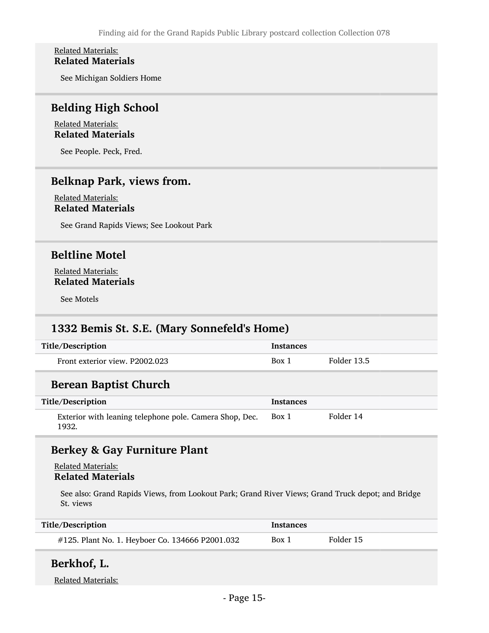#### Related Materials: Related Materials

See Michigan Soldiers Home

### Belding High School

#### Related Materials: Related Materials

See People. Peck, Fred.

## Belknap Park, views from.

#### Related Materials: Related Materials

See Grand Rapids Views; See Lookout Park

### Beltline Motel

#### Related Materials: Related Materials

See Motels

## 1332 Bemis St. S.E. (Mary Sonnefeld's Home)

| Title/Description              | <b>Instances</b> |             |
|--------------------------------|------------------|-------------|
| Front exterior view. P2002.023 | Box 1            | Folder 13.5 |

## Berean Baptist Church

| Title/Description                                                | Instances |           |
|------------------------------------------------------------------|-----------|-----------|
| Exterior with leaning telephone pole. Camera Shop, Dec.<br>1932. | Box 1     | Folder 14 |

## Berkey & Gay Furniture Plant

#### Related Materials: Related Materials

See also: Grand Rapids Views, from Lookout Park; Grand River Views; Grand Truck depot; and Bridge St. views

| Title/Description                               | <b>Instances</b> |           |
|-------------------------------------------------|------------------|-----------|
| #125. Plant No. 1. Heyboer Co. 134666 P2001.032 | Box 1            | Folder 15 |

### Berkhof, L.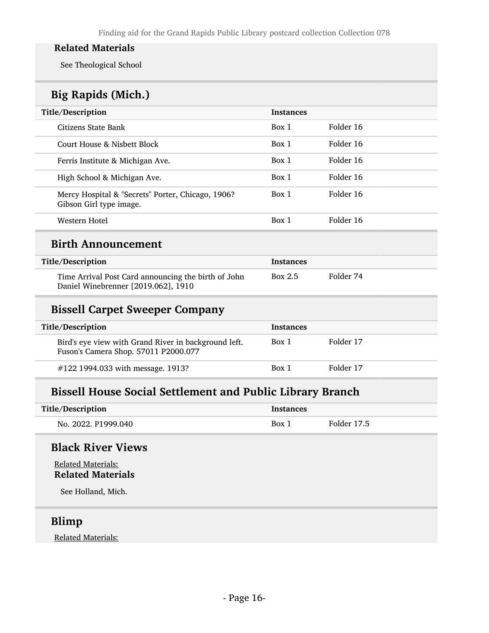See Theological School

# Big Rapids (Mich.)

| Title/Description                                                            | <b>Instances</b> |           |
|------------------------------------------------------------------------------|------------------|-----------|
| Citizens State Bank                                                          | Box 1            | Folder 16 |
| Court House & Nisbett Block                                                  | Box 1            | Folder 16 |
| Ferris Institute & Michigan Ave.                                             | Box 1            | Folder 16 |
| High School & Michigan Ave.                                                  | Box 1            | Folder 16 |
| Mercy Hospital & "Secrets" Porter, Chicago, 1906?<br>Gibson Girl type image. | Box 1            | Folder 16 |
| Western Hotel                                                                | Box 1            | Folder 16 |

### Birth Announcement

| Title/Description                                                                          | Instances |           |
|--------------------------------------------------------------------------------------------|-----------|-----------|
| Time Arrival Post Card announcing the birth of John<br>Daniel Winebrenner [2019.062], 1910 | Box 2.5   | Folder 74 |

### Bissell Carpet Sweeper Company

| Title/Description                                                                            | <b>Instances</b> |           |
|----------------------------------------------------------------------------------------------|------------------|-----------|
| Bird's eye view with Grand River in background left.<br>Fuson's Camera Shop. 57011 P2000.077 | Box 1            | Folder 17 |
| #122 1994.033 with message. 1913?                                                            | Box 1            | Folder 17 |

# Bissell House Social Settlement and Public Library Branch

| Title/Description   | <b>Instances</b> |             |
|---------------------|------------------|-------------|
| No. 2022. P1999.040 | Box 1            | Folder 17.5 |

# Black River Views

Related Materials: Related Materials

See Holland, Mich.

## Blimp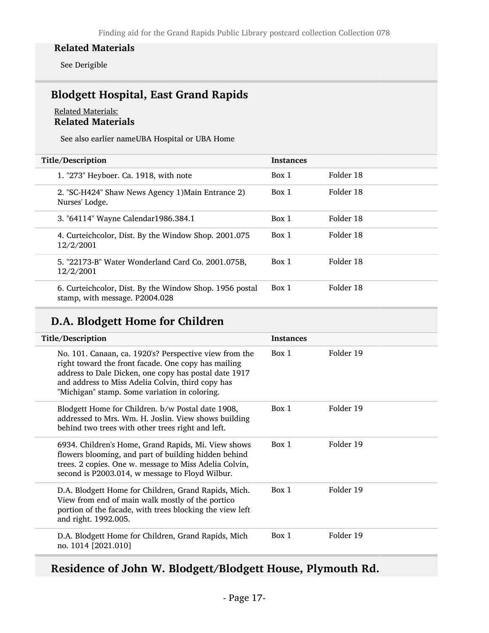See Derigible

# Blodgett Hospital, East Grand Rapids

#### Related Materials: Related Materials

See also earlier nameUBA Hospital or UBA Home

| Title/Description                                                                         | <b>Instances</b> |           |
|-------------------------------------------------------------------------------------------|------------------|-----------|
| 1. "273" Heyboer. Ca. 1918, with note                                                     | Box 1            | Folder 18 |
| 2. "SC-H424" Shaw News Agency 1) Main Entrance 2)<br>Nurses' Lodge.                       | Box 1            | Folder 18 |
| 3. "64114" Wayne Calendar1986.384.1                                                       | Box 1            | Folder 18 |
| 4. Curteichcolor, Dist. By the Window Shop. 2001.075<br>12/2/2001                         | Box 1            | Folder 18 |
| 5. "22173-B" Water Wonderland Card Co. 2001.075B,<br>12/2/2001                            | Box 1            | Folder 18 |
| 6. Curteichcolor, Dist. By the Window Shop. 1956 postal<br>stamp, with message. P2004.028 | Box 1            | Folder 18 |

# D.A. Blodgett Home for Children

| Title/Description                                                                                                                                                                                                                                                            | <b>Instances</b> |           |
|------------------------------------------------------------------------------------------------------------------------------------------------------------------------------------------------------------------------------------------------------------------------------|------------------|-----------|
| No. 101. Canaan, ca. 1920's? Perspective view from the<br>right toward the front facade. One copy has mailing<br>address to Dale Dicken, one copy has postal date 1917<br>and address to Miss Adelia Colvin, third copy has<br>"Michigan" stamp. Some variation in coloring. | Box 1            | Folder 19 |
| Blodgett Home for Children. b/w Postal date 1908,<br>addressed to Mrs. Wm. H. Joslin. View shows building<br>behind two trees with other trees right and left.                                                                                                               | Box 1            | Folder 19 |
| 6934. Children's Home, Grand Rapids, Mi. View shows<br>flowers blooming, and part of building hidden behind<br>trees. 2 copies. One w. message to Miss Adelia Colvin,<br>second is P2003.014, w message to Floyd Wilbur.                                                     | Box 1            | Folder 19 |
| D.A. Blodgett Home for Children, Grand Rapids, Mich.<br>View from end of main walk mostly of the portico<br>portion of the facade, with trees blocking the view left<br>and right. 1992.005.                                                                                 | Box 1            | Folder 19 |
| D.A. Blodgett Home for Children, Grand Rapids, Mich<br>no. 1014 [2021.010]                                                                                                                                                                                                   | Box 1            | Folder 19 |

Residence of John W. Blodgett/Blodgett House, Plymouth Rd.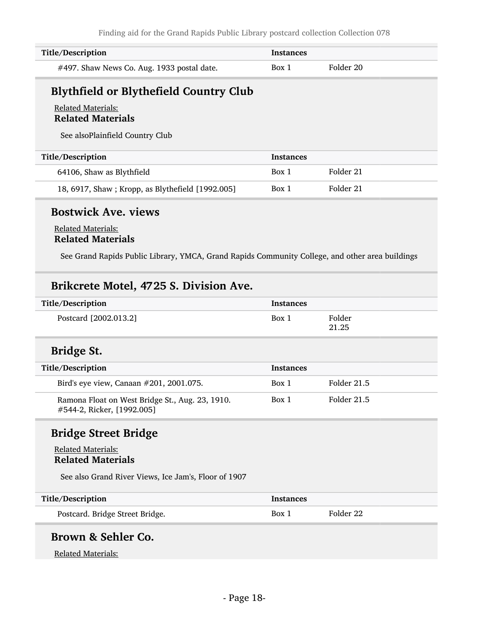| Title/Description                          | Instances |           |
|--------------------------------------------|-----------|-----------|
| #497. Shaw News Co. Aug. 1933 postal date. | Box 1     | Folder 20 |

# Blythfield or Blythefield Country Club

#### Related Materials: Related Materials

See alsoPlainfield Country Club

| Title/Description                                | <b>Instances</b> |           |
|--------------------------------------------------|------------------|-----------|
| 64106, Shaw as Blythfield                        | Box 1            | Folder 21 |
| 18, 6917, Shaw; Kropp, as Blythefield [1992.005] | Box 1            | Folder 21 |

# Bostwick Ave. views

#### Related Materials: Related Materials

See Grand Rapids Public Library, YMCA, Grand Rapids Community College, and other area buildings

## Brikcrete Motel, 4725 S. Division Ave.

| Title/Description     | <b>Instances</b> |                 |
|-----------------------|------------------|-----------------|
| Postcard [2002.013.2] | Box 1            | Folder<br>21.25 |

# Bridge St.

| Title/Description                                                             | <b>Instances</b> |             |
|-------------------------------------------------------------------------------|------------------|-------------|
| Bird's eye view, Canaan #201, 2001.075.                                       | Box 1            | Folder 21.5 |
| Ramona Float on West Bridge St., Aug. 23, 1910.<br>#544-2, Ricker, [1992.005] | Box 1            | Folder 21.5 |

# Bridge Street Bridge

#### Related Materials: Related Materials

See also Grand River Views, Ice Jam's, Floor of 1907

| Title/Description               | <b>Instances</b> |           |
|---------------------------------|------------------|-----------|
| Postcard. Bridge Street Bridge. | Box 1            | Folder 22 |

### Brown & Sehler Co.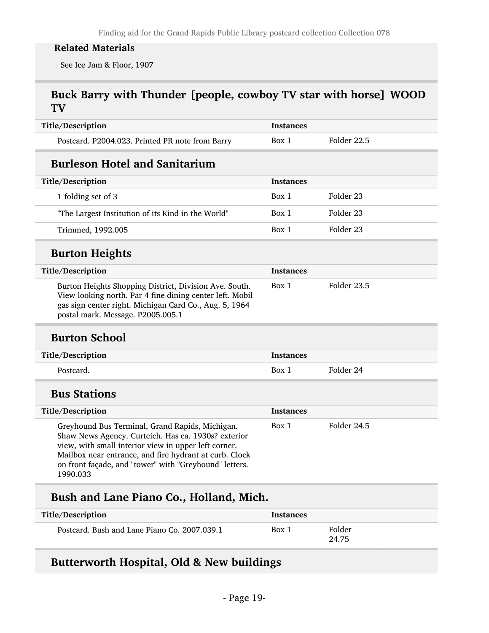See Ice Jam & Floor, 1907

# Buck Barry with Thunder [people, cowboy TV star with horse] WOOD TV

| Title/Description                                                                                                                                                                                                                                                                              | <b>Instances</b> |                      |
|------------------------------------------------------------------------------------------------------------------------------------------------------------------------------------------------------------------------------------------------------------------------------------------------|------------------|----------------------|
| Postcard. P2004.023. Printed PR note from Barry                                                                                                                                                                                                                                                | Box 1            | Folder 22.5          |
| <b>Burleson Hotel and Sanitarium</b>                                                                                                                                                                                                                                                           |                  |                      |
| Title/Description                                                                                                                                                                                                                                                                              | <b>Instances</b> |                      |
| 1 folding set of 3                                                                                                                                                                                                                                                                             | Box 1            | Folder <sub>23</sub> |
| "The Largest Institution of its Kind in the World"                                                                                                                                                                                                                                             | Box 1            | Folder 23            |
| Trimmed, 1992.005                                                                                                                                                                                                                                                                              | Box 1            | Folder <sub>23</sub> |
| <b>Burton Heights</b>                                                                                                                                                                                                                                                                          |                  |                      |
| Title/Description                                                                                                                                                                                                                                                                              | <b>Instances</b> |                      |
| Burton Heights Shopping District, Division Ave. South.<br>View looking north. Par 4 fine dining center left. Mobil<br>gas sign center right. Michigan Card Co., Aug. 5, 1964<br>postal mark. Message. P2005.005.1                                                                              | Box 1            | Folder 23.5          |
| <b>Burton School</b>                                                                                                                                                                                                                                                                           |                  |                      |
| Title/Description                                                                                                                                                                                                                                                                              | <b>Instances</b> |                      |
| Postcard.                                                                                                                                                                                                                                                                                      | Box 1            | Folder 24            |
|                                                                                                                                                                                                                                                                                                |                  |                      |
| <b>Bus Stations</b>                                                                                                                                                                                                                                                                            |                  |                      |
| Title/Description                                                                                                                                                                                                                                                                              | <b>Instances</b> |                      |
| Greyhound Bus Terminal, Grand Rapids, Michigan.<br>Shaw News Agency. Curteich. Has ca. 1930s? exterior<br>view, with small interior view in upper left corner.<br>Mailbox near entrance, and fire hydrant at curb. Clock<br>on front façade, and "tower" with "Greyhound" letters.<br>1990.033 | Box 1            | Folder 24.5          |
| Bush and Lane Piano Co., Holland, Mich.                                                                                                                                                                                                                                                        |                  |                      |
| Title/Description                                                                                                                                                                                                                                                                              | <b>Instances</b> |                      |

# Butterworth Hospital, Old & New buildings

24.75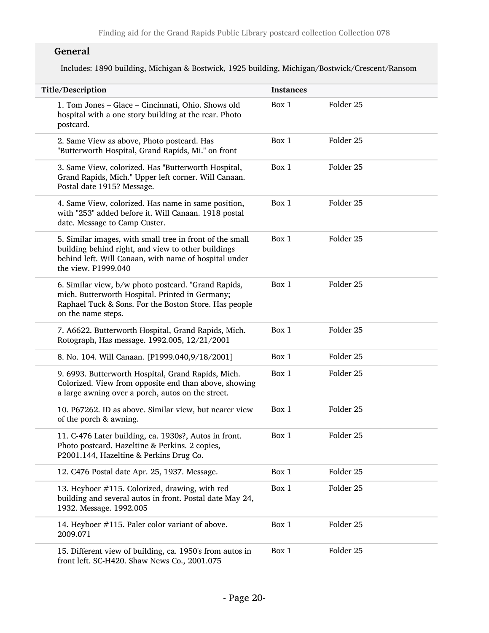### General

Includes: 1890 building, Michigan & Bostwick, 1925 building, Michigan/Bostwick/Crescent/Ransom

| Title/Description                                                                                                                                                                              | <b>Instances</b> |                      |
|------------------------------------------------------------------------------------------------------------------------------------------------------------------------------------------------|------------------|----------------------|
| 1. Tom Jones - Glace - Cincinnati, Ohio. Shows old<br>hospital with a one story building at the rear. Photo<br>postcard.                                                                       | Box 1            | Folder 25            |
| 2. Same View as above, Photo postcard. Has<br>"Butterworth Hospital, Grand Rapids, Mi." on front                                                                                               | Box 1            | Folder <sub>25</sub> |
| 3. Same View, colorized. Has "Butterworth Hospital,<br>Grand Rapids, Mich." Upper left corner. Will Canaan.<br>Postal date 1915? Message.                                                      | Box 1            | Folder 25            |
| 4. Same View, colorized. Has name in same position,<br>with "253" added before it. Will Canaan. 1918 postal<br>date. Message to Camp Custer.                                                   | Box 1            | Folder 25            |
| 5. Similar images, with small tree in front of the small<br>building behind right, and view to other buildings<br>behind left. Will Canaan, with name of hospital under<br>the view. P1999.040 | Box 1            | Folder 25            |
| 6. Similar view, b/w photo postcard. "Grand Rapids,<br>mich. Butterworth Hospital. Printed in Germany;<br>Raphael Tuck & Sons. For the Boston Store. Has people<br>on the name steps.          | Box 1            | Folder 25            |
| 7. A6622. Butterworth Hospital, Grand Rapids, Mich.<br>Rotograph, Has message. 1992.005, 12/21/2001                                                                                            | Box 1            | Folder 25            |
| 8. No. 104. Will Canaan. [P1999.040,9/18/2001]                                                                                                                                                 | Box 1            | Folder 25            |
| 9. 6993. Butterworth Hospital, Grand Rapids, Mich.<br>Colorized. View from opposite end than above, showing<br>a large awning over a porch, autos on the street.                               | Box 1            | Folder 25            |
| 10. P67262. ID as above. Similar view, but nearer view<br>of the porch & awning.                                                                                                               | Box 1            | Folder 25            |
| 11. C-476 Later building, ca. 1930s?, Autos in front.<br>Photo postcard. Hazeltine & Perkins. 2 copies,<br>P2001.144, Hazeltine & Perkins Drug Co.                                             | Box 1            | Folder 25            |
| 12. C476 Postal date Apr. 25, 1937. Message.                                                                                                                                                   | Box 1            | Folder 25            |
| 13. Heyboer #115. Colorized, drawing, with red<br>building and several autos in front. Postal date May 24,<br>1932. Message. 1992.005                                                          | Box 1            | Folder 25            |
| 14. Heyboer #115. Paler color variant of above.<br>2009.071                                                                                                                                    | Box 1            | Folder 25            |
| 15. Different view of building, ca. 1950's from autos in<br>front left. SC-H420. Shaw News Co., 2001.075                                                                                       | Box 1            | Folder 25            |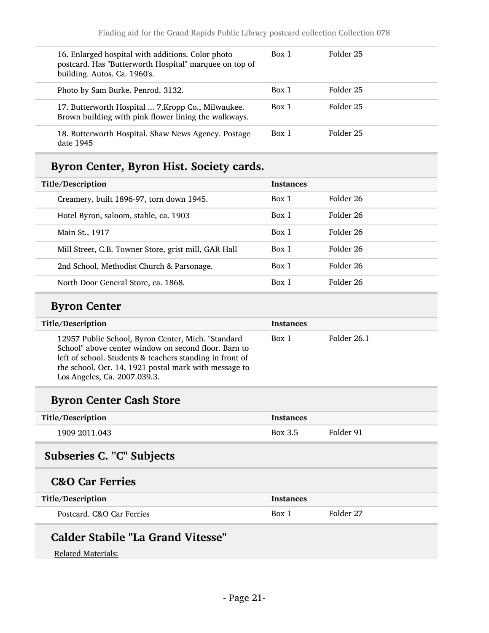| 16. Enlarged hospital with additions. Color photo<br>postcard. Has "Butterworth Hospital" marquee on top of<br>building. Autos. Ca. 1960's. | Box 1 | Folder 25 |
|---------------------------------------------------------------------------------------------------------------------------------------------|-------|-----------|
| Photo by Sam Burke. Penrod. 3132.                                                                                                           | Box 1 | Folder 25 |
| 17. Butterworth Hospital  7. Kropp Co., Milwaukee.<br>Brown building with pink flower lining the walkways.                                  | Box 1 | Folder 25 |
| 18. Butterworth Hospital. Shaw News Agency. Postage<br>date 1945                                                                            | Box 1 | Folder 25 |

# Byron Center, Byron Hist. Society cards.

| Title/Description |                                                      | <b>Instances</b> |           |
|-------------------|------------------------------------------------------|------------------|-----------|
|                   | Creamery, built 1896-97, torn down 1945.             | Box 1            | Folder 26 |
|                   | Hotel Byron, saloom, stable, ca. 1903                | Box 1            | Folder 26 |
|                   | Main St., 1917                                       | Box 1            | Folder 26 |
|                   | Mill Street, C.B. Towner Store, grist mill, GAR Hall | Box 1            | Folder 26 |
|                   | 2nd School, Methodist Church & Parsonage.            | Box 1            | Folder 26 |
|                   | North Door General Store, ca. 1868.                  | Box 1            | Folder 26 |

### Byron Center

| Title/Description                                                                                                                                                                                                                                               | <b>Instances</b> |             |
|-----------------------------------------------------------------------------------------------------------------------------------------------------------------------------------------------------------------------------------------------------------------|------------------|-------------|
| 12957 Public School, Byron Center, Mich. "Standard<br>School" above center window on second floor. Barn to<br>left of school. Students & teachers standing in front of<br>the school. Oct. 14, 1921 postal mark with message to<br>Los Angeles, Ca. 2007.039.3. | Box 1            | Folder 26.1 |

## Byron Center Cash Store

| Title/Description | Instances |           |
|-------------------|-----------|-----------|
| 1909 2011.043     | Box 3.5   | Folder 91 |

# <span id="page-20-0"></span>Subseries C. "C" Subjects

# C&O Car Ferries

| Title/Description         | <b>Instances</b> |           |
|---------------------------|------------------|-----------|
| Postcard. C&O Car Ferries | Box 1            | Folder 27 |

# Calder Stabile "La Grand Vitesse"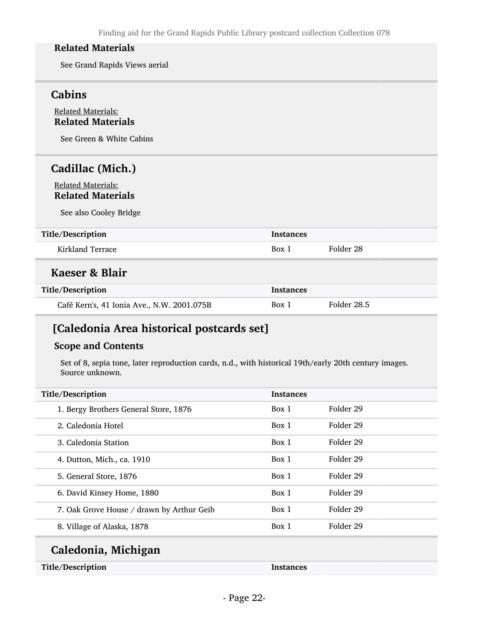See Grand Rapids Views aerial

## Cabins

#### Related Materials: Related Materials

See Green & White Cabins

## Cadillac (Mich.)

#### Related Materials: Related Materials

See also Cooley Bridge

#### Title/Description Instances

Kirkland Terrace and Box 1 Folder 28

#### Kaeser & Blair

| Title/Description                          | <b>Instances</b> |             |
|--------------------------------------------|------------------|-------------|
| Café Kern's, 41 Ionia Ave., N.W. 2001.075B | Box 1            | Folder 28.5 |

# [Caledonia Area historical postcards set]

#### Scope and Contents

Set of 8, sepia tone, later reproduction cards, n.d., with historical 19th/early 20th century images. Source unknown.

| Title/Description                         | <b>Instances</b> |           |  |
|-------------------------------------------|------------------|-----------|--|
| 1. Bergy Brothers General Store, 1876     | Box 1            | Folder 29 |  |
| 2. Caledonia Hotel                        | Box 1            | Folder 29 |  |
| 3. Caledonia Station                      | Box 1            | Folder 29 |  |
| 4. Dutton, Mich., ca. 1910                | Box 1            | Folder 29 |  |
| 5. General Store, 1876                    | Box 1            | Folder 29 |  |
| 6. David Kinsey Home, 1880                | Box 1            | Folder 29 |  |
| 7. Oak Grove House / drawn by Arthur Geib | Box 1            | Folder 29 |  |
| 8. Village of Alaska, 1878                | Box 1            | Folder 29 |  |
| Colodonia Michigan                        |                  |           |  |

#### Caledonia, Michigan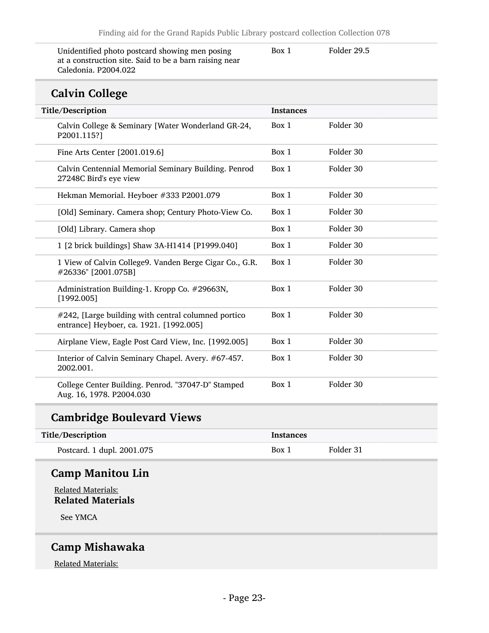Unidentified photo postcard showing men posing at a construction site. Said to be a barn raising near Caledonia. P2004.022

Box 1 Folder 29.5

# Calvin College

| <b>CATATIL COTICLE</b>                                                                         |                  |           |
|------------------------------------------------------------------------------------------------|------------------|-----------|
| Title/Description                                                                              | <b>Instances</b> |           |
| Calvin College & Seminary [Water Wonderland GR-24,<br>P2001.115?]                              | Box 1            | Folder 30 |
| Fine Arts Center [2001.019.6]                                                                  | Box 1            | Folder 30 |
| Calvin Centennial Memorial Seminary Building. Penrod<br>27248C Bird's eye view                 | Box 1            | Folder 30 |
| Hekman Memorial. Heyboer #333 P2001.079                                                        | Box 1            | Folder 30 |
| [Old] Seminary. Camera shop; Century Photo-View Co.                                            | Box 1            | Folder 30 |
| [Old] Library. Camera shop                                                                     | Box 1            | Folder 30 |
| 1 [2 brick buildings] Shaw 3A-H1414 [P1999.040]                                                | Box 1            | Folder 30 |
| 1 View of Calvin College9. Vanden Berge Cigar Co., G.R.<br>#26336" [2001.075B]                 | Box 1            | Folder 30 |
| Administration Building-1. Kropp Co. #29663N,<br>[1992.005]                                    | Box 1            | Folder 30 |
| #242, [Large building with central columned portico<br>entrance] Heyboer, ca. 1921. [1992.005] | Box 1            | Folder 30 |
| Airplane View, Eagle Post Card View, Inc. [1992.005]                                           | Box 1            | Folder 30 |
| Interior of Calvin Seminary Chapel. Avery. #67-457.<br>2002.001.                               | Box 1            | Folder 30 |
| College Center Building. Penrod. "37047-D" Stamped<br>Aug. 16, 1978. P2004.030                 | Box 1            | Folder 30 |

## Cambridge Boulevard Views

| Title/Description          | Instances |           |
|----------------------------|-----------|-----------|
| Postcard. 1 dupl. 2001.075 | Box 1     | Folder 31 |

# Camp Manitou Lin

Related Materials: Related Materials

See YMCA

# Camp Mishawaka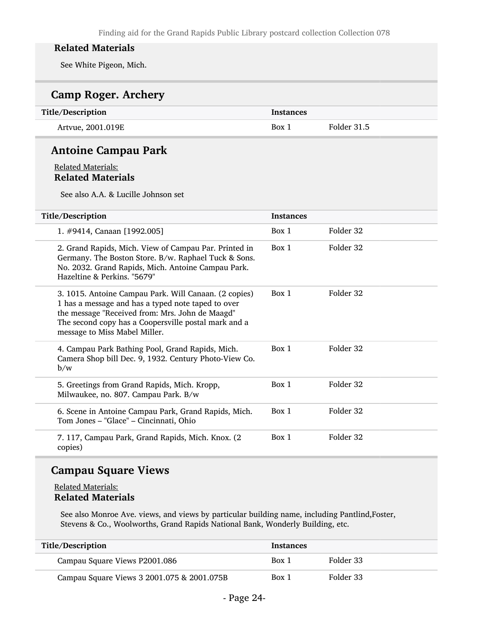See White Pigeon, Mich.

| <b>Camp Roger. Archery</b>                                                                                                                                                                                                                              |                  |             |
|---------------------------------------------------------------------------------------------------------------------------------------------------------------------------------------------------------------------------------------------------------|------------------|-------------|
| Title/Description                                                                                                                                                                                                                                       | <b>Instances</b> |             |
| Artvue, 2001.019E                                                                                                                                                                                                                                       | Box 1            | Folder 31.5 |
| <b>Antoine Campau Park</b>                                                                                                                                                                                                                              |                  |             |
| <b>Related Materials:</b><br><b>Related Materials</b><br>See also A.A. & Lucille Johnson set                                                                                                                                                            |                  |             |
| Title/Description                                                                                                                                                                                                                                       | <b>Instances</b> |             |
| 1. #9414, Canaan [1992.005]                                                                                                                                                                                                                             | Box 1            | Folder 32   |
| 2. Grand Rapids, Mich. View of Campau Par. Printed in<br>Germany. The Boston Store. B/w. Raphael Tuck & Sons.<br>No. 2032. Grand Rapids, Mich. Antoine Campau Park.<br>Hazeltine & Perkins. "5679"                                                      | Box 1            | Folder 32   |
| 3. 1015. Antoine Campau Park. Will Canaan. (2 copies)<br>1 has a message and has a typed note taped to over<br>the message "Received from: Mrs. John de Maagd"<br>The second copy has a Coopersville postal mark and a<br>message to Miss Mabel Miller. | Box 1            | Folder 32   |
| 4. Campau Park Bathing Pool, Grand Rapids, Mich.<br>Camera Shop bill Dec. 9, 1932. Century Photo-View Co.<br>b/w                                                                                                                                        | Box 1            | Folder 32   |
| 5. Greetings from Grand Rapids, Mich. Kropp,<br>Milwaukee, no. 807. Campau Park. B/w                                                                                                                                                                    | Box 1            | Folder 32   |
| 6. Scene in Antoine Campau Park, Grand Rapids, Mich.<br>Tom Jones - "Glace" - Cincinnati, Ohio                                                                                                                                                          | Box 1            | Folder 32   |
| 7. 117, Campau Park, Grand Rapids, Mich. Knox. (2<br>copies)                                                                                                                                                                                            | Box 1            | Folder 32   |

## Campau Square Views

#### Related Materials: Related Materials

See also Monroe Ave. views, and views by particular building name, including Pantlind,Foster, Stevens & Co., Woolworths, Grand Rapids National Bank, Wonderly Building, etc.

| Title/Description                          | <b>Instances</b> |           |
|--------------------------------------------|------------------|-----------|
| Campau Square Views P2001.086              | Box 1            | Folder 33 |
| Campau Square Views 3 2001.075 & 2001.075B | Box 1            | Folder 33 |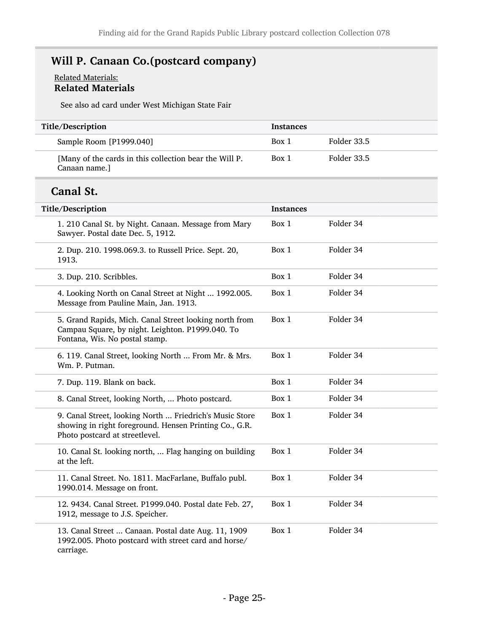# Will P. Canaan Co.(postcard company)

#### Related Materials: Related Materials

See also ad card under West Michigan State Fair

| Title/Description                                                       | <b>Instances</b> |             |
|-------------------------------------------------------------------------|------------------|-------------|
| Sample Room [P1999.040]                                                 | Box 1            | Folder 33.5 |
| [Many of the cards in this collection bear the Will P.<br>Canaan name.] | Box 1            | Folder 33.5 |

# Canal St.

L

| Title/Description                                                                                                                                   | <b>Instances</b> |           |
|-----------------------------------------------------------------------------------------------------------------------------------------------------|------------------|-----------|
| 1. 210 Canal St. by Night. Canaan. Message from Mary<br>Sawyer. Postal date Dec. 5, 1912.                                                           | Box 1            | Folder 34 |
| 2. Dup. 210. 1998.069.3. to Russell Price. Sept. 20,<br>1913.                                                                                       | Box 1            | Folder 34 |
| 3. Dup. 210. Scribbles.                                                                                                                             | Box 1            | Folder 34 |
| 4. Looking North on Canal Street at Night  1992.005.<br>Message from Pauline Main, Jan. 1913.                                                       | Box 1            | Folder 34 |
| 5. Grand Rapids, Mich. Canal Street looking north from<br>Campau Square, by night. Leighton. P1999.040. To<br>Fontana, Wis. No postal stamp.        | Box 1            | Folder 34 |
| 6. 119. Canal Street, looking North  From Mr. & Mrs.<br>Wm. P. Putman.                                                                              | Box 1            | Folder 34 |
| 7. Dup. 119. Blank on back.                                                                                                                         | Box 1            | Folder 34 |
| 8. Canal Street, looking North,  Photo postcard.                                                                                                    | Box 1            | Folder 34 |
| 9. Canal Street, looking North  Friedrich's Music Store<br>showing in right foreground. Hensen Printing Co., G.R.<br>Photo postcard at streetlevel. | Box 1            | Folder 34 |
| 10. Canal St. looking north,  Flag hanging on building<br>at the left.                                                                              | Box 1            | Folder 34 |
| 11. Canal Street. No. 1811. MacFarlane, Buffalo publ.<br>1990.014. Message on front.                                                                | Box 1            | Folder 34 |
| 12. 9434. Canal Street. P1999.040. Postal date Feb. 27,<br>1912, message to J.S. Speicher.                                                          | Box 1            | Folder 34 |
| 13. Canal Street  Canaan. Postal date Aug. 11, 1909<br>1992.005. Photo postcard with street card and horse/<br>carriage.                            | Box 1            | Folder 34 |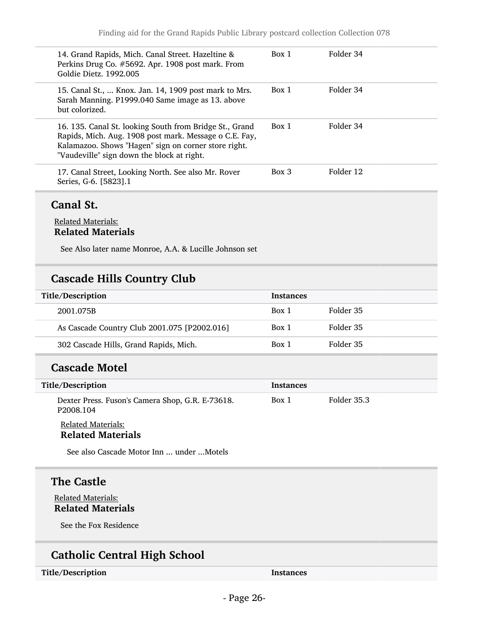### Canal St.

#### Related Materials: Related Materials

See Also later name Monroe, A.A. & Lucille Johnson set

## Cascade Hills Country Club

| Title/Description                            | <b>Instances</b> |           |
|----------------------------------------------|------------------|-----------|
| 2001.075B                                    | Box 1            | Folder 35 |
| As Cascade Country Club 2001.075 [P2002.016] | Box 1            | Folder 35 |
| 302 Cascade Hills, Grand Rapids, Mich.       | Box 1            | Folder 35 |

### Cascade Motel

| Title/Description                                                         | <b>Instances</b> |             |
|---------------------------------------------------------------------------|------------------|-------------|
| Dexter Press. Fuson's Camera Shop, G.R. E-73618.<br>P <sub>2008.104</sub> | Box 1            | Folder 35.3 |

#### Related Materials: Related Materials

See also Cascade Motor Inn ... under ...Motels

# The Castle

Related Materials: Related Materials

See the Fox Residence

# Catholic Central High School

Title/Description and the set of the Instances of the Instances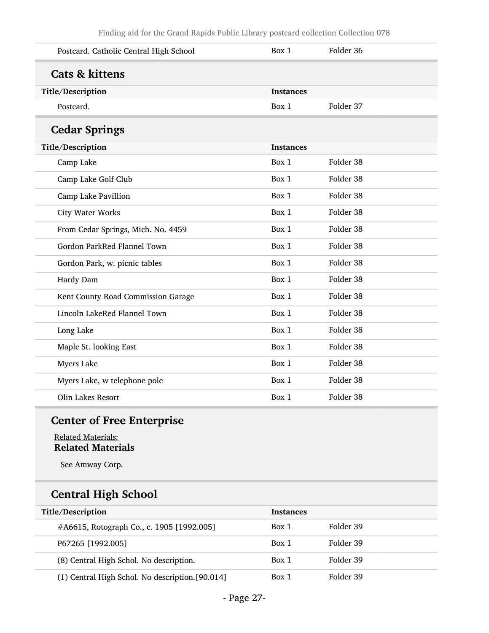| Postcard. Catholic Central High School | Box 1            | Folder 36 |
|----------------------------------------|------------------|-----------|
| <b>Cats &amp; kittens</b>              |                  |           |
| Title/Description                      | <b>Instances</b> |           |
| Postcard.                              | Box 1            | Folder 37 |
| <b>Cedar Springs</b>                   |                  |           |
| Title/Description                      | <b>Instances</b> |           |
| Camp Lake                              | Box 1            | Folder 38 |
| Camp Lake Golf Club                    | Box 1            | Folder 38 |
| Camp Lake Pavillion                    | Box 1            | Folder 38 |
| <b>City Water Works</b>                | Box 1            | Folder 38 |
| From Cedar Springs, Mich. No. 4459     | Box 1            | Folder 38 |
| Gordon ParkRed Flannel Town            | Box 1            | Folder 38 |
| Gordon Park, w. picnic tables          | Box 1            | Folder 38 |
| Hardy Dam                              | Box 1            | Folder 38 |
| Kent County Road Commission Garage     | Box 1            | Folder 38 |
| Lincoln LakeRed Flannel Town           | Box 1            | Folder 38 |
| Long Lake                              | Box 1            | Folder 38 |
| Maple St. looking East                 | Box 1            | Folder 38 |
| <b>Myers Lake</b>                      | Box 1            | Folder 38 |
| Myers Lake, w telephone pole           | Box 1            | Folder 38 |
| Olin Lakes Resort                      | Box 1            | Folder 38 |

# Center of Free Enterprise

#### Related Materials: Related Materials

See Amway Corp.

# Central High School

| Title/Description                                | <b>Instances</b> |           |
|--------------------------------------------------|------------------|-----------|
| #A6615, Rotograph Co., c. 1905 [1992.005]        | Box 1            | Folder 39 |
| P67265 [1992.005]                                | Box 1            | Folder 39 |
| (8) Central High Schol. No description.          | Box 1            | Folder 39 |
| (1) Central High Schol. No description. [90.014] | Box 1            | Folder 39 |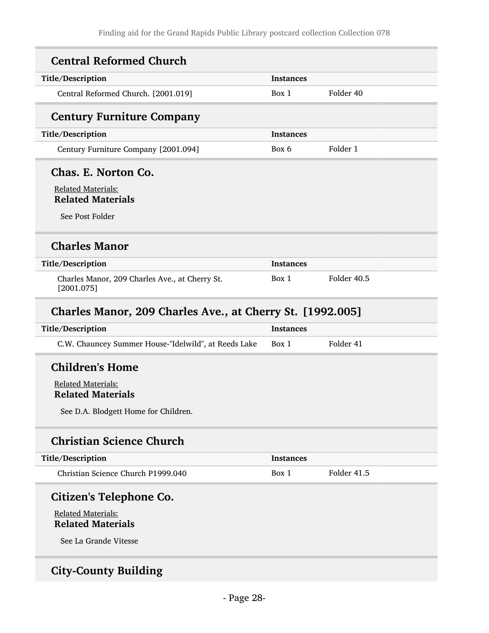| Title/Description                                                                              | Instances        |             |
|------------------------------------------------------------------------------------------------|------------------|-------------|
| Central Reformed Church. [2001.019]                                                            | Box 1            | Folder 40   |
| <b>Century Furniture Company</b>                                                               |                  |             |
| Title/Description                                                                              | <b>Instances</b> |             |
| Century Furniture Company [2001.094]                                                           | Box 6            | Folder 1    |
| Chas. E. Norton Co.                                                                            |                  |             |
| <b>Related Materials:</b><br><b>Related Materials</b>                                          |                  |             |
| See Post Folder                                                                                |                  |             |
| <b>Charles Manor</b>                                                                           |                  |             |
|                                                                                                |                  |             |
|                                                                                                | <b>Instances</b> |             |
| Charles Manor, 209 Charles Ave., at Cherry St.<br>[2001.075]                                   | Box 1            | Folder 40.5 |
| Charles Manor, 209 Charles Ave., at Cherry St. [1992.005]                                      |                  |             |
|                                                                                                | <b>Instances</b> |             |
| Title/Description<br>Title/Description<br>C.W. Chauncey Summer House-"Idelwild", at Reeds Lake | Box 1            | Folder 41   |
| <b>Children's Home</b>                                                                         |                  |             |
| <b>Related Materials:</b>                                                                      |                  |             |
| <b>Related Materials</b>                                                                       |                  |             |
| See D.A. Blodgett Home for Children.                                                           |                  |             |
| <b>Christian Science Church</b>                                                                |                  |             |
| Title/Description                                                                              | <b>Instances</b> |             |

See La Grande Vitesse

# City-County Building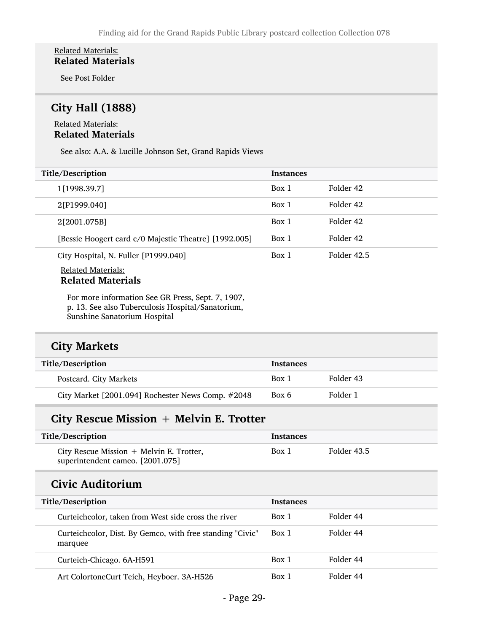#### Related Materials: Related Materials

See Post Folder

## City Hall (1888)

#### Related Materials: Related Materials

See also: A.A. & Lucille Johnson Set, Grand Rapids Views

| Title/Description                                     | <b>Instances</b> |             |
|-------------------------------------------------------|------------------|-------------|
| 1[1998.39.7]                                          | Box 1            | Folder 42   |
| 2[P1999.040]                                          | Box 1            | Folder 42   |
| 2[2001.075B]                                          | Box 1            | Folder 42   |
| [Bessie Hoogert card c/0 Majestic Theatre] [1992.005] | Box 1            | Folder 42   |
| City Hospital, N. Fuller [P1999.040]                  | Box 1            | Folder 42.5 |
| <b>Related Materials:</b>                             |                  |             |

# Related Materials

For more information See GR Press, Sept. 7, 1907, p. 13. See also Tuberculosis Hospital/Sanatorium, Sunshine Sanatorium Hospital

### City Markets

| Title/Description                                 | <b>Instances</b> |           |
|---------------------------------------------------|------------------|-----------|
| Postcard. City Markets                            | Box 1            | Folder 43 |
| City Market [2001.094] Rochester News Comp. #2048 | Box 6            | Folder 1  |

## City Rescue Mission + Melvin E. Trotter

| Title/Description                                                              | Instances |             |
|--------------------------------------------------------------------------------|-----------|-------------|
| City Rescue Mission $+$ Melvin E. Trotter,<br>superintendent cameo. [2001.075] | Box 1     | Folder 43.5 |

### Civic Auditorium

| Title/Description                                                    | <b>Instances</b> |           |
|----------------------------------------------------------------------|------------------|-----------|
| Curteichcolor, taken from West side cross the river                  | Box 1            | Folder 44 |
| Curteichcolor, Dist. By Gemco, with free standing "Civic"<br>marquee | Box 1            | Folder 44 |
| Curteich-Chicago. 6A-H591                                            | Box 1            | Folder 44 |
| Art ColortoneCurt Teich, Heyboer. 3A-H526                            | Box 1            | Folder 44 |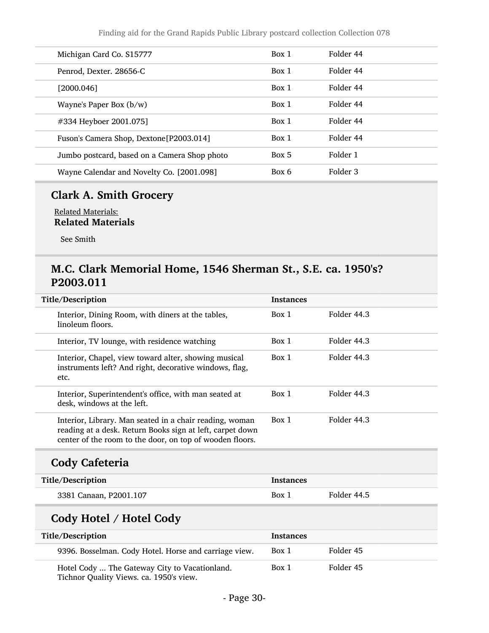| Michigan Card Co. S15777                     | Box 1 | Folder 44 |
|----------------------------------------------|-------|-----------|
| Penrod, Dexter. 28656-C                      | Box 1 | Folder 44 |
| [2000.046]                                   | Box 1 | Folder 44 |
| Wayne's Paper Box $(b/w)$                    | Box 1 | Folder 44 |
| #334 Heyboer 2001.075]                       | Box 1 | Folder 44 |
| Fuson's Camera Shop, Dextone[P2003.014]      | Box 1 | Folder 44 |
| Jumbo postcard, based on a Camera Shop photo | Box 5 | Folder 1  |
| Wayne Calendar and Novelty Co. [2001.098]    | Box 6 | Folder 3  |

# Clark A. Smith Grocery

Related Materials: Related Materials

See Smith

### M.C. Clark Memorial Home, 1546 Sherman St., S.E. ca. 1950's? P2003.011

| Title/Description                                                                                                                                                                | <b>Instances</b> |             |
|----------------------------------------------------------------------------------------------------------------------------------------------------------------------------------|------------------|-------------|
| Interior, Dining Room, with diners at the tables,<br>linoleum floors.                                                                                                            | Box 1            | Folder 44.3 |
| Interior, TV lounge, with residence watching                                                                                                                                     | Box 1            | Folder 44.3 |
| Interior, Chapel, view toward alter, showing musical<br>instruments left? And right, decorative windows, flag,<br>etc.                                                           | Box 1            | Folder 44.3 |
| Interior, Superintendent's office, with man seated at<br>desk, windows at the left.                                                                                              | Box 1            | Folder 44.3 |
| Interior, Library. Man seated in a chair reading, woman<br>reading at a desk. Return Books sign at left, carpet down<br>center of the room to the door, on top of wooden floors. | Box 1            | Folder 44.3 |
| <b>Cody Cafeteria</b>                                                                                                                                                            |                  |             |
| Title/Description                                                                                                                                                                | <b>Instances</b> |             |
| 3381 Canaan, P2001.107                                                                                                                                                           | Box 1            | Folder 44.5 |
| Cody Hotel / Hotel Cody                                                                                                                                                          |                  |             |
| Title/Description                                                                                                                                                                | <b>Instances</b> |             |
| 9396. Bosselman. Cody Hotel. Horse and carriage view.                                                                                                                            | Box 1            | Folder 45   |
| Hotel Cody  The Gateway City to Vacationland.                                                                                                                                    | Box 1            | Folder 45   |

Tichnor Quality Views. ca. 1950's view.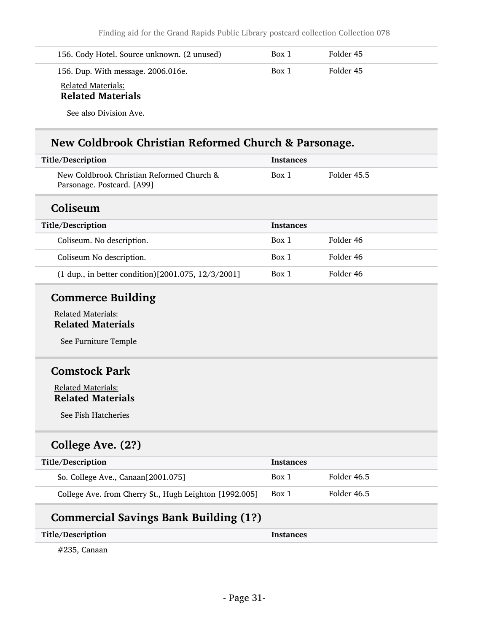| 156. Cody Hotel. Source unknown. (2 unused)           | Box 1 | Folder 45 |
|-------------------------------------------------------|-------|-----------|
| 156. Dup. With message. 2006.016e.                    | Box 1 | Folder 45 |
| <b>Related Materials:</b><br><b>Related Materials</b> |       |           |
| See also Division Ave.                                |       |           |

# New Coldbrook Christian Reformed Church & Parsonage.

| Title/Description                                                       | <b>Instances</b> |             |
|-------------------------------------------------------------------------|------------------|-------------|
| New Coldbrook Christian Reformed Church &<br>Parsonage. Postcard. [A99] | Box 1            | Folder 45.5 |
| Coliseum                                                                |                  |             |
| Title/Description                                                       | <b>Instances</b> |             |
| Coliseum. No description.                                               | Box 1            | Folder 46   |
| Coliseum No description.                                                | Box 1            | Folder 46   |
| (1 dup., in better condition)[2001.075, 12/3/2001]                      | Box 1            | Folder 46   |
| <b>Commerce Building</b>                                                |                  |             |
| <b>Related Materials:</b><br><b>Related Materials</b>                   |                  |             |
| See Furniture Temple                                                    |                  |             |
| <b>Comstock Park</b>                                                    |                  |             |
| <b>Related Materials:</b><br><b>Related Materials</b>                   |                  |             |
| See Fish Hatcheries                                                     |                  |             |
| College Ave. (2?)                                                       |                  |             |
| Title/Description                                                       | <b>Instances</b> |             |
| So. College Ave., Canaan[2001.075]                                      | Box 1            | Folder 46.5 |

| College Ave. from Cherry St., Hugh Leighton [1992.005] Box 1 | Folder 46.5 |
|--------------------------------------------------------------|-------------|
|                                                              |             |

# Commercial Savings Bank Building (1?)

| Title/Description | <b>Instances</b> |
|-------------------|------------------|
|                   |                  |

#235, Canaan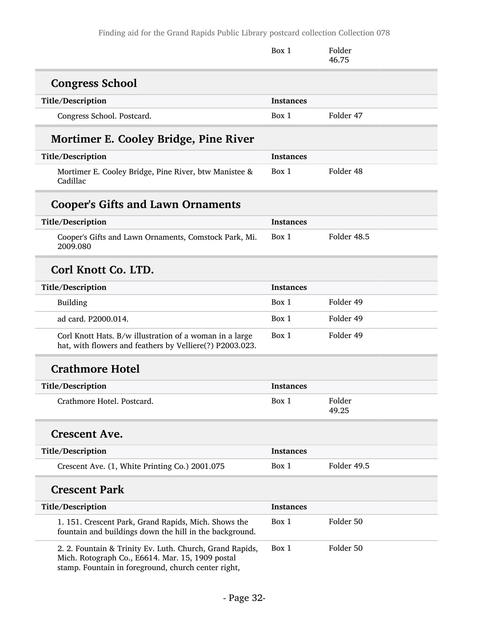Finding aid for the Grand Rapids Public Library postcard collection Collection 078

|                                                                                                                                                                     | Box 1            | Folder<br>46.75 |
|---------------------------------------------------------------------------------------------------------------------------------------------------------------------|------------------|-----------------|
| <b>Congress School</b>                                                                                                                                              |                  |                 |
| Title/Description                                                                                                                                                   | <b>Instances</b> |                 |
| Congress School. Postcard.                                                                                                                                          | Box 1            | Folder 47       |
| Mortimer E. Cooley Bridge, Pine River                                                                                                                               |                  |                 |
| Title/Description                                                                                                                                                   | <b>Instances</b> |                 |
| Mortimer E. Cooley Bridge, Pine River, btw Manistee &<br>Cadillac                                                                                                   | Box 1            | Folder 48       |
| <b>Cooper's Gifts and Lawn Ornaments</b>                                                                                                                            |                  |                 |
| Title/Description                                                                                                                                                   | <b>Instances</b> |                 |
| Cooper's Gifts and Lawn Ornaments, Comstock Park, Mi.<br>2009.080                                                                                                   | Box 1            | Folder 48.5     |
| Corl Knott Co. LTD.                                                                                                                                                 |                  |                 |
| Title/Description                                                                                                                                                   | <b>Instances</b> |                 |
| Building                                                                                                                                                            | Box 1            | Folder 49       |
| ad card. P2000.014.                                                                                                                                                 | Box 1            | Folder 49       |
| Corl Knott Hats. B/w illustration of a woman in a large<br>hat, with flowers and feathers by Velliere(?) P2003.023.                                                 | Box 1            | Folder 49       |
| <b>Crathmore Hotel</b>                                                                                                                                              |                  |                 |
| Title/Description                                                                                                                                                   | <b>Instances</b> |                 |
| Crathmore Hotel. Postcard.                                                                                                                                          | Box 1            | Folder<br>49.25 |
| <b>Crescent Ave.</b>                                                                                                                                                |                  |                 |
| Title/Description                                                                                                                                                   | <b>Instances</b> |                 |
| Crescent Ave. (1, White Printing Co.) 2001.075                                                                                                                      | Box 1            | Folder 49.5     |
| <b>Crescent Park</b>                                                                                                                                                |                  |                 |
| Title/Description                                                                                                                                                   | <b>Instances</b> |                 |
| 1. 151. Crescent Park, Grand Rapids, Mich. Shows the<br>fountain and buildings down the hill in the background.                                                     | Box 1            | Folder 50       |
| 2. 2. Fountain & Trinity Ev. Luth. Church, Grand Rapids,<br>Mich. Rotograph Co., E6614. Mar. 15, 1909 postal<br>stamp. Fountain in foreground, church center right, | Box 1            | Folder 50       |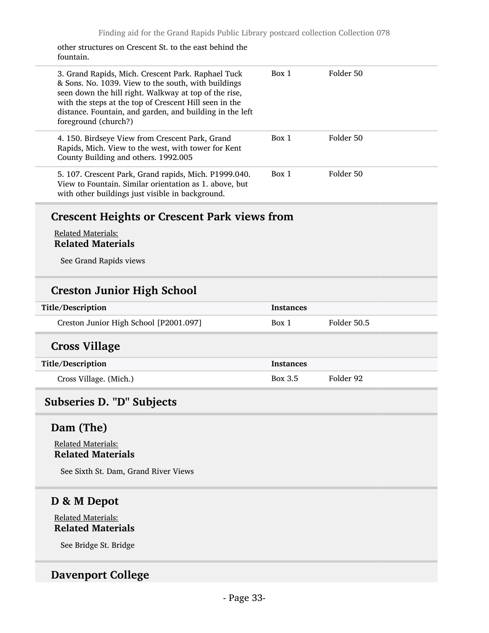other structures on Crescent St. to the east behind the fountain.

| 3. Grand Rapids, Mich. Crescent Park. Raphael Tuck<br>& Sons. No. 1039. View to the south, with buildings<br>seen down the hill right. Walkway at top of the rise,<br>with the steps at the top of Crescent Hill seen in the<br>distance. Fountain, and garden, and building in the left<br>foreground (church?) | Box 1            | Folder 50   |
|------------------------------------------------------------------------------------------------------------------------------------------------------------------------------------------------------------------------------------------------------------------------------------------------------------------|------------------|-------------|
| 4. 150. Birdseye View from Crescent Park, Grand<br>Rapids, Mich. View to the west, with tower for Kent<br>County Building and others. 1992.005                                                                                                                                                                   | Box 1            | Folder 50   |
| 5. 107. Crescent Park, Grand rapids, Mich. P1999.040.<br>View to Fountain. Similar orientation as 1. above, but<br>with other buildings just visible in background.                                                                                                                                              | Box 1            | Folder 50   |
| <b>Crescent Heights or Crescent Park views from</b><br><b>Related Materials:</b><br><b>Related Materials</b><br>See Grand Rapids views                                                                                                                                                                           |                  |             |
| <b>Creston Junior High School</b>                                                                                                                                                                                                                                                                                |                  |             |
| Title/Description                                                                                                                                                                                                                                                                                                | <b>Instances</b> |             |
| Creston Junior High School [P2001.097]                                                                                                                                                                                                                                                                           | Box 1            | Folder 50.5 |
| <b>Cross Village</b>                                                                                                                                                                                                                                                                                             |                  |             |
| Title/Description                                                                                                                                                                                                                                                                                                | <b>Instances</b> |             |
| Cross Village. (Mich.)                                                                                                                                                                                                                                                                                           | Box 3.5          | Folder 92   |
| Subseries D. "D" Subjects                                                                                                                                                                                                                                                                                        |                  |             |

## <span id="page-32-0"></span>Dam (The)

Related Materials: Related Materials

See Sixth St. Dam, Grand River Views

# D & M Depot

Related Materials: Related Materials

See Bridge St. Bridge

### Davenport College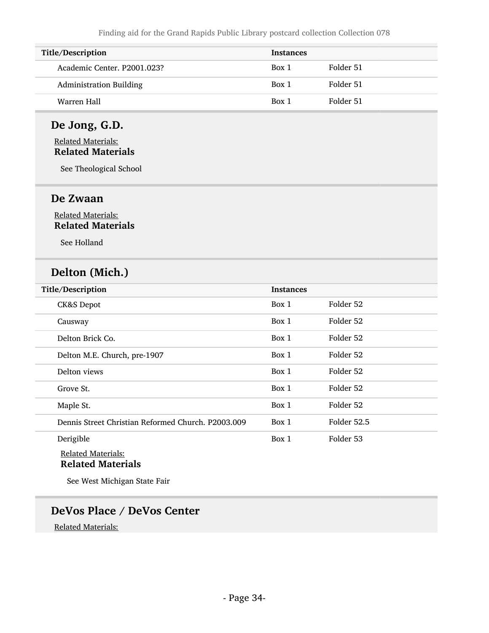| Title/Description              | <b>Instances</b> |           |
|--------------------------------|------------------|-----------|
| Academic Center, P2001.023?    | Box 1            | Folder 51 |
| <b>Administration Building</b> | Box 1            | Folder 51 |
| Warren Hall                    | Box 1            | Folder 51 |

### De Jong, G.D.

#### Related Materials: Related Materials

See Theological School

#### De Zwaan

#### Related Materials: Related Materials

See Holland

## Delton (Mich.)

| Title/Description                                  | <b>Instances</b> |             |
|----------------------------------------------------|------------------|-------------|
| CK&S Depot                                         | Box 1            | Folder 52   |
| Causway                                            | Box 1            | Folder 52   |
| Delton Brick Co.                                   | Box 1            | Folder 52   |
| Delton M.E. Church, pre-1907                       | Box 1            | Folder 52   |
| Delton views                                       | Box 1            | Folder 52   |
| Grove St.                                          | Box 1            | Folder 52   |
| Maple St.                                          | Box 1            | Folder 52   |
| Dennis Street Christian Reformed Church, P2003.009 | Box 1            | Folder 52.5 |
| Derigible                                          | Box 1            | Folder 53   |
| <b>Related Materials:</b>                          |                  |             |

# Related Materials

See West Michigan State Fair

### DeVos Place / DeVos Center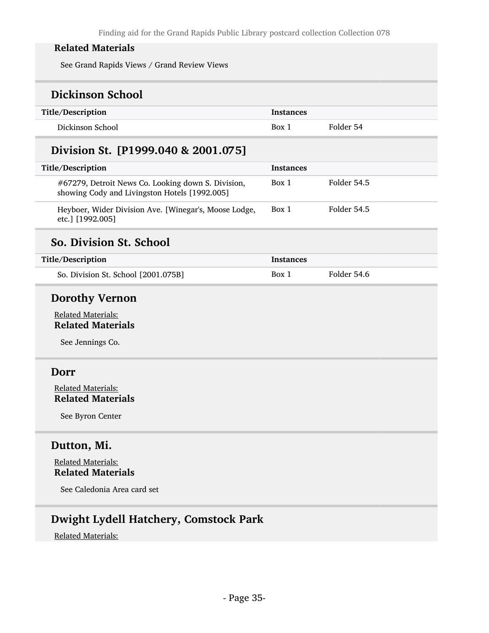See Grand Rapids Views / Grand Review Views

# Dickinson School

| Title/Description | <b>Instances</b> |           |
|-------------------|------------------|-----------|
| Dickinson School  | Box 1            | Folder 54 |

## Division St. [P1999.040 & 2001.075]

| Title/Description                                                                                   | <b>Instances</b> |             |
|-----------------------------------------------------------------------------------------------------|------------------|-------------|
| #67279, Detroit News Co. Looking down S. Division,<br>showing Cody and Livingston Hotels [1992.005] | Box 1            | Folder 54.5 |
| Heyboer, Wider Division Ave. [Winegar's, Moose Lodge,<br>etc.] [1992.005]                           | Box 1            | Folder 54.5 |

# So. Division St. School

| Title/Description                   | Instances |             |
|-------------------------------------|-----------|-------------|
| So. Division St. School [2001.075B] | Box 1     | Folder 54.6 |

### Dorothy Vernon

Related Materials: Related Materials

See Jennings Co.

#### Dorr

Related Materials: Related Materials

See Byron Center

### Dutton, Mi.

#### Related Materials: Related Materials

See Caledonia Area card set

## Dwight Lydell Hatchery, Comstock Park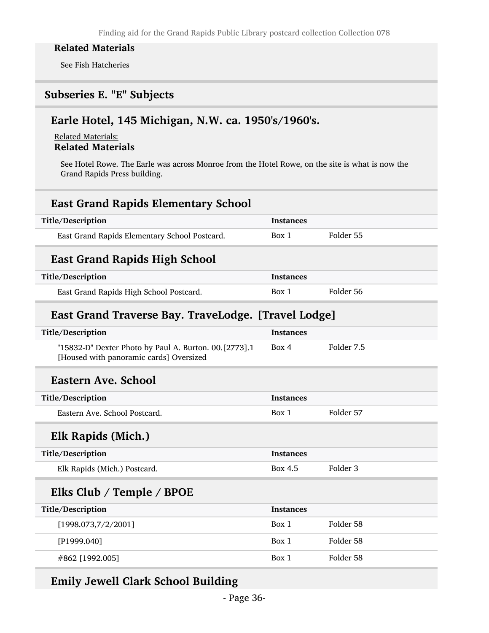See Fish Hatcheries

### <span id="page-35-0"></span>Subseries E. "E" Subjects

### Earle Hotel, 145 Michigan, N.W. ca. 1950's/1960's.

Related Materials: Related Materials

See Hotel Rowe. The Earle was across Monroe from the Hotel Rowe, on the site is what is now the Grand Rapids Press building.

| <b>East Grand Rapids Elementary School</b> |  |  |
|--------------------------------------------|--|--|
|--------------------------------------------|--|--|

| Title/Description                             | <b>Instances</b> |           |
|-----------------------------------------------|------------------|-----------|
| East Grand Rapids Elementary School Postcard. | Box 1            | Folder 55 |

## East Grand Rapids High School

| Title/Description                       | <b>Instances</b> |           |
|-----------------------------------------|------------------|-----------|
| East Grand Rapids High School Postcard. | Box 1            | Folder 56 |

## East Grand Traverse Bay. TraveLodge. [Travel Lodge]

| Title/Description                                                                                | <b>Instances</b> |            |
|--------------------------------------------------------------------------------------------------|------------------|------------|
| "15832-D" Dexter Photo by Paul A. Burton. 00.[2773].1<br>[Housed with panoramic cards] Oversized | Box 4            | Folder 7.5 |
| Eastern Ave. School                                                                              |                  |            |
| Title/Description                                                                                | <b>Instances</b> |            |
| Eastern Ave. School Postcard.                                                                    | Box 1            | Folder 57  |
| Elk Rapids (Mich.)                                                                               |                  |            |
| Title/Description                                                                                | <b>Instances</b> |            |
| Elk Rapids (Mich.) Postcard.                                                                     | Box 4.5          | Folder 3   |
| Elks Club / Temple / BPOE                                                                        |                  |            |
| Title/Description                                                                                | <b>Instances</b> |            |
| [1998.073,7/2/2001]                                                                              | Box 1            | Folder 58  |
| [P1999.040]                                                                                      | Box 1            | Folder 58  |
| #862 [1992.005]                                                                                  | Box 1            | Folder 58  |
|                                                                                                  |                  |            |

### Emily Jewell Clark School Building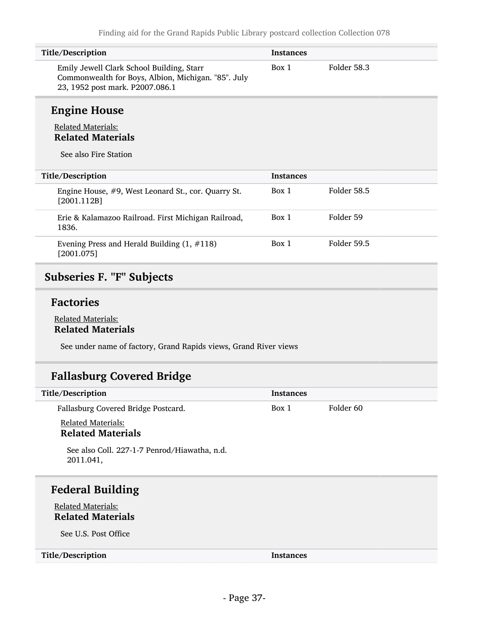| Title/Description                                                                                                                   | <b>Instances</b> |             |
|-------------------------------------------------------------------------------------------------------------------------------------|------------------|-------------|
| Emily Jewell Clark School Building, Starr<br>Commonwealth for Boys, Albion, Michigan. "85". July<br>23, 1952 post mark. P2007.086.1 | Box 1            | Folder 58.3 |

# Engine House

### Related Materials: Related Materials

See also Fire Station

| Title/Description                                                  | <b>Instances</b> |             |
|--------------------------------------------------------------------|------------------|-------------|
| Engine House, #9, West Leonard St., cor. Quarry St.<br>[2001.112B] | Box 1            | Folder 58.5 |
| Erie & Kalamazoo Railroad. First Michigan Railroad,<br>1836.       | Box 1            | Folder 59   |
| Evening Press and Herald Building $(1, #118)$<br>[2001.075]        | Box 1            | Folder 59.5 |

# Subseries F. "F" Subjects

## Factories

#### Related Materials: Related Materials

See under name of factory, Grand Rapids views, Grand River views

# Fallasburg Covered Bridge

| Title/Description                                         | <b>Instances</b> |           |
|-----------------------------------------------------------|------------------|-----------|
| Fallasburg Covered Bridge Postcard.                       | Box 1            | Folder 60 |
| <b>Related Materials:</b><br><b>Related Materials</b>     |                  |           |
| See also Coll. 227-1-7 Penrod/Hiawatha, n.d.<br>2011.041, |                  |           |
| <b>Federal Building</b>                                   |                  |           |
| <b>Related Materials:</b>                                 |                  |           |
| <b>Related Materials</b>                                  |                  |           |
| See U.S. Post Office                                      |                  |           |
| Title/Description                                         | <b>Instances</b> |           |
|                                                           |                  |           |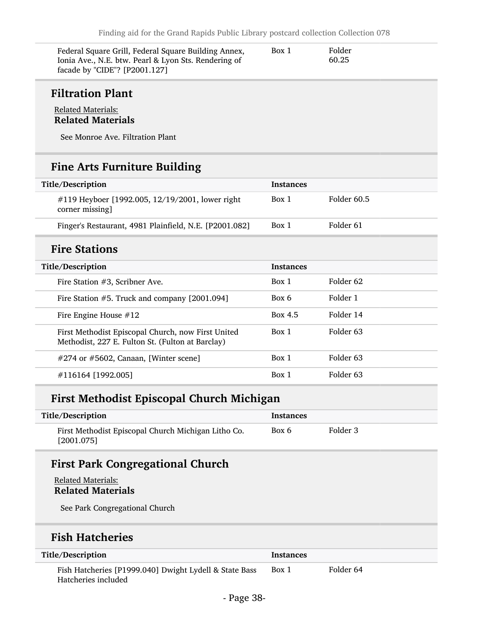| Federal Square Grill, Federal Square Building Annex, | Box 1 | Folder |  |
|------------------------------------------------------|-------|--------|--|
| Ionia Ave., N.E. btw. Pearl & Lyon Sts. Rendering of |       | 60.25  |  |
| facade by "CIDE"? [P2001.127]                        |       |        |  |

## Filtration Plant

#### Related Materials: Related Materials

See Monroe Ave. Filtration Plant

## Fine Arts Furniture Building

| Title/Description                                                                                      | <b>Instances</b> |                      |
|--------------------------------------------------------------------------------------------------------|------------------|----------------------|
| #119 Heyboer [1992.005, 12/19/2001, lower right<br>corner missing]                                     | Box 1            | Folder 60.5          |
| Finger's Restaurant, 4981 Plainfield, N.E. [P2001.082]                                                 | Box 1            | Folder 61            |
| <b>Fire Stations</b>                                                                                   |                  |                      |
| Title/Description                                                                                      | <b>Instances</b> |                      |
| Fire Station $#3$ , Scribner Ave.                                                                      | Box 1            | Folder <sub>62</sub> |
| Fire Station #5. Truck and company [2001.094]                                                          | Box 6            | Folder 1             |
| Fire Engine House $#12$                                                                                | Box 4.5          | Folder 14            |
| First Methodist Episcopal Church, now First United<br>Methodist, 227 E. Fulton St. (Fulton at Barclay) | Box 1            | Folder 63            |
| #274 or #5602, Canaan, [Winter scene]                                                                  | Box 1            | Folder <sub>63</sub> |
| #116164 [1992.005]                                                                                     | Box 1            | Folder 63            |

## First Methodist Episcopal Church Michigan

| Title/Description                                                 | Instances |          |
|-------------------------------------------------------------------|-----------|----------|
| First Methodist Episcopal Church Michigan Litho Co.<br>[2001.075] | Box 6     | Folder 3 |

# First Park Congregational Church

#### Related Materials: Related Materials

See Park Congregational Church

## Fish Hatcheries

| Title/Description                                                             | <b>Instances</b> |           |
|-------------------------------------------------------------------------------|------------------|-----------|
| Fish Hatcheries [P1999.040] Dwight Lydell & State Bass<br>Hatcheries included | Box 1            | Folder 64 |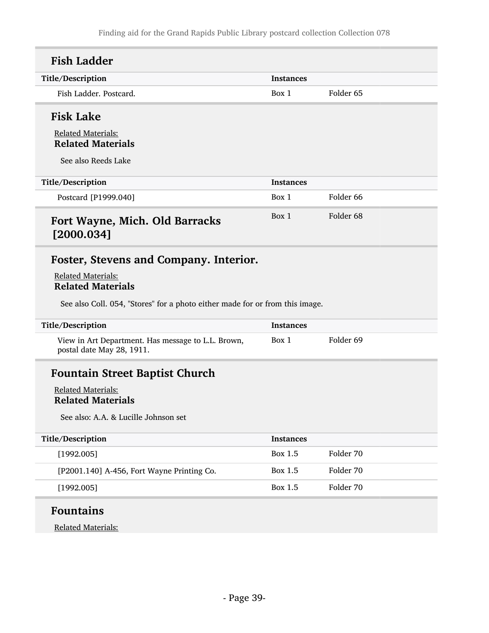| <b>Fish Ladder</b>                                                                                                                                                              |                  |                      |
|---------------------------------------------------------------------------------------------------------------------------------------------------------------------------------|------------------|----------------------|
| Title/Description                                                                                                                                                               | Instances        |                      |
| Fish Ladder. Postcard.                                                                                                                                                          | Box 1            | Folder <sub>65</sub> |
| <b>Fisk Lake</b>                                                                                                                                                                |                  |                      |
| <b>Related Materials:</b><br><b>Related Materials</b>                                                                                                                           |                  |                      |
| See also Reeds Lake                                                                                                                                                             |                  |                      |
| Title/Description                                                                                                                                                               | <b>Instances</b> |                      |
| Postcard [P1999.040]                                                                                                                                                            | Box 1            | Folder <sub>66</sub> |
| Fort Wayne, Mich. Old Barracks<br>[2000.034]                                                                                                                                    | Box 1            | Folder <sub>68</sub> |
| Foster, Stevens and Company. Interior.<br><b>Related Materials:</b><br><b>Related Materials</b><br>See also Coll. 054, "Stores" for a photo either made for or from this image. |                  |                      |
| Title/Description                                                                                                                                                               | <b>Instances</b> |                      |
| View in Art Department. Has message to L.L. Brown,<br>postal date May 28, 1911.                                                                                                 | Box 1            | Folder 69            |
| <b>Fountain Street Baptist Church</b><br><b>Related Materials:</b><br><b>Related Materials</b><br>See also: A.A. & Lucille Johnson set                                          |                  |                      |
| Title/Description                                                                                                                                                               | <b>Instances</b> |                      |
| [1992.005]                                                                                                                                                                      | Box 1.5          | Folder 70            |
| [P2001.140] A-456, Fort Wayne Printing Co.                                                                                                                                      | <b>Box 1.5</b>   | Folder 70            |
| [1992.005]                                                                                                                                                                      | <b>Box 1.5</b>   | Folder 70            |
| <b>Fountains</b>                                                                                                                                                                |                  |                      |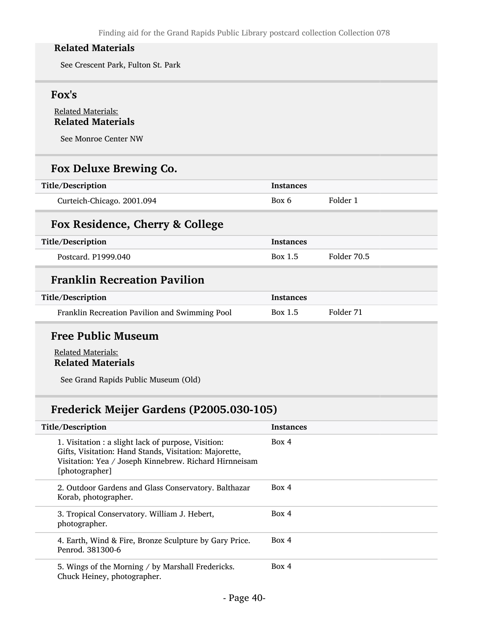See Crescent Park, Fulton St. Park

### Fox's

### Related Materials: Related Materials

See Monroe Center NW

## Fox Deluxe Brewing Co.

| Title/Description          | <b>Instances</b> |          |
|----------------------------|------------------|----------|
| Curteich-Chicago. 2001.094 | Box 6            | Folder 1 |

## Fox Residence, Cherry & College

| Title/Description   | <b>Instances</b> |             |
|---------------------|------------------|-------------|
| Postcard. P1999.040 | Box 1.5          | Folder 70.5 |

# Franklin Recreation Pavilion

| Title/Description                              | Instances |           |
|------------------------------------------------|-----------|-----------|
| Franklin Recreation Pavilion and Swimming Pool | Box 1.5   | Folder 71 |

## Free Public Museum

### Related Materials: Related Materials

See Grand Rapids Public Museum (Old)

## Frederick Meijer Gardens (P2005.030-105)

| Title/Description                                                                                                                                                                         | <b>Instances</b> |
|-------------------------------------------------------------------------------------------------------------------------------------------------------------------------------------------|------------------|
| 1. Visitation : a slight lack of purpose, Visition:<br>Gifts, Visitation: Hand Stands, Visitation: Majorette,<br>Visitation: Yea / Joseph Kinnebrew. Richard Hirnneisam<br>[photographer] | Box 4            |
| 2. Outdoor Gardens and Glass Conservatory. Balthazar<br>Korab, photographer.                                                                                                              | Box 4            |
| 3. Tropical Conservatory. William J. Hebert,<br>photographer.                                                                                                                             | Box 4            |
| 4. Earth, Wind & Fire, Bronze Sculpture by Gary Price.<br>Penrod. 381300-6                                                                                                                | Box 4            |
| 5. Wings of the Morning / by Marshall Fredericks.<br>Chuck Heiney, photographer.                                                                                                          | Box 4            |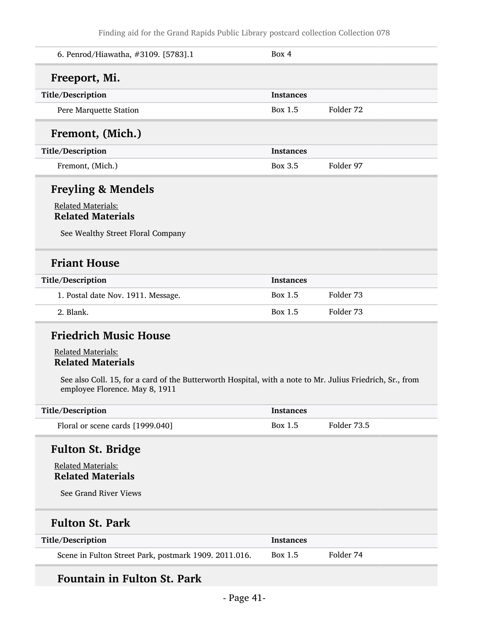| 6. Penrod/Hiawatha, #3109. [5783].1                                                                                                         | Box 4            |             |
|---------------------------------------------------------------------------------------------------------------------------------------------|------------------|-------------|
| Freeport, Mi.                                                                                                                               |                  |             |
| Title/Description                                                                                                                           | <b>Instances</b> |             |
| Pere Marquette Station                                                                                                                      | Box 1.5          | Folder 72   |
| Fremont, (Mich.)                                                                                                                            |                  |             |
| Title/Description                                                                                                                           | <b>Instances</b> |             |
| Fremont, (Mich.)                                                                                                                            | <b>Box 3.5</b>   | Folder 97   |
| <b>Freyling &amp; Mendels</b>                                                                                                               |                  |             |
| <b>Related Materials:</b><br><b>Related Materials</b>                                                                                       |                  |             |
| See Wealthy Street Floral Company                                                                                                           |                  |             |
| <b>Friant House</b>                                                                                                                         |                  |             |
| Title/Description                                                                                                                           | <b>Instances</b> |             |
| 1. Postal date Nov. 1911. Message.                                                                                                          | Box 1.5          | Folder 73   |
| 2. Blank.                                                                                                                                   | Box 1.5          | Folder 73   |
| <b>Friedrich Music House</b>                                                                                                                |                  |             |
| <b>Related Materials:</b><br><b>Related Materials</b>                                                                                       |                  |             |
| See also Coll. 15, for a card of the Butterworth Hospital, with a note to Mr. Julius Friedrich, Sr., from<br>employee Florence. May 8, 1911 |                  |             |
| Title/Description                                                                                                                           | <b>Instances</b> |             |
| Floral or scene cards [1999.040]                                                                                                            | <b>Box 1.5</b>   | Folder 73.5 |
| <b>Fulton St. Bridge</b>                                                                                                                    |                  |             |
| <b>Related Materials:</b><br><b>Related Materials</b>                                                                                       |                  |             |
| See Grand River Views                                                                                                                       |                  |             |
| <b>Fulton St. Park</b>                                                                                                                      |                  |             |
| Title/Description                                                                                                                           | <b>Instances</b> |             |
| Scene in Fulton Street Park, postmark 1909. 2011.016.                                                                                       | <b>Box 1.5</b>   | Folder 74   |

# Fountain in Fulton St. Park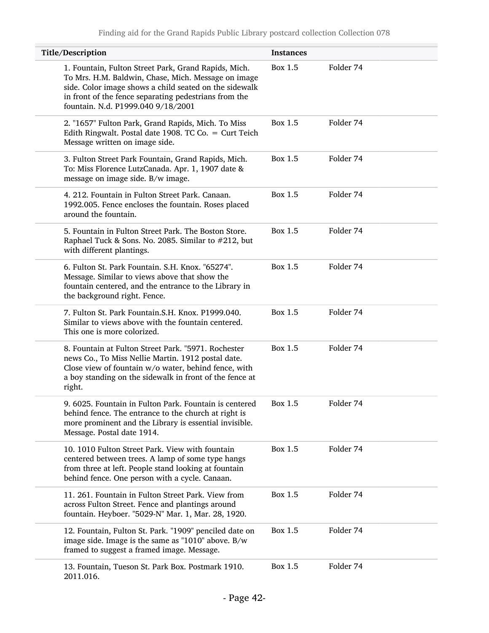| Title/Description                                                                                                                                                                                                                      | <b>Instances</b> |           |
|----------------------------------------------------------------------------------------------------------------------------------------------------------------------------------------------------------------------------------------|------------------|-----------|
| 1. Fountain, Fulton Street Park, Grand Rapids, Mich.<br>To Mrs. H.M. Baldwin, Chase, Mich. Message on image<br>side. Color image shows a child seated on the sidewalk<br>in front of the fence separating pedestrians from the         | Box 1.5          | Folder 74 |
| fountain. N.d. P1999.040 9/18/2001<br>2. "1657" Fulton Park, Grand Rapids, Mich. To Miss<br>Edith Ringwalt. Postal date 1908. TC Co. = Curt Teich<br>Message written on image side.                                                    | Box 1.5          | Folder 74 |
| 3. Fulton Street Park Fountain, Grand Rapids, Mich.<br>To: Miss Florence LutzCanada. Apr. 1, 1907 date &<br>message on image side. B/w image.                                                                                          | Box 1.5          | Folder 74 |
| 4. 212. Fountain in Fulton Street Park. Canaan.<br>1992.005. Fence encloses the fountain. Roses placed<br>around the fountain.                                                                                                         | Box 1.5          | Folder 74 |
| 5. Fountain in Fulton Street Park. The Boston Store.<br>Raphael Tuck & Sons. No. 2085. Similar to #212, but<br>with different plantings.                                                                                               | Box 1.5          | Folder 74 |
| 6. Fulton St. Park Fountain. S.H. Knox. "65274".<br>Message. Similar to views above that show the<br>fountain centered, and the entrance to the Library in<br>the background right. Fence.                                             | <b>Box 1.5</b>   | Folder 74 |
| 7. Fulton St. Park Fountain.S.H. Knox. P1999.040.<br>Similar to views above with the fountain centered.<br>This one is more colorized.                                                                                                 | Box 1.5          | Folder 74 |
| 8. Fountain at Fulton Street Park. "5971. Rochester<br>news Co., To Miss Nellie Martin. 1912 postal date.<br>Close view of fountain w/o water, behind fence, with<br>a boy standing on the sidewalk in front of the fence at<br>right. | Box 1.5          | Folder 74 |
| 9. 6025. Fountain in Fulton Park. Fountain is centered<br>behind fence. The entrance to the church at right is<br>more prominent and the Library is essential invisible.<br>Message. Postal date 1914.                                 | Box 1.5          | Folder 74 |
| 10. 1010 Fulton Street Park. View with fountain<br>centered between trees. A lamp of some type hangs<br>from three at left. People stand looking at fountain<br>behind fence. One person with a cycle. Canaan.                         | <b>Box 1.5</b>   | Folder 74 |
| 11. 261. Fountain in Fulton Street Park. View from<br>across Fulton Street. Fence and plantings around<br>fountain. Heyboer. "5029-N" Mar. 1, Mar. 28, 1920.                                                                           | <b>Box 1.5</b>   | Folder 74 |
| 12. Fountain, Fulton St. Park. "1909" penciled date on<br>image side. Image is the same as "1010" above. B/w<br>framed to suggest a framed image. Message.                                                                             | Box 1.5          | Folder 74 |
| 13. Fountain, Tueson St. Park Box. Postmark 1910.<br>2011.016.                                                                                                                                                                         | Box 1.5          | Folder 74 |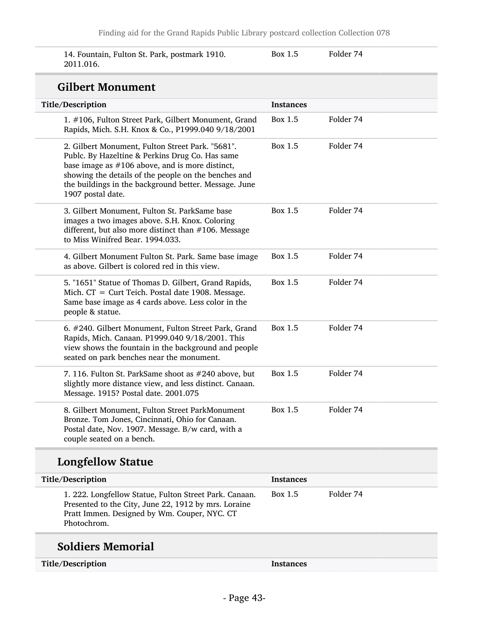| 14. Fountain, Fulton St. Park, postmark 1910. | Box 1.5 | Folder 74 |
|-----------------------------------------------|---------|-----------|
| 2011.016.                                     |         |           |

## Gilbert Monument

| Title/Description                                                                                                                                                                                                                                                                              | <b>Instances</b> |           |  |
|------------------------------------------------------------------------------------------------------------------------------------------------------------------------------------------------------------------------------------------------------------------------------------------------|------------------|-----------|--|
| 1. #106, Fulton Street Park, Gilbert Monument, Grand<br>Rapids, Mich. S.H. Knox & Co., P1999.040 9/18/2001                                                                                                                                                                                     | Box 1.5          | Folder 74 |  |
| 2. Gilbert Monument, Fulton Street Park. "5681".<br>Publc. By Hazeltine & Perkins Drug Co. Has same<br>base image as $#106$ above, and is more distinct,<br>showing the details of the people on the benches and<br>the buildings in the background better. Message. June<br>1907 postal date. | Box 1.5          | Folder 74 |  |
| 3. Gilbert Monument, Fulton St. ParkSame base<br>images a two images above. S.H. Knox. Coloring<br>different, but also more distinct than #106. Message<br>to Miss Winifred Bear, 1994.033.                                                                                                    | <b>Box 1.5</b>   | Folder 74 |  |
| 4. Gilbert Monument Fulton St. Park. Same base image<br>as above. Gilbert is colored red in this view.                                                                                                                                                                                         | Box 1.5          | Folder 74 |  |
| 5. "1651" Statue of Thomas D. Gilbert, Grand Rapids,<br>Mich. CT = Curt Teich. Postal date 1908. Message.<br>Same base image as 4 cards above. Less color in the<br>people & statue.                                                                                                           | Box 1.5          | Folder 74 |  |
| 6. #240. Gilbert Monument, Fulton Street Park, Grand<br>Rapids, Mich. Canaan. P1999.040 9/18/2001. This<br>view shows the fountain in the background and people<br>seated on park benches near the monument.                                                                                   | <b>Box 1.5</b>   | Folder 74 |  |
| 7. 116. Fulton St. ParkSame shoot as #240 above, but<br>slightly more distance view, and less distinct. Canaan.<br>Message. 1915? Postal date. 2001.075                                                                                                                                        | Box 1.5          | Folder 74 |  |
| 8. Gilbert Monument, Fulton Street ParkMonument<br>Bronze. Tom Jones, Cincinnati, Ohio for Canaan.<br>Postal date, Nov. 1907. Message. B/w card, with a<br>couple seated on a bench.                                                                                                           | <b>Box 1.5</b>   | Folder 74 |  |

# Longfellow Statue

| Title/Description                                                                                                                                                             | Instances |           |
|-------------------------------------------------------------------------------------------------------------------------------------------------------------------------------|-----------|-----------|
| 1. 222. Longfellow Statue, Fulton Street Park. Canaan.<br>Presented to the City, June 22, 1912 by mrs. Loraine<br>Pratt Immen. Designed by Wm. Couper, NYC. CT<br>Photochrom. | Box 1.5   | Folder 74 |

# Soldiers Memorial

| Title/Description | Instances |
|-------------------|-----------|
|-------------------|-----------|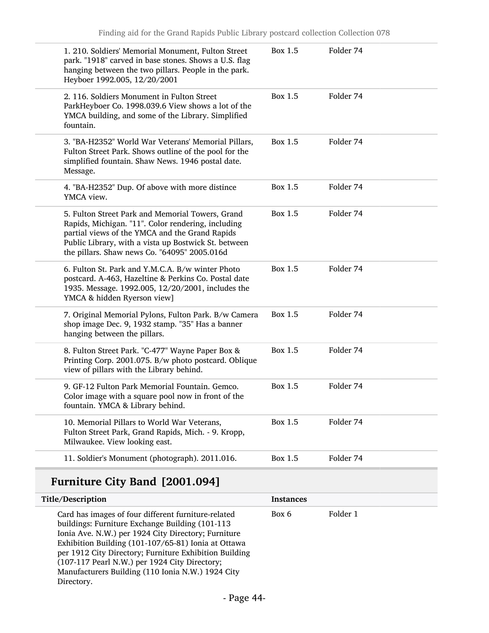|          | 1. 210. Soldiers' Memorial Monument, Fulton Street<br>park. "1918" carved in base stones. Shows a U.S. flag<br>hanging between the two pillars. People in the park.<br>Heyboer 1992.005, 12/20/2001                                                              | Box 1.5        | Folder 74 |
|----------|------------------------------------------------------------------------------------------------------------------------------------------------------------------------------------------------------------------------------------------------------------------|----------------|-----------|
|          | 2. 116. Soldiers Monument in Fulton Street<br>ParkHeyboer Co. 1998.039.6 View shows a lot of the<br>YMCA building, and some of the Library. Simplified<br>fountain.                                                                                              | Box 1.5        | Folder 74 |
| Message. | 3. "BA-H2352" World War Veterans' Memorial Pillars,<br>Fulton Street Park. Shows outline of the pool for the<br>simplified fountain. Shaw News. 1946 postal date.                                                                                                | Box 1.5        | Folder 74 |
|          | 4. "BA-H2352" Dup. Of above with more distince<br>YMCA view.                                                                                                                                                                                                     | Box 1.5        | Folder 74 |
|          | 5. Fulton Street Park and Memorial Towers, Grand<br>Rapids, Michigan. "11". Color rendering, including<br>partial views of the YMCA and the Grand Rapids<br>Public Library, with a vista up Bostwick St. between<br>the pillars. Shaw news Co. "64095" 2005.016d | Box 1.5        | Folder 74 |
|          | 6. Fulton St. Park and Y.M.C.A. B/w winter Photo<br>postcard. A-463, Hazeltine & Perkins Co. Postal date<br>1935. Message. 1992.005, 12/20/2001, includes the<br>YMCA & hidden Ryerson view]                                                                     | Box 1.5        | Folder 74 |
|          | 7. Original Memorial Pylons, Fulton Park. B/w Camera<br>shop image Dec. 9, 1932 stamp. "35" Has a banner<br>hanging between the pillars.                                                                                                                         | Box 1.5        | Folder 74 |
|          | 8. Fulton Street Park. "C-477" Wayne Paper Box &<br>Printing Corp. 2001.075. B/w photo postcard. Oblique<br>view of pillars with the Library behind.                                                                                                             | Box 1.5        | Folder 74 |
|          | 9. GF-12 Fulton Park Memorial Fountain. Gemco.<br>Color image with a square pool now in front of the<br>fountain. YMCA & Library behind.                                                                                                                         | Box 1.5        | Folder 74 |
|          | 10. Memorial Pillars to World War Veterans,<br>Fulton Street Park, Grand Rapids, Mich. - 9. Kropp,<br>Milwaukee. View looking east.                                                                                                                              | <b>Box 1.5</b> | Folder 74 |
|          | 11. Soldier's Monument (photograph). 2011.016.                                                                                                                                                                                                                   | Box 1.5        | Folder 74 |

# Furniture City Band [2001.094]

| Title/Description                                                                                                                                                                                                                                                                                                                                                                                   | <b>Instances</b> |          |
|-----------------------------------------------------------------------------------------------------------------------------------------------------------------------------------------------------------------------------------------------------------------------------------------------------------------------------------------------------------------------------------------------------|------------------|----------|
| Card has images of four different furniture-related<br>buildings: Furniture Exchange Building (101-113)<br>Ionia Ave. N.W.) per 1924 City Directory; Furniture<br>Exhibition Building (101-107/65-81) Ionia at Ottawa<br>per 1912 City Directory; Furniture Exhibition Building<br>(107-117 Pearl N.W.) per 1924 City Directory;<br>Manufacturers Building (110 Ionia N.W.) 1924 City<br>Directory. | Box 6            | Folder 1 |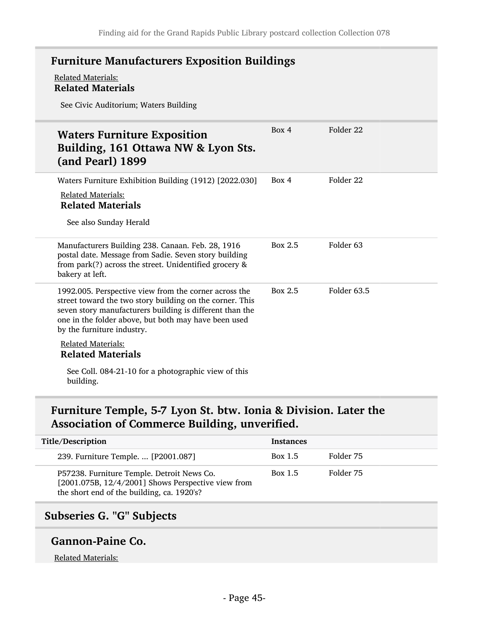## Furniture Manufacturers Exposition Buildings

#### Related Materials: Related Materials

See Civic Auditorium; Waters Building

| <b>Waters Furniture Exposition</b><br>Building, 161 Ottawa NW & Lyon Sts.<br>(and Pearl) 1899                                                                                                                                                                       | Box 4   | Folder 22   |
|---------------------------------------------------------------------------------------------------------------------------------------------------------------------------------------------------------------------------------------------------------------------|---------|-------------|
| Waters Furniture Exhibition Building (1912) [2022.030]<br><b>Related Materials:</b><br><b>Related Materials</b><br>See also Sunday Herald                                                                                                                           | Box 4   | Folder 22   |
| Manufacturers Building 238. Canaan. Feb. 28, 1916<br>postal date. Message from Sadie. Seven story building<br>from park(?) across the street. Unidentified grocery &<br>bakery at left.                                                                             | Box 2.5 | Folder 63   |
| 1992.005. Perspective view from the corner across the<br>street toward the two story building on the corner. This<br>seven story manufacturers building is different than the<br>one in the folder above, but both may have been used<br>by the furniture industry. | Box 2.5 | Folder 63.5 |
| <b>Related Materials:</b><br><b>Related Materials</b><br>See Coll. 084-21-10 for a photographic view of this                                                                                                                                                        |         |             |
| building.                                                                                                                                                                                                                                                           |         |             |

# Furniture Temple, 5-7 Lyon St. btw. Ionia & Division. Later the Association of Commerce Building, unverified.

| Title/Description                                                                                                                                     | <b>Instances</b> |           |
|-------------------------------------------------------------------------------------------------------------------------------------------------------|------------------|-----------|
| 239. Furniture Temple.  [P2001.087]                                                                                                                   | Box 1.5          | Folder 75 |
| P57238. Furniture Temple. Detroit News Co.<br>[ $2001.075B$ , $12/4/2001$ ] Shows Perspective view from<br>the short end of the building, ca. 1920's? | Box 1.5          | Folder 75 |

# Subseries G. "G" Subjects

### Gannon-Paine Co.

#### Related Materials: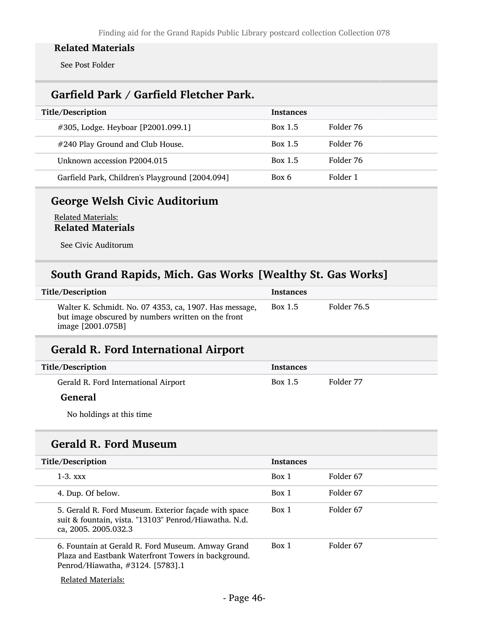See Post Folder

# Garfield Park / Garfield Fletcher Park.

| Title/Description                               | <b>Instances</b> |           |
|-------------------------------------------------|------------------|-----------|
| #305, Lodge. Heyboar [P2001.099.1]              | Box 1.5          | Folder 76 |
| #240 Play Ground and Club House.                | Box 1.5          | Folder 76 |
| Unknown accession P2004.015                     | <b>Box 1.5</b>   | Folder 76 |
| Garfield Park, Children's Playground [2004.094] | Box 6            | Folder 1  |

## George Welsh Civic Auditorium

Related Materials: Related Materials

See Civic Auditorum

## South Grand Rapids, Mich. Gas Works [Wealthy St. Gas Works]

| Title/Description                                                                                                                 | <b>Instances</b> |             |
|-----------------------------------------------------------------------------------------------------------------------------------|------------------|-------------|
| Walter K. Schmidt. No. 07 4353, ca, 1907. Has message,<br>but image obscured by numbers written on the front<br>image [2001.075B] | Box 1.5          | Folder 76.5 |

## Gerald R. Ford International Airport

| Title/Description                    | <b>Instances</b> |           |
|--------------------------------------|------------------|-----------|
| Gerald R. Ford International Airport | Box 1.5          | Folder 77 |

### **General**

No holdings at this time

# Gerald R. Ford Museum

| Title/Description                                                                                                                            |       | <b>Instances</b> |  |
|----------------------------------------------------------------------------------------------------------------------------------------------|-------|------------------|--|
|                                                                                                                                              |       |                  |  |
| $1-3.$ xxx                                                                                                                                   | Box 1 | Folder 67        |  |
| 4. Dup. Of below.                                                                                                                            | Box 1 | Folder 67        |  |
| 5. Gerald R. Ford Museum. Exterior façade with space<br>suit & fountain, vista. "13103" Penrod/Hiawatha. N.d.<br>ca, 2005. 2005.032.3        | Box 1 | Folder 67        |  |
| 6. Fountain at Gerald R. Ford Museum. Amway Grand<br>Plaza and Eastbank Waterfront Towers in background.<br>Penrod/Hiawatha, #3124. [5783].1 | Box 1 | Folder 67        |  |
| <b>Related Materials:</b>                                                                                                                    |       |                  |  |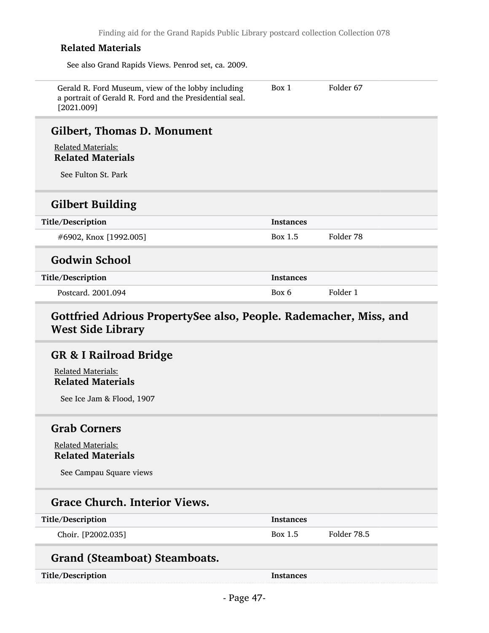See also Grand Rapids Views. Penrod set, ca. 2009.

| Gerald R. Ford Museum, view of the lobby including<br>a portrait of Gerald R. Ford and the Presidential seal.<br>[2021.009] | Box 1            | Folder 67 |  |
|-----------------------------------------------------------------------------------------------------------------------------|------------------|-----------|--|
| Gilbert, Thomas D. Monument                                                                                                 |                  |           |  |
| <b>Related Materials:</b><br><b>Related Materials</b>                                                                       |                  |           |  |
| See Fulton St. Park                                                                                                         |                  |           |  |
| <b>Gilbert Building</b>                                                                                                     |                  |           |  |
| Title/Description                                                                                                           | <b>Instances</b> |           |  |
| #6902, Knox [1992.005]                                                                                                      | Box 1.5          | Folder 78 |  |
| <b>Godwin School</b>                                                                                                        |                  |           |  |
| Title/Description                                                                                                           | <b>Instances</b> |           |  |
| Postcard, 2001.094                                                                                                          | Box 6            | Folder 1  |  |
| Gottfried Adrious PropertySee also, People. Rademacher, Miss, and<br><b>West Side Library</b>                               |                  |           |  |
| <b>GR &amp; I Railroad Bridge</b>                                                                                           |                  |           |  |
| <b>Related Materials:</b><br><b>Related Materials</b>                                                                       |                  |           |  |

See Ice Jam & Flood, 1907

### Grab Corners

Related Materials: Related Materials

See Campau Square views

## Grace Church. Interior Views.

| Title/Description  | <i><u><b>Instances</b></u></i> |             |
|--------------------|--------------------------------|-------------|
| Choir. [P2002.035] | Box 1.5                        | Folder 78.5 |

# Grand (Steamboat) Steamboats.

Title/Description Instances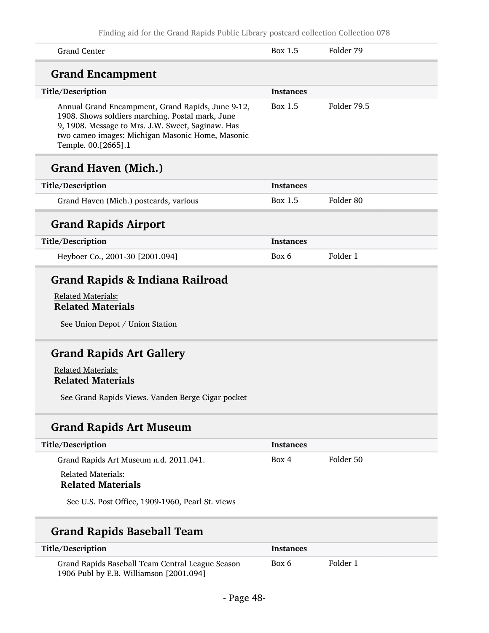| Philaing and for the Grand Rapids Public Library posicard conection Conection 076                                                                                                                                                     |                  |             |
|---------------------------------------------------------------------------------------------------------------------------------------------------------------------------------------------------------------------------------------|------------------|-------------|
| <b>Grand Center</b>                                                                                                                                                                                                                   | Box 1.5          | Folder 79   |
| <b>Grand Encampment</b>                                                                                                                                                                                                               |                  |             |
| Title/Description                                                                                                                                                                                                                     | <b>Instances</b> |             |
| Annual Grand Encampment, Grand Rapids, June 9-12,<br>1908. Shows soldiers marching. Postal mark, June<br>9, 1908. Message to Mrs. J.W. Sweet, Saginaw. Has<br>two cameo images: Michigan Masonic Home, Masonic<br>Temple. 00.[2665].1 | Box 1.5          | Folder 79.5 |
| <b>Grand Haven (Mich.)</b>                                                                                                                                                                                                            |                  |             |
| Title/Description                                                                                                                                                                                                                     | <b>Instances</b> |             |
| Grand Haven (Mich.) postcards, various                                                                                                                                                                                                | Box 1.5          | Folder 80   |
| <b>Grand Rapids Airport</b>                                                                                                                                                                                                           |                  |             |
| Title/Description                                                                                                                                                                                                                     | <b>Instances</b> |             |
| Heyboer Co., 2001-30 [2001.094]                                                                                                                                                                                                       | Box 6            | Folder 1    |
| <b>Related Materials:</b><br><b>Related Materials</b><br>See Union Depot / Union Station                                                                                                                                              |                  |             |
| <b>Grand Rapids Art Gallery</b>                                                                                                                                                                                                       |                  |             |
| <b>Related Materials:</b>                                                                                                                                                                                                             |                  |             |
| <b>Related Materials</b>                                                                                                                                                                                                              |                  |             |
| See Grand Rapids Views. Vanden Berge Cigar pocket                                                                                                                                                                                     |                  |             |
| <b>Grand Rapids Art Museum</b>                                                                                                                                                                                                        |                  |             |
| Title/Description                                                                                                                                                                                                                     | <b>Instances</b> |             |
| Grand Rapids Art Museum n.d. 2011.041.                                                                                                                                                                                                | Box 4            | Folder 50   |
|                                                                                                                                                                                                                                       |                  |             |
| Related Materials:<br><b>Related Materials</b>                                                                                                                                                                                        |                  |             |

| Title/Description                                                                           | Instances |          |
|---------------------------------------------------------------------------------------------|-----------|----------|
| Grand Rapids Baseball Team Central League Season<br>1906 Publ by E.B. Williamson [2001.094] | Box 6     | Folder 1 |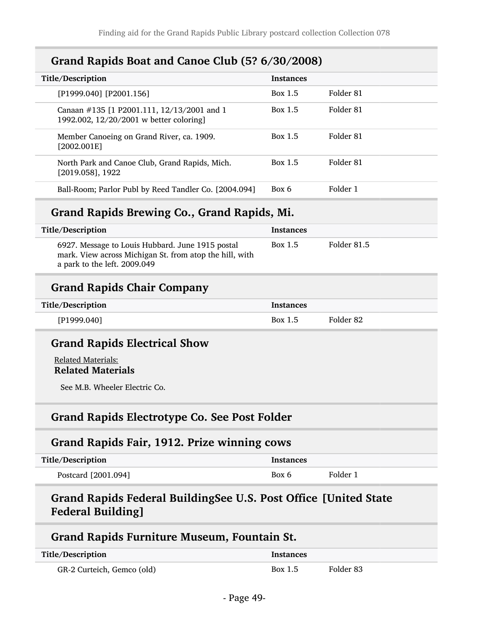## Grand Rapids Boat and Canoe Club (5? 6/30/2008)

| Title/Description                                                                     | <b>Instances</b> |           |
|---------------------------------------------------------------------------------------|------------------|-----------|
| [P1999.040] [P2001.156]                                                               | Box 1.5          | Folder 81 |
| Canaan #135 [1 P2001.111, 12/13/2001 and 1<br>1992.002, 12/20/2001 w better coloring] | <b>Box 1.5</b>   | Folder 81 |
| Member Canoeing on Grand River, ca. 1909.<br>[2002.001E]                              | Box 1.5          | Folder 81 |
| North Park and Canoe Club, Grand Rapids, Mich.<br>$[2019.058]$ , 1922                 | Box 1.5          | Folder 81 |
| Ball-Room; Parlor Publ by Reed Tandler Co. [2004.094]                                 | Box 6            | Folder 1  |

## Grand Rapids Brewing Co., Grand Rapids, Mi.

| Title/Description                                                                                                                           | <b>Instances</b> |             |
|---------------------------------------------------------------------------------------------------------------------------------------------|------------------|-------------|
| 6927. Message to Louis Hubbard. June 1915 postal<br>mark. View across Michigan St. from atop the hill, with<br>a park to the left. 2009.049 | Box 1.5          | Folder 81.5 |
| <b>Grand Rapids Chair Company</b>                                                                                                           |                  |             |

| Title/Description | <b>Instances</b> |           |
|-------------------|------------------|-----------|
| [P1999.040]       | Box 1.5          | Folder 82 |

### Grand Rapids Electrical Show

Related Materials: Related Materials

See M.B. Wheeler Electric Co.

## Grand Rapids Electrotype Co. See Post Folder

### Grand Rapids Fair, 1912. Prize winning cows

| Title/Description   | Instances |          |
|---------------------|-----------|----------|
| Postcard [2001.094] | Box 6     | Folder 1 |

## Grand Rapids Federal BuildingSee U.S. Post Office [United State Federal Building]

### Grand Rapids Furniture Museum, Fountain St.

| Title/Description          | <b>Instances</b> |           |
|----------------------------|------------------|-----------|
| GR-2 Curteich, Gemco (old) | Box 1.5          | Folder 83 |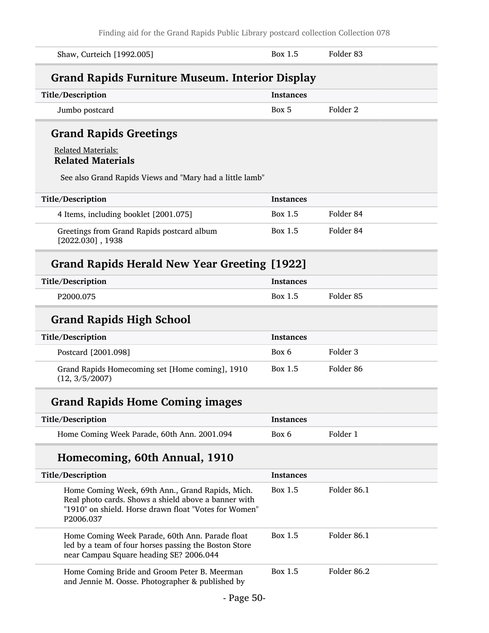| Shaw, Curteich [1992.005]                                                                                                                                                      | Box 1.5          | Folder 83            |
|--------------------------------------------------------------------------------------------------------------------------------------------------------------------------------|------------------|----------------------|
| <b>Grand Rapids Furniture Museum. Interior Display</b>                                                                                                                         |                  |                      |
| Title/Description                                                                                                                                                              | <b>Instances</b> |                      |
| Jumbo postcard                                                                                                                                                                 | Box 5            | Folder 2             |
| <b>Grand Rapids Greetings</b>                                                                                                                                                  |                  |                      |
| <b>Related Materials:</b><br><b>Related Materials</b>                                                                                                                          |                  |                      |
| See also Grand Rapids Views and "Mary had a little lamb"                                                                                                                       |                  |                      |
| Title/Description                                                                                                                                                              | <b>Instances</b> |                      |
| 4 Items, including booklet [2001.075]                                                                                                                                          | Box 1.5          | Folder 84            |
| Greetings from Grand Rapids postcard album<br>$[2022.030]$ , 1938                                                                                                              | Box 1.5          | Folder 84            |
| <b>Grand Rapids Herald New Year Greeting [1922]</b>                                                                                                                            |                  |                      |
| Title/Description                                                                                                                                                              | <b>Instances</b> |                      |
| P2000.075                                                                                                                                                                      | Box 1.5          | Folder <sub>85</sub> |
| <b>Grand Rapids High School</b>                                                                                                                                                |                  |                      |
| Title/Description                                                                                                                                                              | <b>Instances</b> |                      |
| Postcard [2001.098]                                                                                                                                                            | Box 6            | Folder 3             |
| Grand Rapids Homecoming set [Home coming], 1910<br>(12, 3/5/2007)                                                                                                              | Box 1.5          | Folder <sub>86</sub> |
| <b>Grand Rapids Home Coming images</b>                                                                                                                                         |                  |                      |
| Title/Description                                                                                                                                                              | <b>Instances</b> |                      |
| Home Coming Week Parade, 60th Ann. 2001.094                                                                                                                                    | Box 6            | Folder 1             |
| Homecoming, 60th Annual, 1910                                                                                                                                                  |                  |                      |
| Title/Description                                                                                                                                                              | <b>Instances</b> |                      |
| Home Coming Week, 69th Ann., Grand Rapids, Mich.<br>Real photo cards. Shows a shield above a banner with<br>"1910" on shield. Horse drawn float "Votes for Women"<br>P2006.037 | <b>Box 1.5</b>   | Folder 86.1          |
| Home Coming Week Parade, 60th Ann. Parade float<br>led by a team of four horses passing the Boston Store<br>near Campau Square heading SE? 2006.044                            | <b>Box 1.5</b>   | Folder 86.1          |
| Home Coming Bride and Groom Peter B. Meerman<br>and Jennie M. Oosse. Photographer & published by                                                                               | <b>Box 1.5</b>   | Folder 86.2          |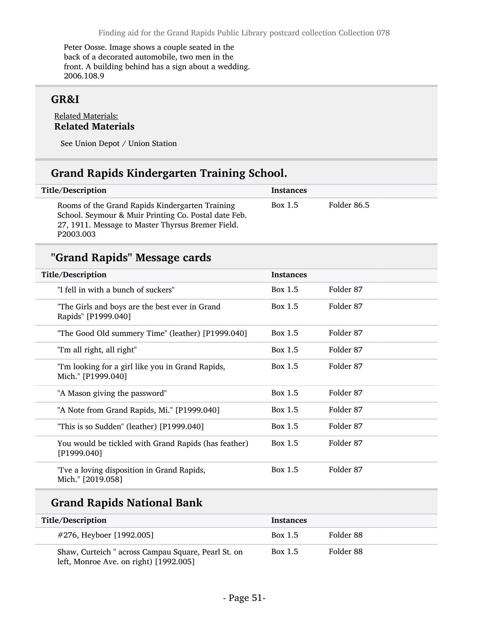Peter Oosse. Image shows a couple seated in the back of a decorated automobile, two men in the front. A building behind has a sign about a wedding. 2006.108.9

## GR&I

#### Related Materials: Related Materials

See Union Depot / Union Station

## Grand Rapids Kindergarten Training School.

| Title/Description                                                                                                                                                         | <b>Instances</b> |             |
|---------------------------------------------------------------------------------------------------------------------------------------------------------------------------|------------------|-------------|
| Rooms of the Grand Rapids Kindergarten Training<br>School. Seymour & Muir Printing Co. Postal date Feb.<br>27, 1911. Message to Master Thyrsus Bremer Field.<br>P2003.003 | Box 1.5          | Folder 86.5 |

# "Grand Rapids" Message cards

| <b>Title/Description</b>                                                | <b>Instances</b> |           |
|-------------------------------------------------------------------------|------------------|-----------|
| "I fell in with a bunch of suckers"                                     | Box 1.5          | Folder 87 |
| "The Girls and boys are the best ever in Grand<br>Rapids" [P1999.040]   | Box 1.5          | Folder 87 |
| "The Good Old summery Time" (leather) [P1999.040]                       | Box 1.5          | Folder 87 |
| "I'm all right, all right"                                              | Box 1.5          | Folder 87 |
| "I'm looking for a girl like you in Grand Rapids,<br>Mich." [P1999.040] | Box 1.5          | Folder 87 |
| "A Mason giving the password"                                           | Box 1.5          | Folder 87 |
| "A Note from Grand Rapids, Mi." [P1999.040]                             | Box 1.5          | Folder 87 |
| "This is so Sudden" (leather) [P1999.040]                               | Box 1.5          | Folder 87 |
| You would be tickled with Grand Rapids (has feather)<br>[P1999.040]     | Box 1.5          | Folder 87 |
| "I've a loving disposition in Grand Rapids,<br>Mich." [2019.058]        | Box 1.5          | Folder 87 |

# Grand Rapids National Bank

| Title/Description                                                                             | <b>Instances</b> |           |
|-----------------------------------------------------------------------------------------------|------------------|-----------|
| #276, Heyboer [1992.005]                                                                      | Box 1.5          | Folder 88 |
| Shaw, Curteich " across Campau Square, Pearl St. on<br>left, Monroe Ave. on right) [1992.005] | Box 1.5          | Folder 88 |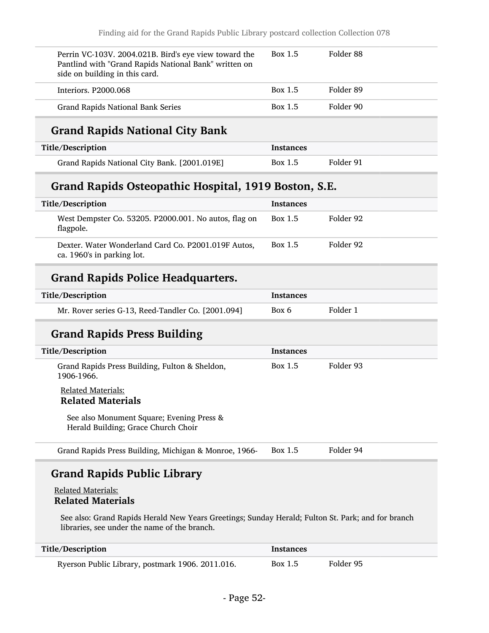| Perrin VC-103V. 2004.021B. Bird's eye view toward the<br>Pantlind with "Grand Rapids National Bank" written on<br>side on building in this card. | Box 1.5          | Folder <sub>88</sub> |
|--------------------------------------------------------------------------------------------------------------------------------------------------|------------------|----------------------|
| Interiors. P2000.068                                                                                                                             | Box 1.5          | Folder 89            |
| <b>Grand Rapids National Bank Series</b>                                                                                                         | Box 1.5          | Folder 90            |
| <b>Grand Rapids National City Bank</b>                                                                                                           |                  |                      |
| Title/Description                                                                                                                                | Instances        |                      |
| Grand Rapids National City Bank. [2001.019E]                                                                                                     | Box 1.5          | Folder 91            |
| Grand Rapids Osteopathic Hospital, 1919 Boston, S.E.                                                                                             |                  |                      |
| Title/Description                                                                                                                                | <b>Instances</b> |                      |
| West Dempster Co. 53205. P2000.001. No autos, flag on<br>flagpole.                                                                               | Box 1.5          | Folder 92            |
| Dexter. Water Wonderland Card Co. P2001.019F Autos,<br>ca. 1960's in parking lot.                                                                | Box 1.5          | Folder 92            |
|                                                                                                                                                  |                  |                      |
| <b>Grand Rapids Police Headquarters.</b>                                                                                                         |                  |                      |
| Title/Description                                                                                                                                | Instances        |                      |
| Mr. Rover series G-13, Reed-Tandler Co. [2001.094]                                                                                               | Box 6            | Folder 1             |
| <b>Grand Rapids Press Building</b>                                                                                                               |                  |                      |
| Title/Description                                                                                                                                | <b>Instances</b> |                      |
| Grand Rapids Press Building, Fulton & Sheldon,<br>1906-1966.                                                                                     | <b>Box 1.5</b>   | Folder 93            |
| <b>Related Materials:</b><br><b>Related Materials</b>                                                                                            |                  |                      |
| See also Monument Square; Evening Press &<br>Herald Building; Grace Church Choir                                                                 |                  |                      |
| Grand Rapids Press Building, Michigan & Monroe, 1966-                                                                                            | <b>Box 1.5</b>   | Folder 94            |

Related Materials: Related Materials

See also: Grand Rapids Herald New Years Greetings; Sunday Herald; Fulton St. Park; and for branch libraries, see under the name of the branch.

| Title/Description                                | Instances |           |
|--------------------------------------------------|-----------|-----------|
| Ryerson Public Library, postmark 1906. 2011.016. | Box 1.5   | Folder 95 |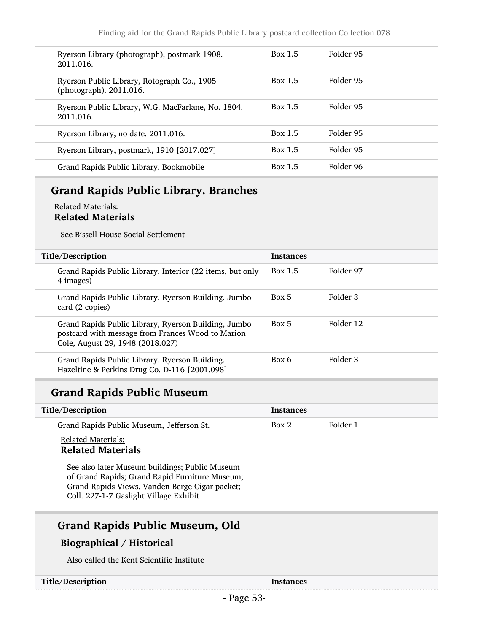| Ryerson Library (photograph), postmark 1908.<br>2011.016.              | Box 1.5        | Folder 95 |
|------------------------------------------------------------------------|----------------|-----------|
| Ryerson Public Library, Rotograph Co., 1905<br>(photograph). 2011.016. | Box 1.5        | Folder 95 |
| Ryerson Public Library, W.G. MacFarlane, No. 1804.<br>2011.016.        | <b>Box 1.5</b> | Folder 95 |
| Ryerson Library, no date. 2011.016.                                    | <b>Box 1.5</b> | Folder 95 |
| Ryerson Library, postmark, 1910 [2017.027]                             | Box 1.5        | Folder 95 |
| Grand Rapids Public Library. Bookmobile                                | <b>Box 1.5</b> | Folder 96 |

## Grand Rapids Public Library. Branches

#### Related Materials: Related Materials

See Bissell House Social Settlement

| Title/Description                                                                                                                             | <b>Instances</b> |           |
|-----------------------------------------------------------------------------------------------------------------------------------------------|------------------|-----------|
| Grand Rapids Public Library. Interior (22 items, but only<br>4 images)                                                                        | Box 1.5          | Folder 97 |
| Grand Rapids Public Library. Ryerson Building. Jumbo<br>card (2 copies)                                                                       | Box 5            | Folder 3  |
| Grand Rapids Public Library, Ryerson Building, Jumbo<br>postcard with message from Frances Wood to Marion<br>Cole, August 29, 1948 (2018.027) | Box 5            | Folder 12 |
| Grand Rapids Public Library. Ryerson Building.<br>Hazeltine & Perkins Drug Co. D-116 [2001.098]                                               | Box 6            | Folder 3  |

# Grand Rapids Public Museum

| Title/Description                         | Instances |          |
|-------------------------------------------|-----------|----------|
| Grand Rapids Public Museum, Jefferson St. | Box 2     | Folder 1 |

### Related Materials: Related Materials

See also later Museum buildings; Public Museum of Grand Rapids; Grand Rapid Furniture Museum; Grand Rapids Views. Vanden Berge Cigar packet; Coll. 227-1-7 Gaslight Village Exhibit

## Grand Rapids Public Museum, Old

### Biographical / Historical

Also called the Kent Scientific Institute

| Title/Description | Instances |
|-------------------|-----------|
|-------------------|-----------|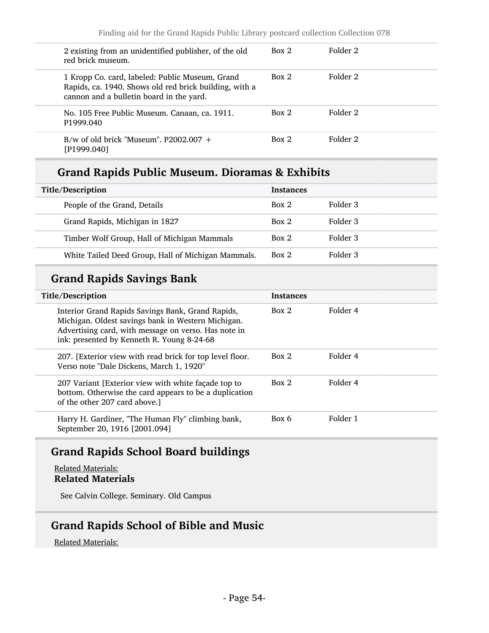| 2 existing from an unidentified publisher, of the old<br>red brick museum.                                                                            | Box 2 | Folder 2 |
|-------------------------------------------------------------------------------------------------------------------------------------------------------|-------|----------|
| 1 Kropp Co. card, labeled: Public Museum, Grand<br>Rapids, ca. 1940. Shows old red brick building, with a<br>cannon and a bulletin board in the yard. | Box 2 | Folder 2 |
| No. 105 Free Public Museum. Canaan, ca. 1911.<br>P1999.040                                                                                            | Box 2 | Folder 2 |
| B/w of old brick "Museum". $P2002.007 +$<br>[P1999.040]                                                                                               | Box 2 | Folder 2 |

## Grand Rapids Public Museum. Dioramas & Exhibits

| Title/Description |                                                    | <b>Instances</b> |          |
|-------------------|----------------------------------------------------|------------------|----------|
|                   | People of the Grand, Details                       | Box 2            | Folder 3 |
|                   | Grand Rapids, Michigan in 1827                     | Box 2            | Folder 3 |
|                   | Timber Wolf Group, Hall of Michigan Mammals        | Box 2            | Folder 3 |
|                   | White Tailed Deed Group, Hall of Michigan Mammals. | Box 2            | Folder 3 |

# Grand Rapids Savings Bank

| Title/Description |                                                                                                                                                                                                               | <b>Instances</b> |          |
|-------------------|---------------------------------------------------------------------------------------------------------------------------------------------------------------------------------------------------------------|------------------|----------|
|                   | Interior Grand Rapids Savings Bank, Grand Rapids,<br>Michigan. Oldest savings bank in Western Michigan.<br>Advertising card, with message on verso. Has note in<br>ink: presented by Kenneth R. Young 8-24-68 | Box 2            | Folder 4 |
|                   | 207. [Exterior view with read brick for top level floor.]<br>Verso note "Dale Dickens, March 1, 1920"                                                                                                         | Box 2            | Folder 4 |
|                   | 207 Variant [Exterior view with white façade top to<br>bottom. Otherwise the card appears to be a duplication<br>of the other 207 card above.                                                                 | Box 2            | Folder 4 |
|                   | Harry H. Gardiner, "The Human Fly" climbing bank,<br>September 20, 1916 [2001.094]                                                                                                                            | Box 6            | Folder 1 |

## Grand Rapids School Board buildings

#### Related Materials: Related Materials

See Calvin College. Seminary. Old Campus

## Grand Rapids School of Bible and Music

Related Materials: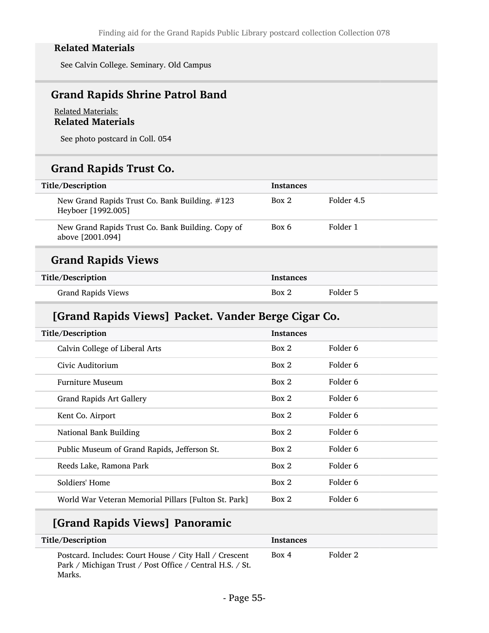See Calvin College. Seminary. Old Campus

## Grand Rapids Shrine Patrol Band

### Related Materials: Related Materials

See photo postcard in Coll. 054

# Grand Rapids Trust Co.

| Title/Description                                                     | <b>Instances</b> |            |
|-----------------------------------------------------------------------|------------------|------------|
| New Grand Rapids Trust Co. Bank Building. #123<br>Heyboer [1992.005]  | Box 2            | Folder 4.5 |
| New Grand Rapids Trust Co. Bank Building. Copy of<br>above [2001.094] | Box 6            | Folder 1   |
| <b>Grand Rapids Views</b>                                             |                  |            |
| Title/Description                                                     | Instances        |            |

Grand Rapids Views **Box 2** Folder 5

## [Grand Rapids Views] Packet. Vander Berge Cigar Co.

| Title/Description                                    | <b>Instances</b> |          |  |
|------------------------------------------------------|------------------|----------|--|
| Calvin College of Liberal Arts                       | Box 2            | Folder 6 |  |
| Civic Auditorium                                     | Box 2            | Folder 6 |  |
| <b>Furniture Museum</b>                              | Box 2            | Folder 6 |  |
| <b>Grand Rapids Art Gallery</b>                      | Box 2            | Folder 6 |  |
| Kent Co. Airport                                     | Box 2            | Folder 6 |  |
| National Bank Building                               | Box 2            | Folder 6 |  |
| Public Museum of Grand Rapids, Jefferson St.         | Box 2            | Folder 6 |  |
| Reeds Lake, Ramona Park                              | Box 2            | Folder 6 |  |
| Soldiers' Home                                       | Box 2            | Folder 6 |  |
| World War Veteran Memorial Pillars [Fulton St. Park] | Box 2            | Folder 6 |  |
|                                                      |                  |          |  |

# [Grand Rapids Views] Panoramic

| Title/Description                                                                                                            | <b>Instances</b> |          |
|------------------------------------------------------------------------------------------------------------------------------|------------------|----------|
| Postcard. Includes: Court House / City Hall / Crescent<br>Park / Michigan Trust / Post Office / Central H.S. / St.<br>Marks. | Box 4            | Folder 2 |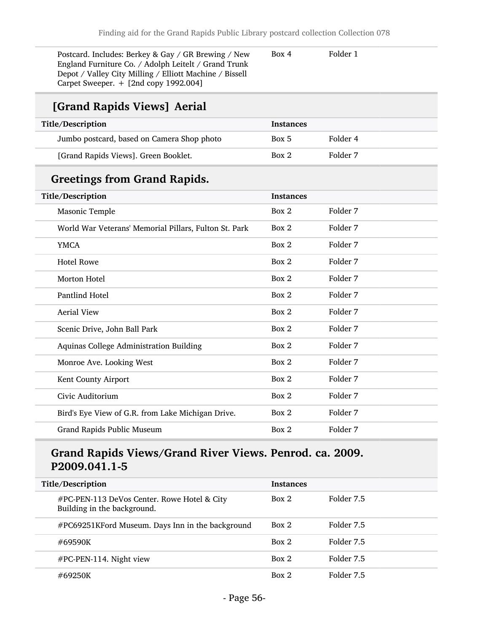| Postcard. Includes: Berkey & Gay / GR Brewing / New<br>England Furniture Co. / Adolph Leitelt / Grand Trunk<br>Depot / Valley City Milling / Elliott Machine / Bissell<br>Carpet Sweeper. + [2nd copy 1992.004] | Box 4            | Folder 1 |
|-----------------------------------------------------------------------------------------------------------------------------------------------------------------------------------------------------------------|------------------|----------|
| [Grand Rapids Views] Aerial                                                                                                                                                                                     |                  |          |
| Title/Description                                                                                                                                                                                               | <b>Instances</b> |          |
| Jumbo postcard, based on Camera Shop photo                                                                                                                                                                      | Box 5            | Folder 4 |
| [Grand Rapids Views]. Green Booklet.                                                                                                                                                                            | Box 2            | Folder 7 |
| <b>Greetings from Grand Rapids.</b>                                                                                                                                                                             |                  |          |
| Title/Description                                                                                                                                                                                               | Instances        |          |
| Masonic Temple                                                                                                                                                                                                  | Box 2            | Folder 7 |
| World War Veterans' Memorial Pillars, Fulton St. Park                                                                                                                                                           | Box 2            | Folder 7 |
| <b>YMCA</b>                                                                                                                                                                                                     | Box 2            | Folder 7 |
| <b>Hotel Rowe</b>                                                                                                                                                                                               | Box 2            | Folder 7 |
| Morton Hotel                                                                                                                                                                                                    | Box 2            | Folder 7 |
| Pantlind Hotel                                                                                                                                                                                                  | Box 2            | Folder 7 |
| <b>Aerial View</b>                                                                                                                                                                                              | Box 2            | Folder 7 |
| Scenic Drive, John Ball Park                                                                                                                                                                                    | Box 2            | Folder 7 |
| Aquinas College Administration Building                                                                                                                                                                         | Box 2            | Folder 7 |
| Monroe Ave. Looking West                                                                                                                                                                                        | Box 2            | Folder 7 |
| Kent County Airport                                                                                                                                                                                             | Box 2            | Folder 7 |
| Civic Auditorium                                                                                                                                                                                                | Box 2            | Folder 7 |
| Bird's Eye View of G.R. from Lake Michigan Drive.                                                                                                                                                               | Box 2            | Folder 7 |
| Grand Rapids Public Museum                                                                                                                                                                                      | Box 2            | Folder 7 |

# Grand Rapids Views/Grand River Views. Penrod. ca. 2009. P2009.041.1-5

| Title/Description                                                          | <b>Instances</b> |            |
|----------------------------------------------------------------------------|------------------|------------|
| #PC-PEN-113 DeVos Center. Rowe Hotel & City<br>Building in the background. | Box 2            | Folder 7.5 |
| #PC69251KFord Museum. Days Inn in the background                           | Box 2            | Folder 7.5 |
| #69590K                                                                    | Box 2            | Folder 7.5 |
| $\#PC\text{-}PEN\text{-}114$ . Night view                                  | Box 2            | Folder 7.5 |
| #69250K                                                                    | Box 2            | Folder 7.5 |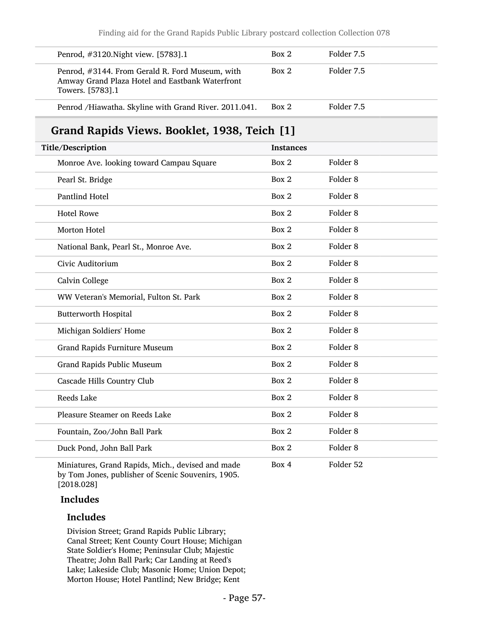| Penrod, #3120. Night view. [5783]. 1                                                                                   | Box 2            | Folder 7.5          |
|------------------------------------------------------------------------------------------------------------------------|------------------|---------------------|
| Penrod, #3144. From Gerald R. Ford Museum, with<br>Amway Grand Plaza Hotel and Eastbank Waterfront<br>Towers. [5783].1 | Box 2            | Folder 7.5          |
| Penrod /Hiawatha. Skyline with Grand River. 2011.041.                                                                  | Box 2            | Folder 7.5          |
| Grand Rapids Views. Booklet, 1938, Teich [1]                                                                           |                  |                     |
| Title/Description                                                                                                      | <b>Instances</b> |                     |
| Monroe Ave. looking toward Campau Square                                                                               | Box 2            | Folder <sub>8</sub> |
| Pearl St. Bridge                                                                                                       | Box 2            | Folder 8            |
| Pantlind Hotel                                                                                                         | Box 2            | Folder <sub>8</sub> |
| <b>Hotel Rowe</b>                                                                                                      | Box 2            | Folder <sub>8</sub> |
| Morton Hotel                                                                                                           | Box 2            | Folder <sub>8</sub> |
| National Bank, Pearl St., Monroe Ave.                                                                                  | Box 2            | Folder 8            |
| Civic Auditorium                                                                                                       | Box 2            | Folder <sub>8</sub> |
| Calvin College                                                                                                         | Box 2            | Folder <sub>8</sub> |
| WW Veteran's Memorial, Fulton St. Park                                                                                 | Box 2            | Folder 8            |
| <b>Butterworth Hospital</b>                                                                                            | Box 2            | Folder 8            |
| Michigan Soldiers' Home                                                                                                | Box 2            | Folder <sub>8</sub> |
| Grand Rapids Furniture Museum                                                                                          | Box 2            | Folder <sub>8</sub> |
| Grand Rapids Public Museum                                                                                             | Box 2            | Folder 8            |
| Cascade Hills Country Club                                                                                             | Box 2            | Folder 8            |
| Reeds Lake                                                                                                             | Box 2            | Folder <sub>8</sub> |
| Pleasure Steamer on Reeds Lake                                                                                         | Box 2            | Folder 8            |
| Fountain, Zoo/John Ball Park                                                                                           | Box 2            | Folder 8            |
| Duck Pond, John Ball Park                                                                                              | Box 2            | Folder 8            |
| Miniatures, Grand Rapids, Mich., devised and made                                                                      | Box 4            | Folder 52           |

Miniatures, Grand Rapids, Mich., devised and made by Tom Jones, publisher of Scenic Souvenirs, 1905. [2018.028]

### Includes

### Includes

Division Street; Grand Rapids Public Library; Canal Street; Kent County Court House; Michigan State Soldier's Home; Peninsular Club; Majestic Theatre; John Ball Park; Car Landing at Reed's Lake; Lakeside Club; Masonic Home; Union Depot; Morton House; Hotel Pantlind; New Bridge; Kent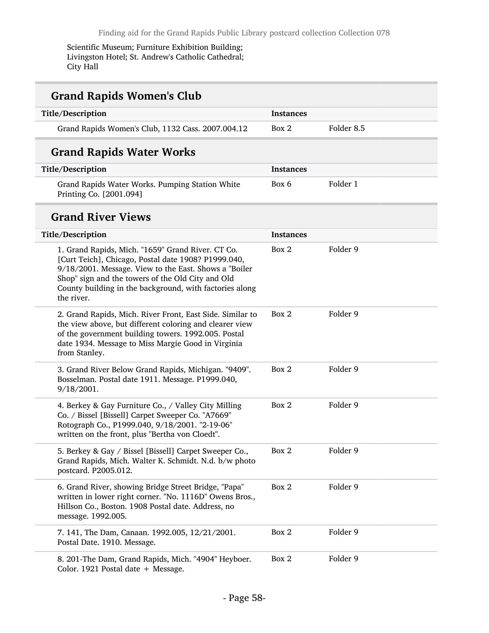Scientific Museum; Furniture Exhibition Building; Livingston Hotel; St. Andrew's Catholic Cathedral; City Hall

# Grand Rapids Women's Club

| Title/Description                                 | <b>Instances</b> |            |
|---------------------------------------------------|------------------|------------|
| Grand Rapids Women's Club, 1132 Cass. 2007.004.12 | Box 2            | Folder 8.5 |

# Grand Rapids Water Works

| Title/Description                                                          | Instances |          |
|----------------------------------------------------------------------------|-----------|----------|
| Grand Rapids Water Works. Pumping Station White<br>Printing Co. [2001.094] | Box 6     | Folder 1 |

### Grand River Views

| Title/Description                                                                                                                                                                                                                                                                               | <b>Instances</b> |          |
|-------------------------------------------------------------------------------------------------------------------------------------------------------------------------------------------------------------------------------------------------------------------------------------------------|------------------|----------|
| 1. Grand Rapids, Mich. "1659" Grand River. CT Co.<br>[Curt Teich], Chicago, Postal date 1908? P1999.040,<br>9/18/2001. Message. View to the East. Shows a "Boiler<br>Shop" sign and the towers of the Old City and Old<br>County building in the background, with factories along<br>the river. | Box 2            | Folder 9 |
| 2. Grand Rapids, Mich. River Front, East Side. Similar to<br>the view above, but different coloring and clearer view<br>of the government building towers. 1992.005. Postal<br>date 1934. Message to Miss Margie Good in Virginia<br>from Stanley.                                              | Box 2            | Folder 9 |
| 3. Grand River Below Grand Rapids, Michigan. "9409".<br>Bosselman. Postal date 1911. Message. P1999.040,<br>9/18/2001.                                                                                                                                                                          | Box 2            | Folder 9 |
| 4. Berkey & Gay Furniture Co., / Valley City Milling<br>Co. / Bissel [Bissell] Carpet Sweeper Co. "A7669"<br>Rotograph Co., P1999.040, 9/18/2001. "2-19-06"<br>written on the front, plus "Bertha von Cloedt".                                                                                  | Box 2            | Folder 9 |
| 5. Berkey & Gay / Bissel [Bissell] Carpet Sweeper Co.,<br>Grand Rapids, Mich. Walter K. Schmidt. N.d. b/w photo<br>postcard. P2005.012.                                                                                                                                                         | Box 2            | Folder 9 |
| 6. Grand River, showing Bridge Street Bridge, "Papa"<br>written in lower right corner. "No. 1116D" Owens Bros.,<br>Hillson Co., Boston. 1908 Postal date. Address, no<br>message. 1992.005.                                                                                                     | Box 2            | Folder 9 |
| 7. 141, The Dam, Canaan. 1992.005, 12/21/2001.<br>Postal Date. 1910. Message.                                                                                                                                                                                                                   | Box 2            | Folder 9 |
| 8. 201-The Dam, Grand Rapids, Mich. "4904" Heyboer.<br>Color. 1921 Postal date + Message.                                                                                                                                                                                                       | Box 2            | Folder 9 |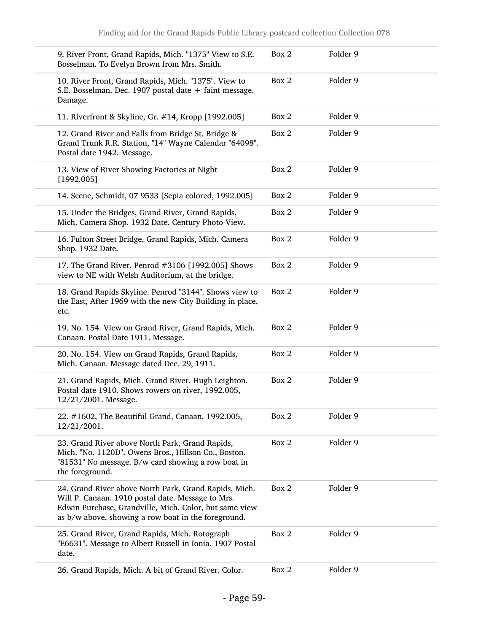| 9. River Front, Grand Rapids, Mich. "1375" View to S.E.<br>Bosselman. To Evelyn Brown from Mrs. Smith.                                                                                                                      | Box 2 | Folder 9 |
|-----------------------------------------------------------------------------------------------------------------------------------------------------------------------------------------------------------------------------|-------|----------|
| 10. River Front, Grand Rapids, Mich. "1375". View to<br>S.E. Bosselman. Dec. 1907 postal date + faint message.<br>Damage.                                                                                                   | Box 2 | Folder 9 |
| 11. Riverfront & Skyline, Gr. #14, Kropp [1992.005]                                                                                                                                                                         | Box 2 | Folder 9 |
| 12. Grand River and Falls from Bridge St. Bridge &<br>Grand Trunk R.R. Station, "14" Wayne Calendar "64098".<br>Postal date 1942. Message.                                                                                  | Box 2 | Folder 9 |
| 13. View of River Showing Factories at Night<br>[1992.005]                                                                                                                                                                  | Box 2 | Folder 9 |
| 14. Scene, Schmidt, 07 9533 [Sepia colored, 1992.005]                                                                                                                                                                       | Box 2 | Folder 9 |
| 15. Under the Bridges, Grand River, Grand Rapids,<br>Mich. Camera Shop. 1932 Date. Century Photo-View.                                                                                                                      | Box 2 | Folder 9 |
| 16. Fulton Street Bridge, Grand Rapids, Mich. Camera<br>Shop. 1932 Date.                                                                                                                                                    | Box 2 | Folder 9 |
| 17. The Grand River. Penrod #3106 [1992.005] Shows<br>view to NE with Welsh Auditorium, at the bridge.                                                                                                                      | Box 2 | Folder 9 |
| 18. Grand Rapids Skyline. Penrod "3144". Shows view to<br>the East, After 1969 with the new City Building in place,<br>etc.                                                                                                 | Box 2 | Folder 9 |
| 19. No. 154. View on Grand River, Grand Rapids, Mich.<br>Canaan. Postal Date 1911. Message.                                                                                                                                 | Box 2 | Folder 9 |
| 20. No. 154. View on Grand Rapids, Grand Rapids,<br>Mich. Canaan. Message dated Dec. 29, 1911.                                                                                                                              | Box 2 | Folder 9 |
| 21. Grand Rapids, Mich. Grand River. Hugh Leighton.<br>Postal date 1910. Shows rowers on river, 1992.005,<br>12/21/2001. Message.                                                                                           | Box 2 | Folder 9 |
| 22. #1602, The Beautiful Grand, Canaan. 1992.005,<br>12/21/2001.                                                                                                                                                            | Box 2 | Folder 9 |
| 23. Grand River above North Park, Grand Rapids,<br>Mich. "No. 1120D". Owens Bros., Hillson Co., Boston.<br>"81531" No message. B/w card showing a row boat in<br>the foreground.                                            | Box 2 | Folder 9 |
| 24. Grand River above North Park, Grand Rapids, Mich.<br>Will P. Canaan. 1910 postal date. Message to Mrs.<br>Edwin Purchase, Grandville, Mich. Color, but same view<br>as b/w above, showing a row boat in the foreground. | Box 2 | Folder 9 |
| 25. Grand River, Grand Rapids, Mich. Rotograph<br>"E6631". Message to Albert Russell in Ionia. 1907 Postal<br>date.                                                                                                         | Box 2 | Folder 9 |
| 26. Grand Rapids, Mich. A bit of Grand River. Color.                                                                                                                                                                        | Box 2 | Folder 9 |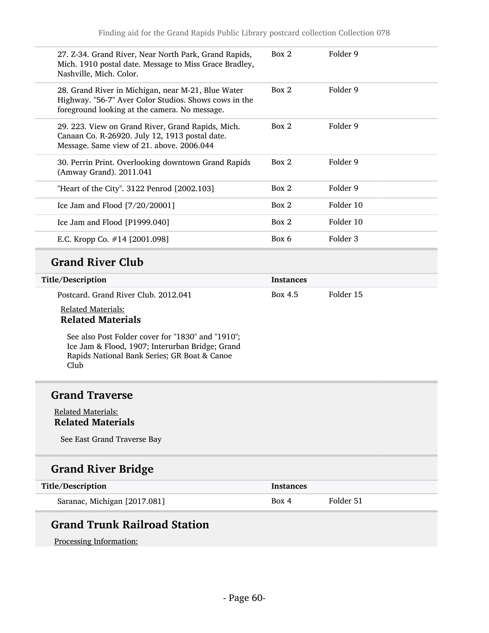| 27. Z-34. Grand River, Near North Park, Grand Rapids,<br>Mich. 1910 postal date. Message to Miss Grace Bradley,<br>Nashville, Mich. Color.                   | Box 2            | Folder 9  |
|--------------------------------------------------------------------------------------------------------------------------------------------------------------|------------------|-----------|
| 28. Grand River in Michigan, near M-21, Blue Water<br>Highway. "56-7" Aver Color Studios. Shows cows in the<br>foreground looking at the camera. No message. | Box 2            | Folder 9  |
| 29. 223. View on Grand River, Grand Rapids, Mich.<br>Canaan Co. R-26920. July 12, 1913 postal date.<br>Message. Same view of 21. above. 2006.044             | Box 2            | Folder 9  |
| 30. Perrin Print. Overlooking downtown Grand Rapids<br>(Amway Grand). 2011.041                                                                               | Box 2            | Folder 9  |
| "Heart of the City". 3122 Penrod [2002.103]                                                                                                                  | Box 2            | Folder 9  |
| Ice Jam and Flood [7/20/20001]                                                                                                                               | Box 2            | Folder 10 |
| Ice Jam and Flood [P1999.040]                                                                                                                                | Box 2            | Folder 10 |
| E.C. Kropp Co. #14 [2001.098]                                                                                                                                | Box 6            | Folder 3  |
| <b>Grand River Club</b>                                                                                                                                      |                  |           |
| Title/Description                                                                                                                                            | <b>Instances</b> |           |
| Postcard. Grand River Club. 2012.041                                                                                                                         | Box 4.5          | Folder 15 |
| <b>Related Materials:</b><br><b>Related Materials</b>                                                                                                        |                  |           |
| See also Post Folder cover for "1830" and "1910";<br>Ice Jam & Flood, 1907; Interurban Bridge; Grand<br>Rapids National Bank Series; GR Boat & Canoe<br>Club |                  |           |
| <b>Grand Traverse</b>                                                                                                                                        |                  |           |
| <b>Related Materials:</b><br><b>Related Materials</b>                                                                                                        |                  |           |
| See East Grand Traverse Bay                                                                                                                                  |                  |           |
| <b>Grand River Bridge</b>                                                                                                                                    |                  |           |
| Title/Description                                                                                                                                            | <b>Instances</b> |           |
| Saranac, Michigan [2017.081]                                                                                                                                 | Box 4            | Folder 51 |
|                                                                                                                                                              |                  |           |

# Grand Trunk Railroad Station

Processing Information: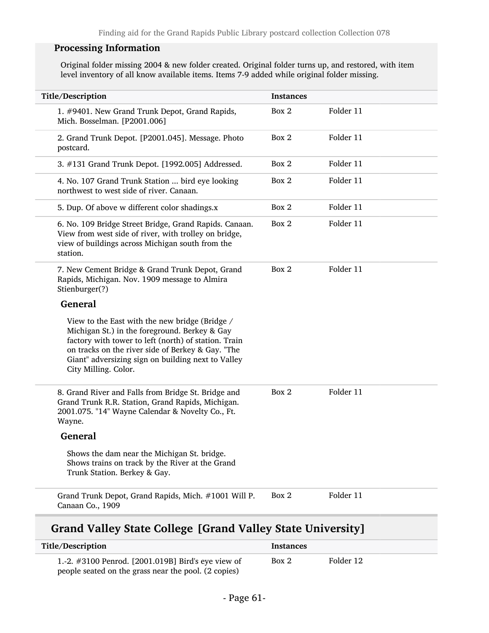### Processing Information

Original folder missing 2004 & new folder created. Original folder turns up, and restored, with item level inventory of all know available items. Items 7-9 added while original folder missing.

| Title/Description                                                                                                                                                                                                                                                                          | <b>Instances</b> |           |
|--------------------------------------------------------------------------------------------------------------------------------------------------------------------------------------------------------------------------------------------------------------------------------------------|------------------|-----------|
| 1. #9401. New Grand Trunk Depot, Grand Rapids,<br>Mich. Bosselman. [P2001.006]                                                                                                                                                                                                             | Box 2            | Folder 11 |
| 2. Grand Trunk Depot. [P2001.045]. Message. Photo<br>postcard.                                                                                                                                                                                                                             | Box 2            | Folder 11 |
| 3. #131 Grand Trunk Depot. [1992.005] Addressed.                                                                                                                                                                                                                                           | Box 2            | Folder 11 |
| 4. No. 107 Grand Trunk Station  bird eye looking<br>northwest to west side of river. Canaan.                                                                                                                                                                                               | Box 2            | Folder 11 |
| 5. Dup. Of above w different color shadings.x                                                                                                                                                                                                                                              | Box 2            | Folder 11 |
| 6. No. 109 Bridge Street Bridge, Grand Rapids. Canaan.<br>View from west side of river, with trolley on bridge,<br>view of buildings across Michigan south from the<br>station.                                                                                                            | Box 2            | Folder 11 |
| 7. New Cement Bridge & Grand Trunk Depot, Grand<br>Rapids, Michigan. Nov. 1909 message to Almira<br>Stienburger(?)                                                                                                                                                                         | Box 2            | Folder 11 |
| <b>General</b>                                                                                                                                                                                                                                                                             |                  |           |
| View to the East with the new bridge (Bridge /<br>Michigan St.) in the foreground. Berkey & Gay<br>factory with tower to left (north) of station. Train<br>on tracks on the river side of Berkey & Gay. "The<br>Giant" adversizing sign on building next to Valley<br>City Milling. Color. |                  |           |
| 8. Grand River and Falls from Bridge St. Bridge and<br>Grand Trunk R.R. Station, Grand Rapids, Michigan.<br>2001.075. "14" Wayne Calendar & Novelty Co., Ft.<br>Wayne.                                                                                                                     | Box 2            | Folder 11 |
| <b>General</b>                                                                                                                                                                                                                                                                             |                  |           |
| Shows the dam near the Michigan St. bridge.<br>Shows trains on track by the River at the Grand<br>Trunk Station. Berkey & Gay.                                                                                                                                                             |                  |           |
| Grand Trunk Depot, Grand Rapids, Mich. #1001 Will P.<br>Canaan Co., 1909                                                                                                                                                                                                                   | Box 2            | Folder 11 |

## Grand Valley State College [Grand Valley State University]

| Title/Description                                                                                          | <b>Instances</b> |           |
|------------------------------------------------------------------------------------------------------------|------------------|-----------|
| 1.-2. #3100 Penrod. [2001.019B] Bird's eye view of<br>people seated on the grass near the pool. (2 copies) | Box 2            | Folder 12 |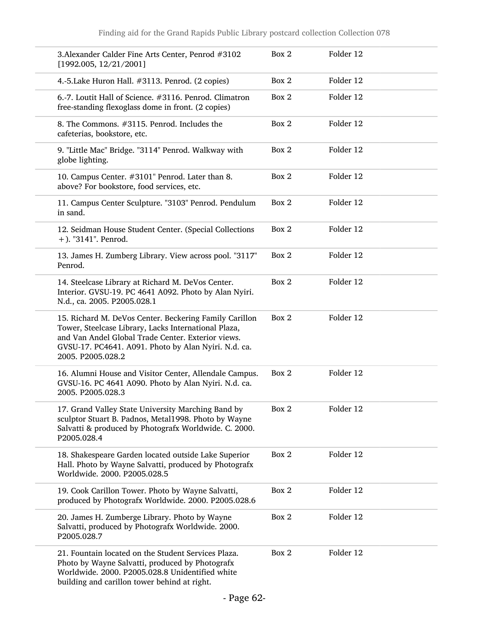| 3. Alexander Calder Fine Arts Center, Penrod #3102<br>[1992.005, 12/21/2001]                                                                                                                                                                      | Box 2 | Folder 12 |
|---------------------------------------------------------------------------------------------------------------------------------------------------------------------------------------------------------------------------------------------------|-------|-----------|
| 4.-5. Lake Huron Hall. #3113. Penrod. (2 copies)                                                                                                                                                                                                  | Box 2 | Folder 12 |
| 6.-7. Loutit Hall of Science. #3116. Penrod. Climatron<br>free-standing flexoglass dome in front. (2 copies)                                                                                                                                      | Box 2 | Folder 12 |
| 8. The Commons. #3115. Penrod. Includes the<br>cafeterias, bookstore, etc.                                                                                                                                                                        | Box 2 | Folder 12 |
| 9. "Little Mac" Bridge. "3114" Penrod. Walkway with<br>globe lighting.                                                                                                                                                                            | Box 2 | Folder 12 |
| 10. Campus Center. #3101" Penrod. Later than 8.<br>above? For bookstore, food services, etc.                                                                                                                                                      | Box 2 | Folder 12 |
| 11. Campus Center Sculpture. "3103" Penrod. Pendulum<br>in sand.                                                                                                                                                                                  | Box 2 | Folder 12 |
| 12. Seidman House Student Center. (Special Collections<br>+). "3141". Penrod.                                                                                                                                                                     | Box 2 | Folder 12 |
| 13. James H. Zumberg Library. View across pool. "3117"<br>Penrod.                                                                                                                                                                                 | Box 2 | Folder 12 |
| 14. Steelcase Library at Richard M. DeVos Center.<br>Interior. GVSU-19. PC 4641 A092. Photo by Alan Nyiri.<br>N.d., ca. 2005. P2005.028.1                                                                                                         | Box 2 | Folder 12 |
| 15. Richard M. DeVos Center. Beckering Family Carillon<br>Tower, Steelcase Library, Lacks International Plaza,<br>and Van Andel Global Trade Center. Exterior views.<br>GVSU-17. PC4641. A091. Photo by Alan Nyiri. N.d. ca.<br>2005. P2005.028.2 | Box 2 | Folder 12 |
| 16. Alumni House and Visitor Center, Allendale Campus.<br>GVSU-16. PC 4641 A090. Photo by Alan Nyiri. N.d. ca.<br>2005. P2005.028.3                                                                                                               | Box 2 | Folder 12 |
| 17. Grand Valley State University Marching Band by<br>sculptor Stuart B. Padnos, Metal1998. Photo by Wayne<br>Salvatti & produced by Photografx Worldwide. C. 2000.<br>P2005.028.4                                                                | Box 2 | Folder 12 |
| 18. Shakespeare Garden located outside Lake Superior<br>Hall. Photo by Wayne Salvatti, produced by Photografx<br>Worldwide. 2000. P2005.028.5                                                                                                     | Box 2 | Folder 12 |
| 19. Cook Carillon Tower. Photo by Wayne Salvatti,<br>produced by Photografx Worldwide. 2000. P2005.028.6                                                                                                                                          | Box 2 | Folder 12 |
| 20. James H. Zumberge Library. Photo by Wayne<br>Salvatti, produced by Photografx Worldwide. 2000.<br>P2005.028.7                                                                                                                                 | Box 2 | Folder 12 |
| 21. Fountain located on the Student Services Plaza.<br>Photo by Wayne Salvatti, produced by Photografx<br>Worldwide. 2000. P2005.028.8 Unidentified white<br>building and carillon tower behind at right.                                         | Box 2 | Folder 12 |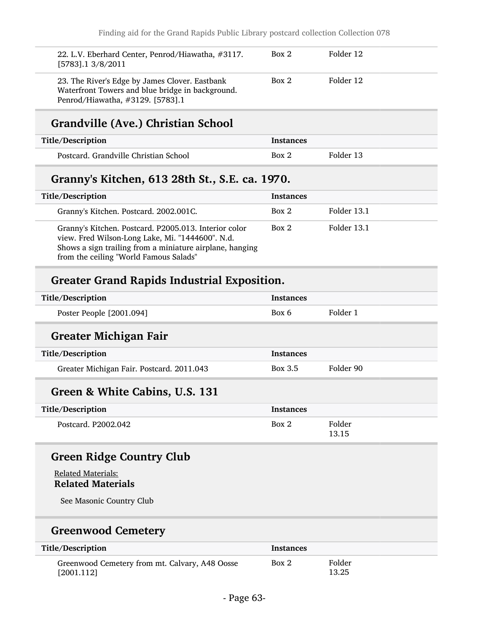| 22. L.V. Eberhard Center, Penrod/Hiawatha, #3117.<br>$[5783]$ .1 3/8/2011                                                              | Box 2 | Folder 12 |
|----------------------------------------------------------------------------------------------------------------------------------------|-------|-----------|
| 23. The River's Edge by James Clover. Eastbank<br>Waterfront Towers and blue bridge in background.<br>Penrod/Hiawatha, #3129. [5783].1 | Box 2 | Folder 12 |

# Grandville (Ave.) Christian School

| Title/Description                     | <b>Instances</b> |           |
|---------------------------------------|------------------|-----------|
| Postcard. Grandville Christian School | Box 2            | Folder 13 |

## Granny's Kitchen, 613 28th St., S.E. ca. 1970.

| Title/Description                                                                                                                                                                                               | <b>Instances</b> |             |
|-----------------------------------------------------------------------------------------------------------------------------------------------------------------------------------------------------------------|------------------|-------------|
| Granny's Kitchen. Postcard. 2002.001C.                                                                                                                                                                          | Box 2            | Folder 13.1 |
| Granny's Kitchen. Postcard. P2005.013. Interior color<br>view. Fred Wilson-Long Lake, Mi. "1444600". N.d.<br>Shows a sign trailing from a miniature airplane, hanging<br>from the ceiling "World Famous Salads" | Box 2            | Folder 13.1 |

## Greater Grand Rapids Industrial Exposition.

| Title/Description        | Instances |          |
|--------------------------|-----------|----------|
| Poster People [2001.094] | Box 6     | Folder 1 |

## Greater Michigan Fair

| Title/Description                         | <b>Instances</b> |           |
|-------------------------------------------|------------------|-----------|
| Greater Michigan Fair. Postcard. 2011.043 | Box 3.5          | Folder 90 |

## Green & White Cabins, U.S. 131

| Title/Description   | <b>Instances</b> |                 |
|---------------------|------------------|-----------------|
| Postcard. P2002.042 | Box 2            | Folder<br>13.15 |

## Green Ridge Country Club

### Related Materials: Related Materials

See Masonic Country Club

## Greenwood Cemetery

| Title/Description                                            | Instances |                 |
|--------------------------------------------------------------|-----------|-----------------|
| Greenwood Cemetery from mt. Calvary, A48 Oosse<br>[2001.112] | Box 2     | Folder<br>13.25 |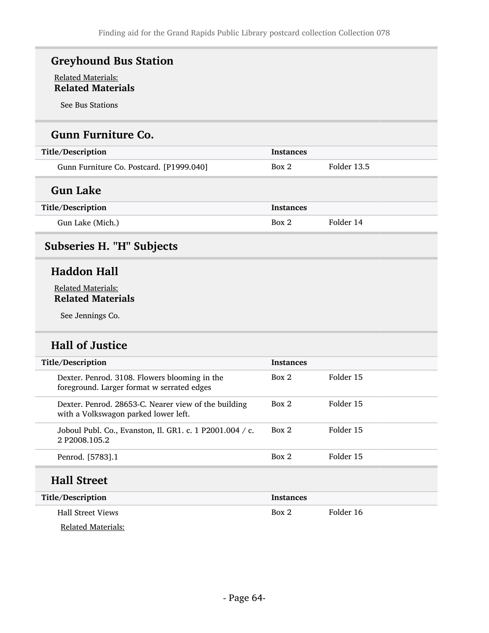# Greyhound Bus Station

### Related Materials: Related Materials

See Bus Stations

## Gunn Furniture Co.

| Title/Description                        | <b>Instances</b> |             |
|------------------------------------------|------------------|-------------|
| Gunn Furniture Co. Postcard. [P1999.040] | Box 2            | Folder 13.5 |
| <b>Gun Lake</b>                          |                  |             |
| Title/Description                        | <b>Instances</b> |             |
| Gun Lake (Mich.)                         | Box 2            | Folder 14   |

# Subseries H. "H" Subjects

## Haddon Hall

### Related Materials: Related Materials

See Jennings Co.

# Hall of Justice

| Title/Description |                                                                                              | <b>Instances</b> |           |
|-------------------|----------------------------------------------------------------------------------------------|------------------|-----------|
|                   | Dexter. Penrod. 3108. Flowers blooming in the<br>foreground. Larger format w serrated edges  | Box 2            | Folder 15 |
|                   | Dexter. Penrod. 28653-C. Nearer view of the building<br>with a Volkswagon parked lower left. | Box 2            | Folder 15 |
|                   | Joboul Publ. Co., Evanston, Il. GR1. c. 1 P2001.004 / c.<br>2 P <sub>2008</sub> 105.2        | Box 2            | Folder 15 |
|                   | Penrod. [5783].1                                                                             | Box 2            | Folder 15 |
|                   | <b>Hall Street</b>                                                                           |                  |           |

| Title/Description        | <b>Instances</b> |           |
|--------------------------|------------------|-----------|
| <b>Hall Street Views</b> | Box 2            | Folder 16 |
| Related Materials:       |                  |           |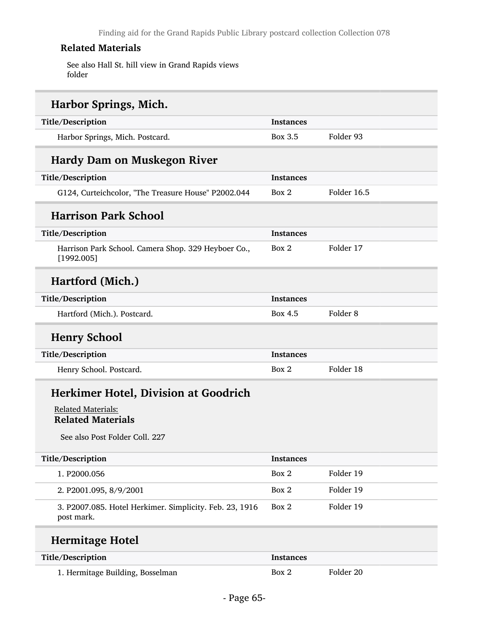See also Hall St. hill view in Grand Rapids views folder

| Harbor Springs, Mich.                                                 |                  |                     |
|-----------------------------------------------------------------------|------------------|---------------------|
| Title/Description                                                     | <b>Instances</b> |                     |
| Harbor Springs, Mich. Postcard.                                       | Box 3.5          | Folder 93           |
| Hardy Dam on Muskegon River                                           |                  |                     |
| Title/Description                                                     | <b>Instances</b> |                     |
| G124, Curteichcolor, "The Treasure House" P2002.044                   | Box 2            | Folder 16.5         |
| <b>Harrison Park School</b>                                           |                  |                     |
| Title/Description                                                     | Instances        |                     |
| Harrison Park School. Camera Shop. 329 Heyboer Co.,<br>[1992.005]     | Box 2            | Folder 17           |
| Hartford (Mich.)                                                      |                  |                     |
| Title/Description                                                     | <b>Instances</b> |                     |
| Hartford (Mich.). Postcard.                                           | Box 4.5          | Folder <sub>8</sub> |
| <b>Henry School</b>                                                   |                  |                     |
| Title/Description                                                     | <b>Instances</b> |                     |
| Henry School. Postcard.                                               | Box 2            | Folder 18           |
| <b>Herkimer Hotel, Division at Goodrich</b>                           |                  |                     |
| <b>Related Materials:</b><br><b>Related Materials</b>                 |                  |                     |
| See also Post Folder Coll. 227                                        |                  |                     |
| Title/Description                                                     | <b>Instances</b> |                     |
| 1. P2000.056                                                          | Box 2            | Folder 19           |
| 2. P2001.095, 8/9/2001                                                | Box 2            | Folder 19           |
| 3. P2007.085. Hotel Herkimer. Simplicity. Feb. 23, 1916<br>post mark. | Box 2            | Folder 19           |
| <b>Hermitage Hotel</b>                                                |                  |                     |
| Title/Description                                                     | <b>Instances</b> |                     |
| 1. Hermitage Building, Bosselman                                      | Box 2            | Folder 20           |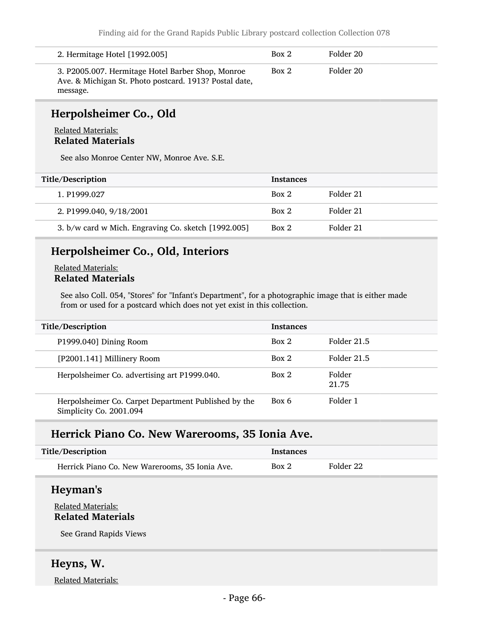| 2. Hermitage Hotel [1992.005]                                                                                           | Box 2 | Folder 20 |
|-------------------------------------------------------------------------------------------------------------------------|-------|-----------|
| 3. P2005.007. Hermitage Hotel Barber Shop, Monroe<br>Ave. & Michigan St. Photo postcard. 1913? Postal date,<br>message. | Box 2 | Folder 20 |

## Herpolsheimer Co., Old

### Related Materials: Related Materials

See also Monroe Center NW, Monroe Ave. S.E.

| Title/Description                                   | <b>Instances</b> |           |
|-----------------------------------------------------|------------------|-----------|
| 1. P1999.027                                        | Box 2            | Folder 21 |
| 2. P1999.040, 9/18/2001                             | Box 2            | Folder 21 |
| 3. b/w card w Mich. Engraving Co. sketch [1992.005] | Box 2            | Folder 21 |

## Herpolsheimer Co., Old, Interiors

### Related Materials: Related Materials

See also Coll. 054, "Stores" for "Infant's Department", for a photographic image that is either made from or used for a postcard which does not yet exist in this collection.

| Title/Description                                                               | <b>Instances</b> |                 |
|---------------------------------------------------------------------------------|------------------|-----------------|
| P1999.040] Dining Room                                                          | Box 2            | Folder 21.5     |
| [P2001.141] Millinery Room                                                      | Box 2            | Folder 21.5     |
| Herpolsheimer Co. advertising art P1999.040.                                    | Box 2            | Folder<br>21.75 |
| Herpolsheimer Co. Carpet Department Published by the<br>Simplicity Co. 2001.094 | Box 6            | Folder 1        |

# Herrick Piano Co. New Warerooms, 35 Ionia Ave.

| Title/Description                              | <b>Instances</b> |           |
|------------------------------------------------|------------------|-----------|
| Herrick Piano Co. New Warerooms, 35 Ionia Ave. | Box 2            | Folder 22 |

### Heyman's

### Related Materials: Related Materials

See Grand Rapids Views

## Heyns, W.

Related Materials: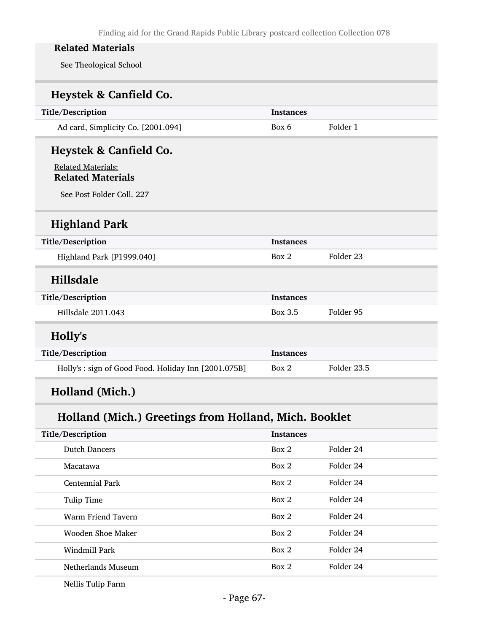See Theological School

| Heystek & Canfield Co. |  |
|------------------------|--|
|------------------------|--|

| Title/Description                                     | <b>Instances</b> |                      |
|-------------------------------------------------------|------------------|----------------------|
| Ad card, Simplicity Co. [2001.094]                    | Box 6            | Folder 1             |
| Heystek & Canfield Co.                                |                  |                      |
| <b>Related Materials:</b><br><b>Related Materials</b> |                  |                      |
| See Post Folder Coll. 227                             |                  |                      |
| <b>Highland Park</b>                                  |                  |                      |
| Title/Description                                     | <b>Instances</b> |                      |
| Highland Park [P1999.040]                             | Box 2            | Folder <sub>23</sub> |
| <b>Hillsdale</b>                                      |                  |                      |
| Title/Description                                     | <b>Instances</b> |                      |
| Hillsdale 2011.043                                    | Box 3.5          | Folder 95            |
| Holly's                                               |                  |                      |
| Title/Description                                     | <b>Instances</b> |                      |
| Holly's : sign of Good Food. Holiday Inn [2001.075B]  | Box 2            | Folder 23.5          |
|                                                       |                  |                      |

# Holland (Mich.)

# Holland (Mich.) Greetings from Holland, Mich. Booklet

| Title/Description    | <b>Instances</b> |           |
|----------------------|------------------|-----------|
| <b>Dutch Dancers</b> | Box 2            | Folder 24 |
| Macatawa             | Box 2            | Folder 24 |
| Centennial Park      | Box 2            | Folder 24 |
| Tulip Time           | Box 2            | Folder 24 |
| Warm Friend Tavern   | Box 2            | Folder 24 |
| Wooden Shoe Maker    | Box 2            | Folder 24 |
| Windmill Park        | Box 2            | Folder 24 |
| Netherlands Museum   | Box 2            | Folder 24 |
|                      |                  |           |

Nellis Tulip Farm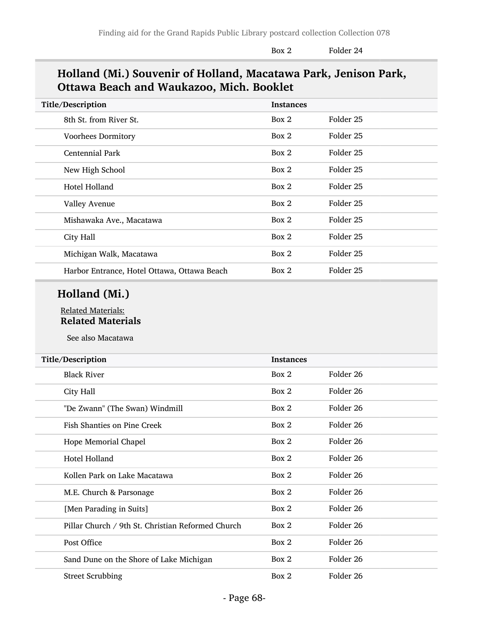Box 2 Folder 24

## Holland (Mi.) Souvenir of Holland, Macatawa Park, Jenison Park, Ottawa Beach and Waukazoo, Mich. Booklet

| <b>Instances</b> |           |
|------------------|-----------|
| Box 2            | Folder 25 |
| Box 2            | Folder 25 |
| Box 2            | Folder 25 |
| Box 2            | Folder 25 |
| Box 2            | Folder 25 |
| Box 2            | Folder 25 |
| Box 2            | Folder 25 |
| Box 2            | Folder 25 |
| Box 2            | Folder 25 |
| Box 2            | Folder 25 |
|                  |           |

## Holland (Mi.)

#### Related Materials: Related Materials

See also Macatawa

| Title/Description                                 | <b>Instances</b> |                      |
|---------------------------------------------------|------------------|----------------------|
| <b>Black River</b>                                | Box 2            | Folder 26            |
| City Hall                                         | Box 2            | Folder 26            |
| "De Zwann" (The Swan) Windmill                    | Box 2            | Folder 26            |
| <b>Fish Shanties on Pine Creek</b>                | Box 2            | Folder 26            |
| Hope Memorial Chapel                              | Box 2            | Folder 26            |
| Hotel Holland                                     | Box 2            | Folder 26            |
| Kollen Park on Lake Macatawa                      | Box 2            | Folder 26            |
| M.E. Church & Parsonage                           | Box 2            | Folder 26            |
| [Men Parading in Suits]                           | Box 2            | Folder 26            |
| Pillar Church / 9th St. Christian Reformed Church | Box 2            | Folder 26            |
| Post Office                                       | Box 2            | Folder 26            |
| Sand Dune on the Shore of Lake Michigan           | Box 2            | Folder 26            |
| <b>Street Scrubbing</b>                           | Box 2            | Folder <sub>26</sub> |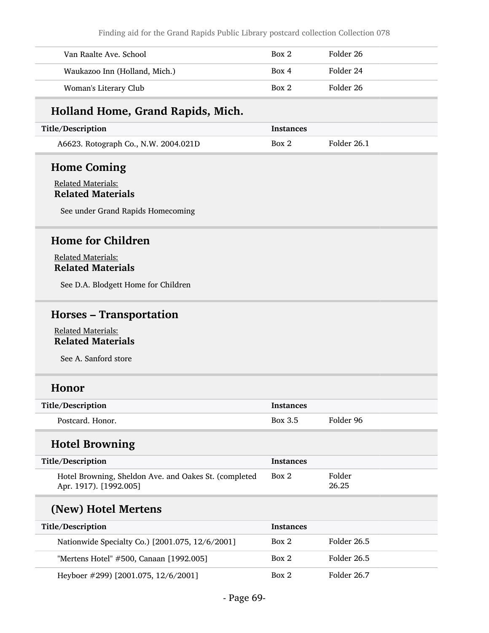Finding aid for the Grand Rapids Public Library postcard collection Collection 078

| Van Raalte Ave. School        | Box 2 | Folder 26 |
|-------------------------------|-------|-----------|
| Waukazoo Inn (Holland, Mich.) | Box 4 | Folder 24 |
| Woman's Literary Club         | Box 2 | Folder 26 |

## Holland Home, Grand Rapids, Mich.

| Title/Description                    | <b>Instances</b> |             |
|--------------------------------------|------------------|-------------|
| A6623. Rotograph Co., N.W. 2004.021D | Box 2            | Folder 26.1 |

## Home Coming

### Related Materials: Related Materials

See under Grand Rapids Homecoming

## Home for Children

Related Materials: Related Materials

See D.A. Blodgett Home for Children

# Horses – Transportation

Related Materials: Related Materials

See A. Sanford store

## Honor

| Title/Description | Instances |           |
|-------------------|-----------|-----------|
| Postcard, Honor.  | Box 3.5   | Folder 96 |

## Hotel Browning

| Title/Description                                                               | <b>Instances</b> |                 |
|---------------------------------------------------------------------------------|------------------|-----------------|
| Hotel Browning, Sheldon Ave. and Oakes St. (completed<br>Apr. 1917). [1992.005] | Box 2            | Folder<br>26.25 |

## (New) Hotel Mertens

| <b>Title/Description</b>                        | <b>Instances</b> |             |
|-------------------------------------------------|------------------|-------------|
| Nationwide Specialty Co.) [2001.075, 12/6/2001] | Box 2            | Folder 26.5 |
| "Mertens Hotel" #500, Canaan [1992.005]         | Box 2            | Folder 26.5 |
| Heyboer #299) [2001.075, 12/6/2001]             | Box 2            | Folder 26.7 |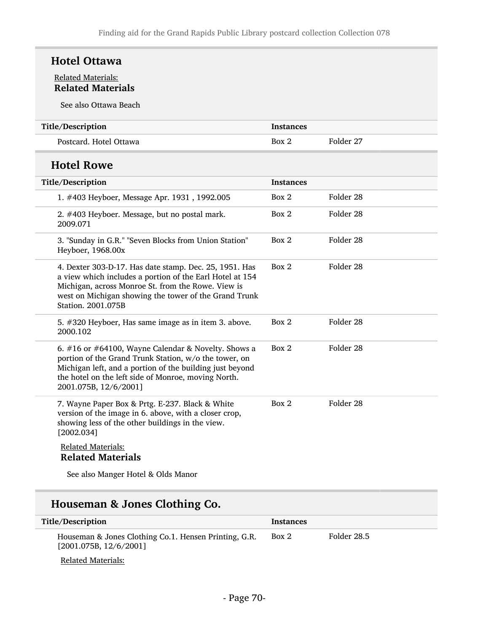## Hotel Ottawa

### Related Materials: Related Materials

See also Ottawa Beach

| Title/Description                                                                                                                                                                                                                                        | <b>Instances</b> |                      |
|----------------------------------------------------------------------------------------------------------------------------------------------------------------------------------------------------------------------------------------------------------|------------------|----------------------|
| Postcard. Hotel Ottawa                                                                                                                                                                                                                                   | Box 2            | Folder 27            |
| <b>Hotel Rowe</b>                                                                                                                                                                                                                                        |                  |                      |
| Title/Description                                                                                                                                                                                                                                        | <b>Instances</b> |                      |
| 1. #403 Heyboer, Message Apr. 1931, 1992.005                                                                                                                                                                                                             | Box 2            | Folder 28            |
| 2. #403 Heyboer. Message, but no postal mark.<br>2009.071                                                                                                                                                                                                | Box 2            | Folder <sub>28</sub> |
| 3. "Sunday in G.R." "Seven Blocks from Union Station"<br>Heyboer, 1968.00x                                                                                                                                                                               | Box 2            | Folder <sub>28</sub> |
| 4. Dexter 303-D-17. Has date stamp. Dec. 25, 1951. Has<br>a view which includes a portion of the Earl Hotel at 154<br>Michigan, across Monroe St. from the Rowe. View is<br>west on Michigan showing the tower of the Grand Trunk<br>Station. 2001.075B  | Box 2            | Folder <sub>28</sub> |
| 5. #320 Heyboer, Has same image as in item 3. above.<br>2000.102                                                                                                                                                                                         | Box 2            | Folder 28            |
| 6. #16 or #64100, Wayne Calendar & Novelty. Shows a<br>portion of the Grand Trunk Station, w/o the tower, on<br>Michigan left, and a portion of the building just beyond<br>the hotel on the left side of Monroe, moving North.<br>2001.075B, 12/6/2001] | Box 2            | Folder 28            |
| 7. Wayne Paper Box & Prtg. E-237. Black & White<br>version of the image in 6. above, with a closer crop,<br>showing less of the other buildings in the view.<br>[2002.034]                                                                               | Box 2            | Folder <sub>28</sub> |
| <b>Related Materials:</b><br><b>Related Materials</b>                                                                                                                                                                                                    |                  |                      |

See also Manger Hotel & Olds Manor

# Houseman & Jones Clothing Co.

| Title/Description                                                               | <b>Instances</b> |             |
|---------------------------------------------------------------------------------|------------------|-------------|
| Houseman & Jones Clothing Co.1. Hensen Printing, G.R.<br>[2001.075B, 12/6/2001] | Box 2            | Folder 28.5 |
| Related Materials:                                                              |                  |             |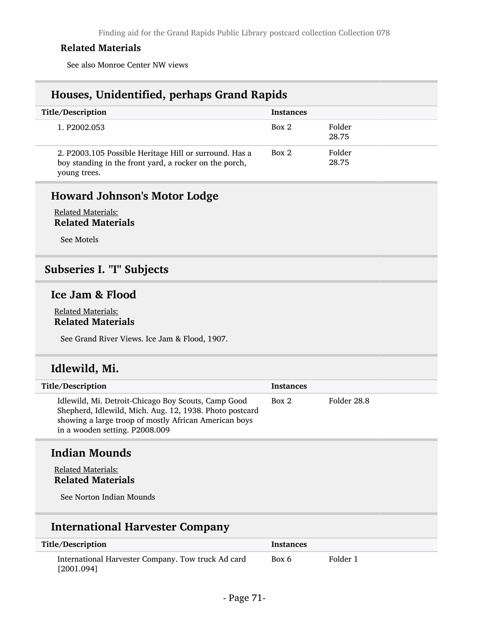See also Monroe Center NW views

## Houses, Unidentified, perhaps Grand Rapids

| Title/Description                                                                                                                | <b>Instances</b> |                 |
|----------------------------------------------------------------------------------------------------------------------------------|------------------|-----------------|
| 1. P2002.053                                                                                                                     | Box 2            | Folder<br>28.75 |
| 2. P2003.105 Possible Heritage Hill or surround. Has a<br>boy standing in the front yard, a rocker on the porch,<br>young trees. | Box 2            | Folder<br>28.75 |

## Howard Johnson's Motor Lodge

#### Related Materials: Related Materials

See Motels

## Subseries I. "I" Subjects

## Ice Jam & Flood

#### Related Materials: Related Materials

See Grand River Views. Ice Jam & Flood, 1907.

## Idlewild, Mi.

| Title/Description                                                                                                                                                                                         | <b>Instances</b> |             |
|-----------------------------------------------------------------------------------------------------------------------------------------------------------------------------------------------------------|------------------|-------------|
| Idlewild, Mi. Detroit-Chicago Boy Scouts, Camp Good<br>Shepherd, Idlewild, Mich. Aug. 12, 1938. Photo postcard<br>showing a large troop of mostly African American boys<br>in a wooden setting. P2008.009 | Box 2            | Folder 28.8 |

## Indian Mounds

#### Related Materials: Related Materials

See Norton Indian Mounds

## International Harvester Company

| Title/Description                                                | Instances |          |
|------------------------------------------------------------------|-----------|----------|
| International Harvester Company. Tow truck Ad card<br>[2001.094] | Box 6     | Folder 1 |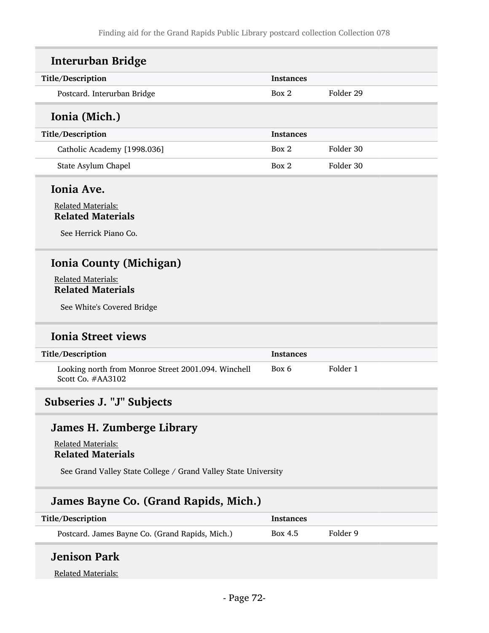| <b>Interurban Bridge</b>                                                 |                  |           |
|--------------------------------------------------------------------------|------------------|-----------|
| Title/Description                                                        | <b>Instances</b> |           |
| Postcard. Interurban Bridge                                              | Box 2            | Folder 29 |
| Ionia (Mich.)                                                            |                  |           |
| Title/Description                                                        | <b>Instances</b> |           |
| Catholic Academy [1998.036]                                              | Box 2            | Folder 30 |
| State Asylum Chapel                                                      | Box 2            | Folder 30 |
| Ionia Ave.                                                               |                  |           |
| <b>Related Materials:</b><br><b>Related Materials</b>                    |                  |           |
| See Herrick Piano Co.                                                    |                  |           |
| <b>Ionia County (Michigan)</b>                                           |                  |           |
| <b>Related Materials:</b>                                                |                  |           |
| <b>Related Materials</b>                                                 |                  |           |
| See White's Covered Bridge                                               |                  |           |
| <b>Ionia Street views</b>                                                |                  |           |
| Title/Description                                                        | <b>Instances</b> |           |
| Looking north from Monroe Street 2001.094. Winchell<br>Scott Co. #AA3102 | Box 6            | Folder 1  |

# Subseries J. "J" Subjects

## James H. Zumberge Library

Related Materials: Related Materials

See Grand Valley State College / Grand Valley State University

## James Bayne Co. (Grand Rapids, Mich.)

| Title/Description                               | Instances |          |
|-------------------------------------------------|-----------|----------|
| Postcard. James Bayne Co. (Grand Rapids, Mich.) | Box 4.5   | Folder 9 |

# Jenison Park

Related Materials: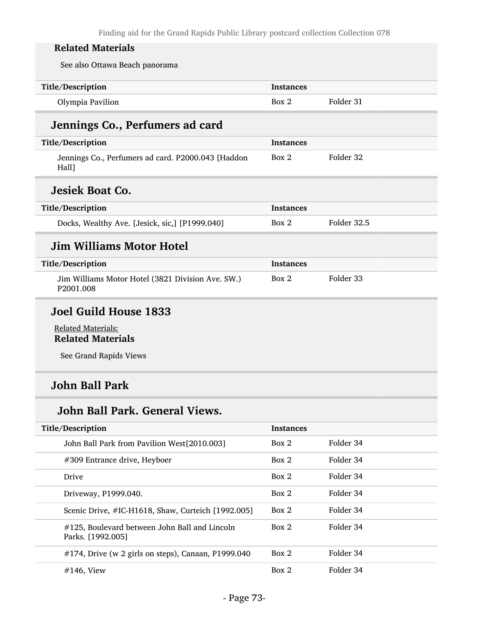See also Ottawa Beach panorama

| Title/Description<br><b>Instances</b>  |  |
|----------------------------------------|--|
| Folder 31<br>Olympia Pavilion<br>Box 2 |  |

# Jennings Co., Perfumers ad card

| Title/Description                                           | <b>Instances</b> |           |
|-------------------------------------------------------------|------------------|-----------|
| Jennings Co., Perfumers ad card. P2000.043 [Haddon<br>Hall] | Box 2            | Folder 32 |
| <b>Jesiek Boat Co.</b>                                      |                  |           |

# Title/Description Instances Docks, Wealthy Ave. [Jesick, sic,] [P1999.040] Box 2 Folder 32.5

### Jim Williams Motor Hotel

| Title/Description                                                          | Instances |           |
|----------------------------------------------------------------------------|-----------|-----------|
| Jim Williams Motor Hotel (3821 Division Ave. SW.)<br>P <sub>2001.008</sub> | Box 2     | Folder 33 |

### Joel Guild House 1833

#### Related Materials: Related Materials

See Grand Rapids Views

### John Ball Park

### John Ball Park. General Views.

| Title/Description                                                      | <b>Instances</b> |           |
|------------------------------------------------------------------------|------------------|-----------|
| John Ball Park from Pavilion West[2010.003]                            | Box 2            | Folder 34 |
| #309 Entrance drive, Heyboer                                           | Box 2            | Folder 34 |
| Drive                                                                  | Box 2            | Folder 34 |
| Driveway, P1999.040.                                                   | Box 2            | Folder 34 |
| Scenic Drive, #IC-H1618, Shaw, Curteich [1992.005]                     | Box 2            | Folder 34 |
| $\#125$ , Boulevard between John Ball and Lincoln<br>Parks. [1992.005] | Box 2            | Folder 34 |
| $#174$ , Drive (w 2 girls on steps), Canaan, P1999.040                 | Box 2            | Folder 34 |
| $\#146$ . View                                                         | Box 2            | Folder 34 |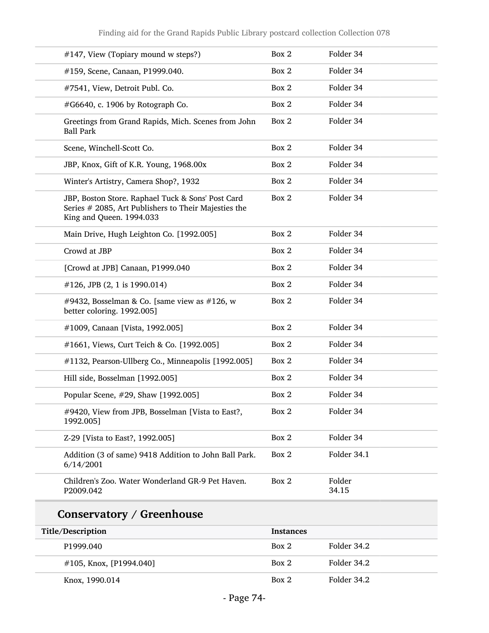| #147, View (Topiary mound w steps?)                                                                                                   | Box 2            | Folder 34       |
|---------------------------------------------------------------------------------------------------------------------------------------|------------------|-----------------|
| #159, Scene, Canaan, P1999.040.                                                                                                       | Box 2            | Folder 34       |
| #7541, View, Detroit Publ. Co.                                                                                                        | Box 2            | Folder 34       |
| #G6640, c. 1906 by Rotograph Co.                                                                                                      | Box 2            | Folder 34       |
| Greetings from Grand Rapids, Mich. Scenes from John<br><b>Ball Park</b>                                                               | Box 2            | Folder 34       |
| Scene, Winchell-Scott Co.                                                                                                             | Box 2            | Folder 34       |
| JBP, Knox, Gift of K.R. Young, 1968.00x                                                                                               | Box 2            | Folder 34       |
| Winter's Artistry, Camera Shop?, 1932                                                                                                 | Box 2            | Folder 34       |
| JBP, Boston Store. Raphael Tuck & Sons' Post Card<br>Series # 2085, Art Publishers to Their Majesties the<br>King and Queen. 1994.033 | Box 2            | Folder 34       |
| Main Drive, Hugh Leighton Co. [1992.005]                                                                                              | Box 2            | Folder 34       |
| Crowd at JBP                                                                                                                          | Box 2            | Folder 34       |
| [Crowd at JPB] Canaan, P1999.040                                                                                                      | Box 2            | Folder 34       |
| $\#126$ , JPB (2, 1 is 1990.014)                                                                                                      | Box 2            | Folder 34       |
| #9432, Bosselman & Co. [same view as $#126$ , w<br>better coloring. 1992.005]                                                         | Box 2            | Folder 34       |
| #1009, Canaan [Vista, 1992.005]                                                                                                       | Box 2            | Folder 34       |
| #1661, Views, Curt Teich & Co. [1992.005]                                                                                             | Box 2            | Folder 34       |
| #1132, Pearson-Ullberg Co., Minneapolis [1992.005]                                                                                    | Box 2            | Folder 34       |
| Hill side, Bosselman [1992.005]                                                                                                       | Box 2            | Folder 34       |
| Popular Scene, #29, Shaw [1992.005]                                                                                                   | Box 2            | Folder 34       |
| #9420, View from JPB, Bosselman [Vista to East?,<br>1992.005]                                                                         | Box 2            | Folder 34       |
| Z-29 [Vista to East?, 1992.005]                                                                                                       | Box 2            | Folder 34       |
| Addition (3 of same) 9418 Addition to John Ball Park.<br>6/14/2001                                                                    | Box 2            | Folder 34.1     |
| Children's Zoo. Water Wonderland GR-9 Pet Haven.<br>P2009.042                                                                         | Box 2            | Folder<br>34.15 |
| <b>Conservatory / Greenhouse</b>                                                                                                      |                  |                 |
| Title/Description                                                                                                                     | <b>Instances</b> |                 |
| P1999.040                                                                                                                             | Box 2            | Folder 34.2     |
| #105, Knox, [P1994.040]                                                                                                               | Box 2            | Folder 34.2     |
| Knox, 1990.014                                                                                                                        | Box 2            | Folder 34.2     |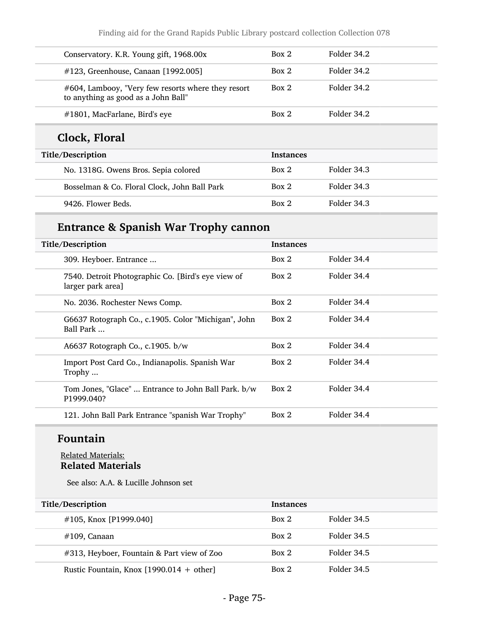Finding aid for the Grand Rapids Public Library postcard collection Collection 078

| Conservatory. K.R. Young gift, 1968.00x                                                   | Box 2            | Folder 34.2 |
|-------------------------------------------------------------------------------------------|------------------|-------------|
| #123, Greenhouse, Canaan [1992.005]                                                       | Box 2            | Folder 34.2 |
| #604, Lambooy, "Very few resorts where they resort<br>to anything as good as a John Ball" | Box 2            | Folder 34.2 |
| #1801, MacFarlane, Bird's eye                                                             | Box 2            | Folder 34.2 |
|                                                                                           |                  |             |
| Clock, Floral                                                                             |                  |             |
| Title/Description                                                                         | <b>Instances</b> |             |
| No. 1318G. Owens Bros. Sepia colored                                                      | Box 2            | Folder 34.3 |
| Bosselman & Co. Floral Clock, John Ball Park                                              | Box 2            | Folder 34.3 |

# Entrance & Spanish War Trophy cannon

| Title/Description                                                       | <b>Instances</b> |             |
|-------------------------------------------------------------------------|------------------|-------------|
| 309. Heyboer. Entrance                                                  | Box 2            | Folder 34.4 |
| 7540. Detroit Photographic Co. [Bird's eye view of<br>larger park area] | Box 2            | Folder 34.4 |
| No. 2036. Rochester News Comp.                                          | Box 2            | Folder 34.4 |
| G6637 Rotograph Co., c.1905. Color "Michigan", John<br>Ball Park        | Box 2            | Folder 34.4 |
| A6637 Rotograph Co., c.1905. b/w                                        | Box 2            | Folder 34.4 |
| Import Post Card Co., Indianapolis. Spanish War<br>Trophy               | Box 2            | Folder 34.4 |
| Tom Jones, "Glace"  Entrance to John Ball Park. b/w<br>P1999.040?       | Box 2            | Folder 34.4 |
| 121. John Ball Park Entrance "spanish War Trophy"                       | Box 2            | Folder 34.4 |

### Fountain

#### Related Materials: Related Materials

See also: A.A. & Lucille Johnson set

| Title/Description                          | <b>Instances</b> |             |
|--------------------------------------------|------------------|-------------|
| $\#105$ , Knox [P1999.040]                 | Box 2            | Folder 34.5 |
| $#109$ , Canaan                            | Box 2            | Folder 34.5 |
| #313, Heyboer, Fountain & Part view of Zoo | Box 2            | Folder 34.5 |
| Rustic Fountain, Knox $[1990.014 + other]$ | Box 2            | Folder 34.5 |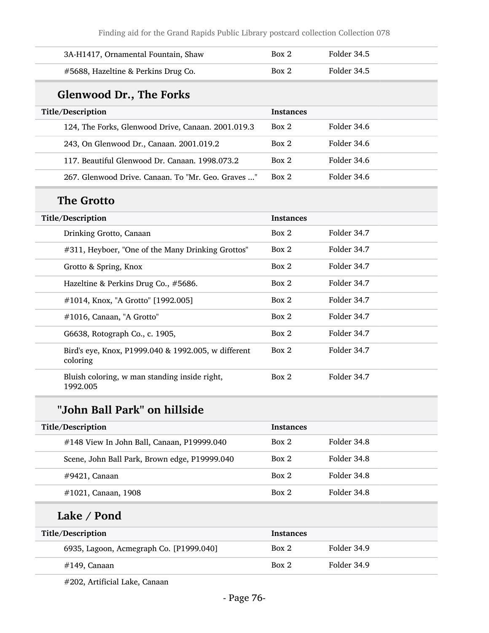Finding aid for the Grand Rapids Public Library postcard collection Collection 078

| 3A-H1417, Ornamental Fountain, Shaw                             | Box 2            | Folder 34.5 |
|-----------------------------------------------------------------|------------------|-------------|
| #5688, Hazeltine & Perkins Drug Co.                             | Box 2            | Folder 34.5 |
| <b>Glenwood Dr., The Forks</b>                                  |                  |             |
| Title/Description                                               | <b>Instances</b> |             |
| 124, The Forks, Glenwood Drive, Canaan. 2001.019.3              | Box 2            | Folder 34.6 |
| 243, On Glenwood Dr., Canaan. 2001.019.2                        | Box 2            | Folder 34.6 |
| 117. Beautiful Glenwood Dr. Canaan. 1998.073.2                  | Box 2            | Folder 34.6 |
| 267. Glenwood Drive. Canaan. To "Mr. Geo. Graves "              | Box 2            | Folder 34.6 |
| <b>The Grotto</b>                                               |                  |             |
| Title/Description                                               | <b>Instances</b> |             |
| Drinking Grotto, Canaan                                         | Box 2            | Folder 34.7 |
| #311, Heyboer, "One of the Many Drinking Grottos"               | Box 2            | Folder 34.7 |
| Grotto & Spring, Knox                                           | Box 2            | Folder 34.7 |
| Hazeltine & Perkins Drug Co., #5686.                            | Box 2            | Folder 34.7 |
| #1014, Knox, "A Grotto" [1992.005]                              | Box 2            | Folder 34.7 |
| #1016, Canaan, "A Grotto"                                       | Box 2            | Folder 34.7 |
| G6638, Rotograph Co., c. 1905,                                  | Box 2            | Folder 34.7 |
| Bird's eye, Knox, P1999.040 & 1992.005, w different<br>coloring | Box 2            | Folder 34.7 |
| Bluish coloring, w man standing inside right,<br>1992.005       | Box 2            | Folder 34.7 |
| "John Ball Park" on hillside                                    |                  |             |
| Title/Description                                               | <b>Instances</b> |             |
| #148 View In John Ball, Canaan, P19999.040                      | Box 2            | Folder 34.8 |
| Scene, John Ball Park, Brown edge, P19999.040                   | Box 2            | Folder 34.8 |
| #9421, Canaan                                                   | Box 2            | Folder 34.8 |
| #1021, Canaan, 1908                                             | Box 2            | Folder 34.8 |
| Lake / Pond                                                     |                  |             |
| Title/Description                                               | <b>Instances</b> |             |
| 6935, Lagoon, Acmegraph Co. [P1999.040]                         | Box 2            | Folder 34.9 |
| #149, Canaan                                                    | Box 2            | Folder 34.9 |
|                                                                 |                  |             |

#202, Artificial Lake, Canaan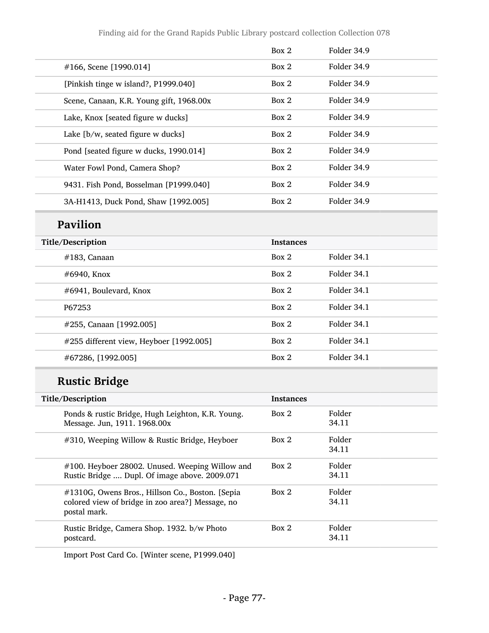|                                          | Box 2 | Folder 34.9 |
|------------------------------------------|-------|-------------|
| $\#166$ , Scene [1990.014]               | Box 2 | Folder 34.9 |
| [Pinkish tinge w island?, P1999.040]     | Box 2 | Folder 34.9 |
| Scene, Canaan, K.R. Young gift, 1968.00x | Box 2 | Folder 34.9 |
| Lake, Knox [seated figure w ducks]       | Box 2 | Folder 34.9 |
| Lake [b/w, seated figure w ducks]        | Box 2 | Folder 34.9 |
| Pond [seated figure w ducks, 1990.014]   | Box 2 | Folder 34.9 |
| Water Fowl Pond, Camera Shop?            | Box 2 | Folder 34.9 |
| 9431. Fish Pond, Bosselman [P1999.040]   | Box 2 | Folder 34.9 |
| 3A-H1413, Duck Pond, Shaw [1992.005]     | Box 2 | Folder 34.9 |

# Pavilion

| Title/Description                       | <b>Instances</b> |             |
|-----------------------------------------|------------------|-------------|
| $#183$ , Canaan                         | Box 2            | Folder 34.1 |
| $\#6940$ , Knox                         | Box 2            | Folder 34.1 |
| #6941, Boulevard, Knox                  | Box 2            | Folder 34.1 |
| P67253                                  | Box 2            | Folder 34.1 |
| #255, Canaan [1992.005]                 | Box 2            | Folder 34.1 |
| #255 different view, Heyboer [1992.005] | Box 2            | Folder 34.1 |
| #67286, [1992.005]                      | Box 2            | Folder 34.1 |

# Rustic Bridge

| Title/Description                                                                                                    | <b>Instances</b> |                 |
|----------------------------------------------------------------------------------------------------------------------|------------------|-----------------|
| Ponds & rustic Bridge, Hugh Leighton, K.R. Young.<br>Message. Jun, 1911. 1968.00x                                    | Box 2            | Folder<br>34.11 |
| #310, Weeping Willow & Rustic Bridge, Heyboer                                                                        | Box 2            | Folder<br>34.11 |
| $\#100$ . Heyboer 28002. Unused. Weeping Willow and<br>Rustic Bridge  Dupl. Of image above. 2009.071                 | Box 2            | Folder<br>34.11 |
| #1310G, Owens Bros., Hillson Co., Boston. [Sepia<br>colored view of bridge in zoo area?] Message, no<br>postal mark. | Box 2            | Folder<br>34.11 |
| Rustic Bridge, Camera Shop. 1932. b/w Photo<br>postcard.                                                             | Box 2            | Folder<br>34.11 |
|                                                                                                                      |                  |                 |

Import Post Card Co. [Winter scene, P1999.040]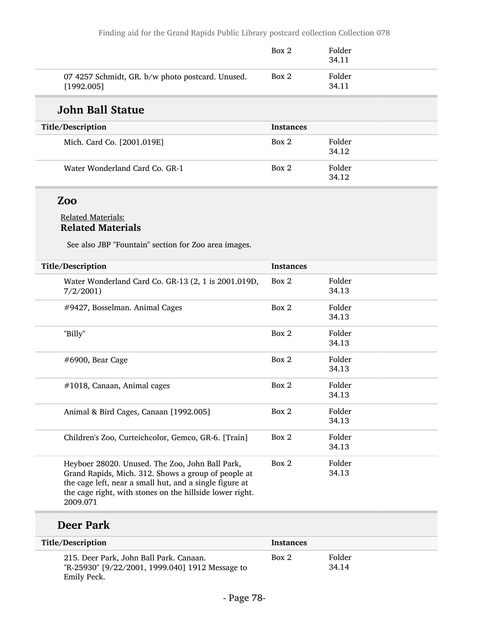|                                                                | Box 2 | Folder<br>34.11 |  |
|----------------------------------------------------------------|-------|-----------------|--|
| 07 4257 Schmidt, GR. b/w photo postcard. Unused.<br>[1992.005] | Box 2 | Folder<br>34.11 |  |

### John Ball Statue

| Title/Description              | <b>Instances</b> |                 |
|--------------------------------|------------------|-----------------|
| Mich. Card Co. [2001.019E]     | Box 2            | Folder<br>34.12 |
| Water Wonderland Card Co. GR-1 | Box 2            | Folder<br>34.12 |

### Zoo

#### Related Materials: Related Materials

See also JBP "Fountain" section for Zoo area images.

| Title/Description                                                                                                                                                                                                                         | <b>Instances</b> |                 |
|-------------------------------------------------------------------------------------------------------------------------------------------------------------------------------------------------------------------------------------------|------------------|-----------------|
| Water Wonderland Card Co. GR-13 (2, 1 is 2001.019D,<br>7/2/2001                                                                                                                                                                           | Box 2            | Folder<br>34.13 |
| #9427, Bosselman. Animal Cages                                                                                                                                                                                                            | Box 2            | Folder<br>34.13 |
| "Billy"                                                                                                                                                                                                                                   | Box 2            | Folder<br>34.13 |
| $\#6900$ , Bear Cage                                                                                                                                                                                                                      | Box 2            | Folder<br>34.13 |
| #1018, Canaan, Animal cages                                                                                                                                                                                                               | Box 2            | Folder<br>34.13 |
| Animal & Bird Cages, Canaan [1992.005]                                                                                                                                                                                                    | Box 2            | Folder<br>34.13 |
| Children's Zoo, Curteichcolor, Gemco, GR-6. [Train]                                                                                                                                                                                       | Box 2            | Folder<br>34.13 |
| Heyboer 28020. Unused. The Zoo, John Ball Park,<br>Grand Rapids, Mich. 312. Shows a group of people at<br>the cage left, near a small hut, and a single figure at<br>the cage right, with stones on the hillside lower right.<br>2009.071 | Box 2            | Folder<br>34.13 |

### Deer Park

| Title/Description                                                                                         | <b>Instances</b> |                 |  |
|-----------------------------------------------------------------------------------------------------------|------------------|-----------------|--|
| 215. Deer Park, John Ball Park. Canaan.<br>"R-25930" [9/22/2001, 1999.040] 1912 Message to<br>Emily Peck. | Box 2            | Folder<br>34.14 |  |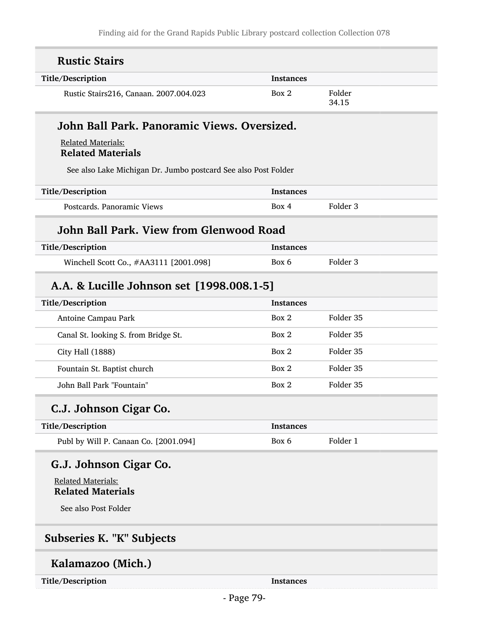| <b>Rustic Stairs</b>                                           |                  |                     |
|----------------------------------------------------------------|------------------|---------------------|
| Title/Description                                              | <b>Instances</b> |                     |
| Rustic Stairs216, Canaan. 2007.004.023                         | Box 2            | Folder<br>34.15     |
| John Ball Park. Panoramic Views. Oversized.                    |                  |                     |
| <b>Related Materials:</b><br><b>Related Materials</b>          |                  |                     |
| See also Lake Michigan Dr. Jumbo postcard See also Post Folder |                  |                     |
| Title/Description                                              | <b>Instances</b> |                     |
| Postcards. Panoramic Views                                     | Box 4            | Folder <sub>3</sub> |
| John Ball Park, View from Glenwood Road                        |                  |                     |
| Title/Description                                              | <b>Instances</b> |                     |
| Winchell Scott Co., #AA3111 [2001.098]                         | Box 6            | Folder 3            |
| A.A. & Lucille Johnson set [1998.008.1-5]                      |                  |                     |
| Title/Description                                              | <b>Instances</b> |                     |
| Antoine Campau Park                                            | Box 2            | Folder 35           |
| Canal St. looking S. from Bridge St.                           | Box 2            | Folder 35           |
| City Hall (1888)                                               | Box 2            | Folder 35           |
| Fountain St. Baptist church                                    | Box 2            | Folder 35           |
| John Ball Park "Fountain"                                      | Box 2            | Folder 35           |
| C.J. Johnson Cigar Co.                                         |                  |                     |
| Title/Description                                              | <b>Instances</b> |                     |
| Publ by Will P. Canaan Co. [2001.094]                          | Box 6            | Folder 1            |
| G.J. Johnson Cigar Co.                                         |                  |                     |
| <b>Related Materials:</b>                                      |                  |                     |
| <b>Related Materials</b>                                       |                  |                     |
| See also Post Folder                                           |                  |                     |
| Subseries K. "K" Subjects                                      |                  |                     |
| Kalamazoo (Mich.)                                              |                  |                     |

Title/Description Instances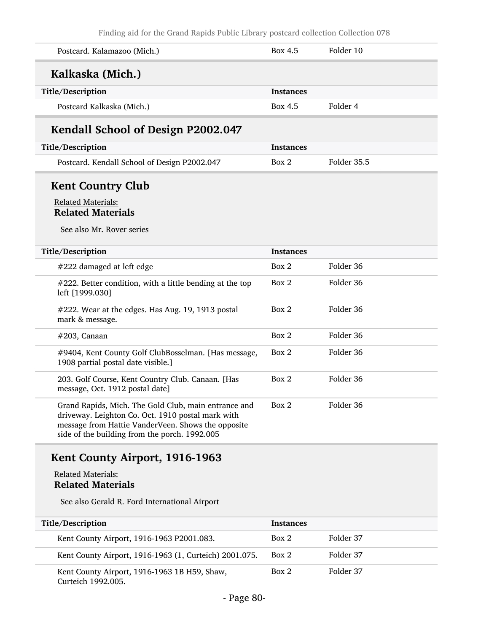| Postcard. Kalamazoo (Mich.)                                                                                                                                                                                      | Box 4.5          | Folder 10   |
|------------------------------------------------------------------------------------------------------------------------------------------------------------------------------------------------------------------|------------------|-------------|
| Kalkaska (Mich.)                                                                                                                                                                                                 |                  |             |
| Title/Description                                                                                                                                                                                                | <b>Instances</b> |             |
| Postcard Kalkaska (Mich.)                                                                                                                                                                                        | Box 4.5          | Folder 4    |
| Kendall School of Design P2002.047                                                                                                                                                                               |                  |             |
| Title/Description                                                                                                                                                                                                | <b>Instances</b> |             |
| Postcard. Kendall School of Design P2002.047                                                                                                                                                                     | Box 2            | Folder 35.5 |
| <b>Kent Country Club</b>                                                                                                                                                                                         |                  |             |
| <b>Related Materials:</b><br><b>Related Materials</b>                                                                                                                                                            |                  |             |
| See also Mr. Rover series                                                                                                                                                                                        |                  |             |
| Title/Description                                                                                                                                                                                                | <b>Instances</b> |             |
| #222 damaged at left edge                                                                                                                                                                                        | Box 2            | Folder 36   |
| #222. Better condition, with a little bending at the top<br>left [1999.030]                                                                                                                                      | Box 2            | Folder 36   |
| #222. Wear at the edges. Has Aug. 19, 1913 postal<br>mark & message.                                                                                                                                             | Box 2            | Folder 36   |
| $#203$ , Canaan                                                                                                                                                                                                  | Box 2            | Folder 36   |
| #9404, Kent County Golf ClubBosselman. [Has message,<br>1908 partial postal date visible.]                                                                                                                       | Box 2            | Folder 36   |
| 203. Golf Course, Kent Country Club. Canaan. [Has<br>message, Oct. 1912 postal date]                                                                                                                             | Box 2            | Folder 36   |
| Grand Rapids, Mich. The Gold Club, main entrance and<br>driveway. Leighton Co. Oct. 1910 postal mark with<br>message from Hattie VanderVeen. Shows the opposite<br>side of the building from the porch. 1992.005 | Box 2            | Folder 36   |

#### Related Materials: Related Materials

See also Gerald R. Ford International Airport

| Title/Description                                                  | <b>Instances</b> |           |
|--------------------------------------------------------------------|------------------|-----------|
| Kent County Airport, 1916-1963 P2001.083.                          | Box 2            | Folder 37 |
| Kent County Airport, 1916-1963 (1, Curteich) 2001.075.             | Box 2            | Folder 37 |
| Kent County Airport, 1916-1963 1B H59, Shaw,<br>Curteich 1992.005. | Box 2            | Folder 37 |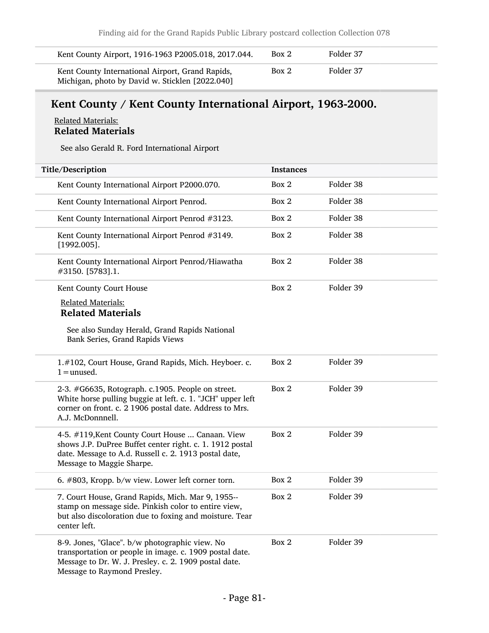| Kent County Airport, 1916-1963 P2005.018, 2017.044.                                                 | Box 2 | Folder 37 |
|-----------------------------------------------------------------------------------------------------|-------|-----------|
| Kent County International Airport, Grand Rapids,<br>Michigan, photo by David w. Sticklen [2022.040] | Box 2 | Folder 37 |

# Kent County / Kent County International Airport, 1963-2000.

#### Related Materials: Related Materials

See also Gerald R. Ford International Airport

| Title/Description                                                                                                                                                                                  | <b>Instances</b> |           |
|----------------------------------------------------------------------------------------------------------------------------------------------------------------------------------------------------|------------------|-----------|
| Kent County International Airport P2000.070.                                                                                                                                                       | Box 2            | Folder 38 |
| Kent County International Airport Penrod.                                                                                                                                                          | Box 2            | Folder 38 |
| Kent County International Airport Penrod #3123.                                                                                                                                                    | Box 2            | Folder 38 |
| Kent County International Airport Penrod #3149.<br>$[1992.005]$ .                                                                                                                                  | Box 2            | Folder 38 |
| Kent County International Airport Penrod/Hiawatha<br>#3150. [5783].1.                                                                                                                              | Box 2            | Folder 38 |
| Kent County Court House                                                                                                                                                                            | Box 2            | Folder 39 |
| <b>Related Materials:</b>                                                                                                                                                                          |                  |           |
| <b>Related Materials</b>                                                                                                                                                                           |                  |           |
| See also Sunday Herald, Grand Rapids National<br>Bank Series, Grand Rapids Views                                                                                                                   |                  |           |
| 1.#102, Court House, Grand Rapids, Mich. Heyboer. c.<br>$1 =$ unused.                                                                                                                              | Box 2            | Folder 39 |
| 2-3. #G6635, Rotograph. c.1905. People on street.<br>White horse pulling buggie at left. c. 1. "JCH" upper left<br>corner on front. c. 2 1906 postal date. Address to Mrs.<br>A.J. McDonnnell.     | Box 2            | Folder 39 |
| 4-5. #119, Kent County Court House  Canaan. View<br>shows J.P. DuPree Buffet center right. c. 1. 1912 postal<br>date. Message to A.d. Russell c. 2. 1913 postal date,<br>Message to Maggie Sharpe. | Box 2            | Folder 39 |
| 6. #803, Kropp. b/w view. Lower left corner torn.                                                                                                                                                  | Box 2            | Folder 39 |
| 7. Court House, Grand Rapids, Mich. Mar 9, 1955--<br>stamp on message side. Pinkish color to entire view,<br>but also discoloration due to foxing and moisture. Tear<br>center left.               | Box 2            | Folder 39 |
| 8-9. Jones, "Glace". b/w photographic view. No<br>transportation or people in image. c. 1909 postal date.<br>Message to Dr. W. J. Presley. c. 2. 1909 postal date.<br>Message to Raymond Presley.  | Box 2            | Folder 39 |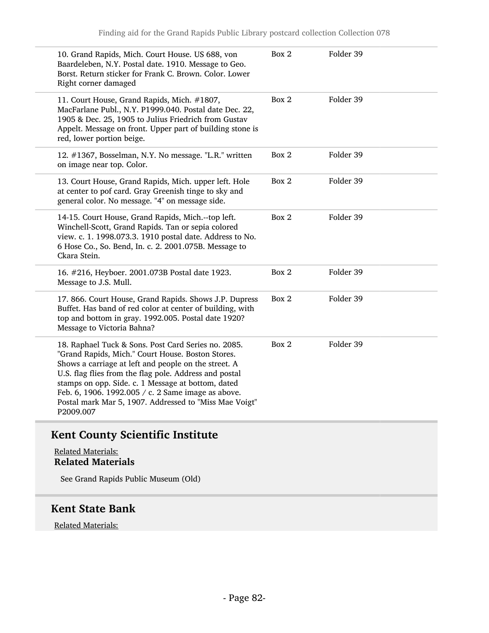| Folder 39<br>Box 2<br>10. Grand Rapids, Mich. Court House. US 688, von<br>Baardeleben, N.Y. Postal date. 1910. Message to Geo.<br>Borst. Return sticker for Frank C. Brown. Color. Lower<br>Right corner damaged<br>Folder 39<br>Box 2<br>11. Court House, Grand Rapids, Mich. #1807,<br>MacFarlane Publ., N.Y. P1999.040. Postal date Dec. 22,<br>1905 & Dec. 25, 1905 to Julius Friedrich from Gustav<br>Appelt. Message on front. Upper part of building stone is<br>red, lower portion beige.<br>Folder 39<br>12. #1367, Bosselman, N.Y. No message. "L.R." written<br>Box 2<br>on image near top. Color.<br>Folder 39<br>Box 2<br>13. Court House, Grand Rapids, Mich. upper left. Hole<br>at center to pof card. Gray Greenish tinge to sky and<br>general color. No message. "4" on message side.<br>Box 2<br>Folder 39<br>14-15. Court House, Grand Rapids, Mich.--top left.<br>Winchell-Scott, Grand Rapids. Tan or sepia colored<br>view. c. 1. 1998.073.3. 1910 postal date. Address to No.<br>6 Hose Co., So. Bend, In. c. 2. 2001.075B. Message to<br>Ckara Stein.<br>Folder 39<br>Box 2<br>16. #216, Heyboer. 2001.073B Postal date 1923.<br>Message to J.S. Mull.<br>Box 2<br>Folder 39<br>17. 866. Court House, Grand Rapids. Shows J.P. Dupress<br>Buffet. Has band of red color at center of building, with<br>top and bottom in gray. 1992.005. Postal date 1920?<br>Message to Victoria Bahna?<br>Folder 39<br>Box 2<br>18. Raphael Tuck & Sons. Post Card Series no. 2085.<br>"Grand Rapids, Mich." Court House. Boston Stores.<br>Shows a carriage at left and people on the street. A<br>U.S. flag flies from the flag pole. Address and postal<br>stamps on opp. Side. c. 1 Message at bottom, dated<br>Feb. 6, 1906. 1992.005 / c. 2 Same image as above.<br>Postal mark Mar 5, 1907. Addressed to "Miss Mae Voigt"<br>P2009.007 |  |  |
|-----------------------------------------------------------------------------------------------------------------------------------------------------------------------------------------------------------------------------------------------------------------------------------------------------------------------------------------------------------------------------------------------------------------------------------------------------------------------------------------------------------------------------------------------------------------------------------------------------------------------------------------------------------------------------------------------------------------------------------------------------------------------------------------------------------------------------------------------------------------------------------------------------------------------------------------------------------------------------------------------------------------------------------------------------------------------------------------------------------------------------------------------------------------------------------------------------------------------------------------------------------------------------------------------------------------------------------------------------------------------------------------------------------------------------------------------------------------------------------------------------------------------------------------------------------------------------------------------------------------------------------------------------------------------------------------------------------------------------------------------------------------------------------------------------------------------------------------------------------|--|--|
|                                                                                                                                                                                                                                                                                                                                                                                                                                                                                                                                                                                                                                                                                                                                                                                                                                                                                                                                                                                                                                                                                                                                                                                                                                                                                                                                                                                                                                                                                                                                                                                                                                                                                                                                                                                                                                                           |  |  |
|                                                                                                                                                                                                                                                                                                                                                                                                                                                                                                                                                                                                                                                                                                                                                                                                                                                                                                                                                                                                                                                                                                                                                                                                                                                                                                                                                                                                                                                                                                                                                                                                                                                                                                                                                                                                                                                           |  |  |
|                                                                                                                                                                                                                                                                                                                                                                                                                                                                                                                                                                                                                                                                                                                                                                                                                                                                                                                                                                                                                                                                                                                                                                                                                                                                                                                                                                                                                                                                                                                                                                                                                                                                                                                                                                                                                                                           |  |  |
|                                                                                                                                                                                                                                                                                                                                                                                                                                                                                                                                                                                                                                                                                                                                                                                                                                                                                                                                                                                                                                                                                                                                                                                                                                                                                                                                                                                                                                                                                                                                                                                                                                                                                                                                                                                                                                                           |  |  |
|                                                                                                                                                                                                                                                                                                                                                                                                                                                                                                                                                                                                                                                                                                                                                                                                                                                                                                                                                                                                                                                                                                                                                                                                                                                                                                                                                                                                                                                                                                                                                                                                                                                                                                                                                                                                                                                           |  |  |
|                                                                                                                                                                                                                                                                                                                                                                                                                                                                                                                                                                                                                                                                                                                                                                                                                                                                                                                                                                                                                                                                                                                                                                                                                                                                                                                                                                                                                                                                                                                                                                                                                                                                                                                                                                                                                                                           |  |  |
|                                                                                                                                                                                                                                                                                                                                                                                                                                                                                                                                                                                                                                                                                                                                                                                                                                                                                                                                                                                                                                                                                                                                                                                                                                                                                                                                                                                                                                                                                                                                                                                                                                                                                                                                                                                                                                                           |  |  |
|                                                                                                                                                                                                                                                                                                                                                                                                                                                                                                                                                                                                                                                                                                                                                                                                                                                                                                                                                                                                                                                                                                                                                                                                                                                                                                                                                                                                                                                                                                                                                                                                                                                                                                                                                                                                                                                           |  |  |

# Kent County Scientific Institute

Related Materials: Related Materials

See Grand Rapids Public Museum (Old)

### Kent State Bank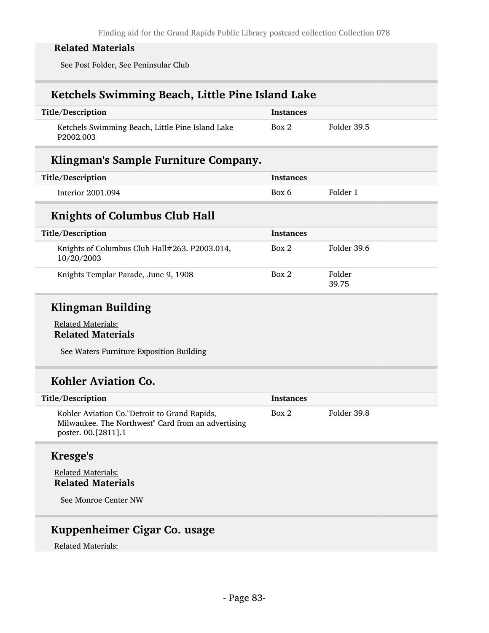See Post Folder, See Peninsular Club

### Ketchels Swimming Beach, Little Pine Island Lake

| Title/Description                                                         | Instances |             |
|---------------------------------------------------------------------------|-----------|-------------|
| Ketchels Swimming Beach, Little Pine Island Lake<br>P <sub>2002.003</sub> | Box 2     | Folder 39.5 |

### Klingman's Sample Furniture Company.

| Title/Description | <b>Instances</b> |          |
|-------------------|------------------|----------|
| Interior 2001.094 | Box 6            | Folder 1 |

### Knights of Columbus Club Hall

| Title/Description                                           | <b>Instances</b> |                 |
|-------------------------------------------------------------|------------------|-----------------|
| Knights of Columbus Club Hall#263. P2003.014,<br>10/20/2003 | Box 2            | Folder 39.6     |
| Knights Templar Parade, June 9, 1908                        | Box 2            | Folder<br>39.75 |

### Klingman Building

#### Related Materials: Related Materials

See Waters Furniture Exposition Building

### Kohler Aviation Co.

| Title/Description                                                                                                         | Instances |             |
|---------------------------------------------------------------------------------------------------------------------------|-----------|-------------|
| Kohler Aviation Co."Detroit to Grand Rapids,<br>Milwaukee. The Northwest" Card from an advertising<br>poster. 00.[2811].1 | Box 2     | Folder 39.8 |

#### Kresge's

#### Related Materials: Related Materials

See Monroe Center NW

### Kuppenheimer Cigar Co. usage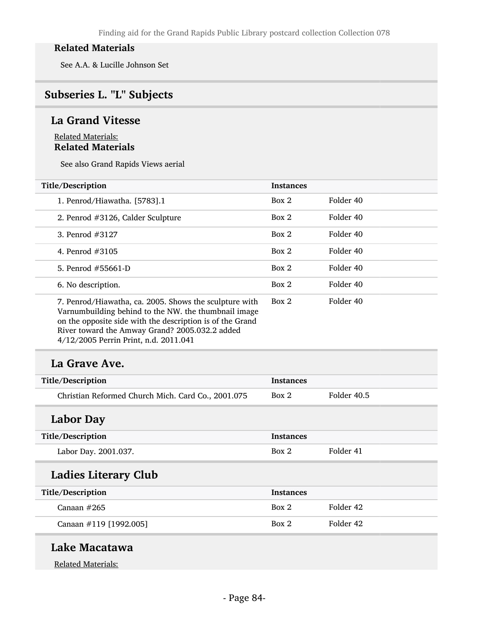See A.A. & Lucille Johnson Set

# Subseries L. "L" Subjects

### La Grand Vitesse

#### Related Materials: Related Materials

See also Grand Rapids Views aerial

| Title/Description                                                                                                                                                                                                                                                      | <b>Instances</b> |           |
|------------------------------------------------------------------------------------------------------------------------------------------------------------------------------------------------------------------------------------------------------------------------|------------------|-----------|
| 1. Penrod/Hiawatha. [5783].1                                                                                                                                                                                                                                           | Box 2            | Folder 40 |
| 2. Penrod #3126, Calder Sculpture                                                                                                                                                                                                                                      | Box 2            | Folder 40 |
| 3. Penrod #3127                                                                                                                                                                                                                                                        | Box 2            | Folder 40 |
| 4. Penrod $\#3105$                                                                                                                                                                                                                                                     | Box 2            | Folder 40 |
| 5. Penrod #55661-D                                                                                                                                                                                                                                                     | Box 2            | Folder 40 |
| 6. No description.                                                                                                                                                                                                                                                     | Box 2            | Folder 40 |
| 7. Penrod/Hiawatha, ca. 2005. Shows the sculpture with<br>Varnumbuilding behind to the NW. the thumbnail image<br>on the opposite side with the description is of the Grand<br>River toward the Amway Grand? 2005.032.2 added<br>4/12/2005 Perrin Print, n.d. 2011.041 | Box 2            | Folder 40 |

### La Grave Ave.

| Title/Description                                  | <b>Instances</b> |             |
|----------------------------------------------------|------------------|-------------|
| Christian Reformed Church Mich. Card Co., 2001.075 | Box 2            | Folder 40.5 |

# Labor Day

| Title/Description    | <b>Instances</b> |           |
|----------------------|------------------|-----------|
| Labor Day. 2001.037. | Box 2            | Folder 41 |
|                      |                  |           |

# Ladies Literary Club

| Title/Description      | <b>Instances</b> |           |
|------------------------|------------------|-----------|
| Canaan $#265$          | Box 2            | Folder 42 |
| Canaan #119 [1992.005] | Box 2            | Folder 42 |

### Lake Macatawa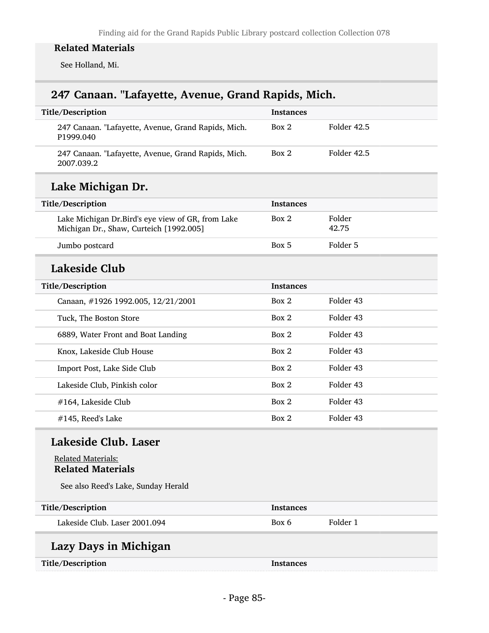See Holland, Mi.

# 247 Canaan. "Lafayette, Avenue, Grand Rapids, Mich.

| Title/Description                                                                            | Instances        |                 |
|----------------------------------------------------------------------------------------------|------------------|-----------------|
| 247 Canaan. "Lafayette, Avenue, Grand Rapids, Mich.<br>P1999.040                             | Box 2            | Folder 42.5     |
| 247 Canaan. "Lafayette, Avenue, Grand Rapids, Mich.<br>2007.039.2                            | Box 2            | Folder 42.5     |
| Lake Michigan Dr.                                                                            |                  |                 |
| Title/Description                                                                            | <b>Instances</b> |                 |
| Lake Michigan Dr.Bird's eye view of GR, from Lake<br>Michigan Dr., Shaw, Curteich [1992.005] | Box 2            | Folder<br>42.75 |
| Jumbo postcard                                                                               | Box 5            | Folder 5        |
| Lakeside Club                                                                                |                  |                 |
| Title/Description                                                                            | <b>Instances</b> |                 |
| Canaan, #1926 1992.005, 12/21/2001                                                           | Box 2            | Folder 43       |
| Tuck, The Boston Store                                                                       | Box 2            | Folder 43       |
| 6889, Water Front and Boat Landing                                                           | Box 2            | Folder 43       |
| Knox, Lakeside Club House                                                                    | Box 2            | Folder 43       |
| Import Post, Lake Side Club                                                                  | Box 2            | Folder 43       |
| Lakeside Club, Pinkish color                                                                 | Box 2            | Folder 43       |
| #164, Lakeside Club                                                                          | Box 2            | Folder 43       |
| #145, Reed's Lake                                                                            | Box 2            | Folder 43       |
| Lakeside Club. Laser                                                                         |                  |                 |
| <b>Related Materials:</b><br><b>Related Materials</b>                                        |                  |                 |
| See also Reed's Lake, Sunday Herald                                                          |                  |                 |
| Title/Description                                                                            | <b>Instances</b> |                 |
| Lakeside Club. Laser 2001.094                                                                | Box 6            | Folder 1        |
| Lazy Days in Michigan                                                                        |                  |                 |
| Title/Description                                                                            | <b>Instances</b> |                 |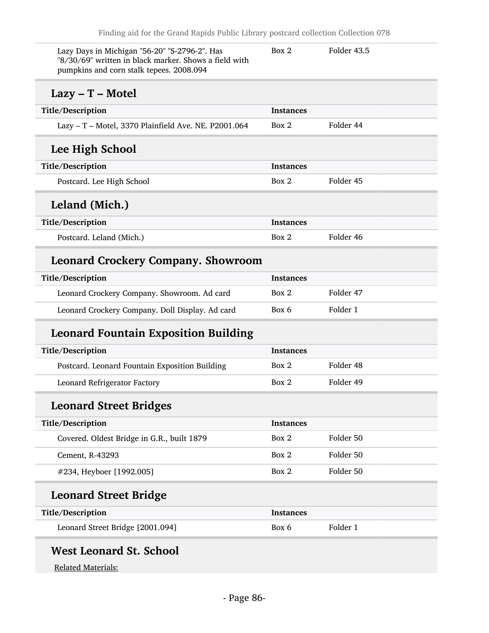| Lazy Days in Michigan "56-20" "S-2796-2". Has<br>"8/30/69" written in black marker. Shows a field with<br>pumpkins and corn stalk tepees. 2008.094 | Box 2            | Folder 43.5 |
|----------------------------------------------------------------------------------------------------------------------------------------------------|------------------|-------------|
| $Lazy - T - Motel$                                                                                                                                 |                  |             |
| Title/Description                                                                                                                                  | <b>Instances</b> |             |
| Lazy - T - Motel, 3370 Plainfield Ave. NE. P2001.064                                                                                               | Box 2            | Folder 44   |
| Lee High School                                                                                                                                    |                  |             |
| Title/Description                                                                                                                                  | <b>Instances</b> |             |
| Postcard. Lee High School                                                                                                                          | Box 2            | Folder 45   |
| Leland (Mich.)                                                                                                                                     |                  |             |
| Title/Description                                                                                                                                  | <b>Instances</b> |             |
| Postcard. Leland (Mich.)                                                                                                                           | Box 2            | Folder 46   |
| <b>Leonard Crockery Company. Showroom</b>                                                                                                          |                  |             |
| Title/Description                                                                                                                                  | <b>Instances</b> |             |
| Leonard Crockery Company. Showroom. Ad card                                                                                                        | Box 2            | Folder 47   |
| Leonard Crockery Company. Doll Display. Ad card                                                                                                    | Box 6            | Folder 1    |
| <b>Leonard Fountain Exposition Building</b>                                                                                                        |                  |             |
| Title/Description                                                                                                                                  | <b>Instances</b> |             |
| Postcard. Leonard Fountain Exposition Building                                                                                                     | Box 2            | Folder 48   |
| Leonard Refrigerator Factory                                                                                                                       | Box 2            | Folder 49   |
| <b>Leonard Street Bridges</b>                                                                                                                      |                  |             |
| Title/Description                                                                                                                                  | <b>Instances</b> |             |
| Covered. Oldest Bridge in G.R., built 1879                                                                                                         | Box 2            | Folder 50   |
| Cement, R-43293                                                                                                                                    | Box 2            | Folder 50   |
| #234, Heyboer [1992.005]                                                                                                                           | Box 2            | Folder 50   |
| <b>Leonard Street Bridge</b>                                                                                                                       |                  |             |
| Title/Description                                                                                                                                  | <b>Instances</b> |             |
| Leonard Street Bridge [2001.094]                                                                                                                   | Box 6            | Folder 1    |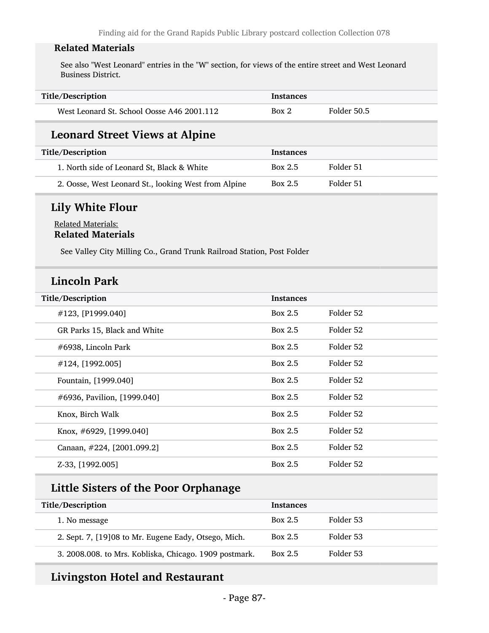See also "West Leonard" entries in the "W" section, for views of the entire street and West Leonard Business District.

| Title/Description                          | <b>Instances</b> |             |
|--------------------------------------------|------------------|-------------|
| West Leonard St. School Oosse A46 2001.112 | Box 2            | Folder 50.5 |

#### Leonard Street Views at Alpine

| Title/Description                                    | Instances |           |  |
|------------------------------------------------------|-----------|-----------|--|
| 1. North side of Leonard St, Black & White           | Box 2.5   | Folder 51 |  |
| 2. Oosse, West Leonard St., looking West from Alpine | Box 2.5   | Folder 51 |  |

#### Lily White Flour

#### Related Materials: Related Materials

See Valley City Milling Co., Grand Trunk Railroad Station, Post Folder

### Lincoln Park

| Title/Description            | <b>Instances</b> |           |
|------------------------------|------------------|-----------|
| $\#123$ , [P1999.040]        | Box 2.5          | Folder 52 |
| GR Parks 15, Black and White | Box 2.5          | Folder 52 |
| #6938, Lincoln Park          | Box 2.5          | Folder 52 |
| #124, [1992.005]             | Box 2.5          | Folder 52 |
| Fountain, [1999.040]         | Box 2.5          | Folder 52 |
| #6936, Pavilion, [1999.040]  | Box 2.5          | Folder 52 |
| Knox, Birch Walk             | Box 2.5          | Folder 52 |
| Knox, #6929, [1999.040]      | Box 2.5          | Folder 52 |
| Canaan, #224, [2001.099.2]   | Box 2.5          | Folder 52 |
| Z-33, [1992.005]             | Box 2.5          | Folder 52 |
|                              |                  |           |

### Little Sisters of the Poor Orphanage

| Title/Description                                      | Instances |           |
|--------------------------------------------------------|-----------|-----------|
| 1. No message                                          | Box 2.5   | Folder 53 |
| 2. Sept. 7, [19]08 to Mr. Eugene Eady, Otsego, Mich.   | Box 2.5   | Folder 53 |
| 3. 2008.008. to Mrs. Kobliska, Chicago. 1909 postmark. | Box 2.5   | Folder 53 |

### Livingston Hotel and Restaurant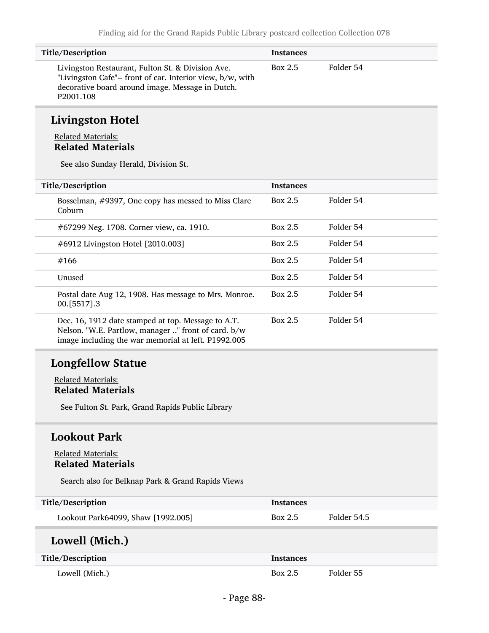| Title/Description                                                                                                                                                                | <b>Instances</b> |           |
|----------------------------------------------------------------------------------------------------------------------------------------------------------------------------------|------------------|-----------|
| Livingston Restaurant, Fulton St. & Division Ave.<br>"Livingston Cafe"-- front of car. Interior view, b/w, with<br>decorative board around image. Message in Dutch.<br>P2001.108 | Box 2.5          | Folder 54 |

# Livingston Hotel

#### Related Materials: Related Materials

See also Sunday Herald, Division St.

| Title/Description                                                                                                                                                | <b>Instances</b> |           |
|------------------------------------------------------------------------------------------------------------------------------------------------------------------|------------------|-----------|
| Bosselman, #9397, One copy has messed to Miss Clare<br>Coburn                                                                                                    | Box 2.5          | Folder 54 |
| #67299 Neg. 1708. Corner view, ca. 1910.                                                                                                                         | Box 2.5          | Folder 54 |
| #6912 Livingston Hotel [2010.003]                                                                                                                                | Box 2.5          | Folder 54 |
| #166                                                                                                                                                             | Box 2.5          | Folder 54 |
| Unused                                                                                                                                                           | Box 2.5          | Folder 54 |
| Postal date Aug 12, 1908. Has message to Mrs. Monroe.<br>00. [5517] .3                                                                                           | Box 2.5          | Folder 54 |
| Dec. 16, 1912 date stamped at top. Message to A.T.<br>Nelson. "W.E. Partlow, manager " front of card. b/w<br>image including the war memorial at left. P1992.005 | Box 2.5          | Folder 54 |

# Longfellow Statue

#### Related Materials: Related Materials

See Fulton St. Park, Grand Rapids Public Library

#### Lookout Park

#### Related Materials: Related Materials

Search also for Belknap Park & Grand Rapids Views

| Title/Description                  | <b>Instances</b> |             |
|------------------------------------|------------------|-------------|
| Lookout Park64099, Shaw [1992.005] | Box 2.5          | Folder 54.5 |
| Lowell (Mich.)                     |                  |             |
| Title/Description                  | <b>Instances</b> |             |
| Lowell (Mich.)                     | Box 2.5          | Folder 55   |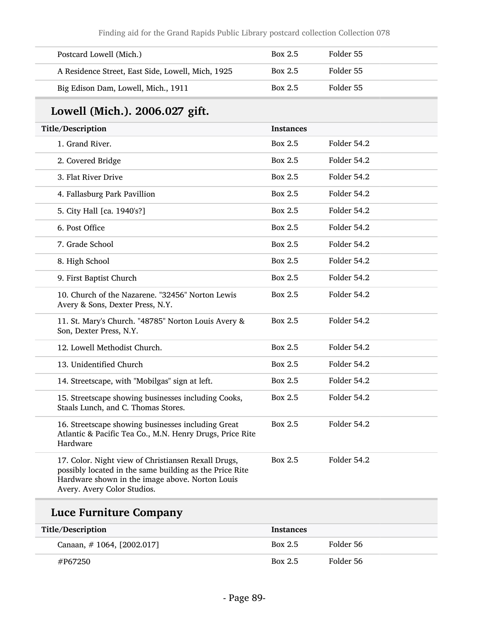| Postcard Lowell (Mich.)                                                                                                                                                                          | Box 2.5          | Folder 55   |
|--------------------------------------------------------------------------------------------------------------------------------------------------------------------------------------------------|------------------|-------------|
| A Residence Street, East Side, Lowell, Mich, 1925                                                                                                                                                | Box 2.5          | Folder 55   |
| Big Edison Dam, Lowell, Mich., 1911                                                                                                                                                              | Box 2.5          | Folder 55   |
| Lowell (Mich.). 2006.027 gift.                                                                                                                                                                   |                  |             |
| Title/Description                                                                                                                                                                                | <b>Instances</b> |             |
| 1. Grand River.                                                                                                                                                                                  | Box 2.5          | Folder 54.2 |
| 2. Covered Bridge                                                                                                                                                                                | Box 2.5          | Folder 54.2 |
| 3. Flat River Drive                                                                                                                                                                              | Box 2.5          | Folder 54.2 |
| 4. Fallasburg Park Pavillion                                                                                                                                                                     | Box 2.5          | Folder 54.2 |
| 5. City Hall [ca. 1940's?]                                                                                                                                                                       | Box 2.5          | Folder 54.2 |
| 6. Post Office                                                                                                                                                                                   | Box 2.5          | Folder 54.2 |
| 7. Grade School                                                                                                                                                                                  | Box 2.5          | Folder 54.2 |
| 8. High School                                                                                                                                                                                   | Box 2.5          | Folder 54.2 |
| 9. First Baptist Church                                                                                                                                                                          | Box 2.5          | Folder 54.2 |
| 10. Church of the Nazarene. "32456" Norton Lewis<br>Avery & Sons, Dexter Press, N.Y.                                                                                                             | Box 2.5          | Folder 54.2 |
| 11. St. Mary's Church. "48785" Norton Louis Avery &<br>Son, Dexter Press, N.Y.                                                                                                                   | Box 2.5          | Folder 54.2 |
| 12. Lowell Methodist Church.                                                                                                                                                                     | <b>Box 2.5</b>   | Folder 54.2 |
| 13. Unidentified Church                                                                                                                                                                          | Box 2.5          | Folder 54.2 |
| 14. Streetscape, with "Mobilgas" sign at left.                                                                                                                                                   | Box 2.5          | Folder 54.2 |
| 15. Streetscape showing businesses including Cooks,<br>Staals Lunch, and C. Thomas Stores.                                                                                                       | Box 2.5          | Folder 54.2 |
| 16. Streetscape showing businesses including Great<br>Atlantic & Pacific Tea Co., M.N. Henry Drugs, Price Rite<br>Hardware                                                                       | Box 2.5          | Folder 54.2 |
| 17. Color. Night view of Christiansen Rexall Drugs,<br>possibly located in the same building as the Price Rite<br>Hardware shown in the image above. Norton Louis<br>Avery. Avery Color Studios. | Box 2.5          | Folder 54.2 |

| Title/Description         | <b>Instances</b> |           |
|---------------------------|------------------|-----------|
| Canaan, #1064, [2002.017] | Box 2.5          | Folder 56 |
| #P67250                   | Box 2.5          | Folder 56 |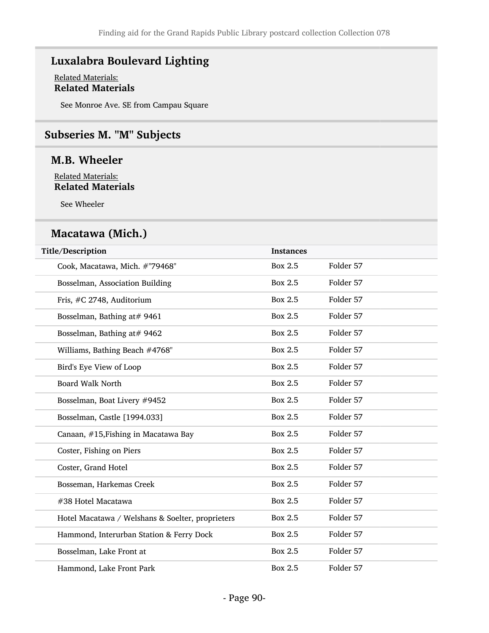# Luxalabra Boulevard Lighting

#### Related Materials: Related Materials

See Monroe Ave. SE from Campau Square

### Subseries M. "M" Subjects

### M.B. Wheeler

Related Materials: Related Materials

See Wheeler

### Macatawa (Mich.)

| Title/Description                                | <b>Instances</b> |           |
|--------------------------------------------------|------------------|-----------|
| Cook, Macatawa, Mich. #"79468"                   | Box 2.5          | Folder 57 |
| Bosselman, Association Building                  | Box 2.5          | Folder 57 |
| Fris, #C 2748, Auditorium                        | Box 2.5          | Folder 57 |
| Bosselman, Bathing at# 9461                      | Box 2.5          | Folder 57 |
| Bosselman, Bathing at# 9462                      | Box 2.5          | Folder 57 |
| Williams, Bathing Beach #4768"                   | Box 2.5          | Folder 57 |
| Bird's Eye View of Loop                          | Box 2.5          | Folder 57 |
| <b>Board Walk North</b>                          | <b>Box 2.5</b>   | Folder 57 |
| Bosselman, Boat Livery #9452                     | <b>Box 2.5</b>   | Folder 57 |
| Bosselman, Castle [1994.033]                     | <b>Box 2.5</b>   | Folder 57 |
| Canaan, #15, Fishing in Macatawa Bay             | Box 2.5          | Folder 57 |
| Coster, Fishing on Piers                         | Box 2.5          | Folder 57 |
| Coster, Grand Hotel                              | Box 2.5          | Folder 57 |
| Bosseman, Harkemas Creek                         | Box 2.5          | Folder 57 |
| #38 Hotel Macatawa                               | <b>Box 2.5</b>   | Folder 57 |
| Hotel Macatawa / Welshans & Soelter, proprieters | <b>Box 2.5</b>   | Folder 57 |
| Hammond, Interurban Station & Ferry Dock         | Box 2.5          | Folder 57 |
| Bosselman, Lake Front at                         | Box 2.5          | Folder 57 |
| Hammond, Lake Front Park                         | <b>Box 2.5</b>   | Folder 57 |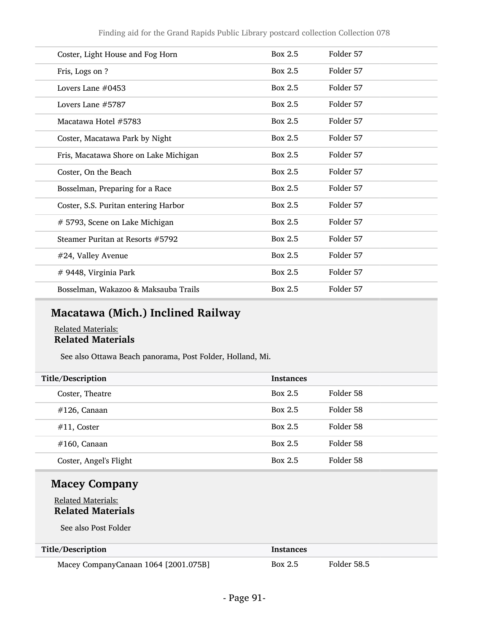| Coster, Light House and Fog Horn      | Box 2.5 | Folder 57 |  |
|---------------------------------------|---------|-----------|--|
| Fris, Logs on ?                       | Box 2.5 | Folder 57 |  |
| Lovers Lane $#0453$                   | Box 2.5 | Folder 57 |  |
| Lovers Lane $#5787$                   | Box 2.5 | Folder 57 |  |
| Macatawa Hotel #5783                  | Box 2.5 | Folder 57 |  |
| Coster, Macatawa Park by Night        | Box 2.5 | Folder 57 |  |
| Fris, Macatawa Shore on Lake Michigan | Box 2.5 | Folder 57 |  |
| Coster, On the Beach                  | Box 2.5 | Folder 57 |  |
| Bosselman, Preparing for a Race       | Box 2.5 | Folder 57 |  |
| Coster, S.S. Puritan entering Harbor  | Box 2.5 | Folder 57 |  |
| # 5793, Scene on Lake Michigan        | Box 2.5 | Folder 57 |  |
| Steamer Puritan at Resorts #5792      | Box 2.5 | Folder 57 |  |
| #24, Valley Avenue                    | Box 2.5 | Folder 57 |  |
| # 9448, Virginia Park                 | Box 2.5 | Folder 57 |  |
| Bosselman, Wakazoo & Maksauba Trails  | Box 2.5 | Folder 57 |  |
|                                       |         |           |  |

# Macatawa (Mich.) Inclined Railway

#### Related Materials: Related Materials

See also Ottawa Beach panorama, Post Folder, Holland, Mi.

| Title/Description      | <b>Instances</b> |           |
|------------------------|------------------|-----------|
| Coster, Theatre        | Box 2.5          | Folder 58 |
| $#126$ , Canaan        | Box 2.5          | Folder 58 |
| $#11$ , Coster         | Box 2.5          | Folder 58 |
| $#160$ , Canaan        | Box 2.5          | Folder 58 |
| Coster, Angel's Flight | Box 2.5          | Folder 58 |

# Macey Company

#### Related Materials: Related Materials

See also Post Folder

L

| Title/Description                    | <b>Instances</b> |             |
|--------------------------------------|------------------|-------------|
| Macey CompanyCanaan 1064 [2001.075B] | Box 2.5          | Folder 58.5 |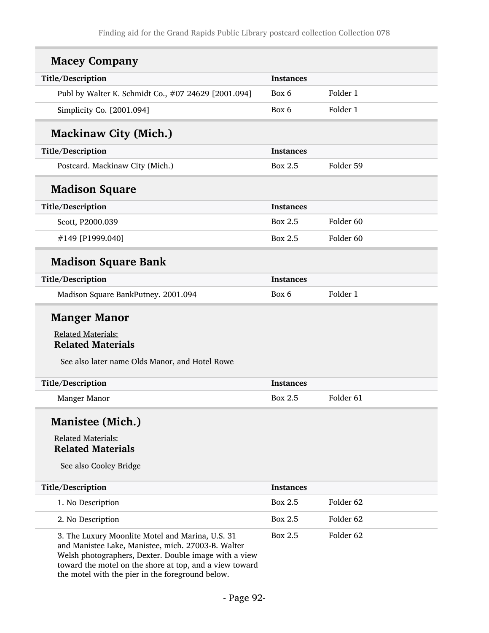| <b>Macey Company</b>                                                                                                                                                                                                                                                           |                  |                      |
|--------------------------------------------------------------------------------------------------------------------------------------------------------------------------------------------------------------------------------------------------------------------------------|------------------|----------------------|
| Title/Description                                                                                                                                                                                                                                                              | <b>Instances</b> |                      |
| Publ by Walter K. Schmidt Co., #07 24629 [2001.094]                                                                                                                                                                                                                            | Box 6            | Folder 1             |
| Simplicity Co. [2001.094]                                                                                                                                                                                                                                                      | Box 6            | Folder 1             |
| <b>Mackinaw City (Mich.)</b>                                                                                                                                                                                                                                                   |                  |                      |
| Title/Description                                                                                                                                                                                                                                                              | <b>Instances</b> |                      |
| Postcard. Mackinaw City (Mich.)                                                                                                                                                                                                                                                | Box 2.5          | Folder 59            |
| <b>Madison Square</b>                                                                                                                                                                                                                                                          |                  |                      |
| Title/Description                                                                                                                                                                                                                                                              | <b>Instances</b> |                      |
| Scott, P2000.039                                                                                                                                                                                                                                                               | Box 2.5          | Folder 60            |
| #149 [P1999.040]                                                                                                                                                                                                                                                               | <b>Box 2.5</b>   | Folder <sub>60</sub> |
| <b>Madison Square Bank</b>                                                                                                                                                                                                                                                     |                  |                      |
| Title/Description                                                                                                                                                                                                                                                              | <b>Instances</b> |                      |
| Madison Square BankPutney. 2001.094                                                                                                                                                                                                                                            | Box 6            | Folder 1             |
| <b>Manger Manor</b><br><b>Related Materials:</b><br><b>Related Materials</b><br>See also later name Olds Manor, and Hotel Rowe                                                                                                                                                 |                  |                      |
| Title/Description                                                                                                                                                                                                                                                              | <b>Instances</b> |                      |
| <b>Manger Manor</b>                                                                                                                                                                                                                                                            | Box 2.5          | Folder <sub>61</sub> |
| <b>Manistee (Mich.)</b><br><b>Related Materials:</b><br><b>Related Materials</b><br>See also Cooley Bridge                                                                                                                                                                     |                  |                      |
| Title/Description                                                                                                                                                                                                                                                              | <b>Instances</b> |                      |
| 1. No Description                                                                                                                                                                                                                                                              | <b>Box 2.5</b>   | Folder 62            |
| 2. No Description                                                                                                                                                                                                                                                              | Box 2.5          | Folder 62            |
| 3. The Luxury Moonlite Motel and Marina, U.S. 31<br>and Manistee Lake, Manistee, mich. 27003-B. Walter<br>Welsh photographers, Dexter. Double image with a view<br>toward the motel on the shore at top, and a view toward<br>the motel with the pier in the foreground below. | <b>Box 2.5</b>   | Folder 62            |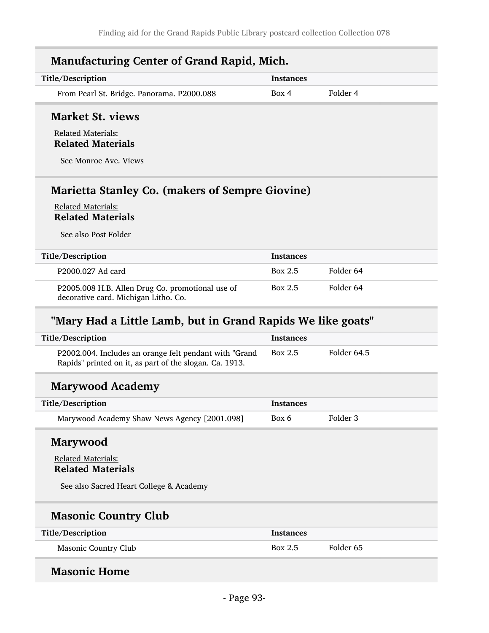| <b>Manufacturing Center of Grand Rapid, Mich.</b>                                                         |                  |          |
|-----------------------------------------------------------------------------------------------------------|------------------|----------|
| Title/Description                                                                                         | <b>Instances</b> |          |
| From Pearl St. Bridge. Panorama. P2000.088                                                                | Box 4            | Folder 4 |
| <b>Market St. views</b><br><b>Related Materials:</b><br><b>Related Materials</b><br>See Monroe Ave. Views |                  |          |
| <b>Marietta Stanley Co. (makers of Sempre Giovine)</b>                                                    |                  |          |

Related Materials

See also Post Folder

| Title/Description                                                                        | <b>Instances</b> |           |
|------------------------------------------------------------------------------------------|------------------|-----------|
| P2000.027 Ad card                                                                        | Box 2.5          | Folder 64 |
| P2005.008 H.B. Allen Drug Co. promotional use of<br>decorative card. Michigan Litho. Co. | Box 2.5          | Folder 64 |

# "Mary Had a Little Lamb, but in Grand Rapids We like goats"

| Title/Description                                                                                                  | <b>Instances</b> |             |
|--------------------------------------------------------------------------------------------------------------------|------------------|-------------|
| P2002.004. Includes an orange felt pendant with "Grand"<br>Rapids" printed on it, as part of the slogan. Ca. 1913. | Box 2.5          | Folder 64.5 |

### Marywood Academy

| Title/Description                            | Instances |          |
|----------------------------------------------|-----------|----------|
| Marywood Academy Shaw News Agency [2001.098] | Box 6     | Folder 3 |

#### Marywood

#### Related Materials: Related Materials

See also Sacred Heart College & Academy

# Masonic Country Club

| Title/Description    | <b>Instances</b> |           |
|----------------------|------------------|-----------|
| Masonic Country Club | Box 2.5          | Folder 65 |

### Masonic Home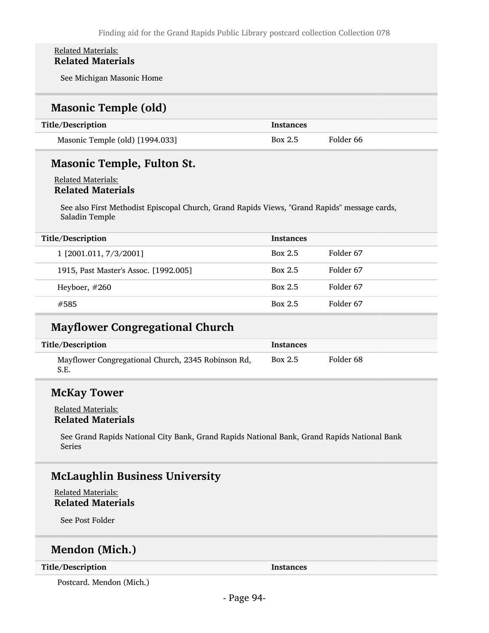#### Related Materials: Related Materials

See Michigan Masonic Home

#### Masonic Temple (old)

| Title/Description               | <b>Instances</b> |           |
|---------------------------------|------------------|-----------|
| Masonic Temple (old) [1994.033] | Box 2.5          | Folder 66 |

### Masonic Temple, Fulton St.

#### Related Materials: Related Materials

See also First Methodist Episcopal Church, Grand Rapids Views, "Grand Rapids" message cards, Saladin Temple

| Title/Description                     | <b>Instances</b> |           |
|---------------------------------------|------------------|-----------|
| 1 [2001.011, 7/3/2001]                | Box 2.5          | Folder 67 |
| 1915, Past Master's Assoc. [1992.005] | Box 2.5          | Folder 67 |
| Heyboer, $#260$                       | Box 2.5          | Folder 67 |
| #585                                  | Box 2.5          | Folder 67 |

#### Mayflower Congregational Church

| Title/Description                                          | Instances |           |
|------------------------------------------------------------|-----------|-----------|
| Mayflower Congregational Church, 2345 Robinson Rd,<br>S.E. | Box $2.5$ | Folder 68 |

#### McKay Tower

#### Related Materials: Related Materials

See Grand Rapids National City Bank, Grand Rapids National Bank, Grand Rapids National Bank Series

### McLaughlin Business University

Related Materials: Related Materials

See Post Folder

# Mendon (Mich.)

Title/Description Instances

Postcard. Mendon (Mich.)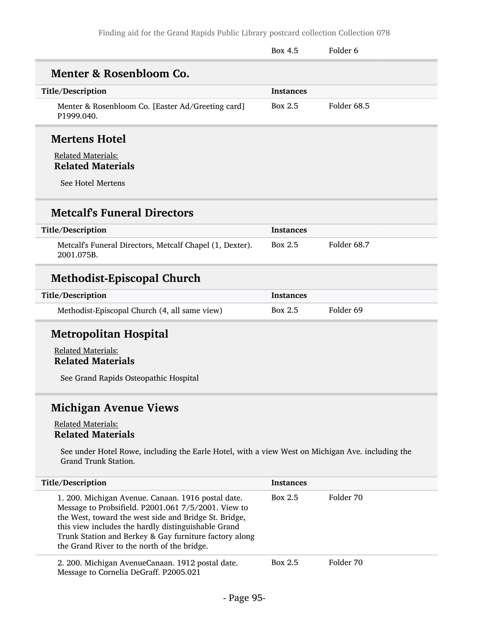|                                                                                                                                                                                                                                                                                                                                    | Box 4.5          | Folder <sub>6</sub> |
|------------------------------------------------------------------------------------------------------------------------------------------------------------------------------------------------------------------------------------------------------------------------------------------------------------------------------------|------------------|---------------------|
| Menter & Rosenbloom Co.                                                                                                                                                                                                                                                                                                            |                  |                     |
| Title/Description                                                                                                                                                                                                                                                                                                                  | <b>Instances</b> |                     |
| Menter & Rosenbloom Co. [Easter Ad/Greeting card]<br>P1999.040.                                                                                                                                                                                                                                                                    | Box 2.5          | Folder 68.5         |
| <b>Mertens Hotel</b>                                                                                                                                                                                                                                                                                                               |                  |                     |
| <b>Related Materials:</b><br><b>Related Materials</b>                                                                                                                                                                                                                                                                              |                  |                     |
| See Hotel Mertens                                                                                                                                                                                                                                                                                                                  |                  |                     |
| <b>Metcalf's Funeral Directors</b>                                                                                                                                                                                                                                                                                                 |                  |                     |
| Title/Description                                                                                                                                                                                                                                                                                                                  | Instances        |                     |
| Metcalf's Funeral Directors, Metcalf Chapel (1, Dexter).<br>2001.075B.                                                                                                                                                                                                                                                             | Box 2.5          | Folder 68.7         |
| <b>Methodist-Episcopal Church</b>                                                                                                                                                                                                                                                                                                  |                  |                     |
| Title/Description                                                                                                                                                                                                                                                                                                                  | <b>Instances</b> |                     |
| Methodist-Episcopal Church (4, all same view)                                                                                                                                                                                                                                                                                      | Box 2.5          | Folder 69           |
| <b>Metropolitan Hospital</b>                                                                                                                                                                                                                                                                                                       |                  |                     |
| <b>Related Materials:</b><br><b>Related Materials</b>                                                                                                                                                                                                                                                                              |                  |                     |
| See Grand Rapids Osteopathic Hospital                                                                                                                                                                                                                                                                                              |                  |                     |
| <b>Michigan Avenue Views</b>                                                                                                                                                                                                                                                                                                       |                  |                     |
| <b>Related Materials:</b><br><b>Related Materials</b>                                                                                                                                                                                                                                                                              |                  |                     |
| See under Hotel Rowe, including the Earle Hotel, with a view West on Michigan Ave. including the<br>Grand Trunk Station.                                                                                                                                                                                                           |                  |                     |
| Title/Description                                                                                                                                                                                                                                                                                                                  | <b>Instances</b> |                     |
| 1. 200. Michigan Avenue. Canaan. 1916 postal date.<br>Message to Probsifield. P2001.061 7/5/2001. View to<br>the West, toward the west side and Bridge St. Bridge,<br>this view includes the hardly distinguishable Grand<br>Trunk Station and Berkey & Gay furniture factory along<br>the Grand River to the north of the bridge. | Box 2.5          | Folder 70           |
| 2. 200. Michigan AvenueCanaan. 1912 postal date.<br>Message to Cornelia DeGraff. P2005.021                                                                                                                                                                                                                                         | Box 2.5          | Folder 70           |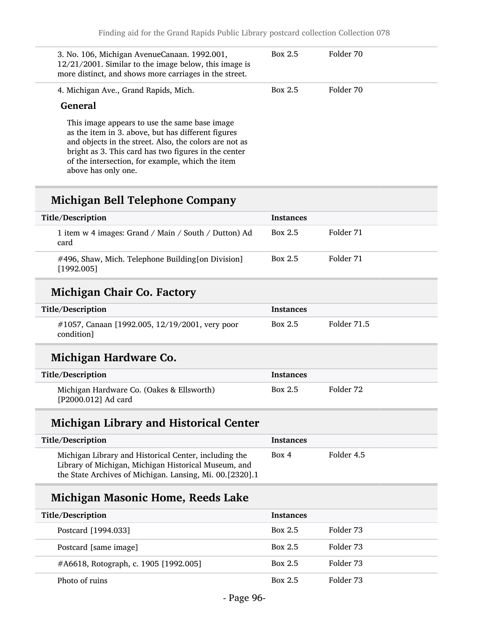| 3. No. 106, Michigan AvenueCanaan. 1992.001,<br>$12/21/2001$ . Similar to the image below, this image is<br>more distinct, and shows more carriages in the street.                                                                                                                               | Box 2.5 | Folder 70 |
|--------------------------------------------------------------------------------------------------------------------------------------------------------------------------------------------------------------------------------------------------------------------------------------------------|---------|-----------|
| 4. Michigan Ave., Grand Rapids, Mich.                                                                                                                                                                                                                                                            | Box 2.5 | Folder 70 |
| General                                                                                                                                                                                                                                                                                          |         |           |
| This image appears to use the same base image<br>as the item in 3. above, but has different figures<br>and objects in the street. Also, the colors are not as<br>bright as 3. This card has two figures in the center<br>of the intersection, for example, which the item<br>above has only one. |         |           |

# Michigan Bell Telephone Company

| Title/Description                                                    | <b>Instances</b> |           |
|----------------------------------------------------------------------|------------------|-----------|
| 1 item w 4 images: Grand / Main / South / Dutton) Ad<br>card         | Box $2.5$        | Folder 71 |
| $\#496$ , Shaw, Mich. Telephone Building [on Division]<br>[1992.005] | Box $2.5$        | Folder 71 |
| Michigan Chair Co. Factory                                           |                  |           |
| Title/Description                                                    | Instances        |           |

| Title/Description                                                | Instances |             |  |
|------------------------------------------------------------------|-----------|-------------|--|
| $\#1057$ , Canaan [1992.005, 12/19/2001, very poor<br>condition] | Box 2.5   | Folder 71.5 |  |

# Michigan Hardware Co.

| Title/Description                                                | Instances |           |
|------------------------------------------------------------------|-----------|-----------|
| Michigan Hardware Co. (Oakes & Ellsworth)<br>[P2000.012] Ad card | Box 2.5   | Folder 72 |

# Michigan Library and Historical Center

| Title/Description                                                                                                                                                         | <b>Instances</b> |            |
|---------------------------------------------------------------------------------------------------------------------------------------------------------------------------|------------------|------------|
| Michigan Library and Historical Center, including the<br>Library of Michigan, Michigan Historical Museum, and<br>the State Archives of Michigan. Lansing, Mi. 00.[2320].1 | Box 4            | Folder 4.5 |

# Michigan Masonic Home, Reeds Lake

| Title/Description                     | <b>Instances</b> |           |
|---------------------------------------|------------------|-----------|
| Postcard [1994.033]                   | <b>Box 2.5</b>   | Folder 73 |
| Postcard [same image]                 | Box 2.5          | Folder 73 |
| #A6618, Rotograph, c. 1905 [1992.005] | Box 2.5          | Folder 73 |
| Photo of ruins                        | Box 2.5          | Folder 73 |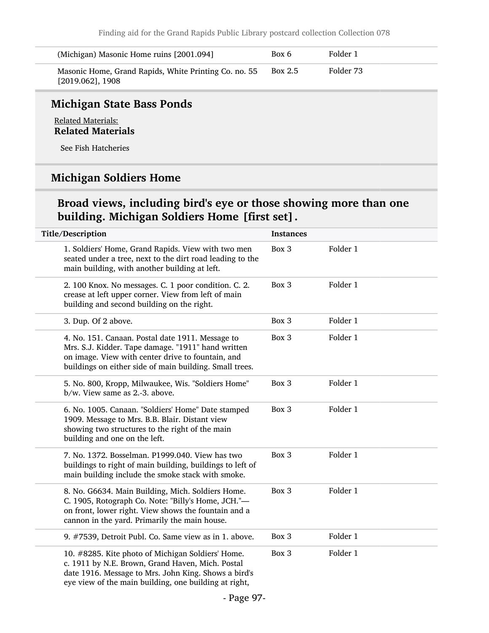| (Michigan) Masonic Home ruins [2001.094]                                     | Box 6   | Folder 1  |
|------------------------------------------------------------------------------|---------|-----------|
| Masonic Home, Grand Rapids, White Printing Co. no. 55<br>$[2019.062]$ , 1908 | Box 2.5 | Folder 73 |

#### Michigan State Bass Ponds

Related Materials: Related Materials

See Fish Hatcheries

# Michigan Soldiers Home

### Broad views, including bird's eye or those showing more than one building. Michigan Soldiers Home [first set].

| Title/Description                                                                                                                                                                                                      | <b>Instances</b> |          |
|------------------------------------------------------------------------------------------------------------------------------------------------------------------------------------------------------------------------|------------------|----------|
| 1. Soldiers' Home, Grand Rapids. View with two men<br>seated under a tree, next to the dirt road leading to the<br>main building, with another building at left.                                                       | Box 3            | Folder 1 |
| 2. 100 Knox. No messages. C. 1 poor condition. C. 2.<br>crease at left upper corner. View from left of main<br>building and second building on the right.                                                              | Box 3            | Folder 1 |
| 3. Dup. Of 2 above.                                                                                                                                                                                                    | Box 3            | Folder 1 |
| 4. No. 151. Canaan. Postal date 1911. Message to<br>Mrs. S.J. Kidder. Tape damage. "1911" hand written<br>on image. View with center drive to fountain, and<br>buildings on either side of main building. Small trees. | Box 3            | Folder 1 |
| 5. No. 800, Kropp, Milwaukee, Wis. "Soldiers Home"<br>b/w. View same as 2.-3. above.                                                                                                                                   | Box 3            | Folder 1 |
| 6. No. 1005. Canaan. "Soldiers' Home" Date stamped<br>1909. Message to Mrs. B.B. Blair. Distant view<br>showing two structures to the right of the main<br>building and one on the left.                               | Box 3            | Folder 1 |
| 7. No. 1372. Bosselman. P1999.040. View has two<br>buildings to right of main building, buildings to left of<br>main building include the smoke stack with smoke.                                                      | Box 3            | Folder 1 |
| 8. No. G6634. Main Building, Mich. Soldiers Home.<br>C. 1905, Rotograph Co. Note: "Billy's Home, JCH."-<br>on front, lower right. View shows the fountain and a<br>cannon in the yard. Primarily the main house.       | Box 3            | Folder 1 |
| 9. #7539, Detroit Publ. Co. Same view as in 1. above.                                                                                                                                                                  | Box 3            | Folder 1 |
| 10. #8285. Kite photo of Michigan Soldiers' Home.<br>c. 1911 by N.E. Brown, Grand Haven, Mich. Postal<br>date 1916. Message to Mrs. John King. Shows a bird's<br>eye view of the main building, one building at right, | Box 3            | Folder 1 |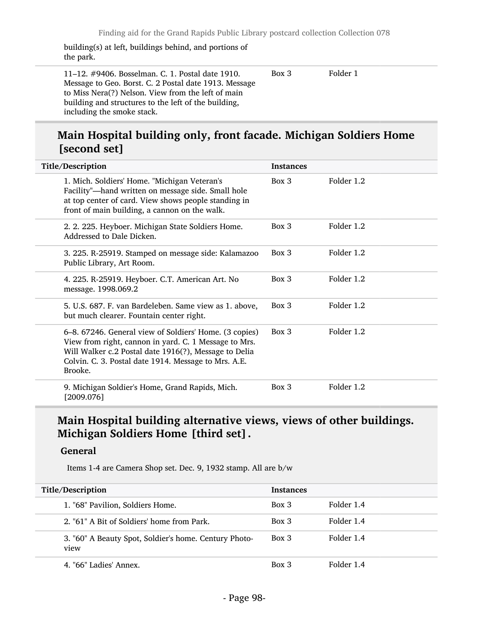building(s) at left, buildings behind, and portions of the park.

11–12. #9406. Bosselman. C. 1. Postal date 1910. Message to Geo. Borst. C. 2 Postal date 1913. Message to Miss Nera(?) Nelson. View from the left of main building and structures to the left of the building, including the smoke stack. Box 3 Folder 1

### Main Hospital building only, front facade. Michigan Soldiers Home [second set]

| Title/Description                                                                                                                                                                                                                           | <b>Instances</b> |            |
|---------------------------------------------------------------------------------------------------------------------------------------------------------------------------------------------------------------------------------------------|------------------|------------|
| 1. Mich. Soldiers' Home. "Michigan Veteran's<br>Facility"-hand written on message side. Small hole<br>at top center of card. View shows people standing in<br>front of main building, a cannon on the walk.                                 | $Box\ 3$         | Folder 1.2 |
| 2. 2. 225. Heyboer. Michigan State Soldiers Home.<br>Addressed to Dale Dicken.                                                                                                                                                              | $Box\ 3$         | Folder 1.2 |
| 3. 225. R-25919. Stamped on message side: Kalamazoo<br>Public Library, Art Room.                                                                                                                                                            | Box 3            | Folder 1.2 |
| 4. 225. R-25919. Heyboer. C.T. American Art. No<br>message. 1998.069.2                                                                                                                                                                      | $Box$ 3          | Folder 1.2 |
| 5. U.S. 687. F. van Bardeleben. Same view as 1. above,<br>but much clearer. Fountain center right.                                                                                                                                          | $Box\ 3$         | Folder 1.2 |
| 6-8. 67246. General view of Soldiers' Home. (3 copies)<br>View from right, cannon in yard. C. 1 Message to Mrs.<br>Will Walker c.2 Postal date 1916(?), Message to Delia<br>Colvin. C. 3. Postal date 1914. Message to Mrs. A.E.<br>Brooke. | $Box$ 3          | Folder 1.2 |
| 9. Michigan Soldier's Home, Grand Rapids, Mich.<br>[2009.076]                                                                                                                                                                               | $Box$ 3          | Folder 1.2 |

### Main Hospital building alternative views, views of other buildings. Michigan Soldiers Home [third set].

#### General

Items 1-4 are Camera Shop set. Dec. 9, 1932 stamp. All are b/w

| Title/Description                                             | <b>Instances</b> |            |
|---------------------------------------------------------------|------------------|------------|
| 1. "68" Pavilion, Soldiers Home.                              | $Box\ 3$         | Folder 1.4 |
| 2. "61" A Bit of Soldiers' home from Park.                    | $Box\ 3$         | Folder 1.4 |
| 3. "60" A Beauty Spot, Soldier's home. Century Photo-<br>view | Box 3            | Folder 1.4 |
| 4. "66" Ladies' Annex.                                        | Box 3            | Folder 1.4 |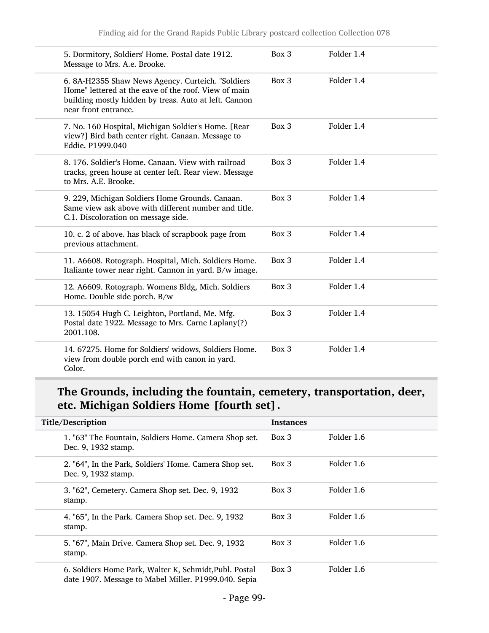| 5. Dormitory, Soldiers' Home. Postal date 1912.<br>Message to Mrs. A.e. Brooke.                                                                                                            | Box 3 | Folder 1.4 |
|--------------------------------------------------------------------------------------------------------------------------------------------------------------------------------------------|-------|------------|
| 6. 8A-H2355 Shaw News Agency. Curteich. "Soldiers<br>Home" lettered at the eave of the roof. View of main<br>building mostly hidden by treas. Auto at left. Cannon<br>near front entrance. | Box 3 | Folder 1.4 |
| 7. No. 160 Hospital, Michigan Soldier's Home. [Rear<br>view?] Bird bath center right. Canaan. Message to<br>Eddie. P1999.040                                                               | Box 3 | Folder 1.4 |
| 8. 176. Soldier's Home. Canaan. View with railroad<br>tracks, green house at center left. Rear view. Message<br>to Mrs. A.E. Brooke.                                                       | Box 3 | Folder 1.4 |
| 9. 229, Michigan Soldiers Home Grounds. Canaan.<br>Same view ask above with different number and title.<br>C.1. Discoloration on message side.                                             | Box 3 | Folder 1.4 |
| 10. c. 2 of above. has black of scrapbook page from<br>previous attachment.                                                                                                                | Box 3 | Folder 1.4 |
| 11. A6608. Rotograph. Hospital, Mich. Soldiers Home.<br>Italiante tower near right. Cannon in yard. B/w image.                                                                             | Box 3 | Folder 1.4 |
| 12. A6609. Rotograph. Womens Bldg, Mich. Soldiers<br>Home. Double side porch. B/w                                                                                                          | Box 3 | Folder 1.4 |
| 13. 15054 Hugh C. Leighton, Portland, Me. Mfg.<br>Postal date 1922. Message to Mrs. Carne Laplany(?)<br>2001.108.                                                                          | Box 3 | Folder 1.4 |
| 14. 67275. Home for Soldiers' widows, Soldiers Home.<br>view from double porch end with canon in yard.<br>Color.                                                                           | Box 3 | Folder 1.4 |

## The Grounds, including the fountain, cemetery, transportation, deer, etc. Michigan Soldiers Home [fourth set].

| Title/Description                                                                                              | <b>Instances</b> |            |
|----------------------------------------------------------------------------------------------------------------|------------------|------------|
| 1. "63" The Fountain, Soldiers Home. Camera Shop set.<br>Dec. 9, 1932 stamp.                                   | $Box\ 3$         | Folder 1.6 |
| 2. "64", In the Park, Soldiers' Home. Camera Shop set.<br>Dec. 9, 1932 stamp.                                  | $Box$ 3          | Folder 1.6 |
| 3. "62", Cemetery. Camera Shop set. Dec. 9, 1932<br>stamp.                                                     | $Box$ 3          | Folder 1.6 |
| 4. "65", In the Park. Camera Shop set. Dec. 9, 1932<br>stamp.                                                  | $Box$ 3          | Folder 1.6 |
| 5. "67", Main Drive. Camera Shop set. Dec. 9, 1932<br>stamp.                                                   | $Box$ 3          | Folder 1.6 |
| 6. Soldiers Home Park, Walter K, Schmidt, Publ. Postal<br>date 1907. Message to Mabel Miller. P1999.040. Sepia | $Box$ 3          | Folder 1.6 |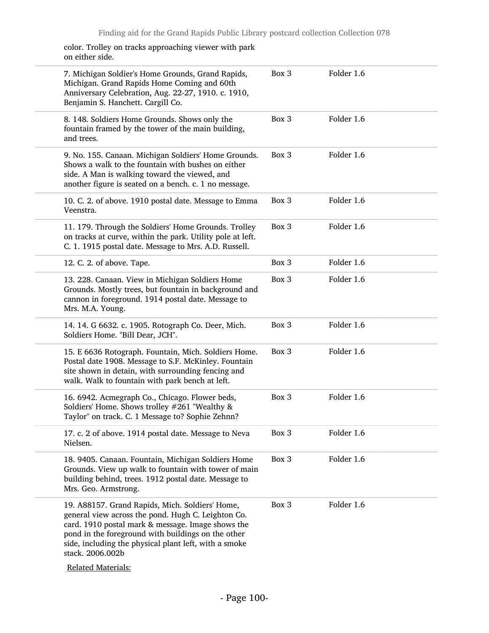color. Trolley on tracks approaching viewer with park on either side.

| 7. Michigan Soldier's Home Grounds, Grand Rapids,<br>Michigan. Grand Rapids Home Coming and 60th<br>Anniversary Celebration, Aug. 22-27, 1910. c. 1910,<br>Benjamin S. Hanchett. Cargill Co.                                                                                                                               | Box 3 | Folder 1.6 |
|----------------------------------------------------------------------------------------------------------------------------------------------------------------------------------------------------------------------------------------------------------------------------------------------------------------------------|-------|------------|
| 8. 148. Soldiers Home Grounds. Shows only the<br>fountain framed by the tower of the main building,<br>and trees.                                                                                                                                                                                                          | Box 3 | Folder 1.6 |
| 9. No. 155. Canaan. Michigan Soldiers' Home Grounds.<br>Shows a walk to the fountain with bushes on either<br>side. A Man is walking toward the viewed, and<br>another figure is seated on a bench. c. 1 no message.                                                                                                       | Box 3 | Folder 1.6 |
| 10. C. 2. of above. 1910 postal date. Message to Emma<br>Veenstra.                                                                                                                                                                                                                                                         | Box 3 | Folder 1.6 |
| 11. 179. Through the Soldiers' Home Grounds. Trolley<br>on tracks at curve, within the park. Utility pole at left.<br>C. 1. 1915 postal date. Message to Mrs. A.D. Russell.                                                                                                                                                | Box 3 | Folder 1.6 |
| 12. C. 2. of above. Tape.                                                                                                                                                                                                                                                                                                  | Box 3 | Folder 1.6 |
| 13. 228. Canaan. View in Michigan Soldiers Home<br>Grounds. Mostly trees, but fountain in background and<br>cannon in foreground. 1914 postal date. Message to<br>Mrs. M.A. Young.                                                                                                                                         | Box 3 | Folder 1.6 |
| 14. 14. G 6632. c. 1905. Rotograph Co. Deer, Mich.<br>Soldiers Home. "Bill Dear, JCH".                                                                                                                                                                                                                                     | Box 3 | Folder 1.6 |
| 15. E 6636 Rotograph. Fountain, Mich. Soldiers Home.<br>Postal date 1908. Message to S.F. McKinley. Fountain<br>site shown in detain, with surrounding fencing and<br>walk. Walk to fountain with park bench at left.                                                                                                      | Box 3 | Folder 1.6 |
| 16. 6942. Acmegraph Co., Chicago. Flower beds,<br>Soldiers' Home. Shows trolley #261 "Wealthy &<br>Taylor" on track. C. 1 Message to? Sophie Zehnn?                                                                                                                                                                        | Box 3 | Folder 1.6 |
| 17. c. 2 of above. 1914 postal date. Message to Neva<br>Nielsen.                                                                                                                                                                                                                                                           | Box 3 | Folder 1.6 |
| 18. 9405. Canaan. Fountain, Michigan Soldiers Home<br>Grounds. View up walk to fountain with tower of main<br>building behind, trees. 1912 postal date. Message to<br>Mrs. Geo. Armstrong.                                                                                                                                 | Box 3 | Folder 1.6 |
| 19. A88157. Grand Rapids, Mich. Soldiers' Home,<br>general view across the pond. Hugh C. Leighton Co.<br>card. 1910 postal mark & message. Image shows the<br>pond in the foreground with buildings on the other<br>side, including the physical plant left, with a smoke<br>stack. 2006.002b<br><b>Related Materials:</b> | Box 3 | Folder 1.6 |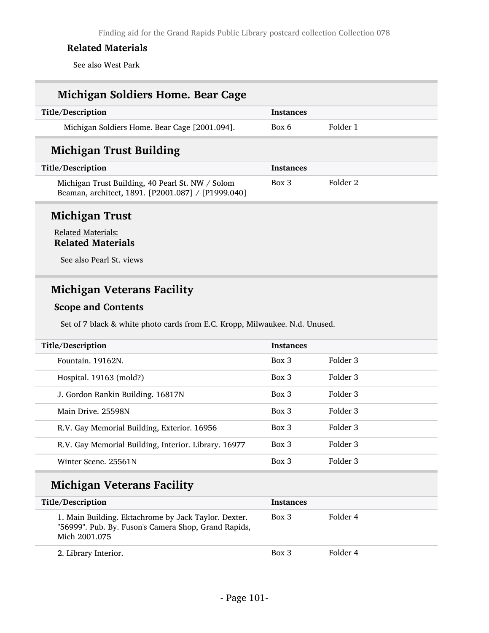See also West Park

# Michigan Soldiers Home. Bear Cage Title/Description Instances Michigan Soldiers Home. Bear Cage [2001.094]. Box 6 Folder 1 Michigan Trust Building Title/Description Instances Michigan Trust Building, 40 Pearl St. NW / Solom Beaman, architect, 1891. [P2001.087] / [P1999.040] Box 3 Folder 2

#### Michigan Trust

#### Related Materials: Related Materials

See also Pearl St. views

### Michigan Veterans Facility

#### Scope and Contents

Set of 7 black & white photo cards from E.C. Kropp, Milwaukee. N.d. Unused.

| Title/Description                                    | <b>Instances</b> |          |  |
|------------------------------------------------------|------------------|----------|--|
| Fountain, 19162N.                                    | Box 3            | Folder 3 |  |
| Hospital. 19163 (mold?)                              | $Box\ 3$         | Folder 3 |  |
| J. Gordon Rankin Building. 16817N                    | $Box$ 3          | Folder 3 |  |
| Main Drive, 25598N                                   | $Box$ 3          | Folder 3 |  |
| R.V. Gay Memorial Building, Exterior. 16956          | $Box$ 3          | Folder 3 |  |
| R.V. Gay Memorial Building, Interior. Library. 16977 | Box 3            | Folder 3 |  |
| Winter Scene, 25561N                                 | $Box\ 3$         | Folder 3 |  |
|                                                      |                  |          |  |

### Michigan Veterans Facility

| Title/Description                                                                                                             | <b>Instances</b> |          |
|-------------------------------------------------------------------------------------------------------------------------------|------------------|----------|
| 1. Main Building. Ektachrome by Jack Taylor. Dexter.<br>"56999". Pub. By. Fuson's Camera Shop, Grand Rapids,<br>Mich 2001.075 | $Box\ 3$         | Folder 4 |
| 2. Library Interior.                                                                                                          | Box 3            | Folder 4 |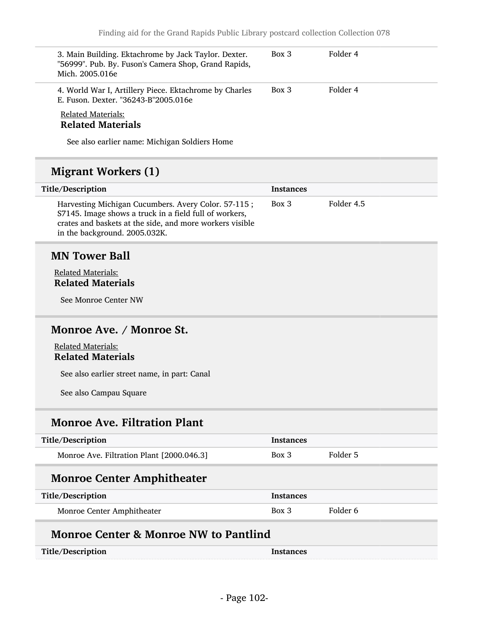| 3. Main Building. Ektachrome by Jack Taylor. Dexter.<br>"56999". Pub. By. Fuson's Camera Shop, Grand Rapids,<br>Mich. 2005.016e                                                                            | Box 3            | Folder 4            |
|------------------------------------------------------------------------------------------------------------------------------------------------------------------------------------------------------------|------------------|---------------------|
| 4. World War I, Artillery Piece. Ektachrome by Charles<br>E. Fuson. Dexter. "36243-B"2005.016e                                                                                                             | Box 3            | Folder 4            |
| <b>Related Materials:</b><br><b>Related Materials</b>                                                                                                                                                      |                  |                     |
| See also earlier name: Michigan Soldiers Home                                                                                                                                                              |                  |                     |
| <b>Migrant Workers (1)</b>                                                                                                                                                                                 |                  |                     |
| Title/Description                                                                                                                                                                                          | <b>Instances</b> |                     |
| Harvesting Michigan Cucumbers. Avery Color. 57-115;<br>S7145. Image shows a truck in a field full of workers,<br>crates and baskets at the side, and more workers visible<br>in the background. 2005.032K. | Box 3            | Folder 4.5          |
| <b>MN Tower Ball</b>                                                                                                                                                                                       |                  |                     |
|                                                                                                                                                                                                            |                  |                     |
| <b>Related Materials:</b>                                                                                                                                                                                  |                  |                     |
| <b>Related Materials</b>                                                                                                                                                                                   |                  |                     |
| See Monroe Center NW                                                                                                                                                                                       |                  |                     |
| Monroe Ave. / Monroe St.                                                                                                                                                                                   |                  |                     |
|                                                                                                                                                                                                            |                  |                     |
| <b>Related Materials:</b><br><b>Related Materials</b>                                                                                                                                                      |                  |                     |
| See also earlier street name, in part: Canal                                                                                                                                                               |                  |                     |
| See also Campau Square                                                                                                                                                                                     |                  |                     |
| <b>Monroe Ave. Filtration Plant</b>                                                                                                                                                                        |                  |                     |
| Title/Description                                                                                                                                                                                          | <b>Instances</b> |                     |
| Monroe Ave. Filtration Plant [2000.046.3]                                                                                                                                                                  | Box 3            | Folder 5            |
| <b>Monroe Center Amphitheater</b>                                                                                                                                                                          |                  |                     |
| Title/Description                                                                                                                                                                                          | <b>Instances</b> |                     |
| Monroe Center Amphitheater                                                                                                                                                                                 | Box 3            | Folder <sub>6</sub> |
| <b>Monroe Center &amp; Monroe NW to Pantlind</b>                                                                                                                                                           |                  |                     |
| Title/Description                                                                                                                                                                                          | Instances        |                     |
|                                                                                                                                                                                                            |                  |                     |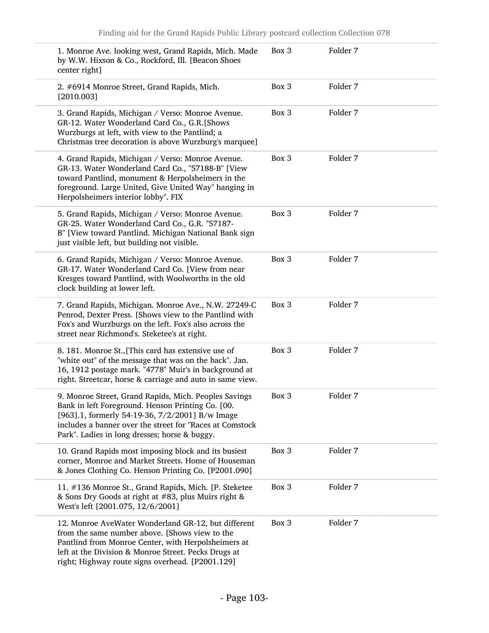| 1. Monroe Ave. looking west, Grand Rapids, Mich. Made<br>by W.W. Hixson & Co., Rockford, Ill. [Beacon Shoes<br>center right]                                                                                                                                               | Box 3 | Folder 7 |
|----------------------------------------------------------------------------------------------------------------------------------------------------------------------------------------------------------------------------------------------------------------------------|-------|----------|
| 2. #6914 Monroe Street, Grand Rapids, Mich.<br>[2010.003]                                                                                                                                                                                                                  | Box 3 | Folder 7 |
| 3. Grand Rapids, Michigan / Verso: Monroe Avenue.<br>GR-12. Water Wonderland Card Co., G.R. [Shows<br>Wurzburgs at left, with view to the Pantlind; a<br>Christmas tree decoration is above Wurzburg's marquee]                                                            | Box 3 | Folder 7 |
| 4. Grand Rapids, Michigan / Verso: Monroe Avenue.<br>GR-13. Water Wonderland Card Co., "57188-B" [View<br>toward Pantlind, monument & Herpolsheimers in the<br>foreground. Large United, Give United Way" hanging in<br>Herpolsheimers interior lobby". FIX                | Box 3 | Folder 7 |
| 5. Grand Rapids, Michigan / Verso: Monroe Avenue.<br>GR-25. Water Wonderland Card Co., G.R. "57187-<br>B" [View toward Pantlind. Michigan National Bank sign<br>just visible left, but building not visible.                                                               | Box 3 | Folder 7 |
| 6. Grand Rapids, Michigan / Verso: Monroe Avenue.<br>GR-17. Water Wonderland Card Co. [View from near<br>Kresges toward Pantlind, with Woolworths in the old<br>clock building at lower left.                                                                              | Box 3 | Folder 7 |
| 7. Grand Rapids, Michigan. Monroe Ave., N.W. 27249-C<br>Penrod, Dexter Press. [Shows view to the Pantlind with<br>Fox's and Wurzburgs on the left. Fox's also across the<br>street near Richmond's. Steketee's at right.                                                   | Box 3 | Folder 7 |
| 8. 181. Monroe St., [This card has extensive use of<br>"white out" of the message that was on the back". Jan.<br>16, 1912 postage mark. "4778" Muir's in background at<br>right. Streetcar, horse & carriage and auto in same view.                                        | Box 3 | Folder 7 |
| 9. Monroe Street, Grand Rapids, Mich. Peoples Savings<br>Bank in left Foreground. Henson Printing Co. [00.<br>[963].1, formerly 54-19-36, 7/2/2001] B/w Image<br>includes a banner over the street for "Races at Comstock<br>Park". Ladies in long dresses; horse & buggy. | Box 3 | Folder 7 |
| 10. Grand Rapids most imposing block and its busiest<br>corner, Monroe and Market Streets. Home of Houseman<br>& Jones Clothing Co. Henson Printing Co. [P2001.090]                                                                                                        | Box 3 | Folder 7 |
| 11. #136 Monroe St., Grand Rapids, Mich. [P. Steketee<br>& Sons Dry Goods at right at #83, plus Muirs right &<br>West's left [2001.075, 12/6/2001]                                                                                                                         | Box 3 | Folder 7 |
| 12. Monroe AveWater Wonderland GR-12, but different<br>from the same number above. [Shows view to the<br>Pantlind from Monroe Center, with Herpolsheimers at<br>left at the Division & Monroe Street. Pecks Drugs at<br>right; Highway route signs overhead. [P2001.129]   | Box 3 | Folder 7 |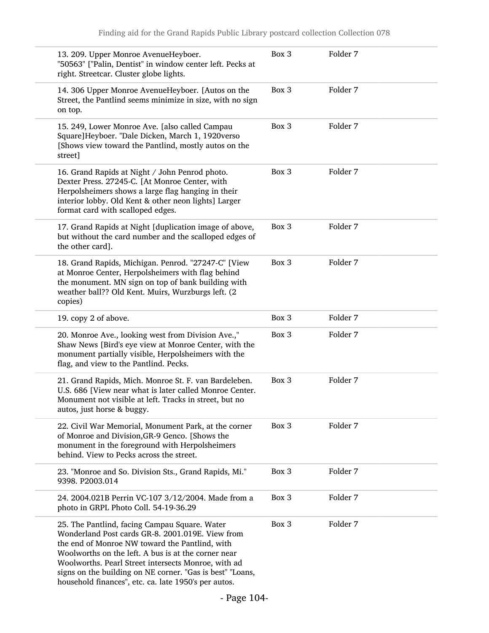|         | 13. 209. Upper Monroe AvenueHeyboer.<br>"50563" ["Palin, Dentist" in window center left. Pecks at<br>right. Streetcar. Cluster globe lights.                                                                                                                                                                                                                                           | Box 3 | Folder 7            |
|---------|----------------------------------------------------------------------------------------------------------------------------------------------------------------------------------------------------------------------------------------------------------------------------------------------------------------------------------------------------------------------------------------|-------|---------------------|
| on top. | 14. 306 Upper Monroe AvenueHeyboer. [Autos on the<br>Street, the Pantlind seems minimize in size, with no sign                                                                                                                                                                                                                                                                         | Box 3 | Folder 7            |
| street] | 15. 249, Lower Monroe Ave. [also called Campau<br>Square]Heyboer. "Dale Dicken, March 1, 1920verso<br>[Shows view toward the Pantlind, mostly autos on the                                                                                                                                                                                                                             | Box 3 | Folder <sub>7</sub> |
|         | 16. Grand Rapids at Night / John Penrod photo.<br>Dexter Press. 27245-C. [At Monroe Center, with<br>Herpolsheimers shows a large flag hanging in their<br>interior lobby. Old Kent & other neon lights] Larger<br>format card with scalloped edges.                                                                                                                                    | Box 3 | Folder 7            |
|         | 17. Grand Rapids at Night [duplication image of above,<br>but without the card number and the scalloped edges of<br>the other card].                                                                                                                                                                                                                                                   | Box 3 | Folder 7            |
| copies) | 18. Grand Rapids, Michigan. Penrod. "27247-C" [View<br>at Monroe Center, Herpolsheimers with flag behind<br>the monument. MN sign on top of bank building with<br>weather ball?? Old Kent. Muirs, Wurzburgs left. (2                                                                                                                                                                   | Box 3 | Folder 7            |
|         | 19. copy 2 of above.                                                                                                                                                                                                                                                                                                                                                                   | Box 3 | Folder 7            |
|         | 20. Monroe Ave., looking west from Division Ave.,"<br>Shaw News [Bird's eye view at Monroe Center, with the<br>monument partially visible, Herpolsheimers with the<br>flag, and view to the Pantlind. Pecks.                                                                                                                                                                           | Box 3 | Folder 7            |
|         | 21. Grand Rapids, Mich. Monroe St. F. van Bardeleben.<br>U.S. 686 [View near what is later called Monroe Center.<br>Monument not visible at left. Tracks in street, but no<br>autos, just horse & buggy.                                                                                                                                                                               | Box 3 | Folder 7            |
|         | 22. Civil War Memorial, Monument Park, at the corner<br>of Monroe and Division, GR-9 Genco. [Shows the<br>monument in the foreground with Herpolsheimers<br>behind. View to Pecks across the street.                                                                                                                                                                                   | Box 3 | Folder 7            |
|         | 23. "Monroe and So. Division Sts., Grand Rapids, Mi."<br>9398. P2003.014                                                                                                                                                                                                                                                                                                               | Box 3 | Folder 7            |
|         | 24. 2004.021B Perrin VC-107 3/12/2004. Made from a<br>photo in GRPL Photo Coll. 54-19-36.29                                                                                                                                                                                                                                                                                            | Box 3 | Folder 7            |
|         | 25. The Pantlind, facing Campau Square. Water<br>Wonderland Post cards GR-8. 2001.019E. View from<br>the end of Monroe NW toward the Pantlind, with<br>Woolworths on the left. A bus is at the corner near<br>Woolworths. Pearl Street intersects Monroe, with ad<br>signs on the building on NE corner. "Gas is best" "Loans,<br>household finances", etc. ca. late 1950's per autos. | Box 3 | Folder 7            |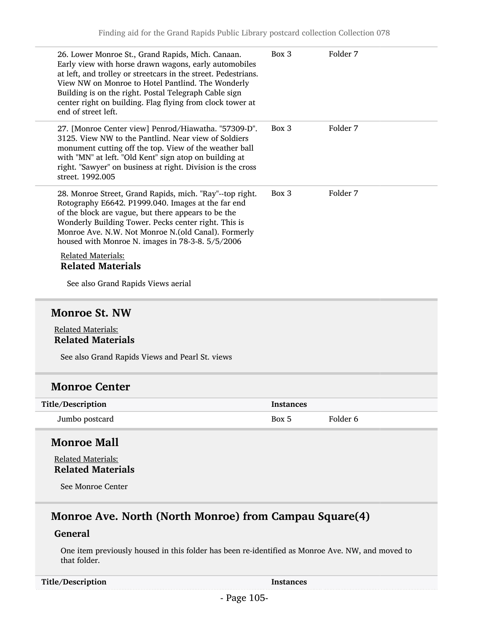| 26. Lower Monroe St., Grand Rapids, Mich. Canaan.<br>Early view with horse drawn wagons, early automobiles<br>at left, and trolley or streetcars in the street. Pedestrians.<br>View NW on Monroe to Hotel Pantlind. The Wonderly<br>Building is on the right. Postal Telegraph Cable sign<br>center right on building. Flag flying from clock tower at<br>end of street left. | Box 3            | Folder 7            |  |
|--------------------------------------------------------------------------------------------------------------------------------------------------------------------------------------------------------------------------------------------------------------------------------------------------------------------------------------------------------------------------------|------------------|---------------------|--|
| 27. [Monroe Center view] Penrod/Hiawatha. "57309-D".<br>3125. View NW to the Pantlind. Near view of Soldiers<br>monument cutting off the top. View of the weather ball<br>with "MN" at left. "Old Kent" sign atop on building at<br>right. "Sawyer" on business at right. Division is the cross<br>street. 1992.005                                                            | Box 3            | Folder 7            |  |
| 28. Monroe Street, Grand Rapids, mich. "Ray"--top right.<br>Rotography E6642. P1999.040. Images at the far end<br>of the block are vague, but there appears to be the<br>Wonderly Building Tower. Pecks center right. This is<br>Monroe Ave. N.W. Not Monroe N.(old Canal). Formerly<br>housed with Monroe N. images in 78-3-8. 5/5/2006                                       | Box 3            | Folder 7            |  |
| <b>Related Materials:</b><br><b>Related Materials</b>                                                                                                                                                                                                                                                                                                                          |                  |                     |  |
| See also Grand Rapids Views aerial                                                                                                                                                                                                                                                                                                                                             |                  |                     |  |
|                                                                                                                                                                                                                                                                                                                                                                                |                  |                     |  |
| <b>Monroe St. NW</b>                                                                                                                                                                                                                                                                                                                                                           |                  |                     |  |
| <b>Related Materials:</b><br><b>Related Materials</b>                                                                                                                                                                                                                                                                                                                          |                  |                     |  |
| See also Grand Rapids Views and Pearl St. views                                                                                                                                                                                                                                                                                                                                |                  |                     |  |
| <b>Monroe Center</b>                                                                                                                                                                                                                                                                                                                                                           |                  |                     |  |
| Title/Description                                                                                                                                                                                                                                                                                                                                                              | <b>Instances</b> |                     |  |
| Jumbo postcard                                                                                                                                                                                                                                                                                                                                                                 | Box 5            | Folder <sub>6</sub> |  |
| <b>Monroe Mall</b>                                                                                                                                                                                                                                                                                                                                                             |                  |                     |  |
| <b>Related Materials:</b>                                                                                                                                                                                                                                                                                                                                                      |                  |                     |  |
| <b>Related Materials</b>                                                                                                                                                                                                                                                                                                                                                       |                  |                     |  |
| See Monroe Center                                                                                                                                                                                                                                                                                                                                                              |                  |                     |  |
| Monroe Ave. North (North Monroe) from Campau Square(4)                                                                                                                                                                                                                                                                                                                         |                  |                     |  |

#### General

One item previously housed in this folder has been re-identified as Monroe Ave. NW, and moved to that folder.

Title/Description Instances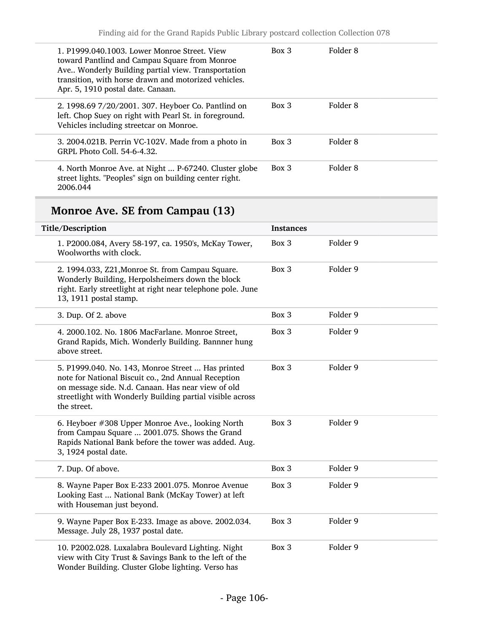| 1. P1999.040.1003. Lower Monroe Street. View<br>toward Pantlind and Campau Square from Monroe<br>Ave Wonderly Building partial view. Transportation<br>transition, with horse drawn and motorized vehicles.<br>Apr. 5, 1910 postal date. Canaan. | Box 3   | Folder 8 |
|--------------------------------------------------------------------------------------------------------------------------------------------------------------------------------------------------------------------------------------------------|---------|----------|
| 2. 1998.69 7/20/2001. 307. Heyboer Co. Pantlind on<br>left. Chop Suey on right with Pearl St. in foreground.<br>Vehicles including streetcar on Monroe.                                                                                          | $Box$ 3 | Folder 8 |
| 3. 2004.021B. Perrin VC-102V. Made from a photo in<br>GRPL Photo Coll. 54-6-4.32.                                                                                                                                                                | $Box$ 3 | Folder 8 |
| 4. North Monroe Ave. at Night  P-67240. Cluster globe<br>street lights. "Peoples" sign on building center right.<br>2006.044                                                                                                                     | Box 3   | Folder 8 |

# Monroe Ave. SE from Campau (13)

| Title/Description                                                                                                                                                                                                                          | <b>Instances</b> |          |
|--------------------------------------------------------------------------------------------------------------------------------------------------------------------------------------------------------------------------------------------|------------------|----------|
| 1. P2000.084, Avery 58-197, ca. 1950's, McKay Tower,<br>Woolworths with clock.                                                                                                                                                             | Box 3            | Folder 9 |
| 2. 1994.033, Z21, Monroe St. from Campau Square.<br>Wonderly Building, Herpolsheimers down the block<br>right. Early streetlight at right near telephone pole. June<br>13, 1911 postal stamp.                                              | Box 3            | Folder 9 |
| 3. Dup. Of 2. above                                                                                                                                                                                                                        | Box 3            | Folder 9 |
| 4. 2000.102. No. 1806 MacFarlane. Monroe Street,<br>Grand Rapids, Mich. Wonderly Building. Bannner hung<br>above street.                                                                                                                   | Box 3            | Folder 9 |
| 5. P1999.040. No. 143, Monroe Street  Has printed<br>note for National Biscuit co., 2nd Annual Reception<br>on message side. N.d. Canaan. Has near view of old<br>streetlight with Wonderly Building partial visible across<br>the street. | Box 3            | Folder 9 |
| 6. Heyboer #308 Upper Monroe Ave., looking North<br>from Campau Square  2001.075. Shows the Grand<br>Rapids National Bank before the tower was added. Aug.<br>3, 1924 postal date.                                                         | Box 3            | Folder 9 |
| 7. Dup. Of above.                                                                                                                                                                                                                          | Box 3            | Folder 9 |
| 8. Wayne Paper Box E-233 2001.075. Monroe Avenue<br>Looking East  National Bank (McKay Tower) at left<br>with Houseman just beyond.                                                                                                        | Box 3            | Folder 9 |
| 9. Wayne Paper Box E-233. Image as above. 2002.034.<br>Message. July 28, 1937 postal date.                                                                                                                                                 | Box 3            | Folder 9 |
| 10. P2002.028. Luxalabra Boulevard Lighting. Night<br>view with City Trust & Savings Bank to the left of the<br>Wonder Building. Cluster Globe lighting. Verso has                                                                         | Box 3            | Folder 9 |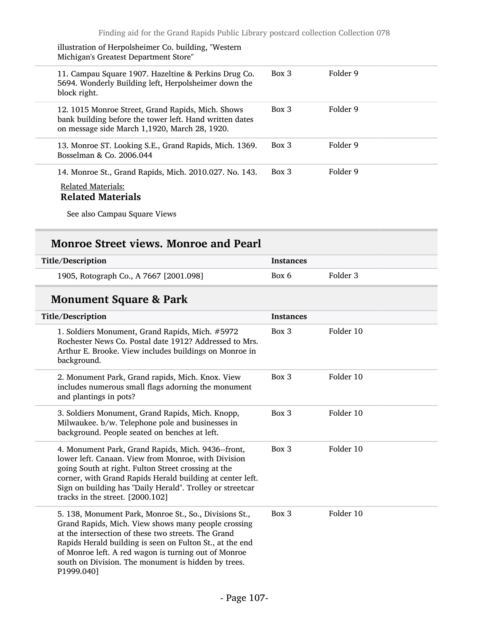| illustration of Herpolsheimer Co. building, "Western<br>Michigan's Greatest Department Store"                                                                 |          |          |
|---------------------------------------------------------------------------------------------------------------------------------------------------------------|----------|----------|
| 11. Campau Square 1907. Hazeltine & Perkins Drug Co.<br>5694. Wonderly Building left, Herpolsheimer down the<br>block right.                                  | $Box\ 3$ | Folder 9 |
| 12. 1015 Monroe Street, Grand Rapids, Mich. Shows<br>bank building before the tower left. Hand written dates<br>on message side March 1,1920, March 28, 1920. | $Box\ 3$ | Folder 9 |
| 13. Monroe ST. Looking S.E., Grand Rapids, Mich. 1369.<br>Bosselman & Co. 2006.044                                                                            | Box 3    | Folder 9 |
| 14. Monroe St., Grand Rapids, Mich. 2010.027. No. 143.<br><b>Related Materials:</b><br><b>Related Materials</b>                                               | $Box\ 3$ | Folder 9 |

See also Campau Square Views

#### Monroe Street views. Monroe and Pearl

| Title/Description                      | <b>Instances</b> |          |
|----------------------------------------|------------------|----------|
| 1905, Rotograph Co., A 7667 [2001.098] | Box 6            | Folder 3 |

# Monument Square & Park

| Title/Description                                                                                                                                                                                                                                                                                                                                             | <b>Instances</b> |           |
|---------------------------------------------------------------------------------------------------------------------------------------------------------------------------------------------------------------------------------------------------------------------------------------------------------------------------------------------------------------|------------------|-----------|
| 1. Soldiers Monument, Grand Rapids, Mich. #5972<br>Rochester News Co. Postal date 1912? Addressed to Mrs.<br>Arthur E. Brooke. View includes buildings on Monroe in<br>background.                                                                                                                                                                            | Box 3            | Folder 10 |
| 2. Monument Park, Grand rapids, Mich. Knox. View<br>includes numerous small flags adorning the monument<br>and plantings in pots?                                                                                                                                                                                                                             | $Box\ 3$         | Folder 10 |
| 3. Soldiers Monument, Grand Rapids, Mich. Knopp,<br>Milwaukee. b/w. Telephone pole and businesses in<br>background. People seated on benches at left.                                                                                                                                                                                                         | $Box$ 3          | Folder 10 |
| 4. Monument Park, Grand Rapids, Mich. 9436--front,<br>lower left. Canaan. View from Monroe, with Division<br>going South at right. Fulton Street crossing at the<br>corner, with Grand Rapids Herald building at center left.<br>Sign on building has "Daily Herald". Trolley or streetcar<br>tracks in the street. [2000.102]                                | Box 3            | Folder 10 |
| 5. 138, Monument Park, Monroe St., So., Divisions St.,<br>Grand Rapids, Mich. View shows many people crossing<br>at the intersection of these two streets. The Grand<br>Rapids Herald building is seen on Fulton St., at the end<br>of Monroe left. A red wagon is turning out of Monroe<br>south on Division. The monument is hidden by trees.<br>P1999.040] | $Box$ 3          | Folder 10 |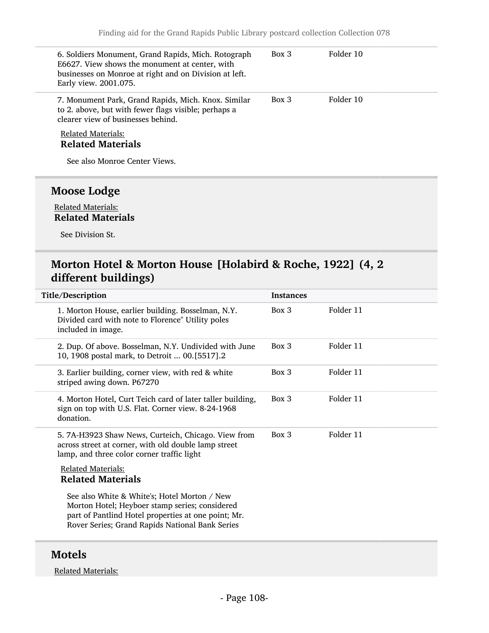| 6. Soldiers Monument, Grand Rapids, Mich. Rotograph<br>E6627. View shows the monument at center, with<br>businesses on Monroe at right and on Division at left.<br>Early view. 2001.075. | $Box\ 3$ | Folder 10 |  |
|------------------------------------------------------------------------------------------------------------------------------------------------------------------------------------------|----------|-----------|--|
| 7. Monument Park, Grand Rapids, Mich. Knox. Similar<br>to 2. above, but with fewer flags visible; perhaps a<br>clearer view of businesses behind.                                        | $Box\ 3$ | Folder 10 |  |
| <b>Related Materials:</b><br><b>Related Materials</b><br>See also Monroe Center Views.                                                                                                   |          |           |  |
| Moose Lodge                                                                                                                                                                              |          |           |  |

#### Related Materials: Related Materials

See Division St.

### Morton Hotel & Morton House [Holabird & Roche, 1922] (4, 2 different buildings)

| Title/Description                                                                                                                                                                                        | <b>Instances</b> |           |
|----------------------------------------------------------------------------------------------------------------------------------------------------------------------------------------------------------|------------------|-----------|
| 1. Morton House, earlier building. Bosselman, N.Y.<br>Divided card with note to Florence" Utility poles<br>included in image.                                                                            | $Box\ 3$         | Folder 11 |
| 2. Dup. Of above. Bosselman, N.Y. Undivided with June<br>10, 1908 postal mark, to Detroit  00.[5517].2                                                                                                   | Box 3            | Folder 11 |
| 3. Earlier building, corner view, with red & white<br>striped awing down. P67270                                                                                                                         | $Box\ 3$         | Folder 11 |
| 4. Morton Hotel, Curt Teich card of later taller building,<br>sign on top with U.S. Flat. Corner view. 8-24-1968<br>donation.                                                                            | $Box$ 3          | Folder 11 |
| 5. 7A-H3923 Shaw News, Curteich, Chicago. View from<br>across street at corner, with old double lamp street<br>lamp, and three color corner traffic light                                                | Box 3            | Folder 11 |
| <b>Related Materials:</b><br><b>Related Materials</b>                                                                                                                                                    |                  |           |
| See also White & White's; Hotel Morton / New<br>Morton Hotel; Heyboer stamp series; considered<br>part of Pantlind Hotel properties at one point; Mr.<br>Rover Series; Grand Rapids National Bank Series |                  |           |

#### Motels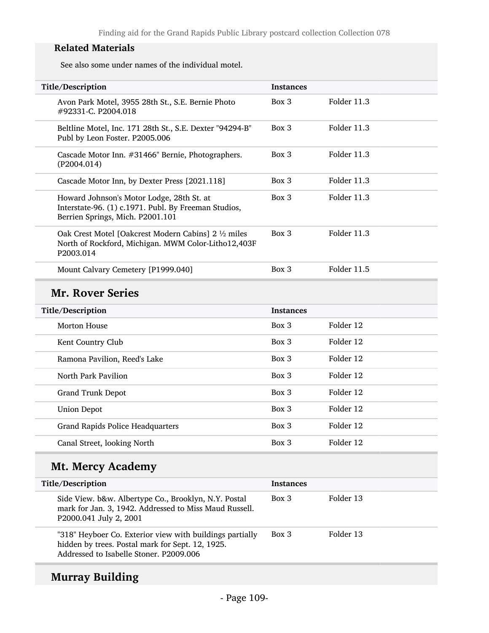See also some under names of the individual motel.

| Title/Description                                                                                                                                       | <b>Instances</b> |             |
|---------------------------------------------------------------------------------------------------------------------------------------------------------|------------------|-------------|
| Avon Park Motel, 3955 28th St., S.E. Bernie Photo<br>#92331-C. P2004.018                                                                                | Box 3            | Folder 11.3 |
| Beltline Motel, Inc. 171 28th St., S.E. Dexter "94294-B"<br>Publ by Leon Foster. P2005.006                                                              | Box 3            | Folder 11.3 |
| Cascade Motor Inn. #31466" Bernie, Photographers.<br>(P2004.014)                                                                                        | Box 3            | Folder 11.3 |
| Cascade Motor Inn, by Dexter Press [2021.118]                                                                                                           | $Box$ 3          | Folder 11.3 |
| Howard Johnson's Motor Lodge, 28th St. at<br>Interstate-96. (1) c.1971. Publ. By Freeman Studios,<br>Berrien Springs, Mich. P2001.101                   | Box 3            | Folder 11.3 |
| Oak Crest Motel [Oakcrest Modern Cabins] 2 1/2 miles<br>North of Rockford, Michigan. MWM Color-Litho12,403F<br>P2003.014                                | Box 3            | Folder 11.3 |
| Mount Calvary Cemetery [P1999.040]                                                                                                                      | Box 3            | Folder 11.5 |
| <b>Mr. Rover Series</b>                                                                                                                                 |                  |             |
| Title/Description                                                                                                                                       | <b>Instances</b> |             |
| <b>Morton House</b>                                                                                                                                     | Box 3            | Folder 12   |
| Kent Country Club                                                                                                                                       | Box 3            | Folder 12   |
| Ramona Pavilion, Reed's Lake                                                                                                                            | Box 3            | Folder 12   |
| North Park Pavilion                                                                                                                                     | Box 3            | Folder 12   |
| <b>Grand Trunk Depot</b>                                                                                                                                | Box 3            | Folder 12   |
| <b>Union Depot</b>                                                                                                                                      | Box 3            | Folder 12   |
| <b>Grand Rapids Police Headquarters</b>                                                                                                                 | Box 3            | Folder 12   |
| Canal Street, looking North                                                                                                                             | Box 3            | Folder 12   |
| <b>Mt. Mercy Academy</b>                                                                                                                                |                  |             |
| Title/Description                                                                                                                                       | <b>Instances</b> |             |
| Side View. b&w. Albertype Co., Brooklyn, N.Y. Postal<br>mark for Jan. 3, 1942. Addressed to Miss Maud Russell.<br>P2000.041 July 2, 2001                | Box 3            | Folder 13   |
| "318" Heyboer Co. Exterior view with buildings partially<br>hidden by trees. Postal mark for Sept. 12, 1925.<br>Addressed to Isabelle Stoner. P2009.006 | Box 3            | Folder 13   |
|                                                                                                                                                         |                  |             |

# Murray Building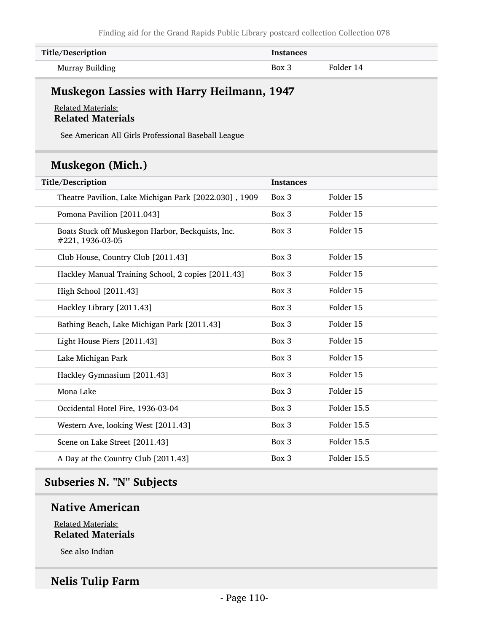| Title/Description | <b>Instances</b> |           |
|-------------------|------------------|-----------|
| Murray Building   | Box 3            | Folder 14 |

# Muskegon Lassies with Harry Heilmann, 1947

#### Related Materials: Related Materials

See American All Girls Professional Baseball League

# Muskegon (Mich.)

| Title/Description                                                     | <b>Instances</b> |             |
|-----------------------------------------------------------------------|------------------|-------------|
| Theatre Pavilion, Lake Michigan Park [2022.030], 1909                 | Box 3            | Folder 15   |
| Pomona Pavilion [2011.043]                                            | Box 3            | Folder 15   |
| Boats Stuck off Muskegon Harbor, Beckquists, Inc.<br>#221, 1936-03-05 | Box 3            | Folder 15   |
| Club House, Country Club [2011.43]                                    | Box 3            | Folder 15   |
| Hackley Manual Training School, 2 copies [2011.43]                    | Box 3            | Folder 15   |
| High School [2011.43]                                                 | Box 3            | Folder 15   |
| Hackley Library [2011.43]                                             | Box 3            | Folder 15   |
| Bathing Beach, Lake Michigan Park [2011.43]                           | Box 3            | Folder 15   |
| Light House Piers [2011.43]                                           | Box 3            | Folder 15   |
| Lake Michigan Park                                                    | Box 3            | Folder 15   |
| Hackley Gymnasium [2011.43]                                           | Box 3            | Folder 15   |
| Mona Lake                                                             | Box 3            | Folder 15   |
| Occidental Hotel Fire, 1936-03-04                                     | Box 3            | Folder 15.5 |
| Western Ave, looking West [2011.43]                                   | Box 3            | Folder 15.5 |
| Scene on Lake Street [2011.43]                                        | Box 3            | Folder 15.5 |
| A Day at the Country Club [2011.43]                                   | Box 3            | Folder 15.5 |

# Subseries N. "N" Subjects

# Native American

Related Materials: Related Materials

See also Indian

# Nelis Tulip Farm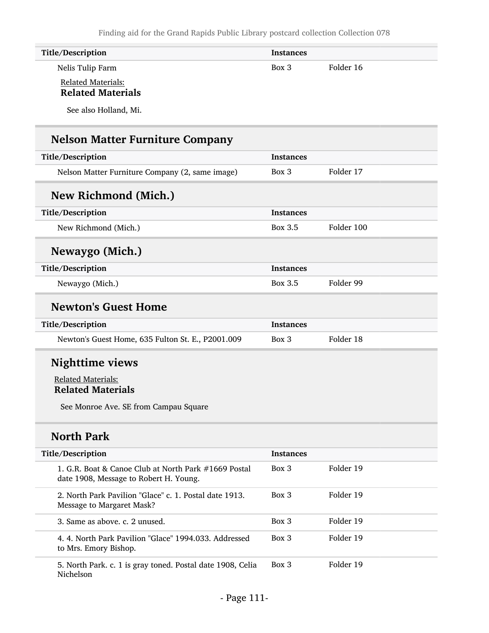| Title/Description                                                                              | <b>Instances</b> |            |  |
|------------------------------------------------------------------------------------------------|------------------|------------|--|
| Nelis Tulip Farm                                                                               | Box 3            | Folder 16  |  |
| Related Materials:<br><b>Related Materials</b>                                                 |                  |            |  |
| See also Holland, Mi.                                                                          |                  |            |  |
| <b>Nelson Matter Furniture Company</b>                                                         |                  |            |  |
| Title/Description                                                                              | Instances        |            |  |
| Nelson Matter Furniture Company (2, same image)                                                | $Box$ 3          | Folder 17  |  |
| New Richmond (Mich.)                                                                           |                  |            |  |
| Title/Description                                                                              | Instances        |            |  |
| New Richmond (Mich.)                                                                           | Box 3.5          | Folder 100 |  |
| Newaygo (Mich.)                                                                                |                  |            |  |
| Title/Description                                                                              | <b>Instances</b> |            |  |
| Newaygo (Mich.)                                                                                | Box 3.5          | Folder 99  |  |
| <b>Newton's Guest Home</b>                                                                     |                  |            |  |
| Title/Description                                                                              | <b>Instances</b> |            |  |
| Newton's Guest Home, 635 Fulton St. E., P2001.009                                              | Box 3            | Folder 18  |  |
| <b>Nighttime views</b>                                                                         |                  |            |  |
| <b>Related Materials:</b><br><b>Related Materials</b>                                          |                  |            |  |
| See Monroe Ave. SE from Campau Square                                                          |                  |            |  |
| <b>North Park</b>                                                                              |                  |            |  |
| Title/Description                                                                              | <b>Instances</b> |            |  |
| 1. G.R. Boat & Canoe Club at North Park #1669 Postal<br>date 1908, Message to Robert H. Young. | Box 3            | Folder 19  |  |
| 2. North Park Pavilion "Glace" c. 1. Postal date 1913.<br>Message to Margaret Mask?            | Box 3            | Folder 19  |  |
| 3. Same as above. c. 2 unused.                                                                 | Box 3            | Folder 19  |  |
| 4. 4. North Park Pavilion "Glace" 1994.033. Addressed<br>to Mrs. Emory Bishop.                 | Box 3            | Folder 19  |  |
| 5. North Park. c. 1 is gray toned. Postal date 1908, Celia                                     | Box 3            | Folder 19  |  |

Nichelson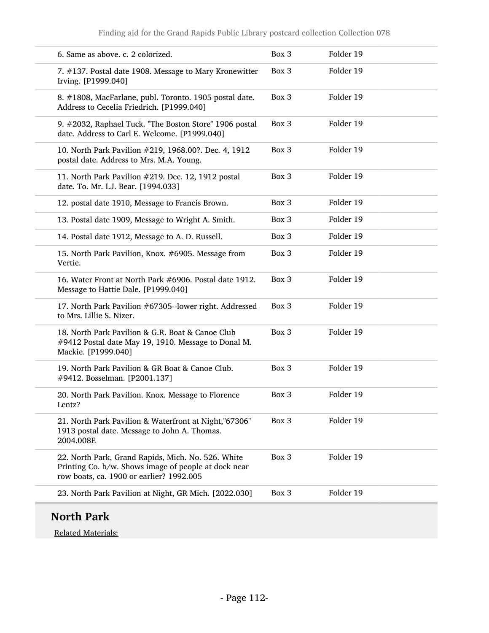| 6. Same as above. c. 2 colorized.                                                                                                                      | Box 3 | Folder 19 |
|--------------------------------------------------------------------------------------------------------------------------------------------------------|-------|-----------|
| 7. #137. Postal date 1908. Message to Mary Kronewitter<br>Irving. [P1999.040]                                                                          | Box 3 | Folder 19 |
| 8. #1808, MacFarlane, publ. Toronto. 1905 postal date.<br>Address to Cecelia Friedrich. [P1999.040]                                                    | Box 3 | Folder 19 |
| 9. #2032, Raphael Tuck. "The Boston Store" 1906 postal<br>date. Address to Carl E. Welcome. [P1999.040]                                                | Box 3 | Folder 19 |
| 10. North Park Pavilion #219, 1968.00?. Dec. 4, 1912<br>postal date. Address to Mrs. M.A. Young.                                                       | Box 3 | Folder 19 |
| 11. North Park Pavilion #219. Dec. 12, 1912 postal<br>date. To. Mr. I.J. Bear. [1994.033]                                                              | Box 3 | Folder 19 |
| 12. postal date 1910, Message to Francis Brown.                                                                                                        | Box 3 | Folder 19 |
| 13. Postal date 1909, Message to Wright A. Smith.                                                                                                      | Box 3 | Folder 19 |
| 14. Postal date 1912, Message to A. D. Russell.                                                                                                        | Box 3 | Folder 19 |
| 15. North Park Pavilion, Knox. #6905. Message from<br>Vertie.                                                                                          | Box 3 | Folder 19 |
| 16. Water Front at North Park #6906. Postal date 1912.<br>Message to Hattie Dale. [P1999.040]                                                          | Box 3 | Folder 19 |
| 17. North Park Pavilion #67305--lower right. Addressed<br>to Mrs. Lillie S. Nizer.                                                                     | Box 3 | Folder 19 |
| 18. North Park Pavilion & G.R. Boat & Canoe Club<br>#9412 Postal date May 19, 1910. Message to Donal M.<br>Mackie. [P1999.040]                         | Box 3 | Folder 19 |
| 19. North Park Pavilion & GR Boat & Canoe Club.<br>#9412. Bosselman. [P2001.137]                                                                       | Box 3 | Folder 19 |
| 20. North Park Pavilion. Knox. Message to Florence<br>Lentz?                                                                                           | Box 3 | Folder 19 |
| 21. North Park Pavilion & Waterfront at Night,"67306"<br>1913 postal date. Message to John A. Thomas.<br>2004.008E                                     | Box 3 | Folder 19 |
| 22. North Park, Grand Rapids, Mich. No. 526. White<br>Printing Co. b/w. Shows image of people at dock near<br>row boats, ca. 1900 or earlier? 1992.005 | Box 3 | Folder 19 |
| 23. North Park Pavilion at Night, GR Mich. [2022.030]                                                                                                  | Box 3 | Folder 19 |
|                                                                                                                                                        |       |           |

# North Park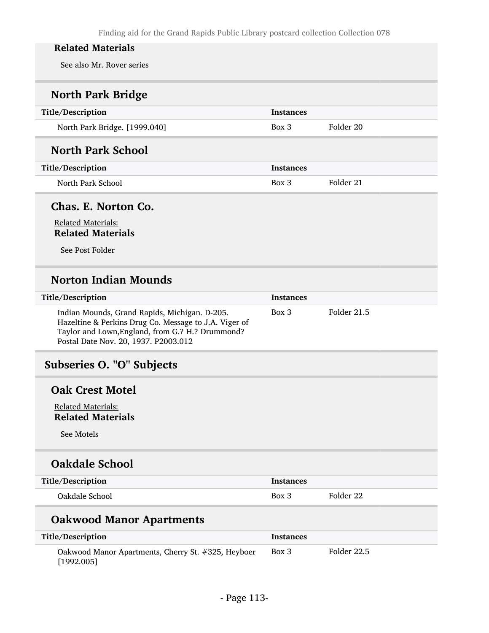See also Mr. Rover series

# North Park Bridge

| Title/Description             | <b>Instances</b> |           |
|-------------------------------|------------------|-----------|
| North Park Bridge. [1999.040] | $Box$ 3          | Folder 20 |
| <b>North Park School</b>      |                  |           |

### Title/Description Instances

North Park School Box 3 Folder 21

Chas. E. Norton Co.

### Related Materials: Related Materials

See Post Folder

# Norton Indian Mounds

| Title/Description                                                                                                                                                                                  | <b>Instances</b> |             |
|----------------------------------------------------------------------------------------------------------------------------------------------------------------------------------------------------|------------------|-------------|
| Indian Mounds, Grand Rapids, Michigan. D-205.<br>Hazeltine & Perkins Drug Co. Message to J.A. Viger of<br>Taylor and Lown, England, from G.? H.? Drummond?<br>Postal Date Nov. 20, 1937. P2003.012 | $Box\ 3$         | Folder 21.5 |

# Subseries O. "O" Subjects

#### Oak Crest Motel

Related Materials: Related Materials

See Motels

# Oakdale School

| Title/Description | <b>Instances</b> |           |
|-------------------|------------------|-----------|
| Oakdale School    | Box 3            | Folder 22 |

# Oakwood Manor Apartments

| Title/Description                                                | Instances |             |
|------------------------------------------------------------------|-----------|-------------|
| Oakwood Manor Apartments, Cherry St. #325, Heyboer<br>[1992.005] | Box 3     | Folder 22.5 |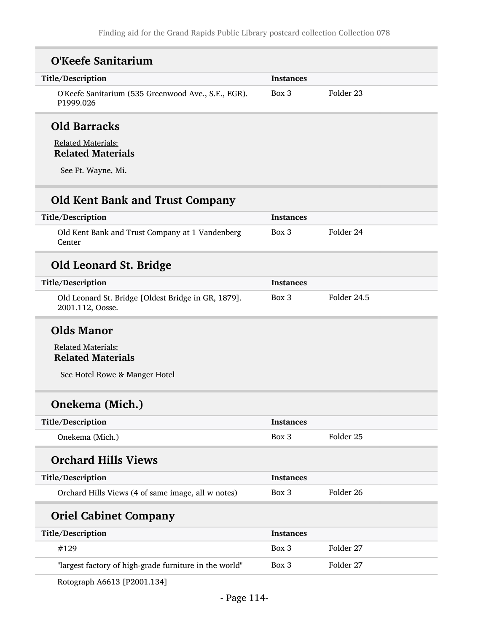| <b>O'Keefe Sanitarium</b>                                               |                  |             |
|-------------------------------------------------------------------------|------------------|-------------|
| Title/Description                                                       | <b>Instances</b> |             |
| O'Keefe Sanitarium (535 Greenwood Ave., S.E., EGR).<br>P1999.026        | Box 3            | Folder 23   |
| <b>Old Barracks</b>                                                     |                  |             |
| <b>Related Materials:</b><br><b>Related Materials</b>                   |                  |             |
| See Ft. Wayne, Mi.                                                      |                  |             |
| <b>Old Kent Bank and Trust Company</b>                                  |                  |             |
| Title/Description                                                       | <b>Instances</b> |             |
| Old Kent Bank and Trust Company at 1 Vandenberg<br>Center               | Box 3            | Folder 24   |
| <b>Old Leonard St. Bridge</b>                                           |                  |             |
| Title/Description                                                       | <b>Instances</b> |             |
| Old Leonard St. Bridge [Oldest Bridge in GR, 1879].<br>2001.112, Oosse. | Box 3            | Folder 24.5 |
| <b>Olds Manor</b>                                                       |                  |             |
| <b>Related Materials:</b><br><b>Related Materials</b>                   |                  |             |
| See Hotel Rowe & Manger Hotel                                           |                  |             |
| Onekema (Mich.)                                                         |                  |             |
| Title/Description                                                       | <b>Instances</b> |             |
| Onekema (Mich.)                                                         | Box 3            | Folder 25   |
| <b>Orchard Hills Views</b>                                              |                  |             |
| Title/Description                                                       | <b>Instances</b> |             |
| Orchard Hills Views (4 of same image, all w notes)                      | Box 3            | Folder 26   |
| <b>Oriel Cabinet Company</b>                                            |                  |             |
| Title/Description                                                       | <b>Instances</b> |             |
| #129                                                                    | Box 3            | Folder 27   |
| "largest factory of high-grade furniture in the world"                  | Box 3            | Folder 27   |
|                                                                         |                  |             |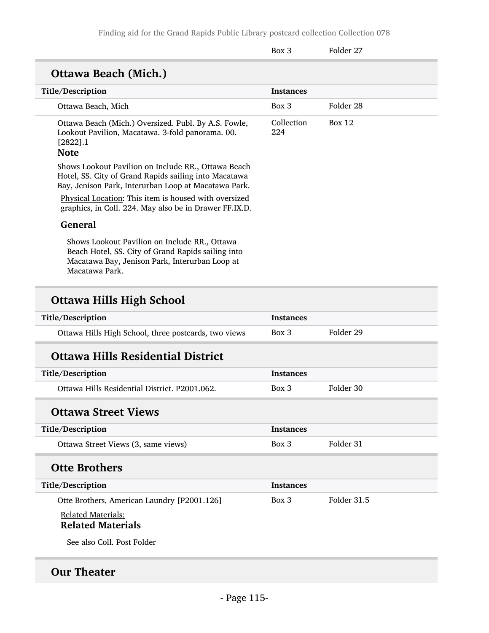Finding aid for the Grand Rapids Public Library postcard collection Collection 078

|                                                                                                                                                                         | Box 3             | Folder 27     |
|-------------------------------------------------------------------------------------------------------------------------------------------------------------------------|-------------------|---------------|
| <b>Ottawa Beach (Mich.)</b>                                                                                                                                             |                   |               |
| Title/Description                                                                                                                                                       | <b>Instances</b>  |               |
| Ottawa Beach, Mich                                                                                                                                                      | Box 3             | Folder 28     |
| Ottawa Beach (Mich.) Oversized. Publ. By A.S. Fowle,<br>Lookout Pavilion, Macatawa. 3-fold panorama. 00.<br>$[2822]$ .1<br><b>Note</b>                                  | Collection<br>224 | <b>Box 12</b> |
| Shows Lookout Pavilion on Include RR., Ottawa Beach<br>Hotel, SS. City of Grand Rapids sailing into Macatawa<br>Bay, Jenison Park, Interurban Loop at Macatawa Park.    |                   |               |
| Physical Location: This item is housed with oversized<br>graphics, in Coll. 224. May also be in Drawer FF.IX.D.                                                         |                   |               |
| <b>General</b>                                                                                                                                                          |                   |               |
| Shows Lookout Pavilion on Include RR., Ottawa<br>Beach Hotel, SS. City of Grand Rapids sailing into<br>Macatawa Bay, Jenison Park, Interurban Loop at<br>Macatawa Park. |                   |               |
| Ottawa Hills High School                                                                                                                                                |                   |               |
| Title/Description                                                                                                                                                       | <b>Instances</b>  |               |
| Ottawa Hills High School, three postcards, two views                                                                                                                    | Box 3             | Folder 29     |
| <b>Ottawa Hills Residential District</b>                                                                                                                                |                   |               |
| Title/Description                                                                                                                                                       | <b>Instances</b>  |               |
| Ottawa Hills Residential District. P2001.062.                                                                                                                           | Box 3             | Folder 30     |

Title/Description Instances Ottawa Street Views (3, same views) Box 3 Folder 31

# Otte Brothers

| Title/Description                           | <b>Instances</b> |             |
|---------------------------------------------|------------------|-------------|
| Otte Brothers, American Laundry [P2001.126] | Box 3            | Folder 31.5 |

# Related Materials:

# Related Materials

See also Coll. Post Folder

# Our Theater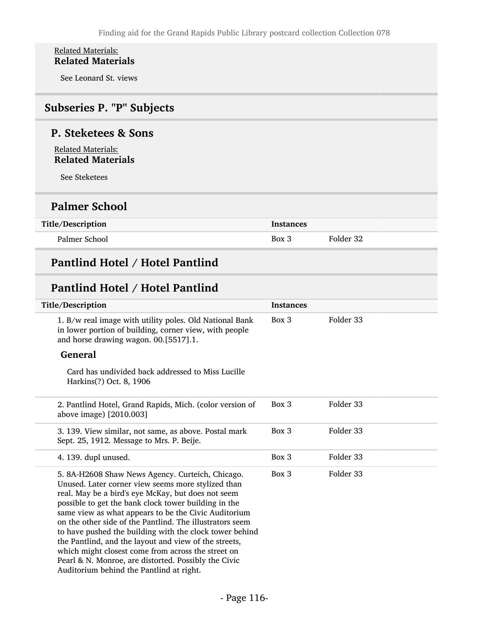#### Related Materials: Related Materials

See Leonard St. views

# Subseries P. "P" Subjects

### P. Steketees & Sons

Related Materials: Related Materials

See Steketees

# Palmer School

| Title/Description | Instances |           |
|-------------------|-----------|-----------|
| Palmer School     | Box 3     | Folder 32 |

# Pantlind Hotel / Hotel Pantlind

# Pantlind Hotel / Hotel Pantlind

| Title/Description                                                                                                                                                                                                                                                                                                                                                                                                                                                                                                                                                                                                      | <b>Instances</b> |           |
|------------------------------------------------------------------------------------------------------------------------------------------------------------------------------------------------------------------------------------------------------------------------------------------------------------------------------------------------------------------------------------------------------------------------------------------------------------------------------------------------------------------------------------------------------------------------------------------------------------------------|------------------|-----------|
| 1. B/w real image with utility poles. Old National Bank<br>in lower portion of building, corner view, with people<br>and horse drawing wagon. 00.[5517].1.                                                                                                                                                                                                                                                                                                                                                                                                                                                             | Box 3            | Folder 33 |
| <b>General</b>                                                                                                                                                                                                                                                                                                                                                                                                                                                                                                                                                                                                         |                  |           |
| Card has undivided back addressed to Miss Lucille<br>Harkins(?) Oct. 8, 1906                                                                                                                                                                                                                                                                                                                                                                                                                                                                                                                                           |                  |           |
| 2. Pantlind Hotel, Grand Rapids, Mich. (color version of<br>above image) [2010.003]                                                                                                                                                                                                                                                                                                                                                                                                                                                                                                                                    | Box 3            | Folder 33 |
| 3. 139. View similar, not same, as above. Postal mark<br>Sept. 25, 1912. Message to Mrs. P. Beije.                                                                                                                                                                                                                                                                                                                                                                                                                                                                                                                     | Box 3            | Folder 33 |
| 4. 139. dupl unused.                                                                                                                                                                                                                                                                                                                                                                                                                                                                                                                                                                                                   | Box 3            | Folder 33 |
| 5. 8A-H2608 Shaw News Agency. Curteich, Chicago.<br>Unused. Later corner view seems more stylized than<br>real. May be a bird's eye McKay, but does not seem<br>possible to get the bank clock tower building in the<br>same view as what appears to be the Civic Auditorium<br>on the other side of the Pantlind. The illustrators seem<br>to have pushed the building with the clock tower behind<br>the Pantlind, and the layout and view of the streets,<br>which might closest come from across the street on<br>Pearl & N. Monroe, are distorted. Possibly the Civic<br>Auditorium behind the Pantlind at right. | Box 3            | Folder 33 |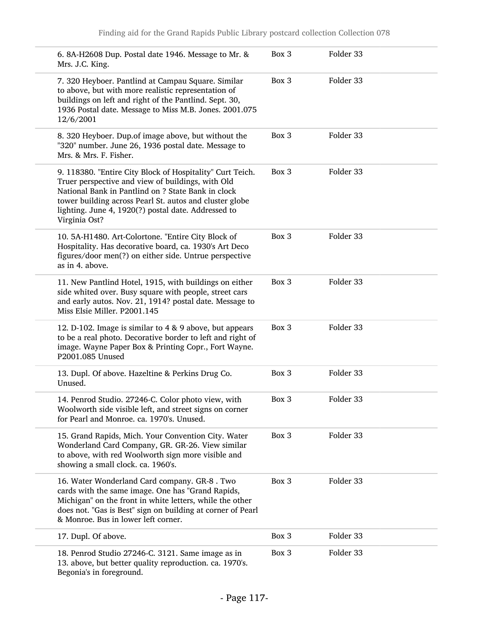| 6. 8A-H2608 Dup. Postal date 1946. Message to Mr. &<br>Mrs. J.C. King.                                                                                                                                                                                                                                  | Box 3 | Folder 33 |
|---------------------------------------------------------------------------------------------------------------------------------------------------------------------------------------------------------------------------------------------------------------------------------------------------------|-------|-----------|
| 7. 320 Heyboer. Pantlind at Campau Square. Similar<br>to above, but with more realistic representation of<br>buildings on left and right of the Pantlind. Sept. 30,<br>1936 Postal date. Message to Miss M.B. Jones. 2001.075<br>12/6/2001                                                              | Box 3 | Folder 33 |
| 8. 320 Heyboer. Dup.of image above, but without the<br>"320" number. June 26, 1936 postal date. Message to<br>Mrs. & Mrs. F. Fisher.                                                                                                                                                                    | Box 3 | Folder 33 |
| 9. 118380. "Entire City Block of Hospitality" Curt Teich.<br>Truer perspective and view of buildings, with Old<br>National Bank in Pantlind on ? State Bank in clock<br>tower building across Pearl St. autos and cluster globe<br>lighting. June 4, 1920(?) postal date. Addressed to<br>Virginia Ost? | Box 3 | Folder 33 |
| 10. 5A-H1480. Art-Colortone. "Entire City Block of<br>Hospitality. Has decorative board, ca. 1930's Art Deco<br>figures/door men(?) on either side. Untrue perspective<br>as in 4. above.                                                                                                               | Box 3 | Folder 33 |
| 11. New Pantlind Hotel, 1915, with buildings on either<br>side whited over. Busy square with people, street cars<br>and early autos. Nov. 21, 1914? postal date. Message to<br>Miss Elsie Miller. P2001.145                                                                                             | Box 3 | Folder 33 |
| 12. D-102. Image is similar to 4 & 9 above, but appears<br>to be a real photo. Decorative border to left and right of<br>image. Wayne Paper Box & Printing Copr., Fort Wayne.<br>P2001.085 Unused                                                                                                       | Box 3 | Folder 33 |
| 13. Dupl. Of above. Hazeltine & Perkins Drug Co.<br>Unused.                                                                                                                                                                                                                                             | Box 3 | Folder 33 |
| 14. Penrod Studio. 27246-C. Color photo view, with<br>Woolworth side visible left, and street signs on corner<br>for Pearl and Monroe. ca. 1970's. Unused.                                                                                                                                              | Box 3 | Folder 33 |
| 15. Grand Rapids, Mich. Your Convention City. Water<br>Wonderland Card Company, GR. GR-26. View similar<br>to above, with red Woolworth sign more visible and<br>showing a small clock. ca. 1960's.                                                                                                     | Box 3 | Folder 33 |
| 16. Water Wonderland Card company. GR-8. Two<br>cards with the same image. One has "Grand Rapids,<br>Michigan" on the front in white letters, while the other<br>does not. "Gas is Best" sign on building at corner of Pearl<br>& Monroe. Bus in lower left corner.                                     | Box 3 | Folder 33 |
| 17. Dupl. Of above.                                                                                                                                                                                                                                                                                     | Box 3 | Folder 33 |
| 18. Penrod Studio 27246-C. 3121. Same image as in<br>13. above, but better quality reproduction. ca. 1970's.<br>Begonia's in foreground.                                                                                                                                                                | Box 3 | Folder 33 |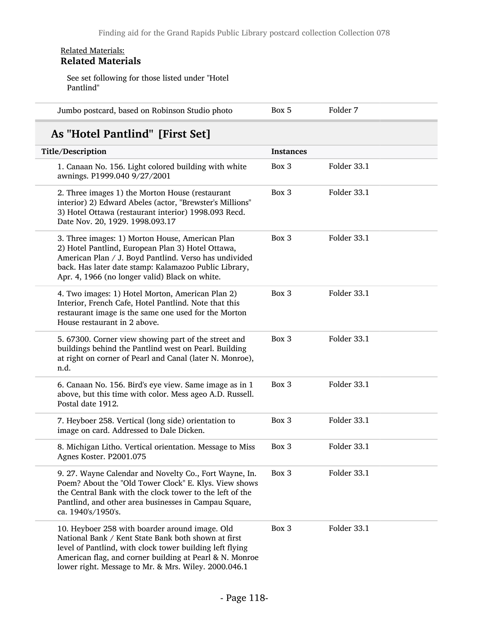#### Related Materials: Related Materials

See set following for those listed under "Hotel Pantlind"

| Jumbo postcard, based on Robinson Studio photo | Box 5 | Folder 7 |
|------------------------------------------------|-------|----------|
|------------------------------------------------|-------|----------|

# As "Hotel Pantlind" [First Set]

| Title/Description                                                                                                                                                                                                                                                                    | <b>Instances</b> |             |
|--------------------------------------------------------------------------------------------------------------------------------------------------------------------------------------------------------------------------------------------------------------------------------------|------------------|-------------|
| 1. Canaan No. 156. Light colored building with white<br>awnings. P1999.040 9/27/2001                                                                                                                                                                                                 | Box 3            | Folder 33.1 |
| 2. Three images 1) the Morton House (restaurant<br>interior) 2) Edward Abeles (actor, "Brewster's Millions"<br>3) Hotel Ottawa (restaurant interior) 1998.093 Recd.<br>Date Nov. 20, 1929. 1998.093.17                                                                               | Box 3            | Folder 33.1 |
| 3. Three images: 1) Morton House, American Plan<br>2) Hotel Pantlind, European Plan 3) Hotel Ottawa,<br>American Plan / J. Boyd Pantlind. Verso has undivided<br>back. Has later date stamp: Kalamazoo Public Library,<br>Apr. 4, 1966 (no longer valid) Black on white.             | Box 3            | Folder 33.1 |
| 4. Two images: 1) Hotel Morton, American Plan 2)<br>Interior, French Cafe, Hotel Pantlind. Note that this<br>restaurant image is the same one used for the Morton<br>House restaurant in 2 above.                                                                                    | Box 3            | Folder 33.1 |
| 5. 67300. Corner view showing part of the street and<br>buildings behind the Pantlind west on Pearl. Building<br>at right on corner of Pearl and Canal (later N. Monroe),<br>n.d.                                                                                                    | Box 3            | Folder 33.1 |
| 6. Canaan No. 156. Bird's eye view. Same image as in 1<br>above, but this time with color. Mess ageo A.D. Russell.<br>Postal date 1912.                                                                                                                                              | Box 3            | Folder 33.1 |
| 7. Heyboer 258. Vertical (long side) orientation to<br>image on card. Addressed to Dale Dicken.                                                                                                                                                                                      | Box 3            | Folder 33.1 |
| 8. Michigan Litho. Vertical orientation. Message to Miss<br>Agnes Koster. P2001.075                                                                                                                                                                                                  | Box 3            | Folder 33.1 |
| 9. 27. Wayne Calendar and Novelty Co., Fort Wayne, In.<br>Poem? About the "Old Tower Clock" E. Klys. View shows<br>the Central Bank with the clock tower to the left of the<br>Pantlind, and other area businesses in Campau Square,<br>ca. 1940's/1950's.                           | Box 3            | Folder 33.1 |
| 10. Heyboer 258 with boarder around image. Old<br>National Bank / Kent State Bank both shown at first<br>level of Pantlind, with clock tower building left flying<br>American flag, and corner building at Pearl & N. Monroe<br>lower right. Message to Mr. & Mrs. Wiley. 2000.046.1 | Box 3            | Folder 33.1 |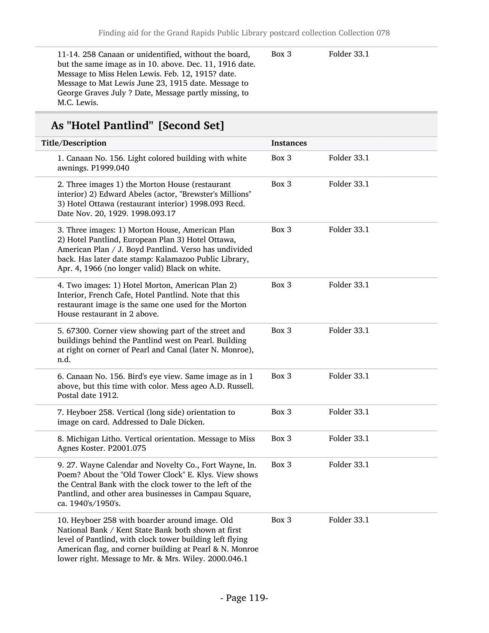11-14. 258 Canaan or unidentified, without the board, but the same image as in 10. above. Dec. 11, 1916 date. Message to Miss Helen Lewis. Feb. 12, 1915? date. Message to Mat Lewis June 23, 1915 date. Message to George Graves July ? Date, Message partly missing, to M.C. Lewis.

Box 3 Folder 33.1

# As "Hotel Pantlind" [Second Set]

| Title/Description                                                                                                                                                                                                                                                                    | <b>Instances</b> |             |
|--------------------------------------------------------------------------------------------------------------------------------------------------------------------------------------------------------------------------------------------------------------------------------------|------------------|-------------|
| 1. Canaan No. 156. Light colored building with white<br>awnings. P1999.040                                                                                                                                                                                                           | Box 3            | Folder 33.1 |
| 2. Three images 1) the Morton House (restaurant<br>interior) 2) Edward Abeles (actor, "Brewster's Millions"<br>3) Hotel Ottawa (restaurant interior) 1998.093 Recd.<br>Date Nov. 20, 1929. 1998.093.17                                                                               | Box 3            | Folder 33.1 |
| 3. Three images: 1) Morton House, American Plan<br>2) Hotel Pantlind, European Plan 3) Hotel Ottawa,<br>American Plan / J. Boyd Pantlind. Verso has undivided<br>back. Has later date stamp: Kalamazoo Public Library,<br>Apr. 4, 1966 (no longer valid) Black on white.             | Box 3            | Folder 33.1 |
| 4. Two images: 1) Hotel Morton, American Plan 2)<br>Interior, French Cafe, Hotel Pantlind. Note that this<br>restaurant image is the same one used for the Morton<br>House restaurant in 2 above.                                                                                    | Box 3            | Folder 33.1 |
| 5. 67300. Corner view showing part of the street and<br>buildings behind the Pantlind west on Pearl. Building<br>at right on corner of Pearl and Canal (later N. Monroe),<br>n.d.                                                                                                    | Box 3            | Folder 33.1 |
| 6. Canaan No. 156. Bird's eye view. Same image as in 1<br>above, but this time with color. Mess ageo A.D. Russell.<br>Postal date 1912.                                                                                                                                              | Box 3            | Folder 33.1 |
| 7. Heyboer 258. Vertical (long side) orientation to<br>image on card. Addressed to Dale Dicken.                                                                                                                                                                                      | Box 3            | Folder 33.1 |
| 8. Michigan Litho. Vertical orientation. Message to Miss<br>Agnes Koster. P2001.075                                                                                                                                                                                                  | Box 3            | Folder 33.1 |
| 9. 27. Wayne Calendar and Novelty Co., Fort Wayne, In.<br>Poem? About the "Old Tower Clock" E. Klys. View shows<br>the Central Bank with the clock tower to the left of the<br>Pantlind, and other area businesses in Campau Square,<br>ca. 1940's/1950's.                           | Box 3            | Folder 33.1 |
| 10. Heyboer 258 with boarder around image. Old<br>National Bank / Kent State Bank both shown at first<br>level of Pantlind, with clock tower building left flying<br>American flag, and corner building at Pearl & N. Monroe<br>lower right. Message to Mr. & Mrs. Wiley. 2000.046.1 | Box 3            | Folder 33.1 |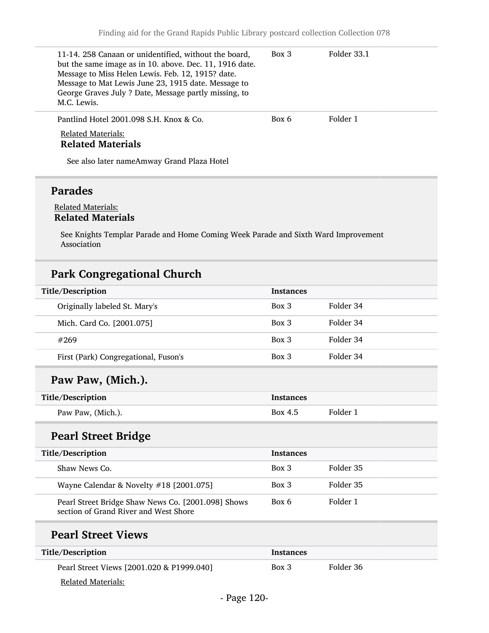| 11-14. 258 Canaan or unidentified, without the board,<br>but the same image as in 10. above. Dec. 11, 1916 date.<br>Message to Miss Helen Lewis. Feb. 12, 1915? date.<br>Message to Mat Lewis June 23, 1915 date. Message to<br>George Graves July ? Date, Message partly missing, to<br>M.C. Lewis. | Box 3 | Folder 33.1 |
|------------------------------------------------------------------------------------------------------------------------------------------------------------------------------------------------------------------------------------------------------------------------------------------------------|-------|-------------|
| Pantlind Hotel 2001.098 S.H. Knox & Co.<br><b>Related Materials:</b><br><b>Related Materials</b>                                                                                                                                                                                                     | Box 6 | Folder 1    |
| See also later nameAmway Grand Plaza Hotel                                                                                                                                                                                                                                                           |       |             |

# Parades

#### Related Materials: Related Materials

See Knights Templar Parade and Home Coming Week Parade and Sixth Ward Improvement Association

# Park Congregational Church

| Title/Description                                                                           | <b>Instances</b> |           |
|---------------------------------------------------------------------------------------------|------------------|-----------|
| Originally labeled St. Mary's                                                               | Box 3            | Folder 34 |
| Mich. Card Co. [2001.075]                                                                   | Box 3            | Folder 34 |
| #269                                                                                        | Box 3            | Folder 34 |
| First (Park) Congregational, Fuson's                                                        | $Box$ 3          | Folder 34 |
| Paw Paw, (Mich.).                                                                           |                  |           |
| Title/Description                                                                           | <b>Instances</b> |           |
| Paw Paw, (Mich.).                                                                           | Box 4.5          | Folder 1  |
| <b>Pearl Street Bridge</b>                                                                  |                  |           |
| Title/Description                                                                           | <b>Instances</b> |           |
| Shaw News Co.                                                                               | $Box$ 3          | Folder 35 |
| Wayne Calendar & Novelty #18 [2001.075]                                                     | Box 3            | Folder 35 |
| Pearl Street Bridge Shaw News Co. [2001.098] Shows<br>section of Grand River and West Shore | Box 6            | Folder 1  |
| <b>Pearl Street Views</b>                                                                   |                  |           |
| Title/Description                                                                           | <b>Instances</b> |           |
| Pearl Street Views [2001.020 & P1999.040]                                                   | $Box\ 3$         | Folder 36 |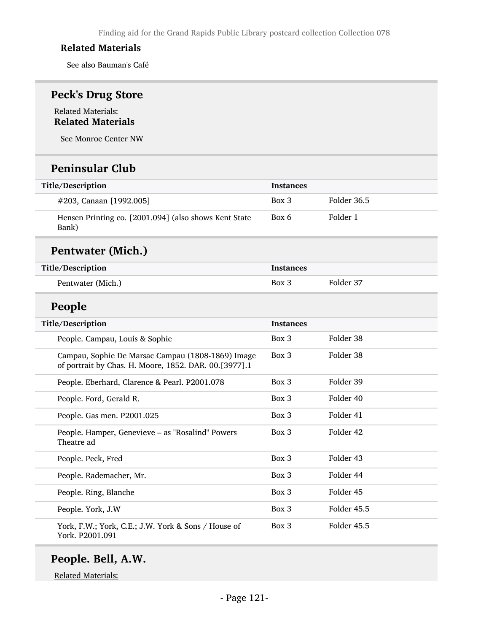See also Bauman's Café

# Peck's Drug Store

#### Related Materials: Related Materials

See Monroe Center NW

### Peninsular Club

| Title/Description                                              | <b>Instances</b> |             |
|----------------------------------------------------------------|------------------|-------------|
| #203, Canaan [1992.005]                                        | Box 3            | Folder 36.5 |
| Hensen Printing co. [2001.094] (also shows Kent State<br>Bank) | Box 6            | Folder 1    |

# Pentwater (Mich.)

| Title/Description | <b>Instances</b> |           |
|-------------------|------------------|-----------|
| Pentwater (Mich.) | $Box\ 3$         | Folder 37 |
|                   |                  |           |

# People

| Title/Description                                                                                          | <b>Instances</b> |             |
|------------------------------------------------------------------------------------------------------------|------------------|-------------|
| People. Campau, Louis & Sophie                                                                             | $Box\ 3$         | Folder 38   |
| Campau, Sophie De Marsac Campau (1808-1869) Image<br>of portrait by Chas. H. Moore, 1852. DAR. 00.[3977].1 | $Box\ 3$         | Folder 38   |
| People. Eberhard, Clarence & Pearl. P2001.078                                                              | Box 3            | Folder 39   |
| People. Ford, Gerald R.                                                                                    | $Box\ 3$         | Folder 40   |
| People. Gas men. P2001.025                                                                                 | $Box\ 3$         | Folder 41   |
| People. Hamper, Genevieve - as "Rosalind" Powers<br>Theatre ad                                             | Box 3            | Folder 42   |
| People. Peck, Fred                                                                                         | Box 3            | Folder 43   |
| People. Rademacher, Mr.                                                                                    | $Box\ 3$         | Folder 44   |
| People. Ring, Blanche                                                                                      | Box 3            | Folder 45   |
| People. York, J.W                                                                                          | $Box\ 3$         | Folder 45.5 |
| York, F.W.; York, C.E.; J.W. York & Sons / House of<br>York. P2001.091                                     | Box 3            | Folder 45.5 |

# People. Bell, A.W.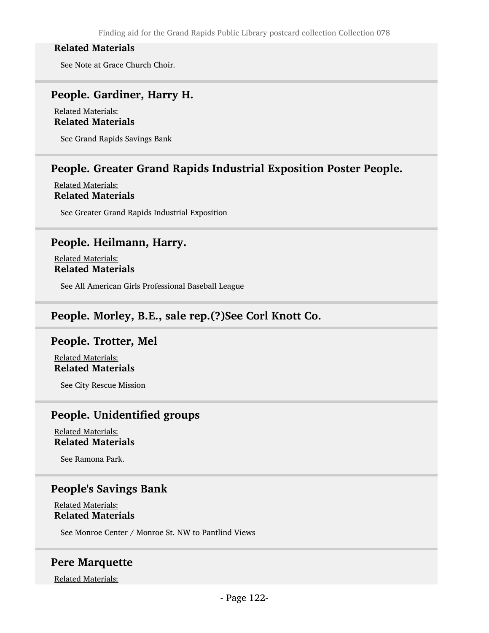See Note at Grace Church Choir.

### People. Gardiner, Harry H.

Related Materials: Related Materials

See Grand Rapids Savings Bank

### People. Greater Grand Rapids Industrial Exposition Poster People.

#### Related Materials: Related Materials

See Greater Grand Rapids Industrial Exposition

### People. Heilmann, Harry.

Related Materials: Related Materials

See All American Girls Professional Baseball League

### People. Morley, B.E., sale rep.(?)See Corl Knott Co.

### People. Trotter, Mel

Related Materials: Related Materials

See City Rescue Mission

### People. Unidentified groups

Related Materials: Related Materials

See Ramona Park.

### People's Savings Bank

Related Materials: Related Materials

See Monroe Center / Monroe St. NW to Pantlind Views

### Pere Marquette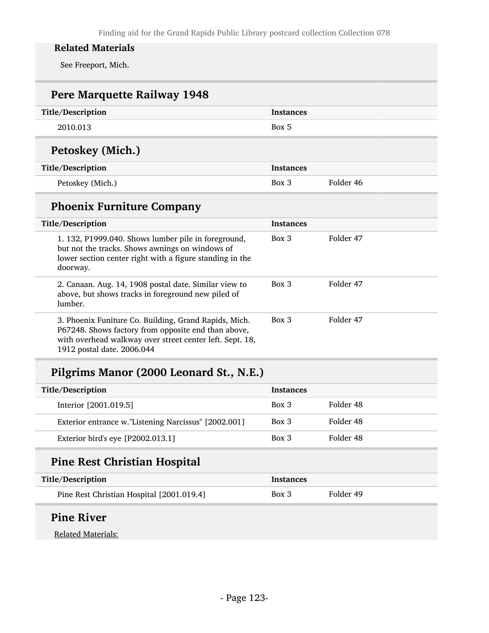See Freeport, Mich.

| Pere Marquette Railway 1948                                                                                                                                                                            |                  |           |
|--------------------------------------------------------------------------------------------------------------------------------------------------------------------------------------------------------|------------------|-----------|
| Title/Description                                                                                                                                                                                      | <b>Instances</b> |           |
| 2010.013                                                                                                                                                                                               | Box 5            |           |
| Petoskey (Mich.)                                                                                                                                                                                       |                  |           |
| Title/Description                                                                                                                                                                                      | <b>Instances</b> |           |
| Petoskey (Mich.)                                                                                                                                                                                       | $Box\ 3$         | Folder 46 |
| <b>Phoenix Furniture Company</b>                                                                                                                                                                       |                  |           |
| Title/Description                                                                                                                                                                                      | <b>Instances</b> |           |
| 1. 132, P1999.040. Shows lumber pile in foreground,<br>but not the tracks. Shows awnings on windows of<br>lower section center right with a figure standing in the<br>doorway.                         | $Box$ 3          | Folder 47 |
| 2. Canaan. Aug. 14, 1908 postal date. Similar view to<br>above, but shows tracks in foreground new piled of<br>lumber.                                                                                 | Box 3            | Folder 47 |
| 3. Phoenix Funiture Co. Building, Grand Rapids, Mich.<br>P67248. Shows factory from opposite end than above,<br>with overhead walkway over street center left. Sept. 18,<br>1912 postal date. 2006.044 | $Box$ 3          | Folder 47 |

# Pilgrims Manor (2000 Leonard St., N.E.)

| <b>Title/Description</b>                             | <b>Instances</b> |           |
|------------------------------------------------------|------------------|-----------|
| Interior [2001.019.5]                                | $Box$ 3          | Folder 48 |
| Exterior entrance w."Listening Narcissus" [2002.001] | $Box\ 3$         | Folder 48 |
| Exterior bird's eye [P2002.013.1]                    | $Box\ 3$         | Folder 48 |

# Pine Rest Christian Hospital

| Title/Description                         | Instances |           |
|-------------------------------------------|-----------|-----------|
| Pine Rest Christian Hospital [2001.019.4] | Box 3     | Folder 49 |

# Pine River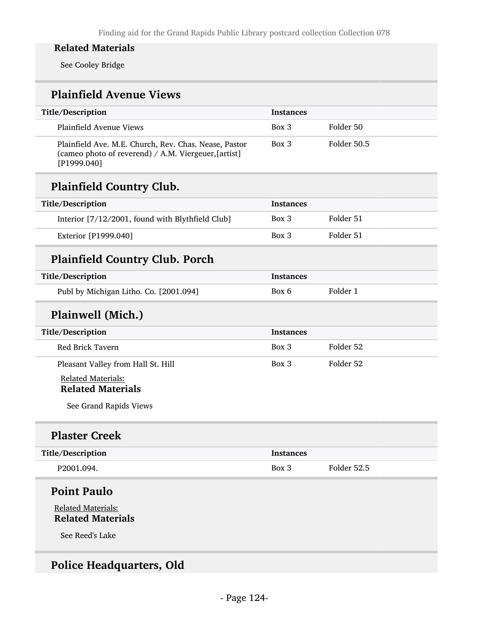See Cooley Bridge

# Plainfield Avenue Views

| Title/Description                                                                                                            | Instances        |             |
|------------------------------------------------------------------------------------------------------------------------------|------------------|-------------|
| Plainfield Avenue Views                                                                                                      | Box 3            | Folder 50   |
| Plainfield Ave. M.E. Church, Rev. Chas. Nease, Pastor<br>(cameo photo of reverend) / A.M. Viergeuer, [artist]<br>[P1999.040] | Box 3            | Folder 50.5 |
| <b>Plainfield Country Club.</b>                                                                                              |                  |             |
| Title/Description                                                                                                            | Instances        |             |
| Interior [7/12/2001, found with Blythfield Club]                                                                             | Box 3            | Folder 51   |
| Exterior [P1999.040]                                                                                                         | Box 3            | Folder 51   |
| <b>Plainfield Country Club. Porch</b>                                                                                        |                  |             |
| Title/Description                                                                                                            | <b>Instances</b> |             |
| Publ by Michigan Litho. Co. [2001.094]                                                                                       | Box 6            | Folder 1    |
| Plainwell (Mich.)                                                                                                            |                  |             |
| Title/Description                                                                                                            | <b>Instances</b> |             |
| Red Brick Tavern                                                                                                             | Box 3            | Folder 52   |
| Pleasant Valley from Hall St. Hill                                                                                           | Box 3            | Folder 52   |
| <b>Related Materials:</b><br><b>Related Materials</b>                                                                        |                  |             |
| See Grand Rapids Views                                                                                                       |                  |             |
| <b>Plaster Creek</b>                                                                                                         |                  |             |
| Title/Description                                                                                                            | <b>Instances</b> |             |
| P2001.094.                                                                                                                   | Box 3            | Folder 52.5 |
| <b>Point Paulo</b>                                                                                                           |                  |             |
| <b>Related Materials:</b><br><b>Related Materials</b>                                                                        |                  |             |
| See Reed's Lake                                                                                                              |                  |             |
|                                                                                                                              |                  |             |

# Police Headquarters, Old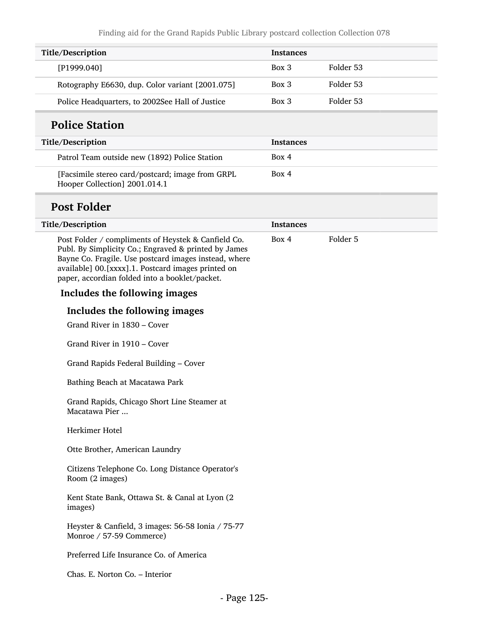| Title/Description                               | <b>Instances</b> |           |
|-------------------------------------------------|------------------|-----------|
| [P1999.040]                                     | Box 3            | Folder 53 |
| Rotography E6630, dup. Color variant [2001.075] | $Box\ 3$         | Folder 53 |
| Police Headquarters, to 2002See Hall of Justice | $Box$ 3          | Folder 53 |

# Police Station

| <b>Title/Description</b>                                                          | <b>Instances</b> |
|-----------------------------------------------------------------------------------|------------------|
| Patrol Team outside new (1892) Police Station                                     | Box 4            |
| [Facsimile stereo card/postcard; image from GRPL<br>Hooper Collection] 2001.014.1 | Box 4            |

# Post Folder

| Title/Description                                                                                                                                                                                                                                                            | <b>Instances</b> |          |
|------------------------------------------------------------------------------------------------------------------------------------------------------------------------------------------------------------------------------------------------------------------------------|------------------|----------|
| Post Folder / compliments of Heystek & Canfield Co.<br>Publ. By Simplicity Co.; Engraved & printed by James<br>Bayne Co. Fragile. Use postcard images instead, where<br>available] 00.[xxxx].1. Postcard images printed on<br>paper, accordian folded into a booklet/packet. | Box 4            | Folder 5 |
| Includes the following images                                                                                                                                                                                                                                                |                  |          |
| Includes the following images                                                                                                                                                                                                                                                |                  |          |
| Grand River in 1830 - Cover                                                                                                                                                                                                                                                  |                  |          |
| Grand River in 1910 – Cover                                                                                                                                                                                                                                                  |                  |          |
| Grand Rapids Federal Building - Cover                                                                                                                                                                                                                                        |                  |          |
| Bathing Beach at Macatawa Park                                                                                                                                                                                                                                               |                  |          |
| Grand Rapids, Chicago Short Line Steamer at<br>Macatawa Pier                                                                                                                                                                                                                 |                  |          |
| Herkimer Hotel                                                                                                                                                                                                                                                               |                  |          |
| Otte Brother, American Laundry                                                                                                                                                                                                                                               |                  |          |
| Citizens Telephone Co. Long Distance Operator's<br>Room (2 images)                                                                                                                                                                                                           |                  |          |
| Kent State Bank, Ottawa St. & Canal at Lyon (2<br>images)                                                                                                                                                                                                                    |                  |          |
| Heyster & Canfield, 3 images: 56-58 Ionia / 75-77<br>Monroe / 57-59 Commerce)                                                                                                                                                                                                |                  |          |
| Preferred Life Insurance Co. of America                                                                                                                                                                                                                                      |                  |          |
| Chas. E. Norton Co. - Interior                                                                                                                                                                                                                                               |                  |          |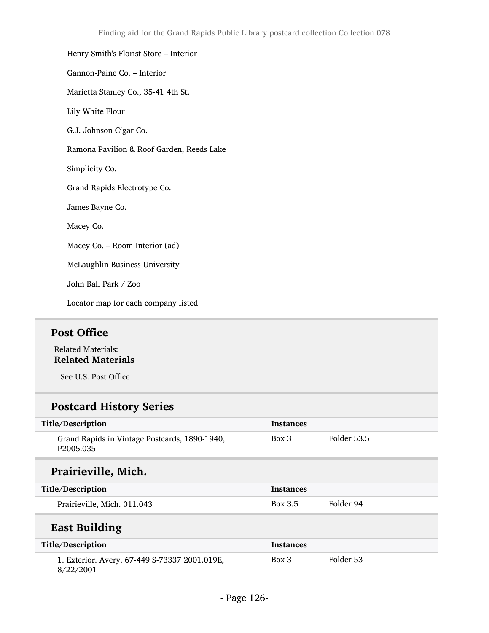# Henry Smith's Florist Store – Interior Gannon-Paine Co. – Interior Marietta Stanley Co., 35-41 4th St. Lily White Flour G.J. Johnson Cigar Co. Ramona Pavilion & Roof Garden, Reeds Lake Simplicity Co. Grand Rapids Electrotype Co. James Bayne Co. Macey Co. Macey Co. – Room Interior (ad) McLaughlin Business University John Ball Park / Zoo

Locator map for each company listed

# Post Office

Related Materials: Related Materials

See U.S. Post Office

# Postcard History Series

| Title/Description                                          | <b>Instances</b> |             |
|------------------------------------------------------------|------------------|-------------|
| Grand Rapids in Vintage Postcards, 1890-1940,<br>P2005.035 | Box 3            | Folder 53.5 |
| Prairieville, Mich.                                        |                  |             |
| Title/Description                                          | <b>Instances</b> |             |
| Prairieville, Mich. 011.043                                | Box 3.5          | Folder 94   |
| <b>East Building</b>                                       |                  |             |
| Title/Description                                          | <b>Instances</b> |             |
| 1. Exterior. Avery. 67-449 S-73337 2001.019E,<br>8/22/2001 | $Box\ 3$         | Folder 53   |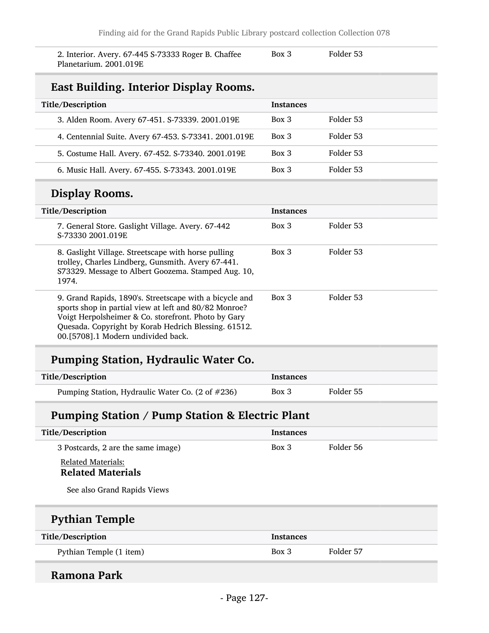2. Interior. Avery. 67-445 S-73333 Roger B. Chaffee Planetarium. 2001.019E

Box 3 Folder 53

# East Building. Interior Display Rooms.

| Title/Description                                     | <b>Instances</b>      |
|-------------------------------------------------------|-----------------------|
| 3. Alden Room. Avery 67-451. S-73339. 2001.019E       | Folder 53<br>Box 3    |
| 4. Centennial Suite. Avery 67-453. S-73341. 2001.019E | Folder 53<br>Box 3    |
| 5. Costume Hall. Avery. 67-452. S-73340. 2001.019E    | Folder 53<br>$Box\ 3$ |
| 6. Music Hall. Avery. 67-455. S-73343. 2001.019E      | Folder 53<br>Box 3    |

# Display Rooms.

| Title/Description                                                                                                                                                                                                                                                     | <b>Instances</b> |           |
|-----------------------------------------------------------------------------------------------------------------------------------------------------------------------------------------------------------------------------------------------------------------------|------------------|-----------|
| 7. General Store. Gaslight Village. Avery. 67-442<br>S-73330 2001.019E                                                                                                                                                                                                | $Box$ 3          | Folder 53 |
| 8. Gaslight Village. Streetscape with horse pulling<br>trolley, Charles Lindberg, Gunsmith. Avery 67-441.<br>S73329. Message to Albert Goozema. Stamped Aug. 10,<br>1974.                                                                                             | $Box$ 3          | Folder 53 |
| 9. Grand Rapids, 1890's. Streetscape with a bicycle and<br>sports shop in partial view at left and 80/82 Monroe?<br>Voigt Herpolsheimer & Co. storefront. Photo by Gary<br>Quesada. Copyright by Korab Hedrich Blessing. 61512.<br>00.[5708].1 Modern undivided back. | $Box$ 3          | Folder 53 |

# Pumping Station, Hydraulic Water Co.

| Title/Description                                | Instances |           |
|--------------------------------------------------|-----------|-----------|
| Pumping Station, Hydraulic Water Co. (2 of #236) | Box 3     | Folder 55 |

# Pumping Station / Pump Station & Electric Plant

| Title/Description                                                                    | <b>Instances</b> |           |
|--------------------------------------------------------------------------------------|------------------|-----------|
| 3 Postcards, 2 are the same image)                                                   | $Box\ 3$         | Folder 56 |
| <b>Related Materials:</b><br><b>Related Materials</b><br>See also Grand Rapids Views |                  |           |
| <b>Pythian Temple</b>                                                                |                  |           |
| Title/Description                                                                    | <b>Instances</b> |           |
| Pythian Temple (1 item)                                                              | $Box\ 3$         | Folder 57 |

### Ramona Park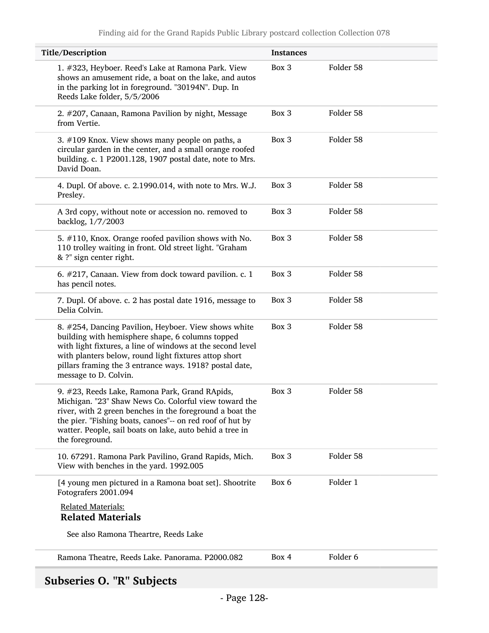| Title/Description                                                                                                                                                                                                                                                                                                   | <b>Instances</b> |           |
|---------------------------------------------------------------------------------------------------------------------------------------------------------------------------------------------------------------------------------------------------------------------------------------------------------------------|------------------|-----------|
| 1. #323, Heyboer. Reed's Lake at Ramona Park. View<br>shows an amusement ride, a boat on the lake, and autos<br>in the parking lot in foreground. "30194N". Dup. In<br>Reeds Lake folder, 5/5/2006                                                                                                                  | Box 3            | Folder 58 |
| 2. #207, Canaan, Ramona Pavilion by night, Message<br>from Vertie.                                                                                                                                                                                                                                                  | Box 3            | Folder 58 |
| 3. #109 Knox. View shows many people on paths, a<br>circular garden in the center, and a small orange roofed<br>building. c. 1 P2001.128, 1907 postal date, note to Mrs.<br>David Doan.                                                                                                                             | Box 3            | Folder 58 |
| 4. Dupl. Of above. c. 2.1990.014, with note to Mrs. W.J.<br>Presley.                                                                                                                                                                                                                                                | Box 3            | Folder 58 |
| A 3rd copy, without note or accession no. removed to<br>backlog, 1/7/2003                                                                                                                                                                                                                                           | Box 3            | Folder 58 |
| 5. #110, Knox. Orange roofed pavilion shows with No.<br>110 trolley waiting in front. Old street light. "Graham<br>& ?" sign center right.                                                                                                                                                                          | Box 3            | Folder 58 |
| 6. #217, Canaan. View from dock toward pavilion. c. 1<br>has pencil notes.                                                                                                                                                                                                                                          | Box 3            | Folder 58 |
| 7. Dupl. Of above. c. 2 has postal date 1916, message to<br>Delia Colvin.                                                                                                                                                                                                                                           | Box 3            | Folder 58 |
| 8. #254, Dancing Pavilion, Heyboer. View shows white<br>building with hemisphere shape, 6 columns topped<br>with light fixtures, a line of windows at the second level<br>with planters below, round light fixtures attop short<br>pillars framing the 3 entrance ways. 1918? postal date,<br>message to D. Colvin. | Box 3            | Folder 58 |
| 9. #23, Reeds Lake, Ramona Park, Grand RApids,<br>Michigan. "23" Shaw News Co. Colorful view toward the<br>river, with 2 green benches in the foreground a boat the<br>the pier. "Fishing boats, canoes"-- on red roof of hut by<br>watter. People, sail boats on lake, auto behid a tree in<br>the foreground.     | Box 3            | Folder 58 |
| 10. 67291. Ramona Park Pavilino, Grand Rapids, Mich.<br>View with benches in the yard. 1992.005                                                                                                                                                                                                                     | Box 3            | Folder 58 |
| [4 young men pictured in a Ramona boat set]. Shootrite<br>Fotografers 2001.094                                                                                                                                                                                                                                      | Box 6            | Folder 1  |
| <b>Related Materials:</b><br><b>Related Materials</b>                                                                                                                                                                                                                                                               |                  |           |
| See also Ramona Theartre, Reeds Lake                                                                                                                                                                                                                                                                                |                  |           |
| Ramona Theatre, Reeds Lake. Panorama. P2000.082                                                                                                                                                                                                                                                                     | Box 4            | Folder 6  |

# Subseries O. "R" Subjects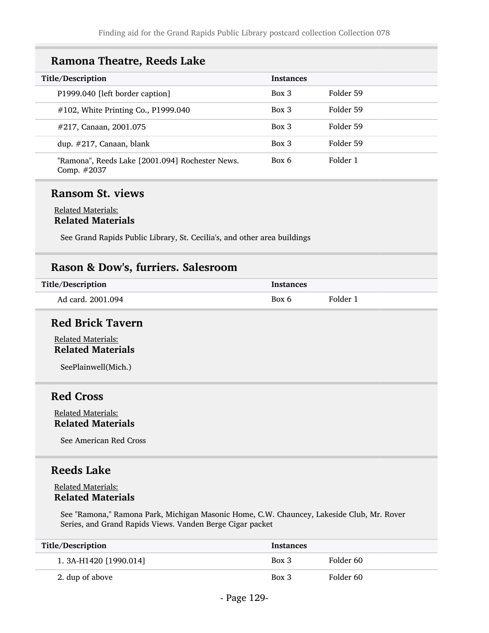### Ramona Theatre, Reeds Lake

| Title/Description                                              | <b>Instances</b> |           |
|----------------------------------------------------------------|------------------|-----------|
| P1999.040 [left border caption]                                | Box 3            | Folder 59 |
| #102, White Printing Co., P1999.040                            | Box 3            | Folder 59 |
| #217, Canaan, 2001.075                                         | $Box\ 3$         | Folder 59 |
| dup. $\#217$ , Canaan, blank                                   | $Box\ 3$         | Folder 59 |
| "Ramona", Reeds Lake [2001.094] Rochester News.<br>Comp. #2037 | Box 6            | Folder 1  |

### Ransom St. views

#### Related Materials: Related Materials

See Grand Rapids Public Library, St. Cecilia's, and other area buildings

### Rason & Dow's, furriers. Salesroom

| Title/Description | <b>Instances</b> |          |
|-------------------|------------------|----------|
| Ad card, 2001.094 | Rox 6            | Folder 1 |

### Red Brick Tavern

Related Materials: Related Materials

SeePlainwell(Mich.)

### Red Cross

Related Materials: Related Materials

See American Red Cross

### Reeds Lake

#### Related Materials: Related Materials

See "Ramona," Ramona Park, Michigan Masonic Home, C.W. Chauncey, Lakeside Club, Mr. Rover Series, and Grand Rapids Views. Vanden Berge Cigar packet

| Title/Description        | <b>Instances</b> |           |
|--------------------------|------------------|-----------|
| 1. 3A-H1420 $[1990.014]$ | Box 3            | Folder 60 |
| 2. dup of above          | Box 3            | Folder 60 |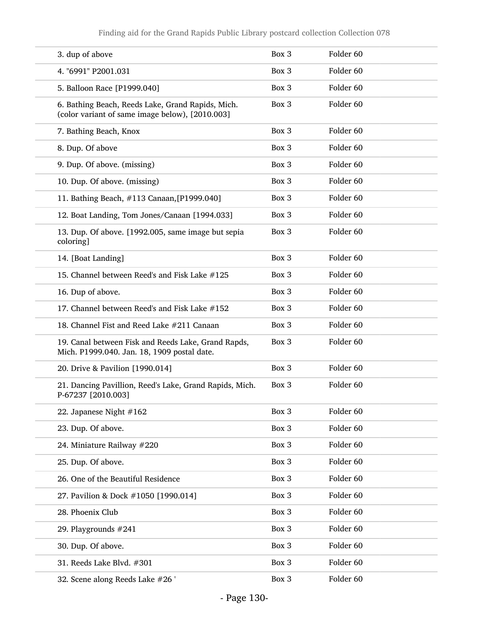| 3. dup of above                                                                                      | Box 3 | Folder <sub>60</sub> |
|------------------------------------------------------------------------------------------------------|-------|----------------------|
| 4. "6991" P2001.031                                                                                  | Box 3 | Folder <sub>60</sub> |
| 5. Balloon Race [P1999.040]                                                                          | Box 3 | Folder <sub>60</sub> |
| 6. Bathing Beach, Reeds Lake, Grand Rapids, Mich.<br>(color variant of same image below), [2010.003] | Box 3 | Folder <sub>60</sub> |
| 7. Bathing Beach, Knox                                                                               | Box 3 | Folder <sub>60</sub> |
| 8. Dup. Of above                                                                                     | Box 3 | Folder <sub>60</sub> |
| 9. Dup. Of above. (missing)                                                                          | Box 3 | Folder <sub>60</sub> |
| 10. Dup. Of above. (missing)                                                                         | Box 3 | Folder <sub>60</sub> |
| 11. Bathing Beach, #113 Canaan, [P1999.040]                                                          | Box 3 | Folder <sub>60</sub> |
| 12. Boat Landing, Tom Jones/Canaan [1994.033]                                                        | Box 3 | Folder <sub>60</sub> |
| 13. Dup. Of above. [1992.005, same image but sepia<br>coloring]                                      | Box 3 | Folder <sub>60</sub> |
| 14. [Boat Landing]                                                                                   | Box 3 | Folder <sub>60</sub> |
| 15. Channel between Reed's and Fisk Lake #125                                                        | Box 3 | Folder <sub>60</sub> |
| 16. Dup of above.                                                                                    | Box 3 | Folder <sub>60</sub> |
| 17. Channel between Reed's and Fisk Lake #152                                                        | Box 3 | Folder <sub>60</sub> |
| 18. Channel Fist and Reed Lake #211 Canaan                                                           | Box 3 | Folder <sub>60</sub> |
| 19. Canal between Fisk and Reeds Lake, Grand Rapds,<br>Mich. P1999.040. Jan. 18, 1909 postal date.   | Box 3 | Folder 60            |
| 20. Drive & Pavilion [1990.014]                                                                      | Box 3 | Folder <sub>60</sub> |
| 21. Dancing Pavillion, Reed's Lake, Grand Rapids, Mich.<br>P-67237 [2010.003]                        | Box 3 | Folder <sub>60</sub> |
| 22. Japanese Night #162                                                                              | Box 3 | Folder 60            |
| 23. Dup. Of above.                                                                                   | Box 3 | Folder 60            |
| 24. Miniature Railway #220                                                                           | Box 3 | Folder 60            |
| 25. Dup. Of above.                                                                                   | Box 3 | Folder 60            |
| 26. One of the Beautiful Residence                                                                   | Box 3 | Folder 60            |
| 27. Pavilion & Dock #1050 [1990.014]                                                                 | Box 3 | Folder 60            |
| 28. Phoenix Club                                                                                     | Box 3 | Folder 60            |
| 29. Playgrounds #241                                                                                 | Box 3 | Folder 60            |
| 30. Dup. Of above.                                                                                   | Box 3 | Folder 60            |
| 31. Reeds Lake Blvd. #301                                                                            | Box 3 | Folder 60            |
| 32. Scene along Reeds Lake #26 '                                                                     | Box 3 | Folder 60            |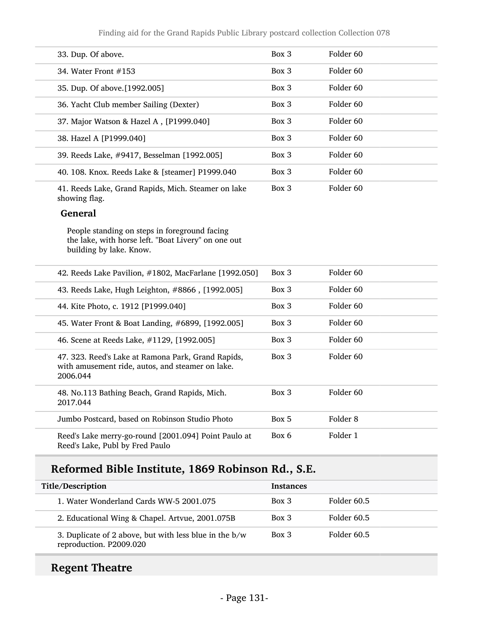Finding aid for the Grand Rapids Public Library postcard collection Collection 078

| 33. Dup. Of above.                                                   | Box 3    | Folder 60            |
|----------------------------------------------------------------------|----------|----------------------|
| 34. Water Front $\#153$                                              | Box 3    | Folder 60            |
| 35. Dup. Of above. [1992.005]                                        | $Box\ 3$ | Folder 60            |
| 36. Yacht Club member Sailing (Dexter)                               | $Box\ 3$ | Folder 60            |
| 37. Major Watson & Hazel A, [P1999.040]                              | $Box\ 3$ | Folder 60            |
| 38. Hazel A [P1999.040]                                              | $Box\ 3$ | Folder 60            |
| 39. Reeds Lake, #9417, Besselman [1992.005]                          | $Box\ 3$ | Folder <sub>60</sub> |
| 40. 108. Knox. Reeds Lake & [steamer] P1999.040                      | $Box\ 3$ | Folder 60            |
| 41. Reeds Lake, Grand Rapids, Mich. Steamer on lake<br>showing flag. | Box 3    | Folder 60            |

#### General

People standing on steps in foreground facing the lake, with horse left. "Boat Livery" on one out building by lake. Know.

| 42. Reeds Lake Pavilion, #1802, MacFarlane [1992.050]                                                              | $Box\ 3$ | Folder 60            |
|--------------------------------------------------------------------------------------------------------------------|----------|----------------------|
| 43. Reeds Lake, Hugh Leighton, #8866, [1992.005]                                                                   | Box 3    | Folder 60            |
| 44. Kite Photo, c. 1912 [P1999.040]                                                                                | Box 3    | Folder 60            |
| 45. Water Front & Boat Landing, #6899, [1992.005]                                                                  | $Box\ 3$ | Folder <sub>60</sub> |
| 46. Scene at Reeds Lake, #1129, [1992.005]                                                                         | Box 3    | Folder 60            |
| 47. 323. Reed's Lake at Ramona Park, Grand Rapids,<br>with amusement ride, autos, and steamer on lake.<br>2006.044 | Box 3    | Folder 60            |
| 48. No.113 Bathing Beach, Grand Rapids, Mich.<br>2017.044                                                          | Box 3    | Folder <sub>60</sub> |
| Jumbo Postcard, based on Robinson Studio Photo                                                                     | Box 5    | Folder 8             |
| Reed's Lake merry-go-round [2001.094] Point Paulo at<br>Reed's Lake, Publ by Fred Paulo                            | Box 6    | Folder 1             |

# Reformed Bible Institute, 1869 Robinson Rd., S.E.

| Title/Description                                                                   | <b>Instances</b> |             |
|-------------------------------------------------------------------------------------|------------------|-------------|
| 1. Water Wonderland Cards WW-5 2001.075                                             | $Box\ 3$         | Folder 60.5 |
| 2. Educational Wing & Chapel. Artvue, 2001.075B                                     | $Box\ 3$         | Folder 60.5 |
| 3. Duplicate of 2 above, but with less blue in the $b/w$<br>reproduction. P2009.020 | $Box\ 3$         | Folder 60.5 |

# Regent Theatre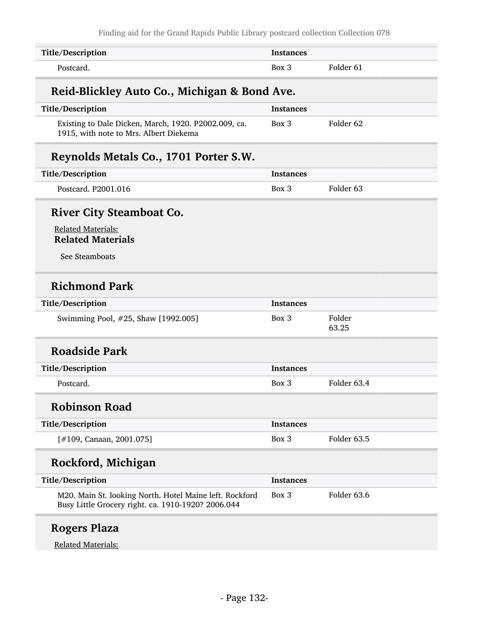| Title/Description                                                                                             | <b>Instances</b> |                      |
|---------------------------------------------------------------------------------------------------------------|------------------|----------------------|
| Postcard.                                                                                                     | $Box$ 3          | Folder 61            |
| Reid-Blickley Auto Co., Michigan & Bond Ave.                                                                  |                  |                      |
| Title/Description                                                                                             | <b>Instances</b> |                      |
| Existing to Dale Dicken, March, 1920. P2002.009, ca.<br>1915, with note to Mrs. Albert Diekema                | $Box$ 3          | Folder <sub>62</sub> |
| Reynolds Metals Co., 1701 Porter S.W.                                                                         |                  |                      |
| Title/Description                                                                                             | Instances        |                      |
| Postcard. P2001.016                                                                                           | Box 3            | Folder <sub>63</sub> |
| <b>River City Steamboat Co.</b>                                                                               |                  |                      |
| <b>Related Materials:</b><br><b>Related Materials</b>                                                         |                  |                      |
| See Steamboats                                                                                                |                  |                      |
| <b>Richmond Park</b>                                                                                          |                  |                      |
| Title/Description                                                                                             | <b>Instances</b> |                      |
| Swimming Pool, #25, Shaw [1992.005]                                                                           | Box 3            | Folder<br>63.25      |
| <b>Roadside Park</b>                                                                                          |                  |                      |
| Title/Description                                                                                             | <b>Instances</b> |                      |
| Postcard.                                                                                                     | Box 3            | Folder 63.4          |
| <b>Robinson Road</b>                                                                                          |                  |                      |
| Title/Description                                                                                             | <b>Instances</b> |                      |
| [#109, Canaan, 2001.075]                                                                                      | Box 3            | Folder 63.5          |
| Rockford, Michigan                                                                                            |                  |                      |
| Title/Description                                                                                             | <b>Instances</b> |                      |
| M20. Main St. looking North. Hotel Maine left. Rockford<br>Busy Little Grocery right. ca. 1910-1920? 2006.044 | Box 3            | Folder 63.6          |

# Rogers Plaza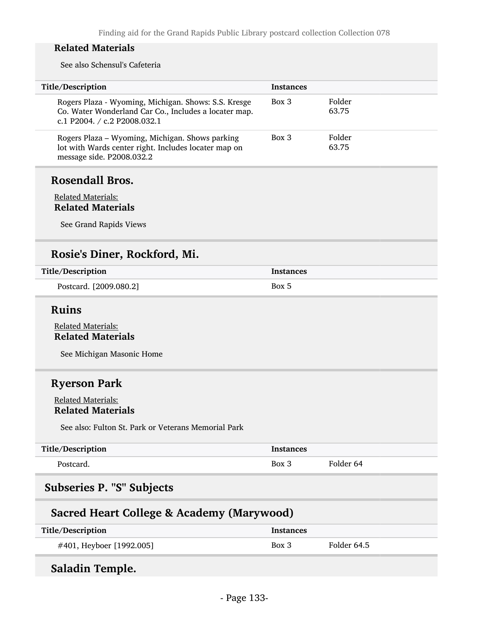See also Schensul's Cafeteria

| Title/Description                                                                                                                             | <b>Instances</b> |                 |
|-----------------------------------------------------------------------------------------------------------------------------------------------|------------------|-----------------|
| Rogers Plaza - Wyoming, Michigan. Shows: S.S. Kresge<br>Co. Water Wonderland Car Co., Includes a locater map.<br>c.1 P2004. / c.2 P2008.032.1 | Box 3            | Folder<br>63.75 |
| Rogers Plaza - Wyoming, Michigan. Shows parking<br>lot with Wards center right. Includes locater map on<br>message side. P2008.032.2          | Box 3            | Folder<br>63.75 |
| Rosendall Bros.                                                                                                                               |                  |                 |

#### Related Materials: Related Materials

See Grand Rapids Views

# Rosie's Diner, Rockford, Mi.

| Title/Description      | <b>Instances</b> |
|------------------------|------------------|
| Postcard. [2009.080.2] | Box 5            |

### Ruins

Related Materials: Related Materials

See Michigan Masonic Home

# Ryerson Park

#### Related Materials: Related Materials

See also: Fulton St. Park or Veterans Memorial Park

| Title/Description | <b>Instances</b> |           |
|-------------------|------------------|-----------|
| Postcard.         | Box 3            | Folder 64 |

# Subseries P. "S" Subjects

# Sacred Heart College & Academy (Marywood)

| Title/Description        | <b>Instances</b> |             |
|--------------------------|------------------|-------------|
| #401, Heyboer [1992.005] | Box 3            | Folder 64.5 |

# Saladin Temple.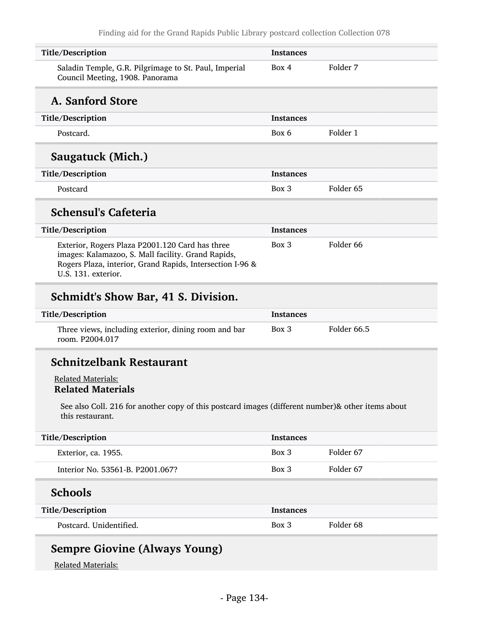| Title/Description                                                                                                                                                                         | <b>Instances</b> |                      |
|-------------------------------------------------------------------------------------------------------------------------------------------------------------------------------------------|------------------|----------------------|
| Saladin Temple, G.R. Pilgrimage to St. Paul, Imperial<br>Council Meeting, 1908. Panorama                                                                                                  | Box 4            | Folder 7             |
| A. Sanford Store                                                                                                                                                                          |                  |                      |
| Title/Description                                                                                                                                                                         | <b>Instances</b> |                      |
| Postcard.                                                                                                                                                                                 | Box 6            | Folder 1             |
| Saugatuck (Mich.)                                                                                                                                                                         |                  |                      |
| Title/Description                                                                                                                                                                         | <b>Instances</b> |                      |
| Postcard                                                                                                                                                                                  | Box 3            | Folder <sub>65</sub> |
| <b>Schensul's Cafeteria</b>                                                                                                                                                               |                  |                      |
| Title/Description                                                                                                                                                                         | <b>Instances</b> |                      |
| Exterior, Rogers Plaza P2001.120 Card has three<br>images: Kalamazoo, S. Mall facility. Grand Rapids,<br>Rogers Plaza, interior, Grand Rapids, Intersection I-96 &<br>U.S. 131. exterior. | $Box$ 3          | Folder <sub>66</sub> |
| Schmidt's Show Bar, 41 S. Division.                                                                                                                                                       |                  |                      |
|                                                                                                                                                                                           |                  |                      |

#### Title/Description and the Instances Three views, including exterior, dining room and bar room. P2004.017 Box 3 Folder 66.5

# Schnitzelbank Restaurant

#### Related Materials: Related Materials

See also Coll. 216 for another copy of this postcard images (different number)& other items about this restaurant.

| Title/Description                | <b>Instances</b> |           |
|----------------------------------|------------------|-----------|
| Exterior, ca. 1955.              | Box 3            | Folder 67 |
| Interior No. 53561-B. P2001.067? | Box 3            | Folder 67 |
|                                  |                  |           |
| <b>Schools</b>                   |                  |           |
| Title/Description                | <b>Instances</b> |           |

# Sempre Giovine (Always Young)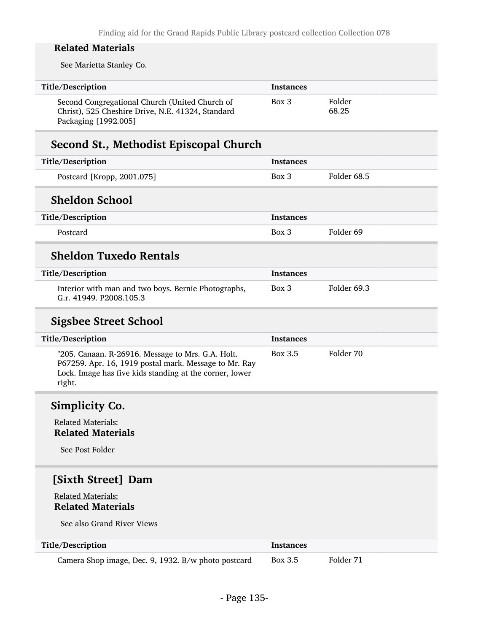See Marietta Stanley Co.

| Title/Description                                                                                                           | <b>Instances</b> |                 |
|-----------------------------------------------------------------------------------------------------------------------------|------------------|-----------------|
| Second Congregational Church (United Church of<br>Christ), 525 Cheshire Drive, N.E. 41324, Standard<br>Packaging [1992.005] | Box 3            | Folder<br>68.25 |

# Second St., Methodist Episcopal Church

| Title/Description                                                              | <b>Instances</b> |             |
|--------------------------------------------------------------------------------|------------------|-------------|
| Postcard [Kropp, 2001.075]                                                     | $Box\ 3$         | Folder 68.5 |
| <b>Sheldon School</b>                                                          |                  |             |
| Title/Description                                                              | <b>Instances</b> |             |
| Postcard                                                                       | $Box$ 3          | Folder 69   |
| <b>Sheldon Tuxedo Rentals</b>                                                  |                  |             |
| Title/Description                                                              | <b>Instances</b> |             |
| Interior with man and two boys. Bernie Photographs,<br>G.r. 41949. P2008.105.3 | $Box$ 3          | Folder 69.3 |

# Sigsbee Street School

| Title/Description                                                                                                                                                               | <b>Instances</b> |           |
|---------------------------------------------------------------------------------------------------------------------------------------------------------------------------------|------------------|-----------|
| "205. Canaan. R-26916. Message to Mrs. G.A. Holt.<br>P67259. Apr. 16, 1919 postal mark. Message to Mr. Ray<br>Lock. Image has five kids standing at the corner, lower<br>right. | Box 3.5          | Folder 70 |

# Simplicity Co.

Related Materials: Related Materials

See Post Folder

# [Sixth Street] Dam

#### Related Materials: Related Materials

See also Grand River Views

| Title/Description                                   | <b>Instances</b> |           |
|-----------------------------------------------------|------------------|-----------|
| Camera Shop image, Dec. 9, 1932. B/w photo postcard | Box 3.5          | Folder 71 |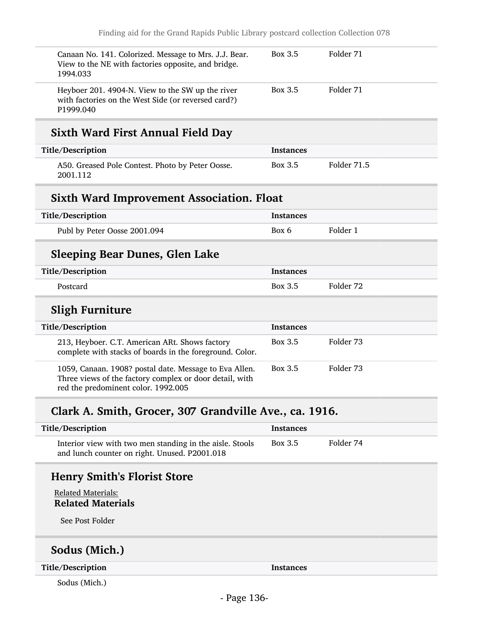| Canaan No. 141. Colorized. Message to Mrs. J.J. Bear.<br>View to the NE with factories opposite, and bridge.<br>1994.033 | Box 3.5 | Folder 71 |
|--------------------------------------------------------------------------------------------------------------------------|---------|-----------|
| Heyboer 201. 4904-N. View to the SW up the river<br>with factories on the West Side (or reversed card?)<br>P1999.040     | Box 3.5 | Folder 71 |

# Sixth Ward First Annual Field Day

| Title/Description                                            | Instances |             |
|--------------------------------------------------------------|-----------|-------------|
| A50. Greased Pole Contest. Photo by Peter Oosse.<br>2001.112 | Box 3.5   | Folder 71.5 |

### Sixth Ward Improvement Association. Float

| Title/Description            | <b>Instances</b> |          |
|------------------------------|------------------|----------|
| Publ by Peter Oosse 2001.094 | Box 6            | Folder 1 |

# Sleeping Bear Dunes, Glen Lake

| Title/Description | <b>Instances</b> |           |
|-------------------|------------------|-----------|
| Postcard          | Box 3.5          | Folder 72 |

# Sligh Furniture

| Title/Description                                                                                                                                        | <b>Instances</b> |           |
|----------------------------------------------------------------------------------------------------------------------------------------------------------|------------------|-----------|
| 213, Heyboer. C.T. American ARt. Shows factory<br>complete with stacks of boards in the foreground. Color.                                               | Box 3.5          | Folder 73 |
| 1059, Canaan. 1908? postal date. Message to Eva Allen.<br>Three views of the factory complex or door detail, with<br>red the predominent color. 1992.005 | Box 3.5          | Folder 73 |

# Clark A. Smith, Grocer, 307 Grandville Ave., ca. 1916.

| Title/Description                                                                                         | Instances |           |
|-----------------------------------------------------------------------------------------------------------|-----------|-----------|
| Interior view with two men standing in the aisle. Stools<br>and lunch counter on right. Unused. P2001.018 | Box 3.5   | Folder 74 |

# Henry Smith's Florist Store

Related Materials: Related Materials

See Post Folder

### Sodus (Mich.)

Title/Description Instances

Sodus (Mich.)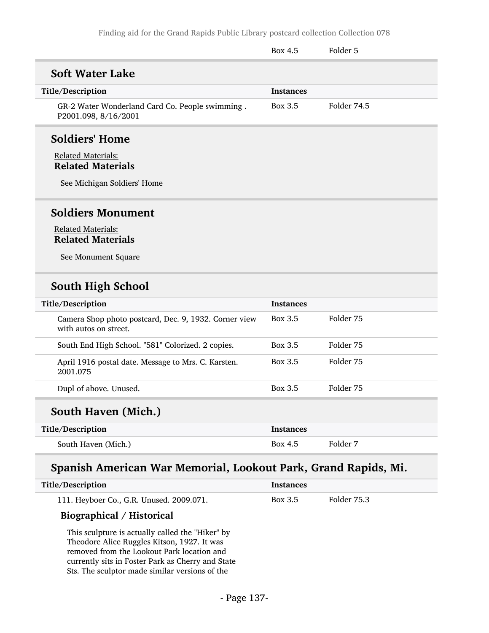|                                                                                                               | Box 4.5          | Folder 5    |
|---------------------------------------------------------------------------------------------------------------|------------------|-------------|
| <b>Soft Water Lake</b>                                                                                        |                  |             |
| Title/Description                                                                                             | <b>Instances</b> |             |
| GR-2 Water Wonderland Card Co. People swimming.<br>P2001.098, 8/16/2001                                       | Box 3.5          | Folder 74.5 |
| <b>Soldiers' Home</b><br><b>Related Materials:</b><br><b>Related Materials</b><br>See Michigan Soldiers' Home |                  |             |
| <b>Soldiers Monument</b><br><b>Related Materials:</b><br><b>Related Materials</b><br>See Monument Square      |                  |             |

### South High School

| Title/Description                                                              | <b>Instances</b> |           |
|--------------------------------------------------------------------------------|------------------|-----------|
| Camera Shop photo postcard, Dec. 9, 1932. Corner view<br>with autos on street. | Box 3.5          | Folder 75 |
| South End High School. "581" Colorized. 2 copies.                              | Box 3.5          | Folder 75 |
| April 1916 postal date. Message to Mrs. C. Karsten.<br>2001.075                | Box 3.5          | Folder 75 |
| Dupl of above. Unused.                                                         | Box 3.5          | Folder 75 |
| $\mathcal{C}_{\mathbf{O}}$ uth Hayan (Mich)                                    |                  |           |

# South Haven (Mich.)

| Title/Description   | <b>Instances</b> |          |
|---------------------|------------------|----------|
| South Haven (Mich.) | Box 4.5          | Folder 7 |

# Spanish American War Memorial, Lookout Park, Grand Rapids, Mi.

| Title/Description                        | Instances |             |
|------------------------------------------|-----------|-------------|
| 111. Heyboer Co., G.R. Unused. 2009.071. | Box 3.5   | Folder 75.3 |
| $m' = 1' + 1 / m' + 1$                   |           |             |

#### Biographical / Historical

This sculpture is actually called the "Hiker" by Theodore Alice Ruggles Kitson, 1927. It was removed from the Lookout Park location and currently sits in Foster Park as Cherry and State Sts. The sculptor made similar versions of the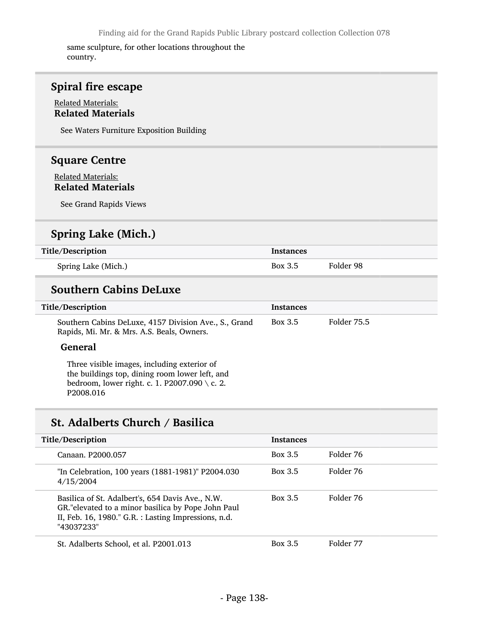same sculpture, for other locations throughout the country.

# Spiral fire escape

#### Related Materials: Related Materials

See Waters Furniture Exposition Building

### Square Centre

Related Materials: Related Materials

See Grand Rapids Views

# Spring Lake (Mich.)

| Title/Description   | Instances |           |
|---------------------|-----------|-----------|
| Spring Lake (Mich.) | Box 3.5   | Folder 98 |

### Southern Cabins DeLuxe

| Title/Description                                                                                   | <b>Instances</b> |             |
|-----------------------------------------------------------------------------------------------------|------------------|-------------|
| Southern Cabins DeLuxe, 4157 Division Ave., S., Grand<br>Rapids, Mi. Mr. & Mrs. A.S. Beals, Owners. | Box 3.5          | Folder 75.5 |

#### General

Three visible images, including exterior of the buildings top, dining room lower left, and bedroom, lower right. c. 1. P2007.090 \ c. 2. P2008.016

### St. Adalberts Church / Basilica

| Title/Description                                                                                                                                                            | <b>Instances</b> |           |
|------------------------------------------------------------------------------------------------------------------------------------------------------------------------------|------------------|-----------|
| Canaan, P2000.057                                                                                                                                                            | Box 3.5          | Folder 76 |
| "In Celebration, 100 years (1881-1981)" P2004.030<br>4/15/2004                                                                                                               | Box 3.5          | Folder 76 |
| Basilica of St. Adalbert's, 654 Davis Ave., N.W.<br>GR."elevated to a minor basilica by Pope John Paul<br>II, Feb. 16, 1980." G.R. : Lasting Impressions, n.d.<br>"43037233" | Box 3.5          | Folder 76 |
| St. Adalberts School, et al. P2001.013                                                                                                                                       | Box 3.5          | Folder 77 |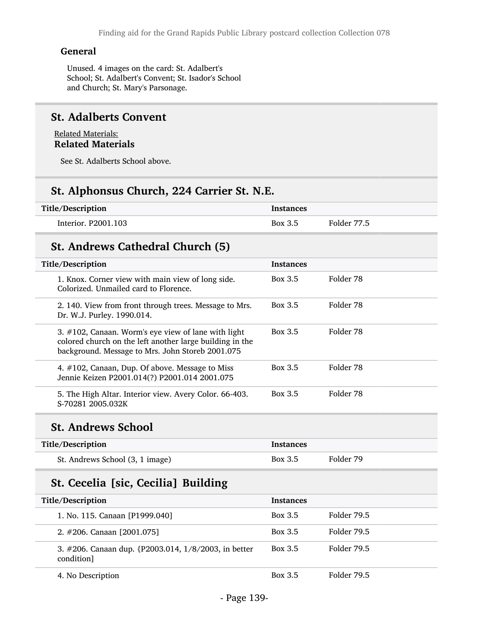#### General

Unused. 4 images on the card: St. Adalbert's School; St. Adalbert's Convent; St. Isador's School and Church; St. Mary's Parsonage.

#### St. Adalberts Convent

Related Materials: Related Materials

See St. Adalberts School above.

# St. Alphonsus Church, 224 Carrier St. N.E.

| Title/Description   | <b>Instances</b> |             |
|---------------------|------------------|-------------|
| Interior. P2001.103 | Box 3.5          | Folder 77.5 |

### St. Andrews Cathedral Church (5)

| Title/Description                                                                                                                                                       | <b>Instances</b> |           |
|-------------------------------------------------------------------------------------------------------------------------------------------------------------------------|------------------|-----------|
| 1. Knox. Corner view with main view of long side.<br>Colorized. Unmailed card to Florence.                                                                              | Box 3.5          | Folder 78 |
| 2. 140. View from front through trees. Message to Mrs.<br>Dr. W.J. Purley. 1990.014.                                                                                    | Box 3.5          | Folder 78 |
| 3. $\#102$ , Canaan. Worm's eye view of lane with light<br>colored church on the left another large building in the<br>background. Message to Mrs. John Storeb 2001.075 | Box 3.5          | Folder 78 |
| 4. #102, Canaan, Dup. Of above. Message to Miss<br>Jennie Keizen P2001.014(?) P2001.014 2001.075                                                                        | Box 3.5          | Folder 78 |
| 5. The High Altar. Interior view. Avery Color. 66-403.<br>S-70281 2005.032K                                                                                             | Box 3.5          | Folder 78 |

### St. Andrews School

| Title/Description               | <b>Instances</b> |           |
|---------------------------------|------------------|-----------|
| St. Andrews School (3, 1 image) | Box 3.5          | Folder 79 |

# St. Cecelia [sic, Cecilia] Building

| Title/Description                                                              | <b>Instances</b> |             |
|--------------------------------------------------------------------------------|------------------|-------------|
| 1. No. 115. Canaan [P1999.040]                                                 | Box 3.5          | Folder 79.5 |
| 2. $\#206$ . Canaan [2001.075]                                                 | Box 3.5          | Folder 79.5 |
| 3. #206. Canaan dup. $\{P2003.014, 1/8/2003, \text{in better}\}$<br>condition] | Box 3.5          | Folder 79.5 |
| 4. No Description                                                              | Box 3.5          | Folder 79.5 |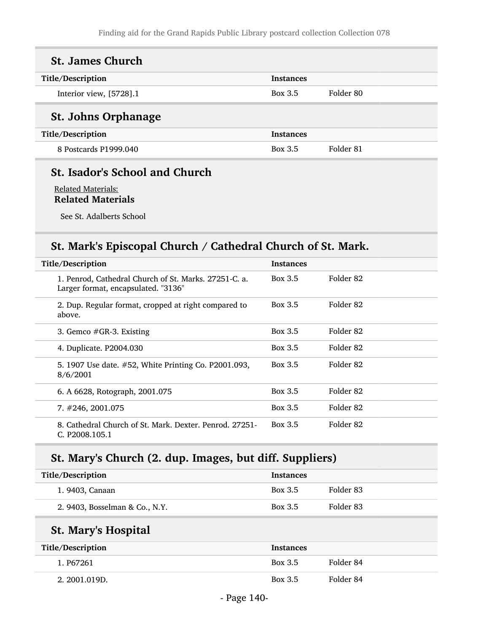| <b>St. James Church</b>    |                  |           |
|----------------------------|------------------|-----------|
| Title/Description          | <b>Instances</b> |           |
| Interior view, [5728].1    | <b>Box 3.5</b>   | Folder 80 |
| <b>St. Johns Orphanage</b> |                  |           |
| Title/Description          | <b>Instances</b> |           |
| 8 Postcards P1999.040      | Box 3.5          | Folder 81 |
|                            |                  |           |

# St. Isador's School and Church

Related Materials: Related Materials

See St. Adalberts School

# St. Mark's Episcopal Church / Cathedral Church of St. Mark.

| Title/Description                                                                            | <b>Instances</b> |           |
|----------------------------------------------------------------------------------------------|------------------|-----------|
| 1. Penrod, Cathedral Church of St. Marks. 27251-C. a.<br>Larger format, encapsulated. "3136" | Box 3.5          | Folder 82 |
| 2. Dup. Regular format, cropped at right compared to<br>above.                               | Box 3.5          | Folder 82 |
| 3. Gemco $#GR-3$ . Existing                                                                  | Box 3.5          | Folder 82 |
| 4. Duplicate. P2004.030                                                                      | Box 3.5          | Folder 82 |
| 5. 1907 Use date. #52, White Printing Co. P2001.093,<br>8/6/2001                             | Box 3.5          | Folder 82 |
| 6. A 6628, Rotograph, 2001.075                                                               | Box 3.5          | Folder 82 |
| $7. \#246, 2001.075$                                                                         | Box 3.5          | Folder 82 |
| 8. Cathedral Church of St. Mark. Dexter. Penrod. 27251-<br>C. P2008.105.1                    | Box 3.5          | Folder 82 |

# St. Mary's Church (2. dup. Images, but diff. Suppliers)

| Title/Description              | <b>Instances</b> |           |
|--------------------------------|------------------|-----------|
| 1. 9403, Canaan                | Box 3.5          | Folder 83 |
| 2. 9403, Bosselman & Co., N.Y. | Box 3.5          | Folder 83 |

# St. Mary's Hospital

| Title/Description | <b>Instances</b> |           |
|-------------------|------------------|-----------|
| 1. P67261         | Box 3.5          | Folder 84 |
| 2. 2001.019D.     | Box 3.5          | Folder 84 |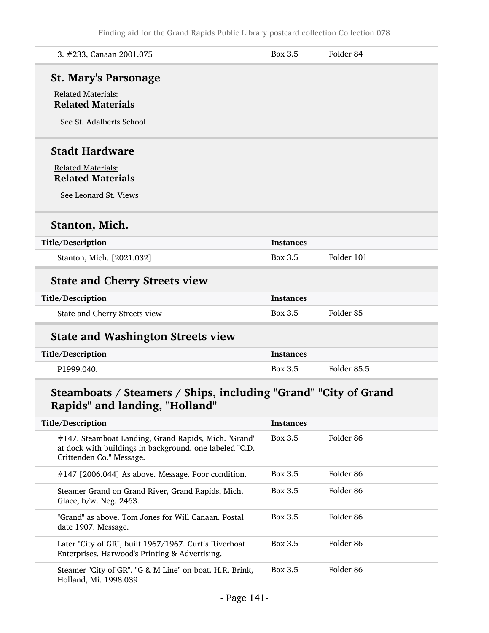| 3. #233, Canaan 2001.075                                                                          | Box 3.5          | Folder 84   |
|---------------------------------------------------------------------------------------------------|------------------|-------------|
| <b>St. Mary's Parsonage</b>                                                                       |                  |             |
| <b>Related Materials:</b><br><b>Related Materials</b>                                             |                  |             |
| See St. Adalberts School                                                                          |                  |             |
| <b>Stadt Hardware</b>                                                                             |                  |             |
| <b>Related Materials:</b><br><b>Related Materials</b>                                             |                  |             |
| See Leonard St. Views                                                                             |                  |             |
| Stanton, Mich.                                                                                    |                  |             |
| Title/Description                                                                                 | <b>Instances</b> |             |
| Stanton, Mich. [2021.032]                                                                         | Box 3.5          | Folder 101  |
| <b>State and Cherry Streets view</b>                                                              |                  |             |
| Title/Description                                                                                 | <b>Instances</b> |             |
| State and Cherry Streets view                                                                     | <b>Box 3.5</b>   | Folder 85   |
| <b>State and Washington Streets view</b>                                                          |                  |             |
| Title/Description                                                                                 | <b>Instances</b> |             |
| P1999.040.                                                                                        | <b>Box 3.5</b>   | Folder 85.5 |
| Steamboats / Steamers / Ships, including "Grand" "City of Grand<br>Rapids" and landing, "Holland" |                  |             |
|                                                                                                   |                  |             |

| Title/Description                                                                                                                           | Instances |           |
|---------------------------------------------------------------------------------------------------------------------------------------------|-----------|-----------|
| #147. Steamboat Landing, Grand Rapids, Mich. "Grand"<br>at dock with buildings in background, one labeled "C.D.<br>Crittenden Co." Message. | Box 3.5   | Folder 86 |
| #147 [2006.044] As above. Message. Poor condition.                                                                                          | Box 3.5   | Folder 86 |
| Steamer Grand on Grand River, Grand Rapids, Mich.<br>Glace, b/w. Neg. 2463.                                                                 | Box 3.5   | Folder 86 |
| "Grand" as above. Tom Jones for Will Canaan. Postal<br>date 1907. Message.                                                                  | Box 3.5   | Folder 86 |
| Later "City of GR", built 1967/1967. Curtis Riverboat<br>Enterprises. Harwood's Printing & Advertising.                                     | Box 3.5   | Folder 86 |
| Steamer "City of GR". "G & M Line" on boat. H.R. Brink,<br>Holland, Mi. 1998.039                                                            | Box 3.5   | Folder 86 |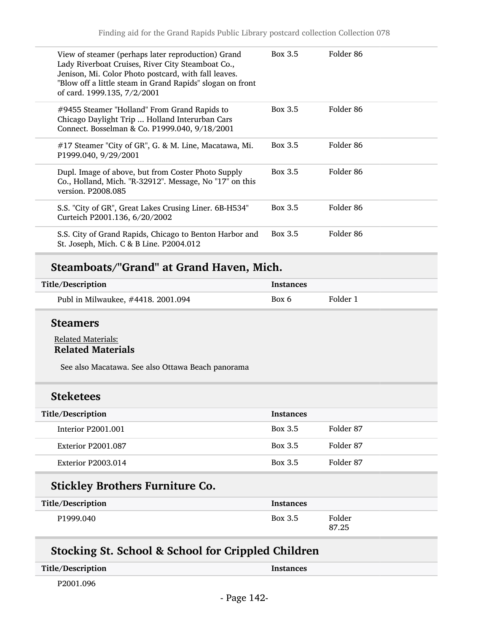| View of steamer (perhaps later reproduction) Grand<br>Lady Riverboat Cruises, River City Steamboat Co.,<br>Jenison, Mi. Color Photo postcard, with fall leaves.<br>"Blow off a little steam in Grand Rapids" slogan on front<br>of card. 1999.135, 7/2/2001 | Box 3.5 | Folder 86 |
|-------------------------------------------------------------------------------------------------------------------------------------------------------------------------------------------------------------------------------------------------------------|---------|-----------|
| #9455 Steamer "Holland" From Grand Rapids to<br>Chicago Daylight Trip  Holland Interurban Cars<br>Connect. Bosselman & Co. P1999.040, 9/18/2001                                                                                                             | Box 3.5 | Folder 86 |
| #17 Steamer "City of GR", G. & M. Line, Macatawa, Mi.<br>P1999.040, 9/29/2001                                                                                                                                                                               | Box 3.5 | Folder 86 |
| Dupl. Image of above, but from Coster Photo Supply<br>Co., Holland, Mich. "R-32912". Message, No "17" on this<br>version. P2008.085                                                                                                                         | Box 3.5 | Folder 86 |
| S.S. "City of GR", Great Lakes Crusing Liner. 6B-H534"<br>Curteich P2001.136, 6/20/2002                                                                                                                                                                     | Box 3.5 | Folder 86 |
| S.S. City of Grand Rapids, Chicago to Benton Harbor and<br>St. Joseph, Mich. C & B Line. P2004.012                                                                                                                                                          | Box 3.5 | Folder 86 |

# Steamboats/"Grand" at Grand Haven, Mich.

| Title/Description                  | <b>Instances</b> |          |
|------------------------------------|------------------|----------|
| Publ in Milwaukee, #4418. 2001.094 | Box 6            | Folder 1 |

### Steamers

#### Related Materials: Related Materials

See also Macatawa. See also Ottawa Beach panorama

### Steketees

| Title/Description         | <b>Instances</b> |           |
|---------------------------|------------------|-----------|
| Interior P2001.001        | Box 3.5          | Folder 87 |
| Exterior P2001.087        | Box 3.5          | Folder 87 |
| <b>Exterior P2003.014</b> | Box 3.5          | Folder 87 |
|                           |                  |           |

# Stickley Brothers Furniture Co.

| Title/Description | <b>Instances</b> |                 |
|-------------------|------------------|-----------------|
| P1999.040         | Box 3.5          | Folder<br>87.25 |

# Stocking St. School & School for Crippled Children

| Title/Description | Instances |
|-------------------|-----------|
| P2001.096         |           |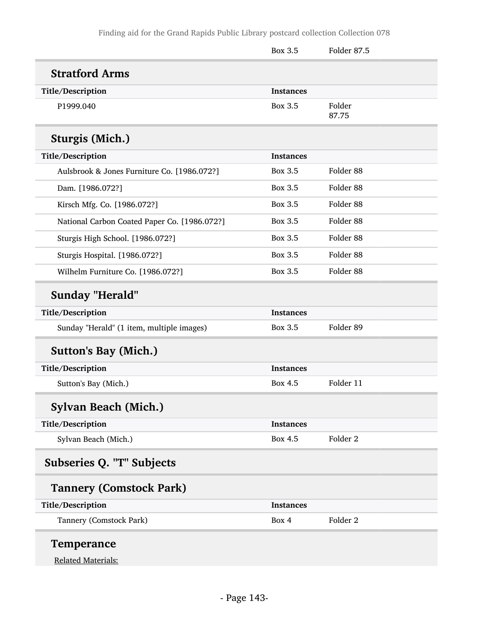|                                              | Box 3.5          | Folder 87.5          |
|----------------------------------------------|------------------|----------------------|
| <b>Stratford Arms</b>                        |                  |                      |
| Title/Description                            | <b>Instances</b> |                      |
| P1999.040                                    | Box 3.5          | Folder<br>87.75      |
| <b>Sturgis (Mich.)</b>                       |                  |                      |
| Title/Description                            | <b>Instances</b> |                      |
| Aulsbrook & Jones Furniture Co. [1986.072?]  | Box 3.5          | Folder 88            |
| Dam. [1986.072?]                             | Box 3.5          | Folder <sub>88</sub> |
| Kirsch Mfg. Co. [1986.072?]                  | Box 3.5          | Folder 88            |
| National Carbon Coated Paper Co. [1986.072?] | Box 3.5          | Folder 88            |
| Sturgis High School. [1986.072?]             | Box 3.5          | Folder <sub>88</sub> |
| Sturgis Hospital. [1986.072?]                | Box 3.5          | Folder <sub>88</sub> |
| Wilhelm Furniture Co. [1986.072?]            | <b>Box 3.5</b>   | Folder <sub>88</sub> |
| <b>Sunday "Herald"</b>                       |                  |                      |
| Title/Description                            | <b>Instances</b> |                      |
| Sunday "Herald" (1 item, multiple images)    | Box 3.5          | Folder 89            |
| <b>Sutton's Bay (Mich.)</b>                  |                  |                      |
| Title/Description                            | <b>Instances</b> |                      |
| Sutton's Bay (Mich.)                         | Box 4.5          | Folder 11            |
| Sylvan Beach (Mich.)                         |                  |                      |
| Title/Description                            | <b>Instances</b> |                      |
| Sylvan Beach (Mich.)                         | <b>Box 4.5</b>   | Folder <sub>2</sub>  |
| Subseries Q. "T" Subjects                    |                  |                      |
| <b>Tannery (Comstock Park)</b>               |                  |                      |
| Title/Description                            | <b>Instances</b> |                      |
| Tannery (Comstock Park)                      | Box 4            | Folder <sub>2</sub>  |
| <b>Temperance</b>                            |                  |                      |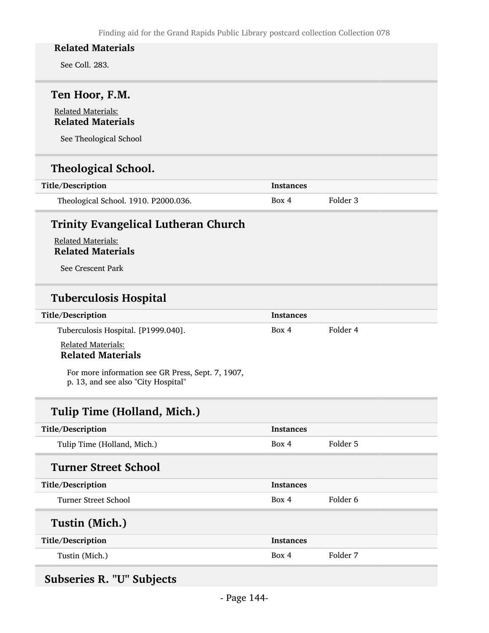See Coll. 283.

### Ten Hoor, F.M.

#### Related Materials: Related Materials

See Theological School

# Theological School.

| Title/Description                    | Instances |          |
|--------------------------------------|-----------|----------|
| Theological School. 1910. P2000.036. | Box 4     | Folder 3 |

### Trinity Evangelical Lutheran Church

Related Materials: Related Materials

See Crescent Park

### Tuberculosis Hospital

| Title/Description                              | <b>Instances</b> |          |
|------------------------------------------------|------------------|----------|
| Tuberculosis Hospital. [P1999.040].            | Box 4            | Folder 4 |
| Related Materials:<br><b>Related Materials</b> |                  |          |

For more information see GR Press, Sept. 7, 1907, p. 13, and see also "City Hospital"

# Tulip Time (Holland, Mich.)

| Title/Description           | <b>Instances</b> |          |
|-----------------------------|------------------|----------|
| Tulip Time (Holland, Mich.) | Box 4            | Folder 5 |
| <b>Turner Street School</b> |                  |          |
| Title/Description           | <b>Instances</b> |          |
| Turner Street School        | Box 4            | Folder 6 |
| Tustin (Mich.)              |                  |          |
| Title/Description           | <b>Instances</b> |          |
| Tustin (Mich.)              | Box 4            | Folder 7 |

# Subseries R. "U" Subjects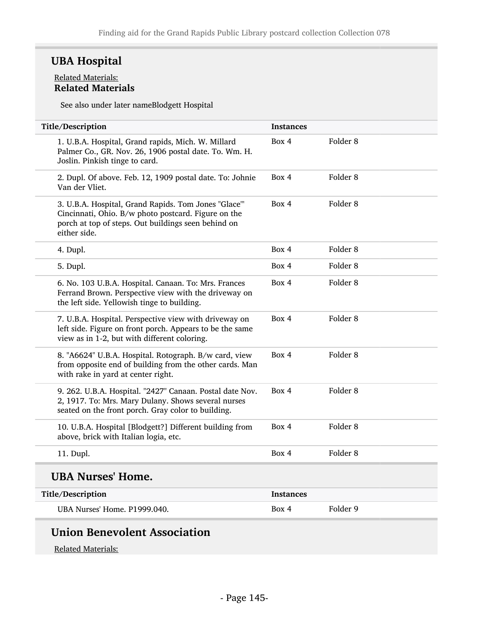# UBA Hospital

#### Related Materials: Related Materials

See also under later nameBlodgett Hospital

| Title/Description                                                                                                                                                                  | <b>Instances</b> |                     |
|------------------------------------------------------------------------------------------------------------------------------------------------------------------------------------|------------------|---------------------|
| 1. U.B.A. Hospital, Grand rapids, Mich. W. Millard<br>Palmer Co., GR. Nov. 26, 1906 postal date. To. Wm. H.<br>Joslin. Pinkish tinge to card.                                      | Box 4            | Folder <sub>8</sub> |
| 2. Dupl. Of above. Feb. 12, 1909 postal date. To: Johnie<br>Van der Vliet.                                                                                                         | Box 4            | Folder 8            |
| 3. U.B.A. Hospital, Grand Rapids. Tom Jones "Glace"'<br>Cincinnati, Ohio. B/w photo postcard. Figure on the<br>porch at top of steps. Out buildings seen behind on<br>either side. | Box 4            | Folder <sub>8</sub> |
| 4. Dupl.                                                                                                                                                                           | Box 4            | Folder 8            |
| 5. Dupl.                                                                                                                                                                           | Box 4            | Folder <sub>8</sub> |
| 6. No. 103 U.B.A. Hospital. Canaan. To: Mrs. Frances<br>Ferrand Brown. Perspective view with the driveway on<br>the left side. Yellowish tinge to building.                        | Box 4            | Folder <sub>8</sub> |
| 7. U.B.A. Hospital. Perspective view with driveway on<br>left side. Figure on front porch. Appears to be the same<br>view as in 1-2, but with different coloring.                  | Box 4            | Folder <sub>8</sub> |
| 8. "A6624" U.B.A. Hospital. Rotograph. B/w card, view<br>from opposite end of building from the other cards. Man<br>with rake in yard at center right.                             | Box 4            | Folder <sub>8</sub> |
| 9. 262. U.B.A. Hospital. "2427" Canaan. Postal date Nov.<br>2, 1917. To: Mrs. Mary Dulany. Shows several nurses<br>seated on the front porch. Gray color to building.              | Box 4            | Folder <sub>8</sub> |
| 10. U.B.A. Hospital [Blodgett?] Different building from<br>above, brick with Italian logia, etc.                                                                                   | Box 4            | Folder <sub>8</sub> |
| 11. Dupl.                                                                                                                                                                          | Box 4            | Folder <sub>8</sub> |
| <b>UBA Nurses' Home.</b>                                                                                                                                                           |                  |                     |
| Title/Description                                                                                                                                                                  | <b>Instances</b> |                     |
| UBA Nurses' Home, P1999.040.                                                                                                                                                       | Box 4            | Folder 9            |

# Union Benevolent Association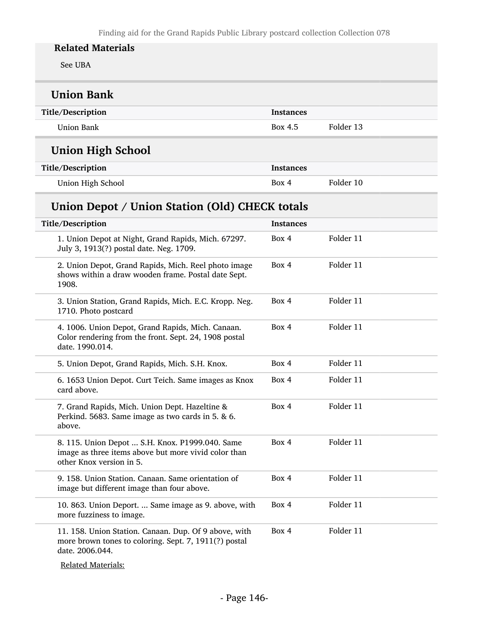See UBA

| <b>Union Bank</b>                                                                                                    |                  |           |  |  |
|----------------------------------------------------------------------------------------------------------------------|------------------|-----------|--|--|
| Title/Description                                                                                                    | <b>Instances</b> |           |  |  |
| Union Bank                                                                                                           | Box 4.5          | Folder 13 |  |  |
| <b>Union High School</b>                                                                                             |                  |           |  |  |
| Title/Description                                                                                                    | <b>Instances</b> |           |  |  |
| Union High School                                                                                                    | Box 4            | Folder 10 |  |  |
| Union Depot / Union Station (Old) CHECK totals                                                                       |                  |           |  |  |
| Title/Description                                                                                                    | <b>Instances</b> |           |  |  |
| 1. Union Depot at Night, Grand Rapids, Mich. 67297.<br>July 3, 1913(?) postal date. Neg. 1709.                       | Box 4            | Folder 11 |  |  |
| 2. Union Depot, Grand Rapids, Mich. Reel photo image<br>shows within a draw wooden frame. Postal date Sept.<br>1908. | Box 4            | Folder 11 |  |  |
| 3. Union Station, Grand Rapids, Mich. E.C. Kropp. Neg.<br>1710. Photo postcard                                       | Box 4            | Folder 11 |  |  |

| 4. 1006. Union Depot, Grand Rapids, Mich. Canaan.<br>Color rendering from the front. Sept. 24, 1908 postal<br>date, 1990.014.       | Box 4 | Folder 11 |
|-------------------------------------------------------------------------------------------------------------------------------------|-------|-----------|
| 5. Union Depot, Grand Rapids, Mich. S.H. Knox.                                                                                      | Box 4 | Folder 11 |
| 6. 1653 Union Depot. Curt Teich. Same images as Knox<br>card above.                                                                 | Box 4 | Folder 11 |
| 7. Grand Rapids, Mich. Union Dept. Hazeltine &<br>Perkind. 5683. Same image as two cards in 5. & 6.<br>above.                       | Box 4 | Folder 11 |
| 8. 115. Union Depot  S.H. Knox. P1999.040. Same<br>image as three items above but more vivid color than<br>other Knox version in 5. | Box 4 | Folder 11 |
| 9. 158. Union Station. Canaan. Same orientation of<br>image but different image than four above.                                    | Box 4 | Folder 11 |
| 10. 863. Union Deport.  Same image as 9. above, with<br>more fuzziness to image.                                                    | Box 4 | Folder 11 |
| 11. 158. Union Station. Canaan. Dup. Of 9 above, with<br>more brown tones to coloring. Sept. 7, 1911(?) postal<br>date. 2006.044.   | Box 4 | Folder 11 |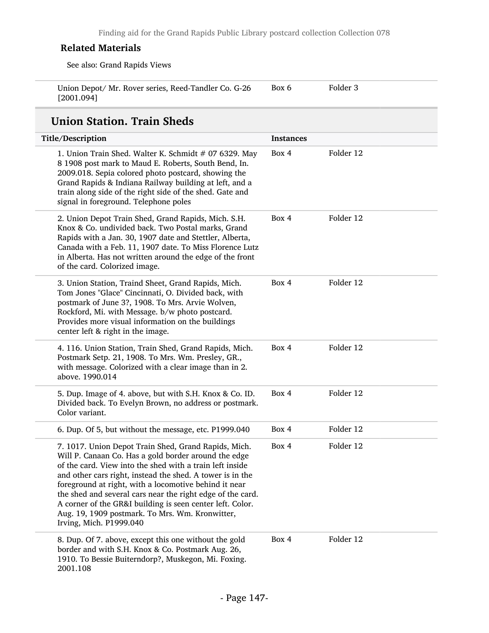See also: Grand Rapids Views

| Union Depot/ Mr. Rover series, Reed-Tandler Co. G-26 | Box 6 | Folder 3 |
|------------------------------------------------------|-------|----------|
| [2001.094]                                           |       |          |

# Union Station. Train Sheds

| Title/Description                                                                                                                                                                                                                                                                                                                                                                                                                                                                                       | <b>Instances</b> |           |
|---------------------------------------------------------------------------------------------------------------------------------------------------------------------------------------------------------------------------------------------------------------------------------------------------------------------------------------------------------------------------------------------------------------------------------------------------------------------------------------------------------|------------------|-----------|
| 1. Union Train Shed. Walter K. Schmidt # 07 6329. May<br>8 1908 post mark to Maud E. Roberts, South Bend, In.<br>2009.018. Sepia colored photo postcard, showing the<br>Grand Rapids & Indiana Railway building at left, and a<br>train along side of the right side of the shed. Gate and<br>signal in foreground. Telephone poles                                                                                                                                                                     | Box 4            | Folder 12 |
| 2. Union Depot Train Shed, Grand Rapids, Mich. S.H.<br>Knox & Co. undivided back. Two Postal marks, Grand<br>Rapids with a Jan. 30, 1907 date and Stettler, Alberta,<br>Canada with a Feb. 11, 1907 date. To Miss Florence Lutz<br>in Alberta. Has not written around the edge of the front<br>of the card. Colorized image.                                                                                                                                                                            | Box 4            | Folder 12 |
| 3. Union Station, Traind Sheet, Grand Rapids, Mich.<br>Tom Jones "Glace" Cincinnati, O. Divided back, with<br>postmark of June 3?, 1908. To Mrs. Arvie Wolven,<br>Rockford, Mi. with Message. b/w photo postcard.<br>Provides more visual information on the buildings<br>center left & right in the image.                                                                                                                                                                                             | Box 4            | Folder 12 |
| 4. 116. Union Station, Train Shed, Grand Rapids, Mich.<br>Postmark Setp. 21, 1908. To Mrs. Wm. Presley, GR.,<br>with message. Colorized with a clear image than in 2.<br>above. 1990.014                                                                                                                                                                                                                                                                                                                | Box 4            | Folder 12 |
| 5. Dup. Image of 4. above, but with S.H. Knox & Co. ID.<br>Divided back. To Evelyn Brown, no address or postmark.<br>Color variant.                                                                                                                                                                                                                                                                                                                                                                     | Box 4            | Folder 12 |
| 6. Dup. Of 5, but without the message, etc. P1999.040                                                                                                                                                                                                                                                                                                                                                                                                                                                   | Box 4            | Folder 12 |
| 7. 1017. Union Depot Train Shed, Grand Rapids, Mich.<br>Will P. Canaan Co. Has a gold border around the edge<br>of the card. View into the shed with a train left inside<br>and other cars right, instead the shed. A tower is in the<br>foreground at right, with a locomotive behind it near<br>the shed and several cars near the right edge of the card.<br>A corner of the GR&I building is seen center left. Color.<br>Aug. 19, 1909 postmark. To Mrs. Wm. Kronwitter,<br>Irving, Mich. P1999.040 | Box 4            | Folder 12 |
| 8. Dup. Of 7. above, except this one without the gold<br>border and with S.H. Knox & Co. Postmark Aug. 26,<br>1910. To Bessie Buiterndorp?, Muskegon, Mi. Foxing.<br>2001.108                                                                                                                                                                                                                                                                                                                           | Box 4            | Folder 12 |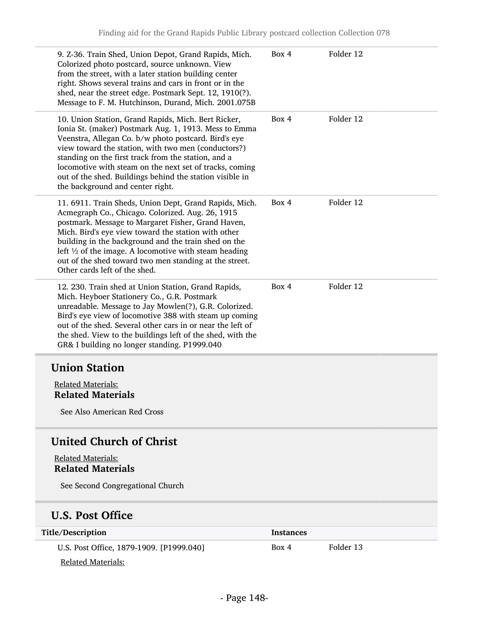| 9. Z-36. Train Shed, Union Depot, Grand Rapids, Mich.<br>Colorized photo postcard, source unknown. View<br>from the street, with a later station building center<br>right. Shows several trains and cars in front or in the<br>shed, near the street edge. Postmark Sept. 12, 1910(?).<br>Message to F. M. Hutchinson, Durand, Mich. 2001.075B                                                                                                 | Box 4     | Folder 12 |
|------------------------------------------------------------------------------------------------------------------------------------------------------------------------------------------------------------------------------------------------------------------------------------------------------------------------------------------------------------------------------------------------------------------------------------------------|-----------|-----------|
| 10. Union Station, Grand Rapids, Mich. Bert Ricker,<br>Ionia St. (maker) Postmark Aug. 1, 1913. Mess to Emma<br>Veenstra, Allegan Co. b/w photo postcard. Bird's eye<br>view toward the station, with two men (conductors?)<br>standing on the first track from the station, and a<br>locomotive with steam on the next set of tracks, coming<br>out of the shed. Buildings behind the station visible in<br>the background and center right.  | Box 4     | Folder 12 |
| 11. 6911. Train Sheds, Union Dept, Grand Rapids, Mich.<br>Acmegraph Co., Chicago. Colorized. Aug. 26, 1915<br>postmark. Message to Margaret Fisher, Grand Haven,<br>Mich. Bird's eye view toward the station with other<br>building in the background and the train shed on the<br>left $\frac{1}{2}$ of the image. A locomotive with steam heading<br>out of the shed toward two men standing at the street.<br>Other cards left of the shed. | Box 4     | Folder 12 |
| 12. 230. Train shed at Union Station, Grand Rapids,<br>Mich. Heyboer Stationery Co., G.R. Postmark<br>unreadable. Message to Jay Mowlen(?), G.R. Colorized.<br>Bird's eye view of locomotive 388 with steam up coming<br>out of the shed. Several other cars in or near the left of<br>the shed. View to the buildings left of the shed, with the<br>GR& I building no longer standing. P1999.040                                              | Box 4     | Folder 12 |
| <b>Union Station</b>                                                                                                                                                                                                                                                                                                                                                                                                                           |           |           |
| <b>Related Materials:</b>                                                                                                                                                                                                                                                                                                                                                                                                                      |           |           |
| <b>Related Materials</b>                                                                                                                                                                                                                                                                                                                                                                                                                       |           |           |
| See Also American Red Cross                                                                                                                                                                                                                                                                                                                                                                                                                    |           |           |
| <b>United Church of Christ</b>                                                                                                                                                                                                                                                                                                                                                                                                                 |           |           |
| <b>Related Materials:</b>                                                                                                                                                                                                                                                                                                                                                                                                                      |           |           |
| <b>Related Materials</b>                                                                                                                                                                                                                                                                                                                                                                                                                       |           |           |
| See Second Congregational Church                                                                                                                                                                                                                                                                                                                                                                                                               |           |           |
| <b>U.S. Post Office</b>                                                                                                                                                                                                                                                                                                                                                                                                                        |           |           |
| Title/Description                                                                                                                                                                                                                                                                                                                                                                                                                              | Instances |           |
| U.S. Post Office, 1879-1909. [P1999.040]                                                                                                                                                                                                                                                                                                                                                                                                       | Box 4     | Folder 13 |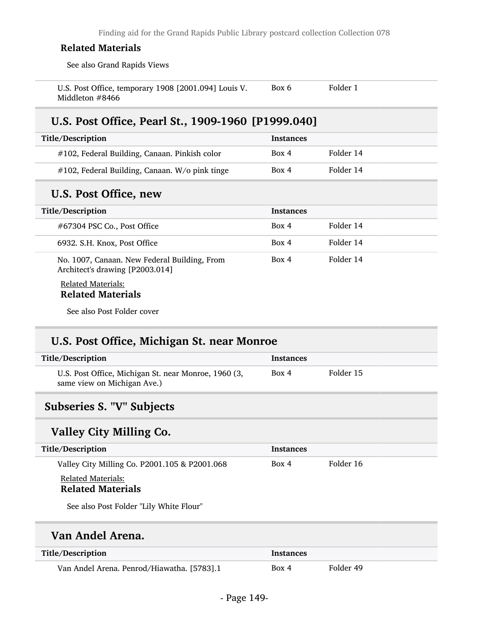See also Grand Rapids Views

| U.S. Post Office, temporary 1908 [2001.094] Louis V. | Box 6 | Folder 1 |
|------------------------------------------------------|-------|----------|
| Middleton #8466                                      |       |          |

### U.S. Post Office, Pearl St., 1909-1960 [P1999.040]

| Title/Description                              | <b>Instances</b> |           |
|------------------------------------------------|------------------|-----------|
| #102, Federal Building, Canaan. Pinkish color  | Box 4            | Folder 14 |
| #102, Federal Building, Canaan. W/o pink tinge | Box 4            | Folder 14 |

### U.S. Post Office, new

| Title/Description |                                                                                 | <b>Instances</b> |           |
|-------------------|---------------------------------------------------------------------------------|------------------|-----------|
|                   | #67304 PSC Co., Post Office                                                     | Box 4            | Folder 14 |
|                   | 6932. S.H. Knox, Post Office                                                    | Box 4            | Folder 14 |
|                   | No. 1007, Canaan. New Federal Building, From<br>Architect's drawing [P2003.014] | Box 4            | Folder 14 |
|                   | <b>Related Materials:</b><br>$D - 1 - 1 - 1$ $M - 1 - 1 - 1$                    |                  |           |

## Related Materials

See also Post Folder cover

## U.S. Post Office, Michigan St. near Monroe

| Title/Description                                                                   | <b>Instances</b> |           |
|-------------------------------------------------------------------------------------|------------------|-----------|
| U.S. Post Office, Michigan St. near Monroe, 1960 (3,<br>same view on Michigan Ave.) | Box 4            | Folder 15 |
|                                                                                     |                  |           |

# Subseries S. "V" Subjects

### Valley City Milling Co.

| Title/Description                                     | Instances |           |
|-------------------------------------------------------|-----------|-----------|
| Valley City Milling Co. P2001.105 & P2001.068         | Box 4     | Folder 16 |
| <b>Related Materials:</b><br><b>Related Materials</b> |           |           |
| See also Post Folder "Lily White Flour"               |           |           |

### Van Andel Arena.

| Title/Description                          | <b>Instances</b> |           |
|--------------------------------------------|------------------|-----------|
| Van Andel Arena. Penrod/Hiawatha. [5783].1 | Box 4            | Folder 49 |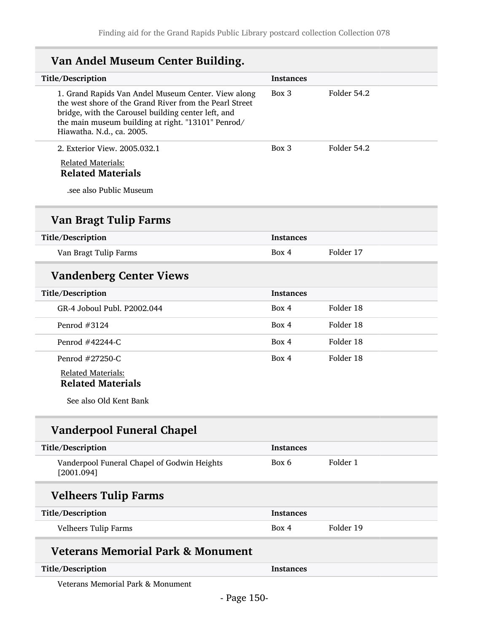| Van Andel Museum Center Building.                                                                                                                                                                                                                        |                  |             |
|----------------------------------------------------------------------------------------------------------------------------------------------------------------------------------------------------------------------------------------------------------|------------------|-------------|
| Title/Description                                                                                                                                                                                                                                        | <b>Instances</b> |             |
| 1. Grand Rapids Van Andel Museum Center. View along<br>the west shore of the Grand River from the Pearl Street<br>bridge, with the Carousel building center left, and<br>the main museum building at right. "13101" Penrod/<br>Hiawatha. N.d., ca. 2005. | $Box$ 3          | Folder 54.2 |
| 2. Exterior View. 2005.032.1                                                                                                                                                                                                                             | Box 3            | Folder 54.2 |
| <b>Related Materials:</b><br><b>Related Materials</b>                                                                                                                                                                                                    |                  |             |
| see also Public Museum.                                                                                                                                                                                                                                  |                  |             |
| <b>Van Bragt Tulip Farms</b>                                                                                                                                                                                                                             |                  |             |
| Title/Description                                                                                                                                                                                                                                        | <b>Instances</b> |             |
| Van Bragt Tulip Farms                                                                                                                                                                                                                                    | Box 4            | Folder 17   |
| <b>Vandenberg Center Views</b>                                                                                                                                                                                                                           |                  |             |
| Title/Description                                                                                                                                                                                                                                        | <b>Instances</b> |             |
| GR-4 Joboul Publ. P2002.044                                                                                                                                                                                                                              | Box 4            | Folder 18   |
| Penrod #3124                                                                                                                                                                                                                                             | Box 4            | Folder 18   |
| Penrod #42244-C                                                                                                                                                                                                                                          | Box 4            | Folder 18   |
| Penrod #27250-C                                                                                                                                                                                                                                          | Box 4            | Folder 18   |
| <b>Related Materials:</b><br><b>Related Materials</b>                                                                                                                                                                                                    |                  |             |
| See also Old Kent Bank                                                                                                                                                                                                                                   |                  |             |
| <b>Vanderpool Funeral Chapel</b>                                                                                                                                                                                                                         |                  |             |
| Title/Description                                                                                                                                                                                                                                        | <b>Instances</b> |             |
| Vanderpool Funeral Chapel of Godwin Heights<br>[2001.094]                                                                                                                                                                                                | Box 6            | Folder 1    |
| <b>Velheers Tulip Farms</b>                                                                                                                                                                                                                              |                  |             |
| Title/Description                                                                                                                                                                                                                                        | <b>Instances</b> |             |
| <b>Velheers Tulip Farms</b>                                                                                                                                                                                                                              | Box 4            | Folder 19   |
| <b>Veterans Memorial Park &amp; Monument</b>                                                                                                                                                                                                             |                  |             |
| Title/Description                                                                                                                                                                                                                                        | <b>Instances</b> |             |

Veterans Memorial Park & Monument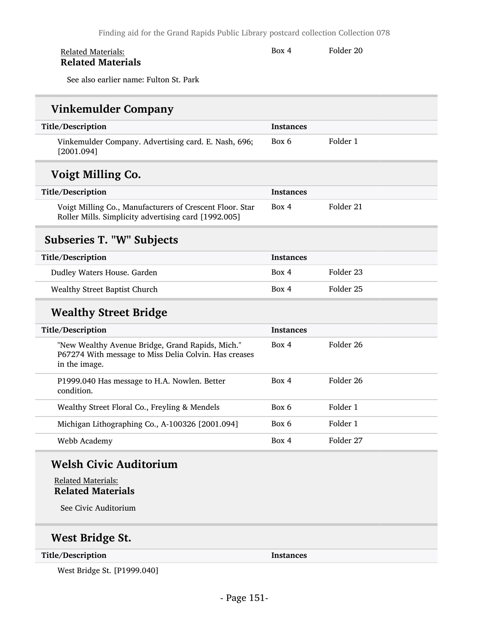| <b>Related Materials:</b> | Box 4 | Folder 20 |
|---------------------------|-------|-----------|
| <b>Related Materials</b>  |       |           |

See also earlier name: Fulton St. Park

# Vinkemulder Company

| Title/Description                                                                                                          | <b>Instances</b> |                      |
|----------------------------------------------------------------------------------------------------------------------------|------------------|----------------------|
| Vinkemulder Company. Advertising card. E. Nash, 696;<br>[2001.094]                                                         | Box 6            | Folder 1             |
| Voigt Milling Co.                                                                                                          |                  |                      |
| Title/Description                                                                                                          | <b>Instances</b> |                      |
| Voigt Milling Co., Manufacturers of Crescent Floor. Star<br>Roller Mills. Simplicity advertising card [1992.005]           | Box 4            | Folder 21            |
| <b>Subseries T. "W" Subjects</b>                                                                                           |                  |                      |
| Title/Description                                                                                                          | <b>Instances</b> |                      |
| Dudley Waters House. Garden                                                                                                | Box 4            | Folder 23            |
| <b>Wealthy Street Baptist Church</b>                                                                                       | Box 4            | Folder <sub>25</sub> |
| <b>Wealthy Street Bridge</b>                                                                                               |                  |                      |
| Title/Description                                                                                                          | <b>Instances</b> |                      |
| "New Wealthy Avenue Bridge, Grand Rapids, Mich."<br>P67274 With message to Miss Delia Colvin. Has creases<br>in the image. | Box 4            | Folder 26            |
| P1999.040 Has message to H.A. Nowlen. Better<br>condition.                                                                 | Box 4            | Folder 26            |
| Wealthy Street Floral Co., Freyling & Mendels                                                                              | Box 6            | Folder 1             |
| Michigan Lithographing Co., A-100326 [2001.094]                                                                            | Box 6            | Folder 1             |
| Webb Academy                                                                                                               | Box 4            | Folder 27            |

# Welsh Civic Auditorium

Related Materials: Related Materials

See Civic Auditorium

# West Bridge St.

Title/Description Instances

West Bridge St. [P1999.040]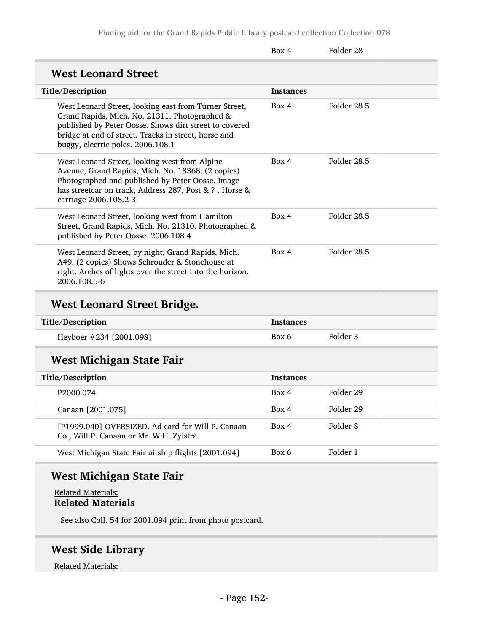Finding aid for the Grand Rapids Public Library postcard collection Collection 078

|                                                                                                                                                                                                                                                               | Box 4            | Folder 28   |
|---------------------------------------------------------------------------------------------------------------------------------------------------------------------------------------------------------------------------------------------------------------|------------------|-------------|
| <b>West Leonard Street</b>                                                                                                                                                                                                                                    |                  |             |
| Title/Description                                                                                                                                                                                                                                             | <b>Instances</b> |             |
| West Leonard Street, looking east from Turner Street,<br>Grand Rapids, Mich. No. 21311. Photographed &<br>published by Peter Oosse. Shows dirt street to covered<br>bridge at end of street. Tracks in street, horse and<br>buggy, electric poles. 2006.108.1 | Box 4            | Folder 28.5 |
| West Leonard Street, looking west from Alpine<br>Avenue, Grand Rapids, Mich. No. 18368. (2 copies)<br>Photographed and published by Peter Oosse. Image<br>has streetcar on track, Address 287, Post & ? . Horse &<br>carriage 2006.108.2-3                    | Box 4            | Folder 28.5 |
| West Leonard Street, looking west from Hamilton<br>Street, Grand Rapids, Mich. No. 21310. Photographed &<br>published by Peter Oosse. 2006.108.4                                                                                                              | Box 4            | Folder 28.5 |
| West Leonard Street, by night, Grand Rapids, Mich.<br>A49. (2 copies) Shows Schrouder & Stonehouse at<br>right. Arches of lights over the street into the horizon.<br>2006.108.5-6                                                                            | Box 4            | Folder 28.5 |
| <b>West Leonard Street Bridge.</b>                                                                                                                                                                                                                            |                  |             |
| Title/Description                                                                                                                                                                                                                                             | <b>Instances</b> |             |
| Heyboer #234 [2001.098]                                                                                                                                                                                                                                       | Box 6            | Folder 3    |
| <b>West Michigan State Fair</b>                                                                                                                                                                                                                               |                  |             |
| Title/Description                                                                                                                                                                                                                                             | <b>Instances</b> |             |
| P2000.074                                                                                                                                                                                                                                                     | Box 4            | Folder 29   |
| Canaan [2001.075]                                                                                                                                                                                                                                             | Box 4            | Folder 29   |
| [P1999.040] OVERSIZED. Ad card for Will P. Canaan<br>Co., Will P. Canaan or Mr. W.H. Zylstra.                                                                                                                                                                 | Box 4            | Folder 8    |
| West Michigan State Fair airship flights [2001.094]                                                                                                                                                                                                           | Box 6            | Folder 1    |

# West Michigan State Fair

Related Materials: Related Materials

See also Coll. 54 for 2001.094 print from photo postcard.

# West Side Library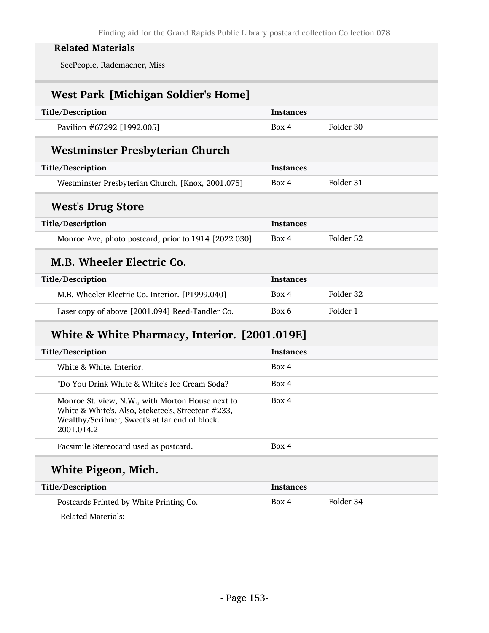SeePeople, Rademacher, Miss

| <b>West Park [Michigan Soldier's Home]</b>           |                  |           |
|------------------------------------------------------|------------------|-----------|
| Title/Description                                    | <b>Instances</b> |           |
| Pavilion #67292 [1992.005]                           | Box 4            | Folder 30 |
| <b>Westminster Presbyterian Church</b>               |                  |           |
| Title/Description                                    | <b>Instances</b> |           |
| Westminster Presbyterian Church, [Knox, 2001.075]    | Box 4            | Folder 31 |
| <b>West's Drug Store</b>                             |                  |           |
| Title/Description                                    | <b>Instances</b> |           |
| Monroe Ave, photo postcard, prior to 1914 [2022.030] | Box 4            | Folder 52 |
| M.B. Wheeler Electric Co.                            |                  |           |
| Title/Description                                    | <b>Instances</b> |           |
| M.B. Wheeler Electric Co. Interior. [P1999.040]      | Box 4            | Folder 32 |
| Laser copy of above [2001.094] Reed-Tandler Co.      | Box 6            | Folder 1  |
|                                                      |                  |           |

# White & White Pharmacy, Interior. [2001.019E]

| Title/Description                                                                                                                                                      | <b>Instances</b> |
|------------------------------------------------------------------------------------------------------------------------------------------------------------------------|------------------|
| White & White, Interior.                                                                                                                                               | Box 4            |
| "Do You Drink White & White's Ice Cream Soda?                                                                                                                          | Box 4            |
| Monroe St. view, N.W., with Morton House next to<br>White & White's. Also, Steketee's, Streetcar #233,<br>Wealthy/Scribner, Sweet's at far end of block.<br>2001.014.2 | Box 4            |
| Facsimile Stereocard used as postcard.                                                                                                                                 | Box 4            |
| White Pigeon, Mich.                                                                                                                                                    |                  |
| Title/Description                                                                                                                                                      | <b>Instances</b> |

| Postcards Printed by White Printing Co. | Box 4 | Folder 34 |  |
|-----------------------------------------|-------|-----------|--|
| Related Materials:                      |       |           |  |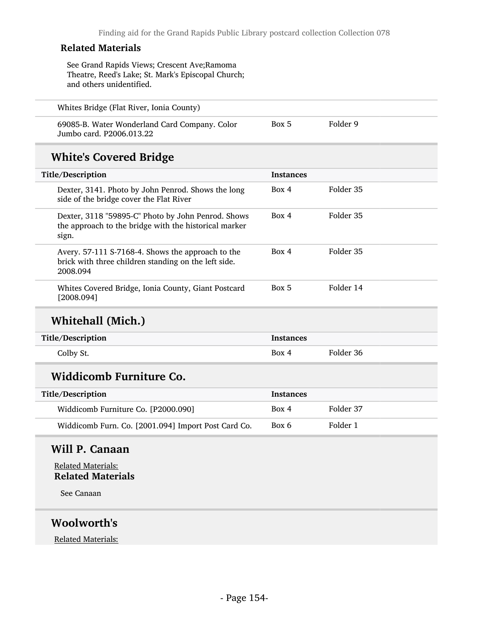See Grand Rapids Views; Crescent Ave;Ramoma Theatre, Reed's Lake; St. Mark's Episcopal Church; and others unidentified.

69085-B. Water Wonderland Card Company. Color Jumbo card. P2006.013.22 Box 5 Folder 9

## White's Covered Bridge

| Title/Description |                                                                                                                       | <b>Instances</b> |           |
|-------------------|-----------------------------------------------------------------------------------------------------------------------|------------------|-----------|
|                   | Dexter, 3141. Photo by John Penrod. Shows the long<br>side of the bridge cover the Flat River                         | Box 4            | Folder 35 |
|                   | Dexter, 3118 "59895-C" Photo by John Penrod. Shows<br>the approach to the bridge with the historical marker<br>sign.  | Box 4            | Folder 35 |
|                   | Avery. 57-111 S-7168-4. Shows the approach to the<br>brick with three children standing on the left side.<br>2008.094 | Box 4            | Folder 35 |
|                   | Whites Covered Bridge, Ionia County, Giant Postcard<br>[2008.094]                                                     | Box 5            | Folder 14 |

## Whitehall (Mich.)

| Title/Description | Instances |           |
|-------------------|-----------|-----------|
| Colby St.         | Box 4     | Folder 36 |

## Widdicomb Furniture Co.

| Title/Description                                   | <b>Instances</b> |           |
|-----------------------------------------------------|------------------|-----------|
| Widdicomb Furniture Co. [P2000.090]                 | Box 4            | Folder 37 |
| Widdicomb Furn. Co. [2001.094] Import Post Card Co. | Box 6            | Folder 1  |

### Will P. Canaan

Related Materials: Related Materials

See Canaan

### Woolworth's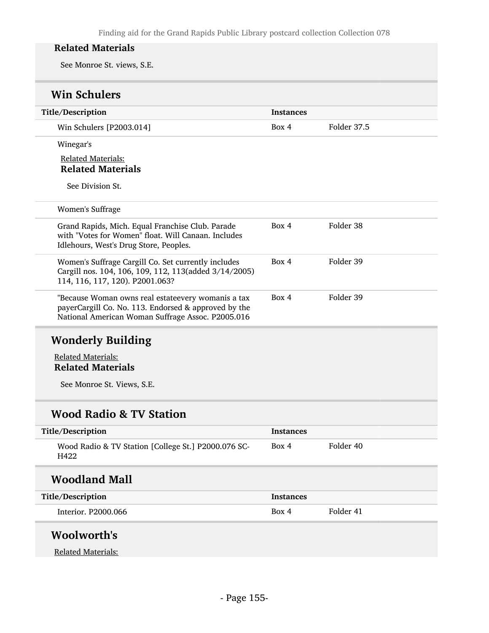See Monroe St. views, S.E.

# Win Schulers

| Title/Description                                                                                                                                               | <b>Instances</b> |             |
|-----------------------------------------------------------------------------------------------------------------------------------------------------------------|------------------|-------------|
| Win Schulers [P2003.014]                                                                                                                                        | Box 4            | Folder 37.5 |
| Winegar's                                                                                                                                                       |                  |             |
| <b>Related Materials:</b>                                                                                                                                       |                  |             |
| <b>Related Materials</b>                                                                                                                                        |                  |             |
| See Division St.                                                                                                                                                |                  |             |
| <b>Women's Suffrage</b>                                                                                                                                         |                  |             |
| Grand Rapids, Mich. Equal Franchise Club. Parade<br>with "Votes for Women" float. Will Canaan. Includes<br>Idlehours, West's Drug Store, Peoples.               | Box 4            | Folder 38   |
| Women's Suffrage Cargill Co. Set currently includes<br>Cargill nos. 104, 106, 109, 112, 113(added 3/14/2005)<br>114, 116, 117, 120). P2001.063?                 | Box 4            | Folder 39   |
| "Because Woman owns real estateevery womanis a tax<br>payerCargill Co. No. 113. Endorsed & approved by the<br>National American Woman Suffrage Assoc. P2005.016 | Box 4            | Folder 39   |

# Wonderly Building

Related Materials: Related Materials

See Monroe St. Views, S.E.

# Wood Radio & TV Station

| Title/Description                                           | <b>Instances</b> |           |
|-------------------------------------------------------------|------------------|-----------|
| Wood Radio & TV Station [College St.] P2000.076 SC-<br>H422 | Box 4            | Folder 40 |
| <b>Woodland Mall</b>                                        |                  |           |
| Title/Description                                           | <b>Instances</b> |           |
| Interior. P2000.066                                         | Box 4            | Folder 41 |
| Woolworth's                                                 |                  |           |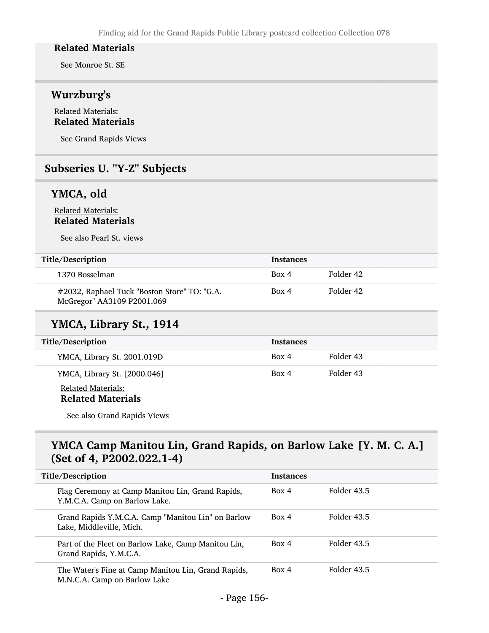See Monroe St. SE

### Wurzburg's

#### Related Materials: Related Materials

See Grand Rapids Views

### Subseries U. "Y-Z" Subjects

### YMCA, old

#### Related Materials: Related Materials

See also Pearl St. views

| Title/Description                                                          | <b>Instances</b> |           |
|----------------------------------------------------------------------------|------------------|-----------|
| 1370 Bosselman                                                             | Box 4            | Folder 42 |
| #2032, Raphael Tuck "Boston Store" TO: "G.A.<br>McGregor" AA3109 P2001.069 | Box 4            | Folder 42 |

### YMCA, Library St., 1914

| <b>Title/Description</b>                              | <b>Instances</b> |           |
|-------------------------------------------------------|------------------|-----------|
| YMCA, Library St. 2001.019D                           | Box 4            | Folder 43 |
| YMCA, Library St. [2000.046]                          | Box 4            | Folder 43 |
| <b>Related Materials:</b><br><b>Related Materials</b> |                  |           |

See also Grand Rapids Views

## YMCA Camp Manitou Lin, Grand Rapids, on Barlow Lake [Y. M. C. A.] (Set of 4, P2002.022.1-4)

| Title/Description                                                                   | <b>Instances</b> |             |
|-------------------------------------------------------------------------------------|------------------|-------------|
| Flag Ceremony at Camp Manitou Lin, Grand Rapids,<br>Y.M.C.A. Camp on Barlow Lake.   | Box 4            | Folder 43.5 |
| Grand Rapids Y.M.C.A. Camp "Manitou Lin" on Barlow<br>Lake, Middleville, Mich.      | Box 4            | Folder 43.5 |
| Part of the Fleet on Barlow Lake, Camp Manitou Lin,<br>Grand Rapids, Y.M.C.A.       | Box 4            | Folder 43.5 |
| The Water's Fine at Camp Manitou Lin, Grand Rapids,<br>M.N.C.A. Camp on Barlow Lake | Box 4            | Folder 43.5 |